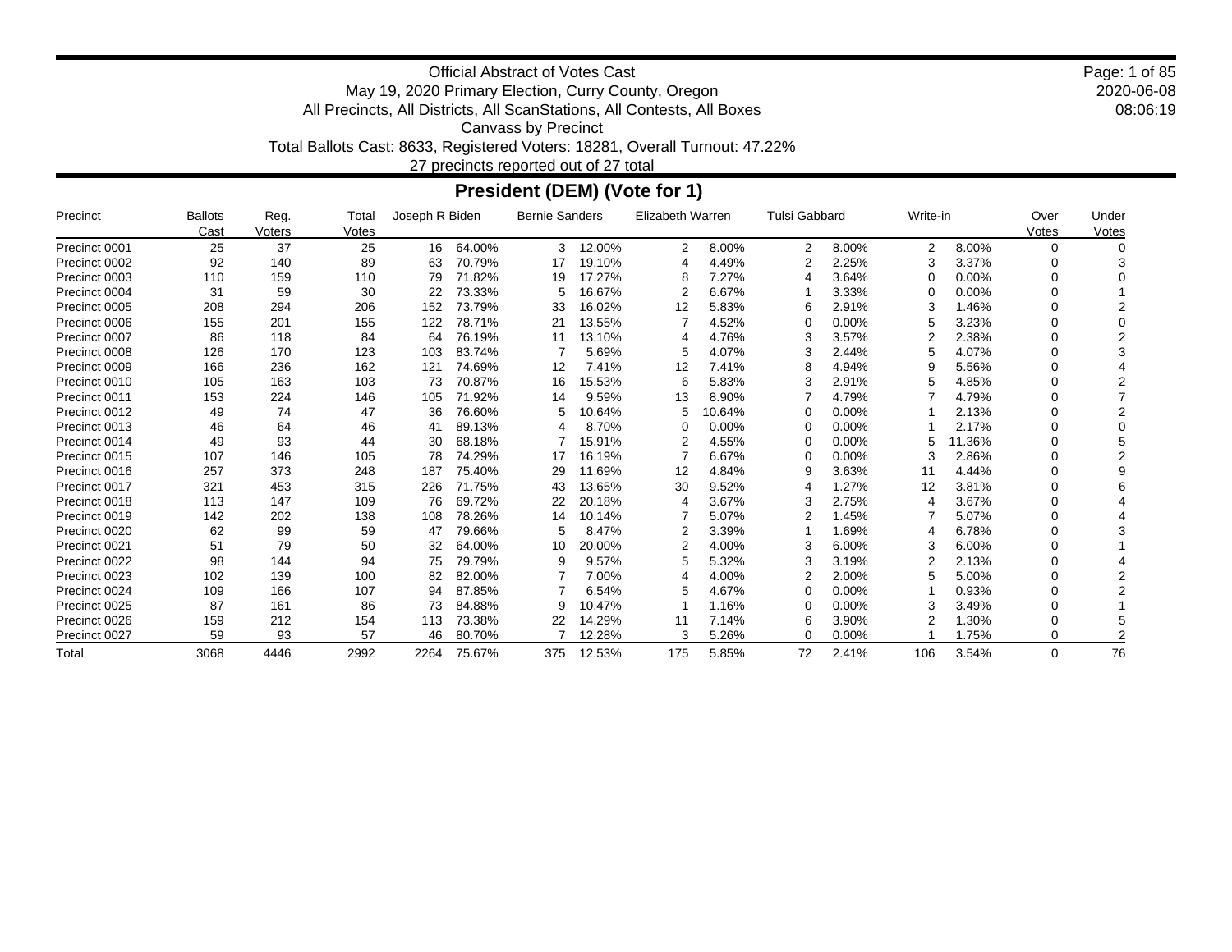2020-06-08 08:06:19 Page: 1 of 85

Official Abstract of Votes Cast

May 19, 2020 Primary Election, Curry County, Oregon

All Precincts, All Districts, All ScanStations, All Contests, All Boxes

Canvass by Precinct

Total Ballots Cast: 8633, Registered Voters: 18281, Overall Turnout: 47.22%

27 precincts reported out of 27 total

### **President (DEM) (Vote for 1)**

| Precinct      | <b>Ballots</b><br>Cast | Reg.<br>Voters | Total<br>Votes | Joseph R Biden |        | <b>Bernie Sanders</b> |        | Elizabeth Warren |        | <b>Tulsi Gabbard</b> |       | Write-in |          | Over<br>Votes | Under<br>Votes |
|---------------|------------------------|----------------|----------------|----------------|--------|-----------------------|--------|------------------|--------|----------------------|-------|----------|----------|---------------|----------------|
| Precinct 0001 | 25                     | 37             | 25             | 16             | 64.00% | 3                     | 12.00% | 2                | 8.00%  | $\overline{2}$       | 8.00% | 2        | 8.00%    | 0             |                |
| Precinct 0002 | 92                     | 140            | 89             | 63             | 70.79% | 17                    | 19.10% | 4                | 4.49%  | 2                    | 2.25% | 3        | 3.37%    |               |                |
| Precinct 0003 | 110                    | 159            | 110            | 79             | 71.82% | 19                    | 17.27% | 8                | 7.27%  |                      | 3.64% |          | $0.00\%$ |               |                |
| Precinct 0004 | 31                     | 59             | 30             | 22             | 73.33% | 5                     | 16.67% |                  | 6.67%  |                      | 3.33% |          | 0.00%    |               |                |
| Precinct 0005 | 208                    | 294            | 206            | 152            | 73.79% | 33                    | 16.02% | 12               | 5.83%  |                      | 2.91% |          | 1.46%    |               |                |
| Precinct 0006 | 155                    | 201            | 155            | 122            | 78.71% | 21                    | 13.55% |                  | 4.52%  |                      | 0.00% |          | 3.23%    |               | $\Omega$       |
| Precinct 0007 | 86                     | 118            | 84             | 64             | 76.19% | 11                    | 13.10% | 4                | 4.76%  |                      | 3.57% |          | 2.38%    |               | 2              |
| Precinct 0008 | 126                    | 170            | 123            | 103            | 83.74% |                       | 5.69%  |                  | 4.07%  |                      | 2.44% |          | 4.07%    |               |                |
| Precinct 0009 | 166                    | 236            | 162            | 121            | 74.69% | 12                    | 7.41%  | 12               | 7.41%  |                      | 4.94% | 9        | 5.56%    |               |                |
| Precinct 0010 | 105                    | 163            | 103            | 73             | 70.87% | 16                    | 15.53% | 6                | 5.83%  |                      | 2.91% |          | 4.85%    |               |                |
| Precinct 0011 | 153                    | 224            | 146            | 105            | 71.92% | 14                    | 9.59%  | 13               | 8.90%  |                      | 4.79% |          | 4.79%    |               |                |
| Precinct 0012 | 49                     | 74             | 47             | 36             | 76.60% | 5                     | 10.64% |                  | 10.64% |                      | 0.00% |          | 2.13%    |               |                |
| Precinct 0013 | 46                     | 64             | 46             | 41             | 89.13% | 4                     | 8.70%  | ∩                | 0.00%  | 0                    | 0.00% |          | 2.17%    |               | O              |
| Precinct 0014 | 49                     | 93             | 44             | 30             | 68.18% |                       | 15.91% |                  | 4.55%  |                      | 0.00% |          | 11.36%   | 0             |                |
| Precinct 0015 | 107                    | 146            | 105            | 78             | 74.29% | 17                    | 16.19% |                  | 6.67%  |                      | 0.00% |          | 2.86%    | ი             |                |
| Precinct 0016 | 257                    | 373            | 248            | 187            | 75.40% | 29                    | 11.69% | 12               | 4.84%  |                      | 3.63% | 11       | 4.44%    |               | $\mathbf{Q}$   |
| Precinct 0017 | 321                    | 453            | 315            | 226            | 71.75% | 43                    | 13.65% | 30               | 9.52%  |                      | 1.27% | 12       | 3.81%    |               |                |
| Precinct 0018 | 113                    | 147            | 109            | 76             | 69.72% | 22                    | 20.18% | 4                | 3.67%  |                      | 2.75% |          | 3.67%    |               |                |
| Precinct 0019 | 142                    | 202            | 138            | 108            | 78.26% | 14                    | 10.14% |                  | 5.07%  |                      | 1.45% |          | 5.07%    |               |                |
| Precinct 0020 | 62                     | 99             | 59             | 47             | 79.66% | 5                     | 8.47%  |                  | 3.39%  |                      | 1.69% |          | 6.78%    |               |                |
| Precinct 0021 | 51                     | 79             | 50             | 32             | 64.00% | 10                    | 20.00% |                  | 4.00%  |                      | 6.00% |          | 6.00%    |               |                |
| Precinct 0022 | 98                     | 144            | 94             | 75             | 79.79% | 9                     | 9.57%  |                  | 5.32%  |                      | 3.19% |          | 2.13%    |               |                |
| Precinct 0023 | 102                    | 139            | 100            | 82             | 82.00% |                       | 7.00%  |                  | 4.00%  |                      | 2.00% |          | 5.00%    |               |                |
| Precinct 0024 | 109                    | 166            | 107            | 94             | 87.85% |                       | 6.54%  |                  | 4.67%  |                      | 0.00% |          | 0.93%    |               |                |
| Precinct 0025 | 87                     | 161            | 86             | 73             | 84.88% | 9                     | 10.47% |                  | 1.16%  |                      | 0.00% |          | 3.49%    |               |                |
| Precinct 0026 | 159                    | 212            | 154            | 113            | 73.38% | 22                    | 14.29% | 11               | 7.14%  | 6                    | 3.90% |          | 1.30%    |               |                |
| Precinct 0027 | 59                     | 93             | 57             | 46             | 80.70% |                       | 12.28% |                  | 5.26%  | $\Omega$             | 0.00% |          | 1.75%    | 0             | $\overline{2}$ |
| Total         | 3068                   | 4446           | 2992           | 2264           | 75.67% | 375                   | 12.53% | 175              | 5.85%  | 72                   | 2.41% | 106      | 3.54%    | $\Omega$      | 76             |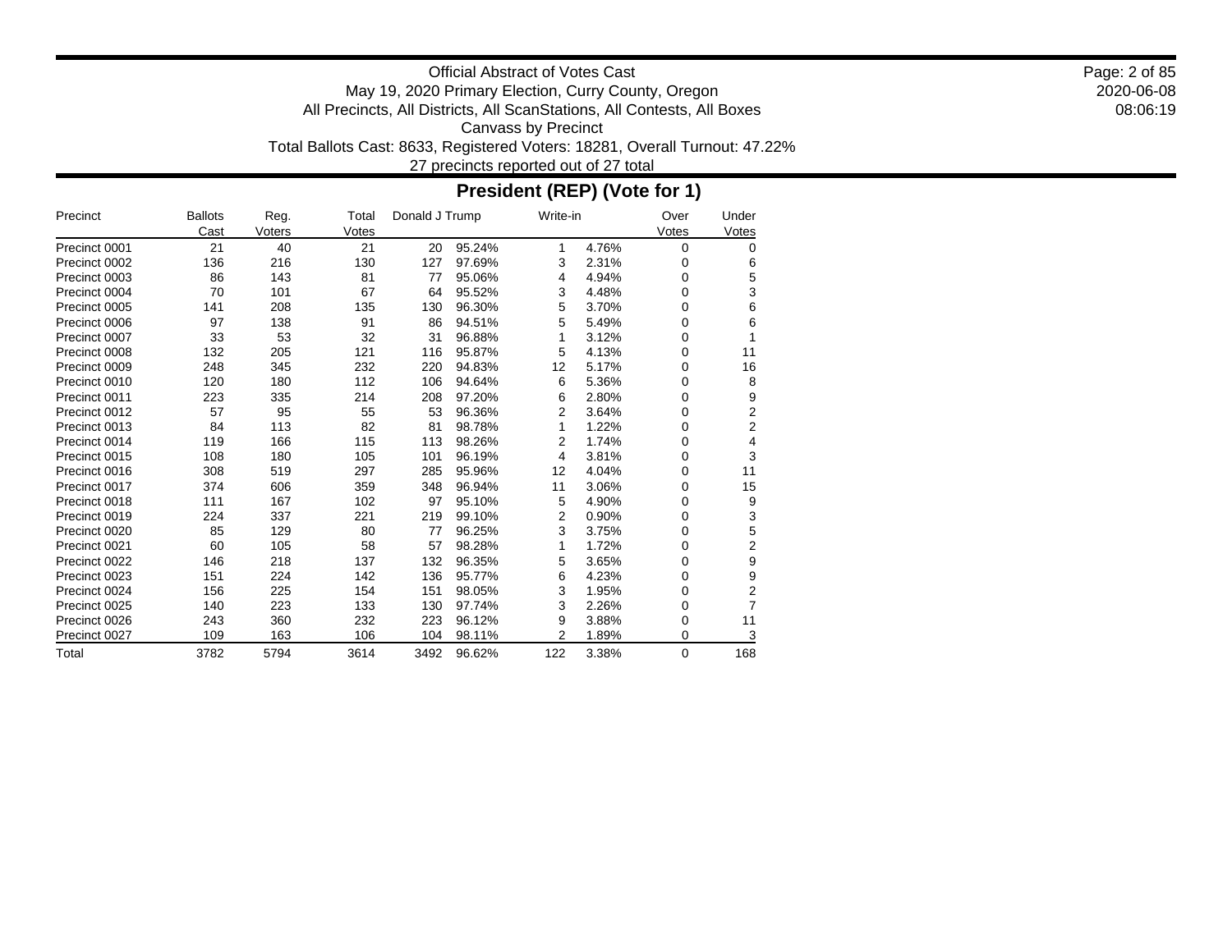2020-06-08 08:06:19 Page: 2 of 85

Official Abstract of Votes Cast May 19, 2020 Primary Election, Curry County, Oregon

All Precincts, All Districts, All ScanStations, All Contests, All Boxes

Canvass by Precinct

Total Ballots Cast: 8633, Registered Voters: 18281, Overall Turnout: 47.22%

27 precincts reported out of 27 total

# **President (REP) (Vote for 1)**

| Precinct      | <b>Ballots</b><br>Cast | Reg.<br>Voters | Total<br>Votes | Donald J Trump |        | Write-in       |       | Over<br>Votes | Under<br>Votes |
|---------------|------------------------|----------------|----------------|----------------|--------|----------------|-------|---------------|----------------|
| Precinct 0001 | 21                     | 40             | 21             | 20             | 95.24% | 1              | 4.76% | 0             | 0              |
| Precinct 0002 | 136                    | 216            | 130            | 127            | 97.69% | 3              | 2.31% | 0             | 6              |
| Precinct 0003 | 86                     | 143            | 81             | 77             | 95.06% | 4              | 4.94% | $\Omega$      | 5              |
| Precinct 0004 | 70                     | 101            | 67             | 64             | 95.52% | 3              | 4.48% | 0             | 3              |
| Precinct 0005 | 141                    | 208            | 135            | 130            | 96.30% | 5              | 3.70% | 0             | 6              |
| Precinct 0006 | 97                     | 138            | 91             | 86             | 94.51% | 5              | 5.49% | 0             | 6              |
| Precinct 0007 | 33                     | 53             | 32             | 31             | 96.88% | 1              | 3.12% | 0             | 1              |
| Precinct 0008 | 132                    | 205            | 121            | 116            | 95.87% | 5              | 4.13% | 0             | 11             |
| Precinct 0009 | 248                    | 345            | 232            | 220            | 94.83% | 12             | 5.17% | 0             | 16             |
| Precinct 0010 | 120                    | 180            | 112            | 106            | 94.64% | 6              | 5.36% | 0             | 8              |
| Precinct 0011 | 223                    | 335            | 214            | 208            | 97.20% | 6              | 2.80% | 0             | 9              |
| Precinct 0012 | 57                     | 95             | 55             | 53             | 96.36% | $\overline{2}$ | 3.64% | 0             | $\overline{2}$ |
| Precinct 0013 | 84                     | 113            | 82             | 81             | 98.78% | 1              | 1.22% | 0             | $\overline{2}$ |
| Precinct 0014 | 119                    | 166            | 115            | 113            | 98.26% | $\overline{2}$ | 1.74% | 0             | 4              |
| Precinct 0015 | 108                    | 180            | 105            | 101            | 96.19% | 4              | 3.81% | 0             | 3              |
| Precinct 0016 | 308                    | 519            | 297            | 285            | 95.96% | 12             | 4.04% | 0             | 11             |
| Precinct 0017 | 374                    | 606            | 359            | 348            | 96.94% | 11             | 3.06% | 0             | 15             |
| Precinct 0018 | 111                    | 167            | 102            | 97             | 95.10% | 5              | 4.90% | 0             | 9              |
| Precinct 0019 | 224                    | 337            | 221            | 219            | 99.10% | $\overline{2}$ | 0.90% | 0             | 3              |
| Precinct 0020 | 85                     | 129            | 80             | 77             | 96.25% | 3              | 3.75% | 0             | 5              |
| Precinct 0021 | 60                     | 105            | 58             | 57             | 98.28% | 1              | 1.72% | 0             | $\overline{c}$ |
| Precinct 0022 | 146                    | 218            | 137            | 132            | 96.35% | 5              | 3.65% | 0             | 9              |
| Precinct 0023 | 151                    | 224            | 142            | 136            | 95.77% | 6              | 4.23% | 0             | 9              |
| Precinct 0024 | 156                    | 225            | 154            | 151            | 98.05% | 3              | 1.95% | 0             | $\overline{2}$ |
| Precinct 0025 | 140                    | 223            | 133            | 130            | 97.74% | 3              | 2.26% | 0             | $\overline{7}$ |
| Precinct 0026 | 243                    | 360            | 232            | 223            | 96.12% | 9              | 3.88% | 0             | 11             |
| Precinct 0027 | 109                    | 163            | 106            | 104            | 98.11% | 2              | 1.89% | 0             | 3              |
| Total         | 3782                   | 5794           | 3614           | 3492           | 96.62% | 122            | 3.38% | $\mathbf 0$   | 168            |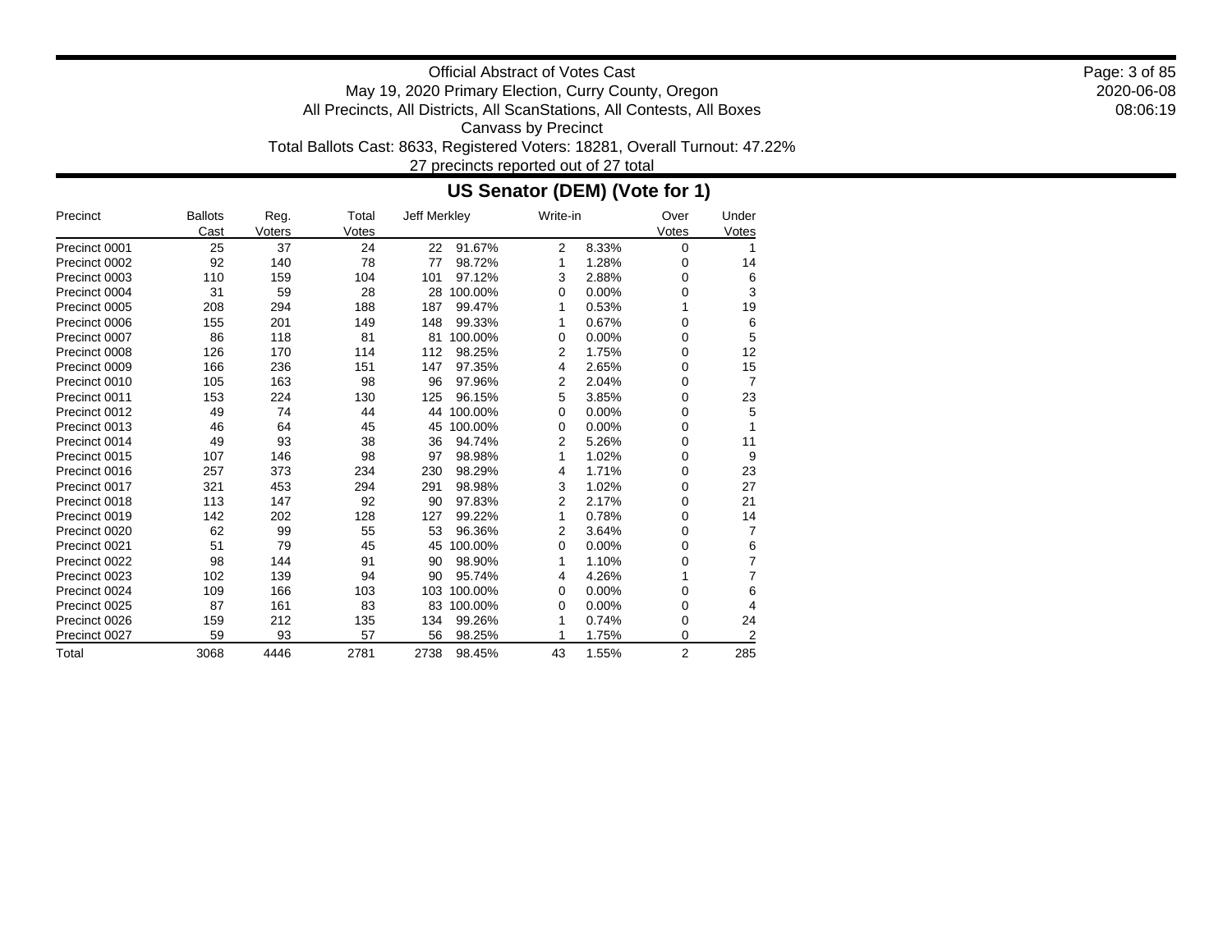2020-06-08 08:06:19 Page: 3 of 85

Official Abstract of Votes Cast May 19, 2020 Primary Election, Curry County, Oregon

All Precincts, All Districts, All ScanStations, All Contests, All Boxes

Canvass by Precinct

Total Ballots Cast: 8633, Registered Voters: 18281, Overall Turnout: 47.22%

27 precincts reported out of 27 total

# **US Senator (DEM) (Vote for 1)**

| Precinct      | <b>Ballots</b><br>Cast | Reg.<br>Voters | Total<br>Votes | Jeff Merkley |         | Write-in |       | Over<br>Votes  | Under<br>Votes |
|---------------|------------------------|----------------|----------------|--------------|---------|----------|-------|----------------|----------------|
| Precinct 0001 | 25                     | 37             | 24             | 22           | 91.67%  | 2        | 8.33% | 0              |                |
| Precinct 0002 | 92                     | 140            | 78             | 77           | 98.72%  | 1        | 1.28% | 0              | 14             |
| Precinct 0003 | 110                    | 159            | 104            | 101          | 97.12%  | 3        | 2.88% | 0              | 6              |
| Precinct 0004 | 31                     | 59             | 28             | 28           | 100.00% | 0        | 0.00% | 0              | 3              |
| Precinct 0005 | 208                    | 294            | 188            | 187          | 99.47%  | 1        | 0.53% |                | 19             |
| Precinct 0006 | 155                    | 201            | 149            | 148          | 99.33%  |          | 0.67% | 0              | 6              |
| Precinct 0007 | 86                     | 118            | 81             | 81           | 100.00% | 0        | 0.00% | 0              | 5              |
| Precinct 0008 | 126                    | 170            | 114            | 112          | 98.25%  | 2        | 1.75% | 0              | 12             |
| Precinct 0009 | 166                    | 236            | 151            | 147          | 97.35%  | 4        | 2.65% | 0              | 15             |
| Precinct 0010 | 105                    | 163            | 98             | 96           | 97.96%  | 2        | 2.04% | 0              | $\overline{7}$ |
| Precinct 0011 | 153                    | 224            | 130            | 125          | 96.15%  | 5        | 3.85% | 0              | 23             |
| Precinct 0012 | 49                     | 74             | 44             | 44           | 100.00% | 0        | 0.00% | 0              | 5              |
| Precinct 0013 | 46                     | 64             | 45             | 45           | 100.00% | 0        | 0.00% | 0              | 1              |
| Precinct 0014 | 49                     | 93             | 38             | 36           | 94.74%  | 2        | 5.26% | 0              | 11             |
| Precinct 0015 | 107                    | 146            | 98             | 97           | 98.98%  | 1        | 1.02% | 0              | 9              |
| Precinct 0016 | 257                    | 373            | 234            | 230          | 98.29%  | 4        | 1.71% | 0              | 23             |
| Precinct 0017 | 321                    | 453            | 294            | 291          | 98.98%  | 3        | 1.02% | 0              | 27             |
| Precinct 0018 | 113                    | 147            | 92             | 90           | 97.83%  | 2        | 2.17% | 0              | 21             |
| Precinct 0019 | 142                    | 202            | 128            | 127          | 99.22%  | 1        | 0.78% | 0              | 14             |
| Precinct 0020 | 62                     | 99             | 55             | 53           | 96.36%  | 2        | 3.64% | 0              | 7              |
| Precinct 0021 | 51                     | 79             | 45             | 45           | 100.00% | 0        | 0.00% | 0              | 6              |
| Precinct 0022 | 98                     | 144            | 91             | 90           | 98.90%  | 1        | 1.10% | 0              | 7              |
| Precinct 0023 | 102                    | 139            | 94             | 90           | 95.74%  | 4        | 4.26% |                | 7              |
| Precinct 0024 | 109                    | 166            | 103            | 103          | 100.00% | 0        | 0.00% | 0              | 6              |
| Precinct 0025 | 87                     | 161            | 83             | 83           | 100.00% | 0        | 0.00% | 0              | 4              |
| Precinct 0026 | 159                    | 212            | 135            | 134          | 99.26%  |          | 0.74% | 0              | 24             |
| Precinct 0027 | 59                     | 93             | 57             | 56           | 98.25%  |          | 1.75% | 0              | $\overline{2}$ |
| Total         | 3068                   | 4446           | 2781           | 2738         | 98.45%  | 43       | 1.55% | $\overline{2}$ | 285            |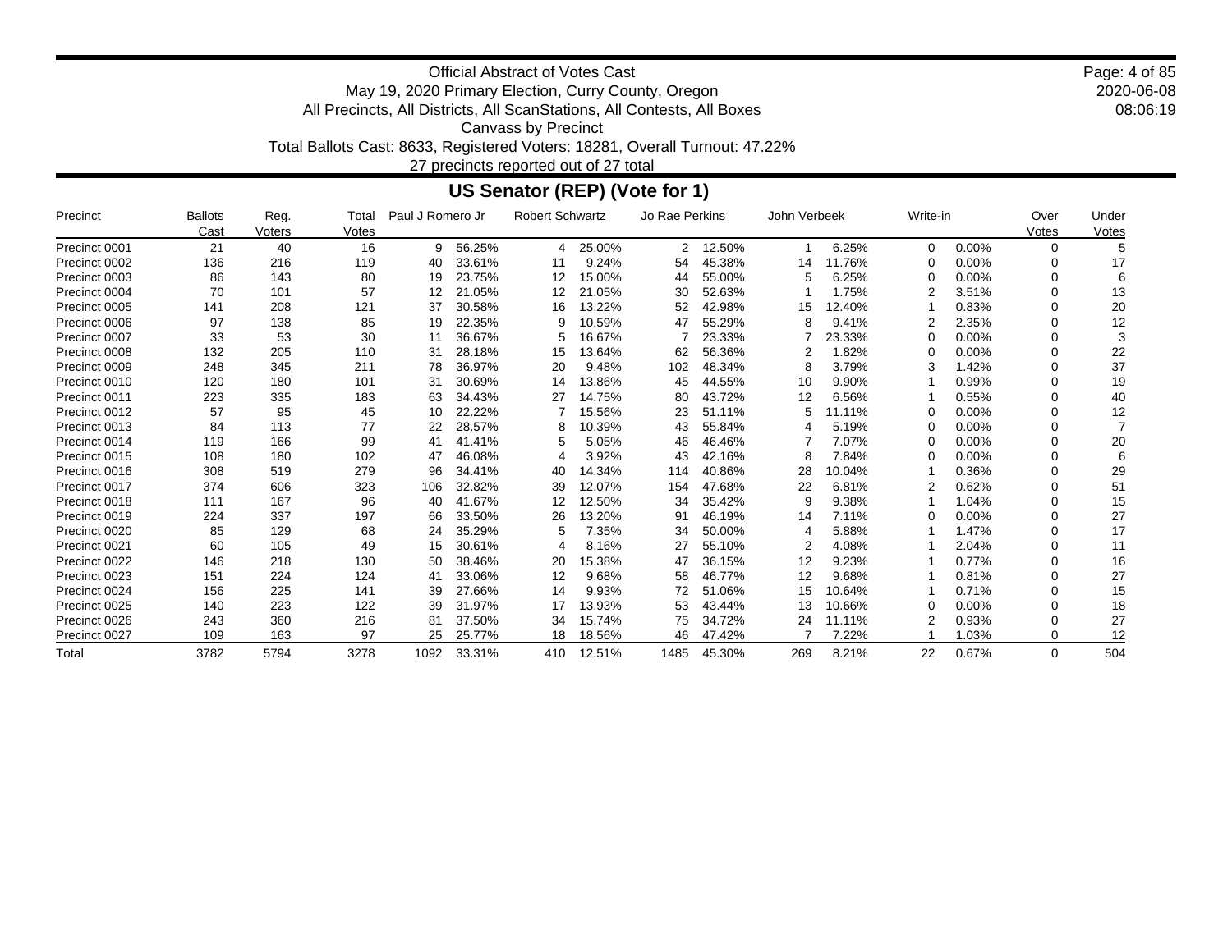2020-06-08 08:06:19 Page: 4 of 85

Official Abstract of Votes Cast May 19, 2020 Primary Election, Curry County, Oregon

All Precincts, All Districts, All ScanStations, All Contests, All Boxes

Canvass by Precinct

Total Ballots Cast: 8633, Registered Voters: 18281, Overall Turnout: 47.22%

27 precincts reported out of 27 total

### **US Senator (REP) (Vote for 1)**

| Precinct      | <b>Ballots</b><br>Cast | Reg.<br>Voters | Total<br>Votes | Paul J Romero Jr |        | <b>Robert Schwartz</b> |        | Jo Rae Perkins |        | John Verbeek |        | Write-in |       | Over<br>Votes | Under<br>Votes |
|---------------|------------------------|----------------|----------------|------------------|--------|------------------------|--------|----------------|--------|--------------|--------|----------|-------|---------------|----------------|
| Precinct 0001 | 21                     | 40             | 16             | 9                | 56.25% | 4                      | 25.00% | 2              | 12.50% |              | 6.25%  | $\Omega$ | 0.00% | $\Omega$      |                |
| Precinct 0002 | 136                    | 216            | 119            | 40               | 33.61% | 11                     | 9.24%  | 54             | 45.38% | 14           | 11.76% | 0        | 0.00% | 0             | 17             |
| Precinct 0003 | 86                     | 143            | 80             | 19               | 23.75% | 12                     | 15.00% | 44             | 55.00% |              | 6.25%  |          | 0.00% | 0             | 6              |
| Precinct 0004 | 70                     | 101            | 57             | 12               | 21.05% | 12                     | 21.05% | 30             | 52.63% |              | 1.75%  |          | 3.51% | 0             | 13             |
| Precinct 0005 | 141                    | 208            | 121            | 37               | 30.58% | 16                     | 13.22% | 52             | 42.98% | 15           | 12.40% |          | 0.83% | 0             | 20             |
| Precinct 0006 | 97                     | 138            | 85             | 19               | 22.35% | 9                      | 10.59% | 47             | 55.29% |              | 9.41%  |          | 2.35% | 0             | 12             |
| Precinct 0007 | 33                     | 53             | 30             | 11               | 36.67% | 5                      | 16.67% |                | 23.33% |              | 23.33% | 0        | 0.00% | O             | 3              |
| Precinct 0008 | 132                    | 205            | 110            | 31               | 28.18% | 15                     | 13.64% | 62             | 56.36% |              | 1.82%  | ŋ        | 0.00% | O             | 22             |
| Precinct 0009 | 248                    | 345            | 211            | 78               | 36.97% | 20                     | 9.48%  | 102            | 48.34% | 8            | 3.79%  | 3        | 1.42% |               | 37             |
| Precinct 0010 | 120                    | 180            | 101            | 31               | 30.69% | 14                     | 13.86% | 45             | 44.55% | 10           | 9.90%  |          | 0.99% | U             | 19             |
| Precinct 0011 | 223                    | 335            | 183            | 63               | 34.43% | 27                     | 14.75% | 80             | 43.72% | 12           | 6.56%  |          | 0.55% |               | 40             |
| Precinct 0012 | 57                     | 95             | 45             | 10               | 22.22% |                        | 15.56% | 23             | 51.11% |              | 1.11%  |          | 0.00% |               | 12             |
| Precinct 0013 | 84                     | 113            | 77             | 22               | 28.57% | 8                      | 10.39% | 43             | 55.84% |              | 5.19%  | 0        | 0.00% | 0             | 7              |
| Precinct 0014 | 119                    | 166            | 99             | 41               | 41.41% | 5                      | 5.05%  | 46             | 46.46% |              | 7.07%  |          | 0.00% | 0             | 20             |
| Precinct 0015 | 108                    | 180            | 102            | 47               | 46.08% | 4                      | 3.92%  | 43             | 42.16% | 8            | 7.84%  |          | 0.00% | O             | 6              |
| Precinct 0016 | 308                    | 519            | 279            | 96               | 34.41% | 40                     | 14.34% | 114            | 40.86% | 28           | 10.04% |          | 0.36% | U             | 29             |
| Precinct 0017 | 374                    | 606            | 323            | 106              | 32.82% | 39                     | 12.07% | 154            | 47.68% | 22           | 6.81%  |          | 0.62% |               | 51             |
| Precinct 0018 | 111                    | 167            | 96             | 40               | 41.67% | 12                     | 12.50% | 34             | 35.42% | q            | 9.38%  |          | 1.04% |               | 15             |
| Precinct 0019 | 224                    | 337            | 197            | 66               | 33.50% | 26                     | 13.20% | 91             | 46.19% | 14           | 7.11%  |          | 0.00% | O             | 27             |
| Precinct 0020 | 85                     | 129            | 68             | 24               | 35.29% | 5                      | 7.35%  | 34             | 50.00% |              | 5.88%  |          | 1.47% | 0             | 17             |
| Precinct 0021 | 60                     | 105            | 49             | 15               | 30.61% | 4                      | 8.16%  | 27             | 55.10% |              | 4.08%  |          | 2.04% | 0             | 11             |
| Precinct 0022 | 146                    | 218            | 130            | 50               | 38.46% | 20                     | 15.38% | 47             | 36.15% | 12           | 9.23%  |          | 0.77% | 0             | 16             |
| Precinct 0023 | 151                    | 224            | 124            | 41               | 33.06% | 12                     | 9.68%  | 58             | 46.77% | 12           | 9.68%  |          | 0.81% | 0             | 27             |
| Precinct 0024 | 156                    | 225            | 141            | 39               | 27.66% | 14                     | 9.93%  | 72             | 51.06% | 15           | 10.64% |          | 0.71% | 0             | 15             |
| Precinct 0025 | 140                    | 223            | 122            | 39               | 31.97% | 17                     | 13.93% | 53             | 43.44% | 13           | 10.66% | ŋ        | 0.00% | O             | 18             |
| Precinct 0026 | 243                    | 360            | 216            | 81               | 37.50% | 34                     | 15.74% | 75             | 34.72% | 24           | 11.11% |          | 0.93% |               | 27             |
| Precinct 0027 | 109                    | 163            | 97             | 25               | 25.77% | 18                     | 18.56% | 46             | 47.42% |              | 7.22%  |          | 1.03% | 0             | 12             |
| Total         | 3782                   | 5794           | 3278           | 1092             | 33.31% | 410                    | 12.51% | 1485           | 45.30% | 269          | 8.21%  | 22       | 0.67% | $\Omega$      | 504            |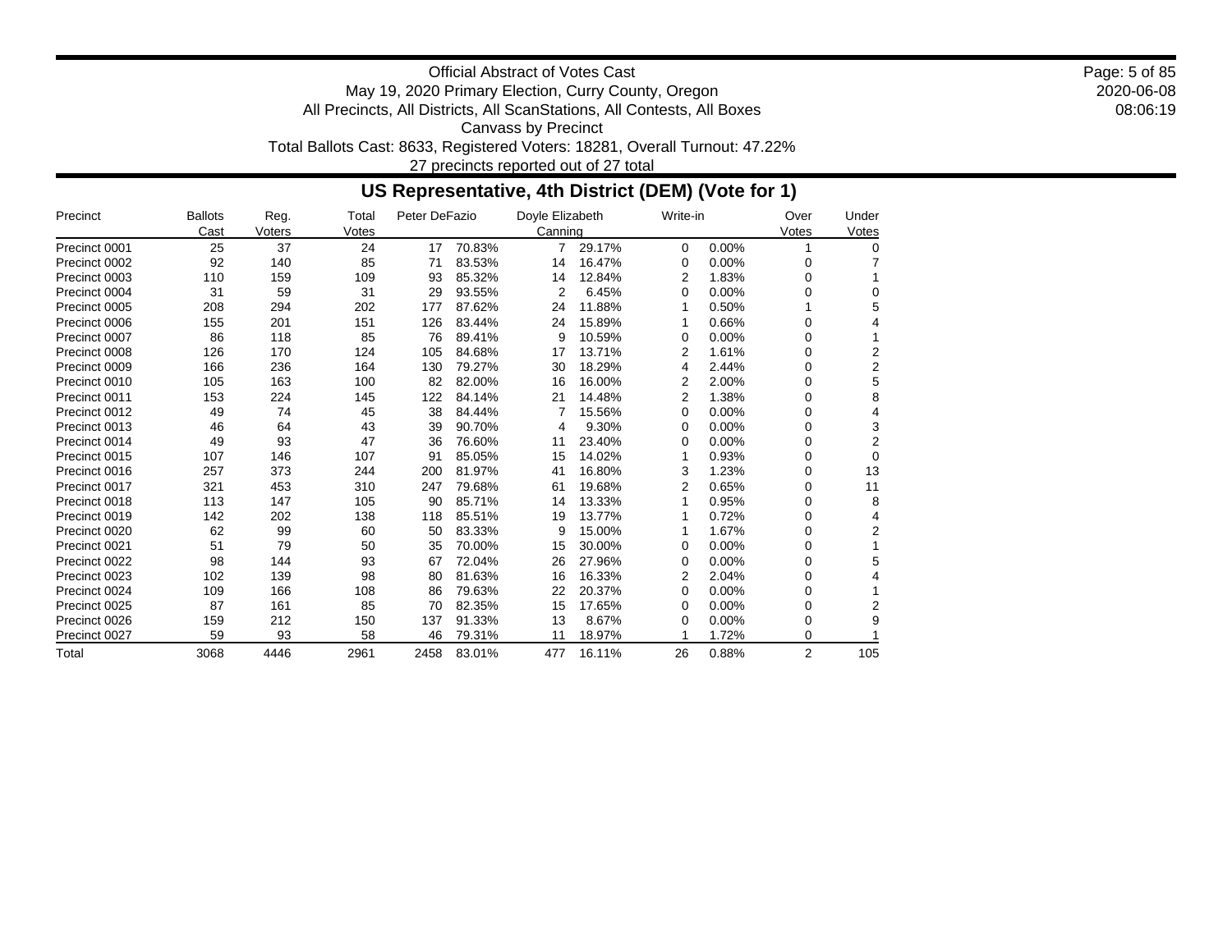2020-06-08 08:06:19 Page: 5 of 85

May 19, 2020 Primary Election, Curry County, Oregon All Precincts, All Districts, All ScanStations, All Contests, All Boxes

Official Abstract of Votes Cast

Canvass by Precinct

Total Ballots Cast: 8633, Registered Voters: 18281, Overall Turnout: 47.22%

27 precincts reported out of 27 total

### **US Representative, 4th District (DEM) (Vote for 1)**

| Precinct      | <b>Ballots</b><br>Cast | Reg.<br>Voters | Total<br>Votes | Peter DeFazio |        | Doyle Elizabeth<br>Canning |        | Write-in |       | Over<br>Votes  | Under<br>Votes |
|---------------|------------------------|----------------|----------------|---------------|--------|----------------------------|--------|----------|-------|----------------|----------------|
| Precinct 0001 | 25                     | 37             | 24             | 17            | 70.83% | 7                          | 29.17% | $\Omega$ | 0.00% |                | 0              |
| Precinct 0002 | 92                     | 140            | 85             | 71            | 83.53% | 14                         | 16.47% | 0        | 0.00% | 0              |                |
| Precinct 0003 | 110                    | 159            | 109            | 93            | 85.32% | 14                         | 12.84% | 2        | 1.83% | 0              |                |
| Precinct 0004 | 31                     | 59             | 31             | 29            | 93.55% | 2                          | 6.45%  | 0        | 0.00% | O              | 0              |
| Precinct 0005 | 208                    | 294            | 202            | 177           | 87.62% | 24                         | 11.88% |          | 0.50% |                | 5              |
| Precinct 0006 | 155                    | 201            | 151            | 126           | 83.44% | 24                         | 15.89% |          | 0.66% | 0              |                |
| Precinct 0007 | 86                     | 118            | 85             | 76            | 89.41% | 9                          | 10.59% | 0        | 0.00% | 0              |                |
| Precinct 0008 | 126                    | 170            | 124            | 105           | 84.68% | 17                         | 13.71% | 2        | 1.61% | 0              | 2              |
| Precinct 0009 | 166                    | 236            | 164            | 130           | 79.27% | 30                         | 18.29% | 4        | 2.44% | 0              | 2              |
| Precinct 0010 | 105                    | 163            | 100            | 82            | 82.00% | 16                         | 16.00% | 2        | 2.00% | 0              | 5              |
| Precinct 0011 | 153                    | 224            | 145            | 122           | 84.14% | 21                         | 14.48% | 2        | 1.38% | 0              | 8              |
| Precinct 0012 | 49                     | 74             | 45             | 38            | 84.44% | 7                          | 15.56% | 0        | 0.00% | 0              | 4              |
| Precinct 0013 | 46                     | 64             | 43             | 39            | 90.70% | 4                          | 9.30%  | 0        | 0.00% | 0              | 3              |
| Precinct 0014 | 49                     | 93             | 47             | 36            | 76.60% | 11                         | 23.40% | 0        | 0.00% | 0              | 2              |
| Precinct 0015 | 107                    | 146            | 107            | 91            | 85.05% | 15                         | 14.02% |          | 0.93% | $\Omega$       | $\Omega$       |
| Precinct 0016 | 257                    | 373            | 244            | 200           | 81.97% | 41                         | 16.80% | 3        | 1.23% | 0              | 13             |
| Precinct 0017 | 321                    | 453            | 310            | 247           | 79.68% | 61                         | 19.68% | 2        | 0.65% | 0              | 11             |
| Precinct 0018 | 113                    | 147            | 105            | 90            | 85.71% | 14                         | 13.33% |          | 0.95% | 0              | 8              |
| Precinct 0019 | 142                    | 202            | 138            | 118           | 85.51% | 19                         | 13.77% |          | 0.72% | 0              |                |
| Precinct 0020 | 62                     | 99             | 60             | 50            | 83.33% | 9                          | 15.00% |          | 1.67% | 0              | 2              |
| Precinct 0021 | 51                     | 79             | 50             | 35            | 70.00% | 15                         | 30.00% | 0        | 0.00% | 0              |                |
| Precinct 0022 | 98                     | 144            | 93             | 67            | 72.04% | 26                         | 27.96% | $\Omega$ | 0.00% | 0              | 5              |
| Precinct 0023 | 102                    | 139            | 98             | 80            | 81.63% | 16                         | 16.33% | 2        | 2.04% | 0              |                |
| Precinct 0024 | 109                    | 166            | 108            | 86            | 79.63% | 22                         | 20.37% | 0        | 0.00% | 0              |                |
| Precinct 0025 | 87                     | 161            | 85             | 70            | 82.35% | 15                         | 17.65% | 0        | 0.00% | 0              | 2              |
| Precinct 0026 | 159                    | 212            | 150            | 137           | 91.33% | 13                         | 8.67%  | 0        | 0.00% | 0              | 9              |
| Precinct 0027 | 59                     | 93             | 58             | 46            | 79.31% | 11                         | 18.97% |          | 1.72% | $\Omega$       |                |
| Total         | 3068                   | 4446           | 2961           | 2458          | 83.01% | 477                        | 16.11% | 26       | 0.88% | $\overline{2}$ | 105            |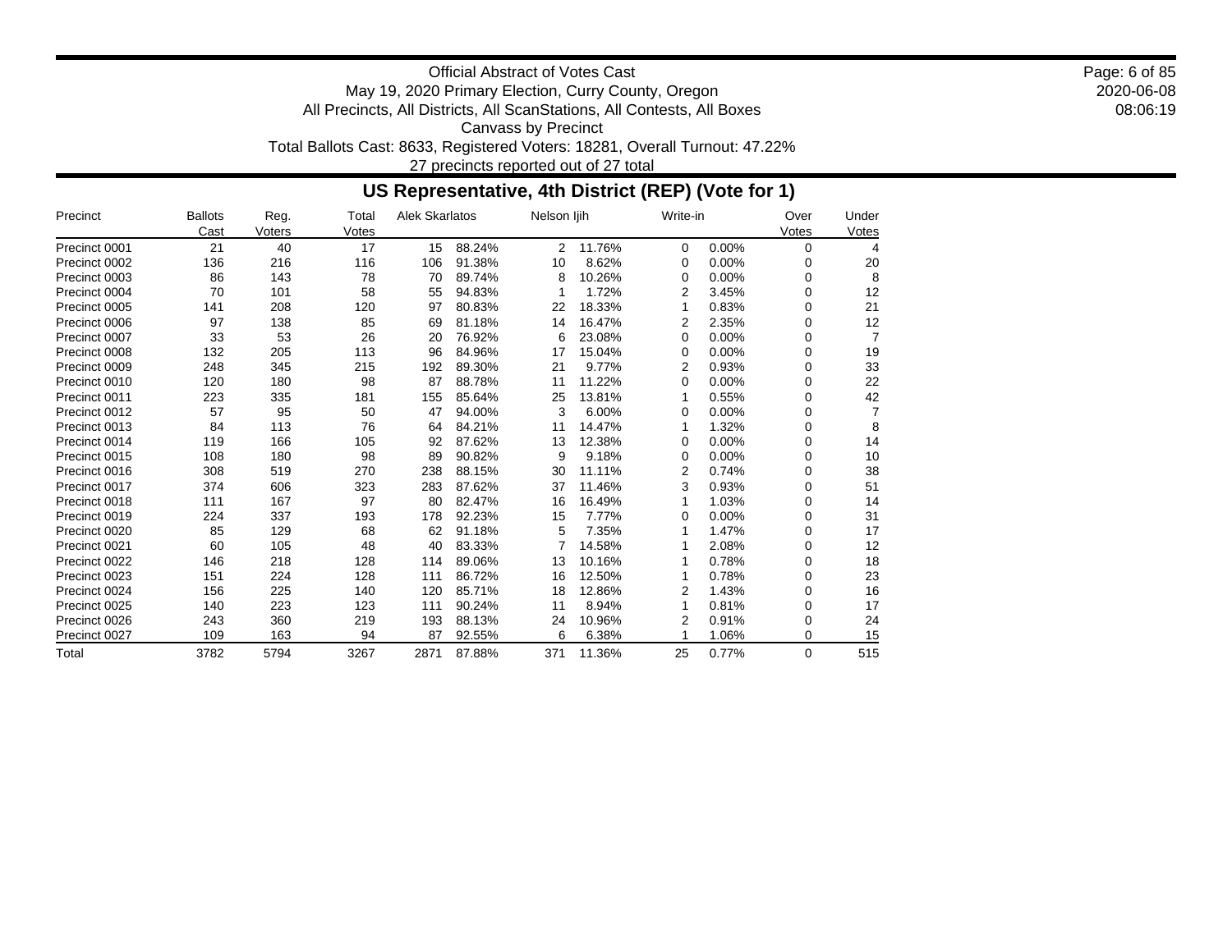2020-06-08 08:06:19 Page: 6 of 85

May 19, 2020 Primary Election, Curry County, Oregon All Precincts, All Districts, All ScanStations, All Contests, All Boxes

Official Abstract of Votes Cast

Canvass by Precinct

Total Ballots Cast: 8633, Registered Voters: 18281, Overall Turnout: 47.22%

27 precincts reported out of 27 total

### **US Representative, 4th District (REP) (Vote for 1)**

| Precinct      | <b>Ballots</b><br>Cast | Reg.<br>Voters | Total<br>Votes | <b>Alek Skarlatos</b> |        | Nelson ljih |        | Write-in    |       | Over<br>Votes | Under<br>Votes |
|---------------|------------------------|----------------|----------------|-----------------------|--------|-------------|--------|-------------|-------|---------------|----------------|
| Precinct 0001 | 21                     | 40             | 17             | 15                    | 88.24% | 2           | 11.76% | $\Omega$    | 0.00% | $\Omega$      | 4              |
| Precinct 0002 | 136                    | 216            | 116            | 106                   | 91.38% | 10          | 8.62%  | 0           | 0.00% | 0             | 20             |
| Precinct 0003 | 86                     | 143            | 78             | 70                    | 89.74% | 8           | 10.26% | 0           | 0.00% | 0             | 8              |
| Precinct 0004 | 70                     | 101            | 58             | 55                    | 94.83% | 1           | 1.72%  | 2           | 3.45% | 0             | 12             |
| Precinct 0005 | 141                    | 208            | 120            | 97                    | 80.83% | 22          | 18.33% | 1           | 0.83% | 0             | 21             |
| Precinct 0006 | 97                     | 138            | 85             | 69                    | 81.18% | 14          | 16.47% | 2           | 2.35% | 0             | 12             |
| Precinct 0007 | 33                     | 53             | 26             | 20                    | 76.92% | 6           | 23.08% | $\mathbf 0$ | 0.00% | 0             | 7              |
| Precinct 0008 | 132                    | 205            | 113            | 96                    | 84.96% | 17          | 15.04% | $\Omega$    | 0.00% | 0             | 19             |
| Precinct 0009 | 248                    | 345            | 215            | 192                   | 89.30% | 21          | 9.77%  | 2           | 0.93% | 0             | 33             |
| Precinct 0010 | 120                    | 180            | 98             | 87                    | 88.78% | 11          | 11.22% | $\Omega$    | 0.00% | 0             | 22             |
| Precinct 0011 | 223                    | 335            | 181            | 155                   | 85.64% | 25          | 13.81% | 1           | 0.55% | 0             | 42             |
| Precinct 0012 | 57                     | 95             | 50             | 47                    | 94.00% | 3           | 6.00%  | 0           | 0.00% | 0             | 7              |
| Precinct 0013 | 84                     | 113            | 76             | 64                    | 84.21% | 11          | 14.47% | 1           | 1.32% | 0             | 8              |
| Precinct 0014 | 119                    | 166            | 105            | 92                    | 87.62% | 13          | 12.38% | 0           | 0.00% | 0             | 14             |
| Precinct 0015 | 108                    | 180            | 98             | 89                    | 90.82% | 9           | 9.18%  | $\Omega$    | 0.00% | 0             | 10             |
| Precinct 0016 | 308                    | 519            | 270            | 238                   | 88.15% | 30          | 11.11% | 2           | 0.74% | 0             | 38             |
| Precinct 0017 | 374                    | 606            | 323            | 283                   | 87.62% | 37          | 11.46% | 3           | 0.93% | 0             | 51             |
| Precinct 0018 | 111                    | 167            | 97             | 80                    | 82.47% | 16          | 16.49% | 1           | 1.03% | 0             | 14             |
| Precinct 0019 | 224                    | 337            | 193            | 178                   | 92.23% | 15          | 7.77%  | 0           | 0.00% | 0             | 31             |
| Precinct 0020 | 85                     | 129            | 68             | 62                    | 91.18% | 5           | 7.35%  | 1           | 1.47% | 0             | 17             |
| Precinct 0021 | 60                     | 105            | 48             | 40                    | 83.33% | 7           | 14.58% |             | 2.08% | 0             | 12             |
| Precinct 0022 | 146                    | 218            | 128            | 114                   | 89.06% | 13          | 10.16% |             | 0.78% | 0             | 18             |
| Precinct 0023 | 151                    | 224            | 128            | 111                   | 86.72% | 16          | 12.50% | 1           | 0.78% | 0             | 23             |
| Precinct 0024 | 156                    | 225            | 140            | 120                   | 85.71% | 18          | 12.86% | 2           | 1.43% | 0             | 16             |
| Precinct 0025 | 140                    | 223            | 123            | 111                   | 90.24% | 11          | 8.94%  | 1           | 0.81% | 0             | 17             |
| Precinct 0026 | 243                    | 360            | 219            | 193                   | 88.13% | 24          | 10.96% | 2           | 0.91% | 0             | 24             |
| Precinct 0027 | 109                    | 163            | 94             | 87                    | 92.55% | 6           | 6.38%  |             | 1.06% | 0             | 15             |
| Total         | 3782                   | 5794           | 3267           | 2871                  | 87.88% | 371         | 11.36% | 25          | 0.77% | 0             | 515            |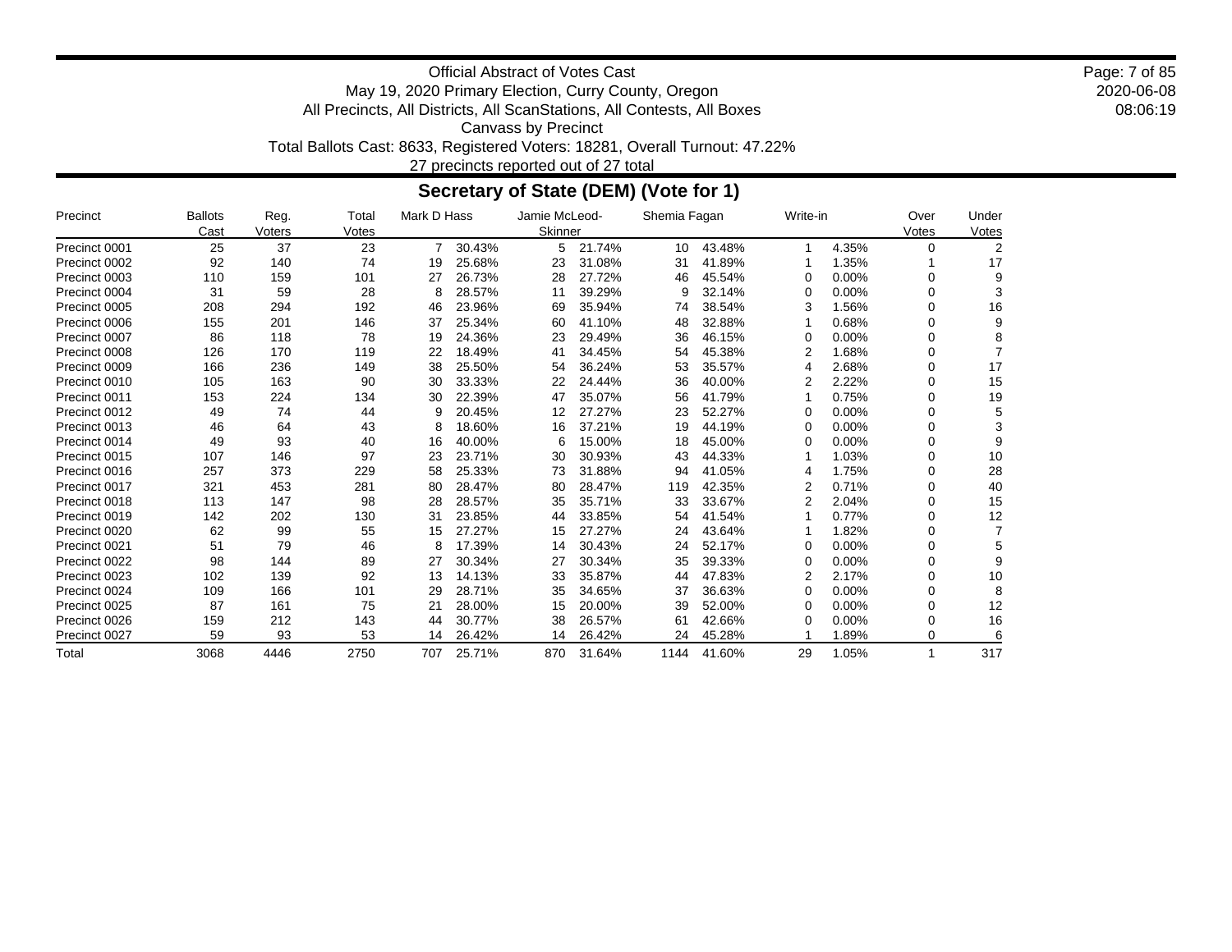2020-06-08 08:06:19 Page: 7 of 85

Official Abstract of Votes Cast May 19, 2020 Primary Election, Curry County, Oregon

All Precincts, All Districts, All ScanStations, All Contests, All Boxes

Canvass by Precinct

Total Ballots Cast: 8633, Registered Voters: 18281, Overall Turnout: 47.22%

27 precincts reported out of 27 total

### **Secretary of State (DEM) (Vote for 1)**

| Precinct      | <b>Ballots</b><br>Cast | Reg.<br>Voters | Total<br>Votes | Mark D Hass |        | Jamie McLeod-<br>Skinner |        | Shemia Fagan |        | Write-in |          | Over<br>Votes | Under<br>Votes |
|---------------|------------------------|----------------|----------------|-------------|--------|--------------------------|--------|--------------|--------|----------|----------|---------------|----------------|
| Precinct 0001 | 25                     | 37             | 23             |             | 30.43% | 5                        | 21.74% | 10           | 43.48% |          | 4.35%    | $\Omega$      | 2              |
| Precinct 0002 | 92                     | 140            | 74             | 19          | 25.68% | 23                       | 31.08% | 31           | 41.89% |          | 1.35%    |               | 17             |
| Precinct 0003 | 110                    | 159            | 101            | 27          | 26.73% | 28                       | 27.72% | 46           | 45.54% | 0        | $0.00\%$ | 0             | 9              |
| Precinct 0004 | 31                     | 59             | 28             | 8           | 28.57% | 11                       | 39.29% | 9            | 32.14% | 0        | $0.00\%$ | 0             | 3              |
| Precinct 0005 | 208                    | 294            | 192            | 46          | 23.96% | 69                       | 35.94% | 74           | 38.54% | 3        | 1.56%    | 0             | 16             |
| Precinct 0006 | 155                    | 201            | 146            | 37          | 25.34% | 60                       | 41.10% | 48           | 32.88% |          | 0.68%    | 0             | 9              |
| Precinct 0007 | 86                     | 118            | 78             | 19          | 24.36% | 23                       | 29.49% | 36           | 46.15% | 0        | 0.00%    | 0             | 8              |
| Precinct 0008 | 126                    | 170            | 119            | 22          | 18.49% | 41                       | 34.45% | 54           | 45.38% | 2        | 1.68%    | 0             | 7              |
| Precinct 0009 | 166                    | 236            | 149            | 38          | 25.50% | 54                       | 36.24% | 53           | 35.57% | 4        | 2.68%    | 0             | 17             |
| Precinct 0010 | 105                    | 163            | 90             | 30          | 33.33% | 22                       | 24.44% | 36           | 40.00% | 2        | 2.22%    | 0             | 15             |
| Precinct 0011 | 153                    | 224            | 134            | 30          | 22.39% | 47                       | 35.07% | 56           | 41.79% |          | 0.75%    | 0             | 19             |
| Precinct 0012 | 49                     | 74             | 44             | 9           | 20.45% | 12                       | 27.27% | 23           | 52.27% | 0        | $0.00\%$ | 0             | 5              |
| Precinct 0013 | 46                     | 64             | 43             | 8           | 18.60% | 16                       | 37.21% | 19           | 44.19% | 0        | $0.00\%$ | 0             | 3              |
| Precinct 0014 | 49                     | 93             | 40             | 16          | 40.00% | 6                        | 15.00% | 18           | 45.00% | 0        | $0.00\%$ | 0             | 9              |
| Precinct 0015 | 107                    | 146            | 97             | 23          | 23.71% | 30                       | 30.93% | 43           | 44.33% |          | 1.03%    | 0             | 10             |
| Precinct 0016 | 257                    | 373            | 229            | 58          | 25.33% | 73                       | 31.88% | 94           | 41.05% | 4        | 1.75%    | 0             | 28             |
| Precinct 0017 | 321                    | 453            | 281            | 80          | 28.47% | 80                       | 28.47% | 119          | 42.35% | 2        | 0.71%    | 0             | 40             |
| Precinct 0018 | 113                    | 147            | 98             | 28          | 28.57% | 35                       | 35.71% | 33           | 33.67% | 2        | 2.04%    |               | 15             |
| Precinct 0019 | 142                    | 202            | 130            | 31          | 23.85% | 44                       | 33.85% | 54           | 41.54% |          | 0.77%    | 0             | 12             |
| Precinct 0020 | 62                     | 99             | 55             | 15          | 27.27% | 15                       | 27.27% | 24           | 43.64% |          | 1.82%    | 0             | $\overline{7}$ |
| Precinct 0021 | 51                     | 79             | 46             | 8           | 17.39% | 14                       | 30.43% | 24           | 52.17% | 0        | 0.00%    | 0             | 5              |
| Precinct 0022 | 98                     | 144            | 89             | 27          | 30.34% | 27                       | 30.34% | 35           | 39.33% | 0        | $0.00\%$ | 0             | 9              |
| Precinct 0023 | 102                    | 139            | 92             | 13          | 14.13% | 33                       | 35.87% | 44           | 47.83% | 2        | 2.17%    | 0             | 10             |
| Precinct 0024 | 109                    | 166            | 101            | 29          | 28.71% | 35                       | 34.65% | 37           | 36.63% | 0        | $0.00\%$ | 0             | 8              |
| Precinct 0025 | 87                     | 161            | 75             | 21          | 28.00% | 15                       | 20.00% | 39           | 52.00% | 0        | $0.00\%$ | 0             | 12             |
| Precinct 0026 | 159                    | 212            | 143            | 44          | 30.77% | 38                       | 26.57% | 61           | 42.66% | 0        | 0.00%    | 0             | 16             |
| Precinct 0027 | 59                     | 93             | 53             | 14          | 26.42% | 14                       | 26.42% | 24           | 45.28% |          | 1.89%    | 0             | 6              |
| Total         | 3068                   | 4446           | 2750           | 707         | 25.71% | 870                      | 31.64% | 1144         | 41.60% | 29       | 1.05%    |               | 317            |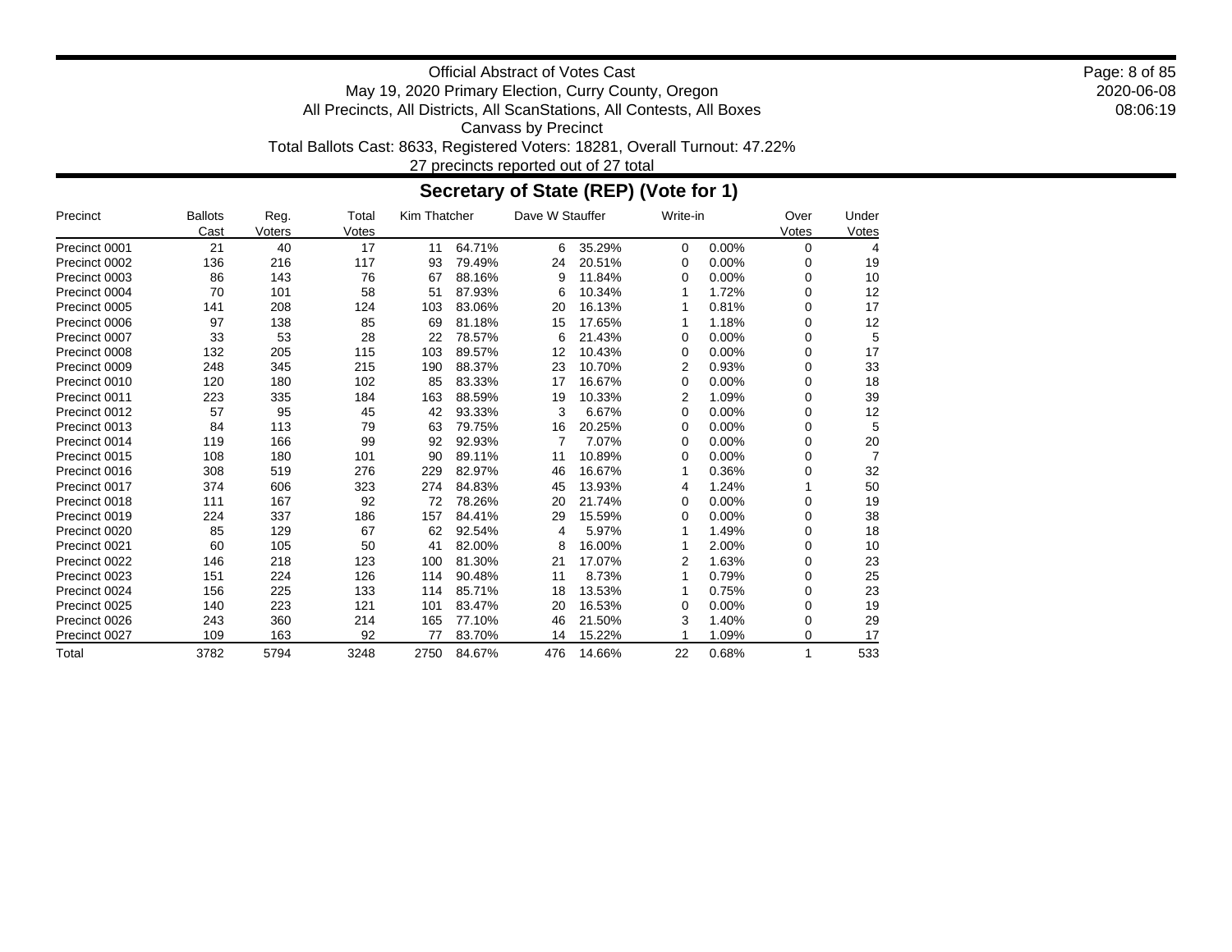2020-06-08 08:06:19 Page: 8 of 85

Official Abstract of Votes Cast May 19, 2020 Primary Election, Curry County, Oregon

All Precincts, All Districts, All ScanStations, All Contests, All Boxes

Canvass by Precinct

Total Ballots Cast: 8633, Registered Voters: 18281, Overall Turnout: 47.22%

27 precincts reported out of 27 total

### **Secretary of State (REP) (Vote for 1)**

| Precinct      | <b>Ballots</b><br>Cast | Reg.<br>Voters | Total<br>Votes | Kim Thatcher |        | Dave W Stauffer |        | Write-in |          | Over<br>Votes | Under<br>Votes |
|---------------|------------------------|----------------|----------------|--------------|--------|-----------------|--------|----------|----------|---------------|----------------|
| Precinct 0001 | 21                     | 40             | 17             | 11           | 64.71% | 6               | 35.29% | 0        | $0.00\%$ | $\Omega$      | 4              |
| Precinct 0002 | 136                    | 216            | 117            | 93           | 79.49% | 24              | 20.51% | 0        | 0.00%    | 0             | 19             |
| Precinct 0003 | 86                     | 143            | 76             | 67           | 88.16% | 9               | 11.84% | 0        | 0.00%    | 0             | 10             |
| Precinct 0004 | 70                     | 101            | 58             | 51           | 87.93% | 6               | 10.34% |          | 1.72%    | 0             | 12             |
| Precinct 0005 | 141                    | 208            | 124            | 103          | 83.06% | 20              | 16.13% |          | 0.81%    | 0             | 17             |
| Precinct 0006 | 97                     | 138            | 85             | 69           | 81.18% | 15              | 17.65% |          | 1.18%    | 0             | 12             |
| Precinct 0007 | 33                     | 53             | 28             | 22           | 78.57% | 6               | 21.43% | 0        | 0.00%    | 0             | 5              |
| Precinct 0008 | 132                    | 205            | 115            | 103          | 89.57% | 12              | 10.43% | 0        | $0.00\%$ | 0             | 17             |
| Precinct 0009 | 248                    | 345            | 215            | 190          | 88.37% | 23              | 10.70% | 2        | 0.93%    | 0             | 33             |
| Precinct 0010 | 120                    | 180            | 102            | 85           | 83.33% | 17              | 16.67% | $\Omega$ | $0.00\%$ | 0             | 18             |
| Precinct 0011 | 223                    | 335            | 184            | 163          | 88.59% | 19              | 10.33% | 2        | 1.09%    | 0             | 39             |
| Precinct 0012 | 57                     | 95             | 45             | 42           | 93.33% | 3               | 6.67%  | 0        | 0.00%    | 0             | 12             |
| Precinct 0013 | 84                     | 113            | 79             | 63           | 79.75% | 16              | 20.25% | 0        | $0.00\%$ | 0             | 5              |
| Precinct 0014 | 119                    | 166            | 99             | 92           | 92.93% | 7               | 7.07%  | 0        | 0.00%    | 0             | 20             |
| Precinct 0015 | 108                    | 180            | 101            | 90           | 89.11% | 11              | 10.89% | 0        | 0.00%    | 0             |                |
| Precinct 0016 | 308                    | 519            | 276            | 229          | 82.97% | 46              | 16.67% |          | 0.36%    | 0             | 32             |
| Precinct 0017 | 374                    | 606            | 323            | 274          | 84.83% | 45              | 13.93% | 4        | 1.24%    |               | 50             |
| Precinct 0018 | 111                    | 167            | 92             | 72           | 78.26% | 20              | 21.74% | 0        | 0.00%    | 0             | 19             |
| Precinct 0019 | 224                    | 337            | 186            | 157          | 84.41% | 29              | 15.59% | 0        | 0.00%    | 0             | 38             |
| Precinct 0020 | 85                     | 129            | 67             | 62           | 92.54% | 4               | 5.97%  |          | 1.49%    | 0             | 18             |
| Precinct 0021 | 60                     | 105            | 50             | 41           | 82.00% | 8               | 16.00% |          | 2.00%    | 0             | 10             |
| Precinct 0022 | 146                    | 218            | 123            | 100          | 81.30% | 21              | 17.07% | 2        | 1.63%    | 0             | 23             |
| Precinct 0023 | 151                    | 224            | 126            | 114          | 90.48% | 11              | 8.73%  |          | 0.79%    | 0             | 25             |
| Precinct 0024 | 156                    | 225            | 133            | 114          | 85.71% | 18              | 13.53% |          | 0.75%    | $\Omega$      | 23             |
| Precinct 0025 | 140                    | 223            | 121            | 101          | 83.47% | 20              | 16.53% | 0        | 0.00%    | 0             | 19             |
| Precinct 0026 | 243                    | 360            | 214            | 165          | 77.10% | 46              | 21.50% | 3        | 1.40%    | 0             | 29             |
| Precinct 0027 | 109                    | 163            | 92             | 77           | 83.70% | 14              | 15.22% |          | 1.09%    | 0             | 17             |
| Total         | 3782                   | 5794           | 3248           | 2750         | 84.67% | 476             | 14.66% | 22       | 0.68%    | 1             | 533            |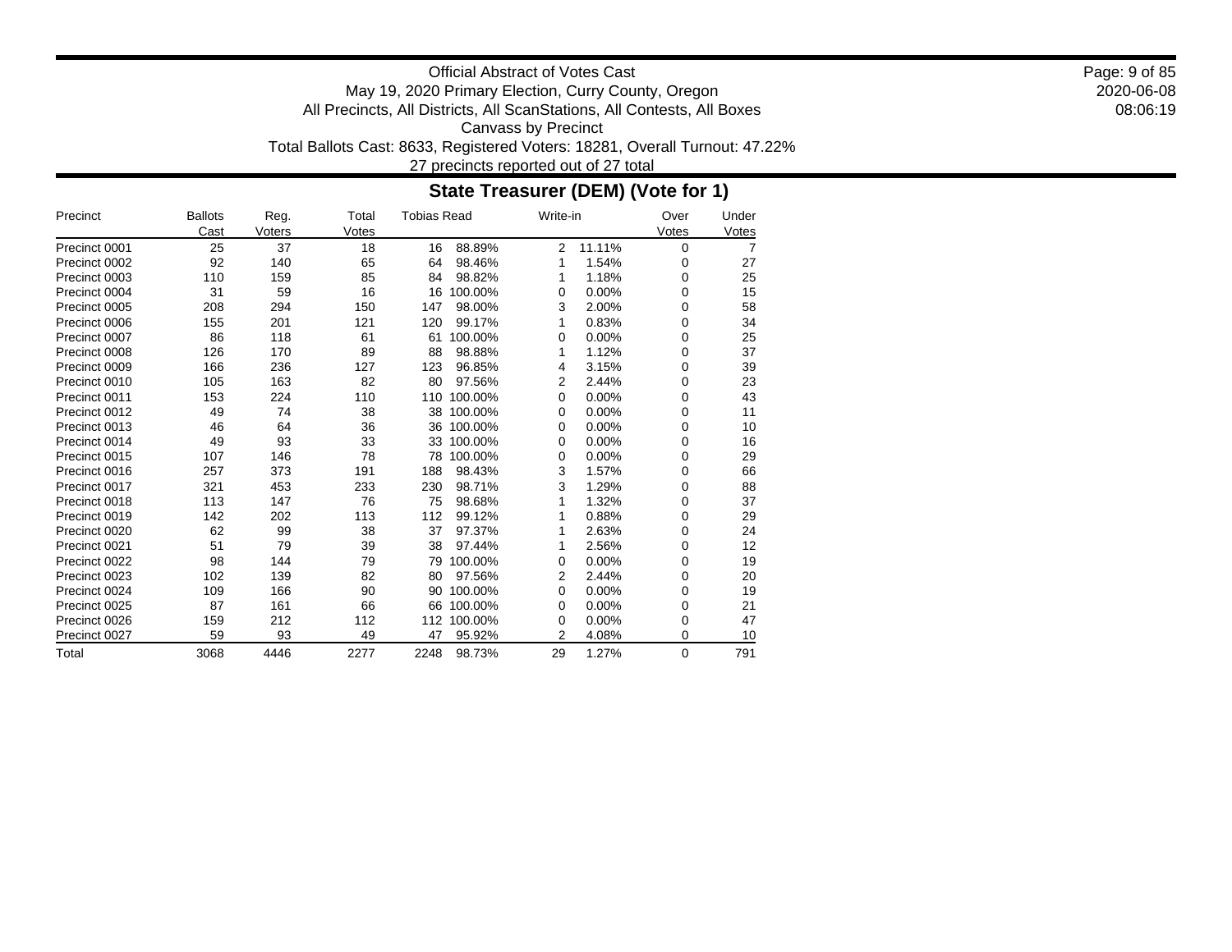2020-06-08 08:06:19 Page: 9 of 85

Official Abstract of Votes Cast May 19, 2020 Primary Election, Curry County, Oregon

All Precincts, All Districts, All ScanStations, All Contests, All Boxes

Canvass by Precinct

Total Ballots Cast: 8633, Registered Voters: 18281, Overall Turnout: 47.22%

27 precincts reported out of 27 total

# **State Treasurer (DEM) (Vote for 1)**

| Precinct      | <b>Ballots</b><br>Cast | Reg.<br>Voters | Total<br>Votes | <b>Tobias Read</b> |         | Write-in |        | Over<br>Votes | Under<br>Votes |
|---------------|------------------------|----------------|----------------|--------------------|---------|----------|--------|---------------|----------------|
| Precinct 0001 | 25                     | 37             | 18             | 16                 | 88.89%  | 2        | 11.11% | 0             | 7              |
| Precinct 0002 | 92                     | 140            | 65             | 64                 | 98.46%  | 1        | 1.54%  | 0             | 27             |
| Precinct 0003 | 110                    | 159            | 85             | 84                 | 98.82%  | 1        | 1.18%  | 0             | 25             |
| Precinct 0004 | 31                     | 59             | 16             | 16                 | 100.00% | 0        | 0.00%  | 0             | 15             |
| Precinct 0005 | 208                    | 294            | 150            | 147                | 98.00%  | 3        | 2.00%  | 0             | 58             |
| Precinct 0006 | 155                    | 201            | 121            | 120                | 99.17%  | 1        | 0.83%  | 0             | 34             |
| Precinct 0007 | 86                     | 118            | 61             | 61                 | 100.00% | 0        | 0.00%  | 0             | 25             |
| Precinct 0008 | 126                    | 170            | 89             | 88                 | 98.88%  | 1        | 1.12%  | 0             | 37             |
| Precinct 0009 | 166                    | 236            | 127            | 123                | 96.85%  | 4        | 3.15%  | 0             | 39             |
| Precinct 0010 | 105                    | 163            | 82             | 80                 | 97.56%  | 2        | 2.44%  | 0             | 23             |
| Precinct 0011 | 153                    | 224            | 110            | 110                | 100.00% | 0        | 0.00%  | 0             | 43             |
| Precinct 0012 | 49                     | 74             | 38             | 38                 | 100.00% | 0        | 0.00%  | 0             | 11             |
| Precinct 0013 | 46                     | 64             | 36             | 36                 | 100.00% | 0        | 0.00%  | 0             | 10             |
| Precinct 0014 | 49                     | 93             | 33             | 33                 | 100.00% | 0        | 0.00%  | 0             | 16             |
| Precinct 0015 | 107                    | 146            | 78             | 78                 | 100.00% | 0        | 0.00%  | 0             | 29             |
| Precinct 0016 | 257                    | 373            | 191            | 188                | 98.43%  | 3        | 1.57%  | 0             | 66             |
| Precinct 0017 | 321                    | 453            | 233            | 230                | 98.71%  | 3        | 1.29%  | 0             | 88             |
| Precinct 0018 | 113                    | 147            | 76             | 75                 | 98.68%  | 1        | 1.32%  | 0             | 37             |
| Precinct 0019 | 142                    | 202            | 113            | 112                | 99.12%  | 1        | 0.88%  | 0             | 29             |
| Precinct 0020 | 62                     | 99             | 38             | 37                 | 97.37%  | 1        | 2.63%  | 0             | 24             |
| Precinct 0021 | 51                     | 79             | 39             | 38                 | 97.44%  | 1        | 2.56%  | 0             | 12             |
| Precinct 0022 | 98                     | 144            | 79             | 79                 | 100.00% | 0        | 0.00%  | 0             | 19             |
| Precinct 0023 | 102                    | 139            | 82             | 80                 | 97.56%  | 2        | 2.44%  | 0             | 20             |
| Precinct 0024 | 109                    | 166            | 90             | 90                 | 100.00% | 0        | 0.00%  | 0             | 19             |
| Precinct 0025 | 87                     | 161            | 66             | 66                 | 100.00% | 0        | 0.00%  | 0             | 21             |
| Precinct 0026 | 159                    | 212            | 112            | 112                | 100.00% | 0        | 0.00%  | 0             | 47             |
| Precinct 0027 | 59                     | 93             | 49             | 47                 | 95.92%  | 2        | 4.08%  | 0             | 10             |
| Total         | 3068                   | 4446           | 2277           | 2248               | 98.73%  | 29       | 1.27%  | $\Omega$      | 791            |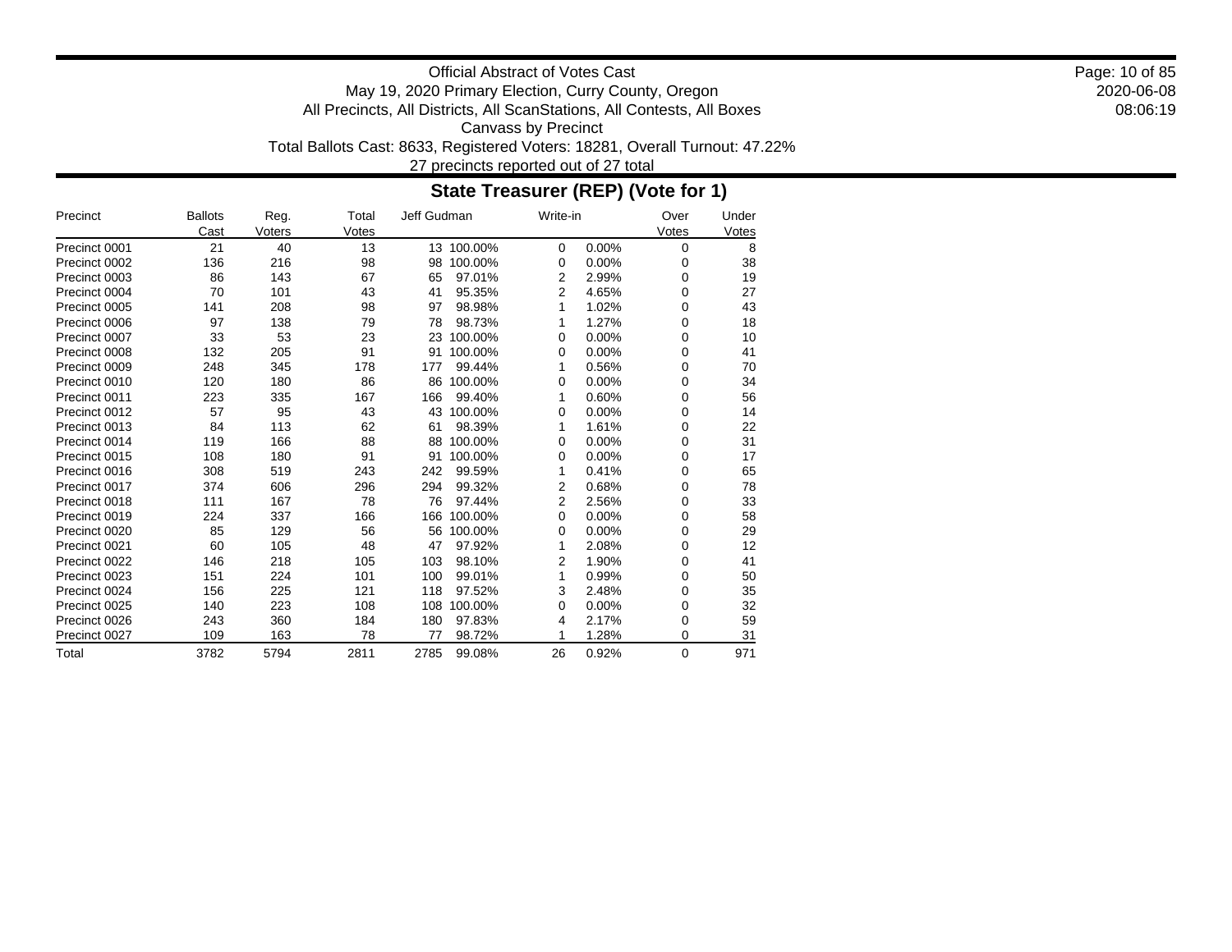2020-06-08 08:06:19 Page: 10 of 85

Official Abstract of Votes Cast May 19, 2020 Primary Election, Curry County, Oregon

All Precincts, All Districts, All ScanStations, All Contests, All Boxes

Canvass by Precinct

Total Ballots Cast: 8633, Registered Voters: 18281, Overall Turnout: 47.22%

27 precincts reported out of 27 total

## **State Treasurer (REP) (Vote for 1)**

| Precinct      | <b>Ballots</b><br>Cast | Reg.<br>Voters | Total<br>Votes | Jeff Gudman |            | Write-in |          | Over<br>Votes | Under<br>Votes |
|---------------|------------------------|----------------|----------------|-------------|------------|----------|----------|---------------|----------------|
| Precinct 0001 | 21                     | 40             | 13             |             | 13 100.00% | 0        | 0.00%    | 0             | 8              |
| Precinct 0002 | 136                    | 216            | 98             | 98          | 100.00%    | 0        | 0.00%    | 0             | 38             |
| Precinct 0003 | 86                     | 143            | 67             | 65          | 97.01%     | 2        | 2.99%    | 0             | 19             |
| Precinct 0004 | 70                     | 101            | 43             | 41          | 95.35%     | 2        | 4.65%    | 0             | 27             |
| Precinct 0005 | 141                    | 208            | 98             | 97          | 98.98%     | 1        | 1.02%    | 0             | 43             |
| Precinct 0006 | 97                     | 138            | 79             | 78          | 98.73%     | 1        | 1.27%    | 0             | 18             |
| Precinct 0007 | 33                     | 53             | 23             | 23          | 100.00%    | 0        | 0.00%    | 0             | 10             |
| Precinct 0008 | 132                    | 205            | 91             | 91          | 100.00%    | 0        | 0.00%    | 0             | 41             |
| Precinct 0009 | 248                    | 345            | 178            | 177         | 99.44%     | 1        | 0.56%    | 0             | 70             |
| Precinct 0010 | 120                    | 180            | 86             | 86          | 100.00%    | 0        | $0.00\%$ | 0             | 34             |
| Precinct 0011 | 223                    | 335            | 167            | 166         | 99.40%     | 1        | 0.60%    | 0             | 56             |
| Precinct 0012 | 57                     | 95             | 43             | 43          | 100.00%    | 0        | 0.00%    | 0             | 14             |
| Precinct 0013 | 84                     | 113            | 62             | 61          | 98.39%     | 1        | 1.61%    | 0             | 22             |
| Precinct 0014 | 119                    | 166            | 88             | 88          | 100.00%    | 0        | 0.00%    | 0             | 31             |
| Precinct 0015 | 108                    | 180            | 91             | 91          | 100.00%    | 0        | 0.00%    | 0             | 17             |
| Precinct 0016 | 308                    | 519            | 243            | 242         | 99.59%     | 1        | 0.41%    | 0             | 65             |
| Precinct 0017 | 374                    | 606            | 296            | 294         | 99.32%     | 2        | 0.68%    | 0             | 78             |
| Precinct 0018 | 111                    | 167            | 78             | 76          | 97.44%     | 2        | 2.56%    | 0             | 33             |
| Precinct 0019 | 224                    | 337            | 166            | 166         | 100.00%    | 0        | 0.00%    | 0             | 58             |
| Precinct 0020 | 85                     | 129            | 56             | 56          | 100.00%    | 0        | 0.00%    | 0             | 29             |
| Precinct 0021 | 60                     | 105            | 48             | 47          | 97.92%     | 1        | 2.08%    | 0             | 12             |
| Precinct 0022 | 146                    | 218            | 105            | 103         | 98.10%     | 2        | 1.90%    | 0             | 41             |
| Precinct 0023 | 151                    | 224            | 101            | 100         | 99.01%     | 1        | 0.99%    | 0             | 50             |
| Precinct 0024 | 156                    | 225            | 121            | 118         | 97.52%     | 3        | 2.48%    | 0             | 35             |
| Precinct 0025 | 140                    | 223            | 108            | 108         | 100.00%    | 0        | 0.00%    | 0             | 32             |
| Precinct 0026 | 243                    | 360            | 184            | 180         | 97.83%     | 4        | 2.17%    | 0             | 59             |
| Precinct 0027 | 109                    | 163            | 78             | 77          | 98.72%     |          | 1.28%    | 0             | 31             |
| Total         | 3782                   | 5794           | 2811           | 2785        | 99.08%     | 26       | 0.92%    | 0             | 971            |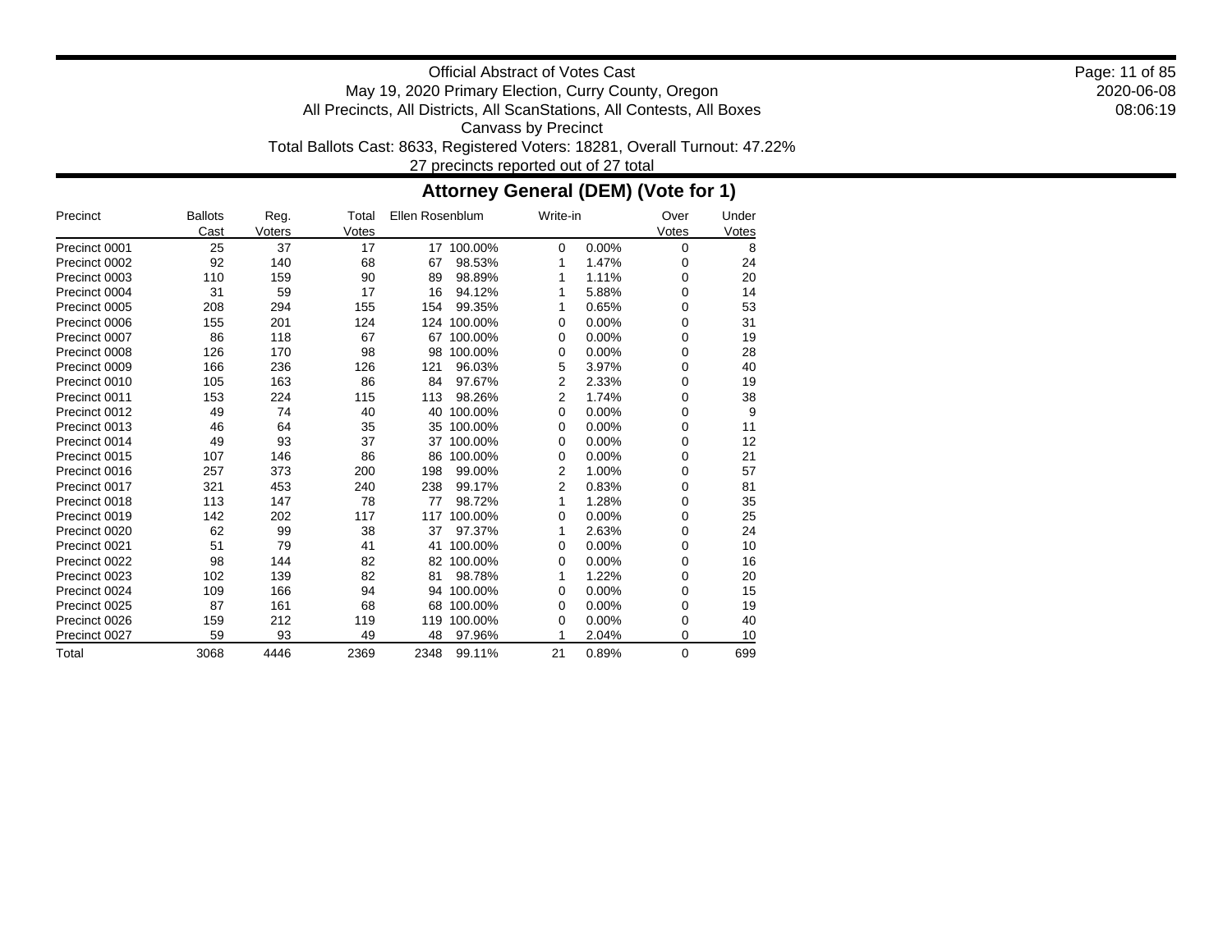2020-06-08 08:06:19 Page: 11 of 85

Official Abstract of Votes Cast May 19, 2020 Primary Election, Curry County, Oregon

All Precincts, All Districts, All ScanStations, All Contests, All Boxes

Canvass by Precinct

Total Ballots Cast: 8633, Registered Voters: 18281, Overall Turnout: 47.22%

27 precincts reported out of 27 total

# **Attorney General (DEM) (Vote for 1)**

| Precinct      | <b>Ballots</b><br>Cast | Reg.<br>Voters | Total<br>Votes | Ellen Rosenblum |             | Write-in       |          | Over<br>Votes | Under<br>Votes |
|---------------|------------------------|----------------|----------------|-----------------|-------------|----------------|----------|---------------|----------------|
| Precinct 0001 | 25                     | 37             | 17             |                 | 17 100.00%  | 0              | 0.00%    | 0             | 8              |
| Precinct 0002 | 92                     | 140            | 68             | 67              | 98.53%      | 1              | 1.47%    | 0             | 24             |
| Precinct 0003 | 110                    | 159            | 90             | 89              | 98.89%      | 1              | 1.11%    | 0             | 20             |
| Precinct 0004 | 31                     | 59             | 17             | 16              | 94.12%      | 1              | 5.88%    | 0             | 14             |
| Precinct 0005 | 208                    | 294            | 155            | 154             | 99.35%      | 1              | 0.65%    | 0             | 53             |
| Precinct 0006 | 155                    | 201            | 124            |                 | 124 100.00% | 0              | 0.00%    | 0             | 31             |
| Precinct 0007 | 86                     | 118            | 67             | 67              | 100.00%     | 0              | 0.00%    | 0             | 19             |
| Precinct 0008 | 126                    | 170            | 98             | 98              | 100.00%     | 0              | $0.00\%$ | 0             | 28             |
| Precinct 0009 | 166                    | 236            | 126            | 121             | 96.03%      | 5              | 3.97%    | 0             | 40             |
| Precinct 0010 | 105                    | 163            | 86             | 84              | 97.67%      | 2              | 2.33%    | 0             | 19             |
| Precinct 0011 | 153                    | 224            | 115            | 113             | 98.26%      | 2              | 1.74%    | 0             | 38             |
| Precinct 0012 | 49                     | 74             | 40             | 40              | 100.00%     | 0              | 0.00%    | 0             | 9              |
| Precinct 0013 | 46                     | 64             | 35             | 35              | 100.00%     | 0              | 0.00%    | 0             | 11             |
| Precinct 0014 | 49                     | 93             | 37             | 37              | 100.00%     | 0              | 0.00%    | 0             | 12             |
| Precinct 0015 | 107                    | 146            | 86             | 86              | 100.00%     | 0              | 0.00%    | 0             | 21             |
| Precinct 0016 | 257                    | 373            | 200            | 198             | 99.00%      | 2              | 1.00%    | 0             | 57             |
| Precinct 0017 | 321                    | 453            | 240            | 238             | 99.17%      | $\overline{2}$ | 0.83%    | 0             | 81             |
| Precinct 0018 | 113                    | 147            | 78             | 77              | 98.72%      | 1              | 1.28%    | 0             | 35             |
| Precinct 0019 | 142                    | 202            | 117            | 117             | 100.00%     | 0              | 0.00%    | 0             | 25             |
| Precinct 0020 | 62                     | 99             | 38             | 37              | 97.37%      | 1              | 2.63%    | 0             | 24             |
| Precinct 0021 | 51                     | 79             | 41             | 41              | 100.00%     | 0              | 0.00%    |               | 10             |
| Precinct 0022 | 98                     | 144            | 82             | 82              | 100.00%     | 0              | 0.00%    | 0<br>0        | 16             |
|               | 102                    | 139            | 82             |                 | 98.78%      |                | 1.22%    |               |                |
| Precinct 0023 |                        |                |                | 81<br>94        |             | 1              |          | 0             | 20<br>15       |
| Precinct 0024 | 109                    | 166            | 94             |                 | 100.00%     | 0              | 0.00%    | 0             |                |
| Precinct 0025 | 87                     | 161            | 68             | 68              | 100.00%     | 0              | 0.00%    | 0             | 19             |
| Precinct 0026 | 159                    | 212            | 119            | 119             | 100.00%     | 0              | 0.00%    | 0             | 40             |
| Precinct 0027 | 59                     | 93             | 49             | 48              | 97.96%      |                | 2.04%    | 0             | 10             |
| Total         | 3068                   | 4446           | 2369           | 2348            | 99.11%      | 21             | 0.89%    | $\Omega$      | 699            |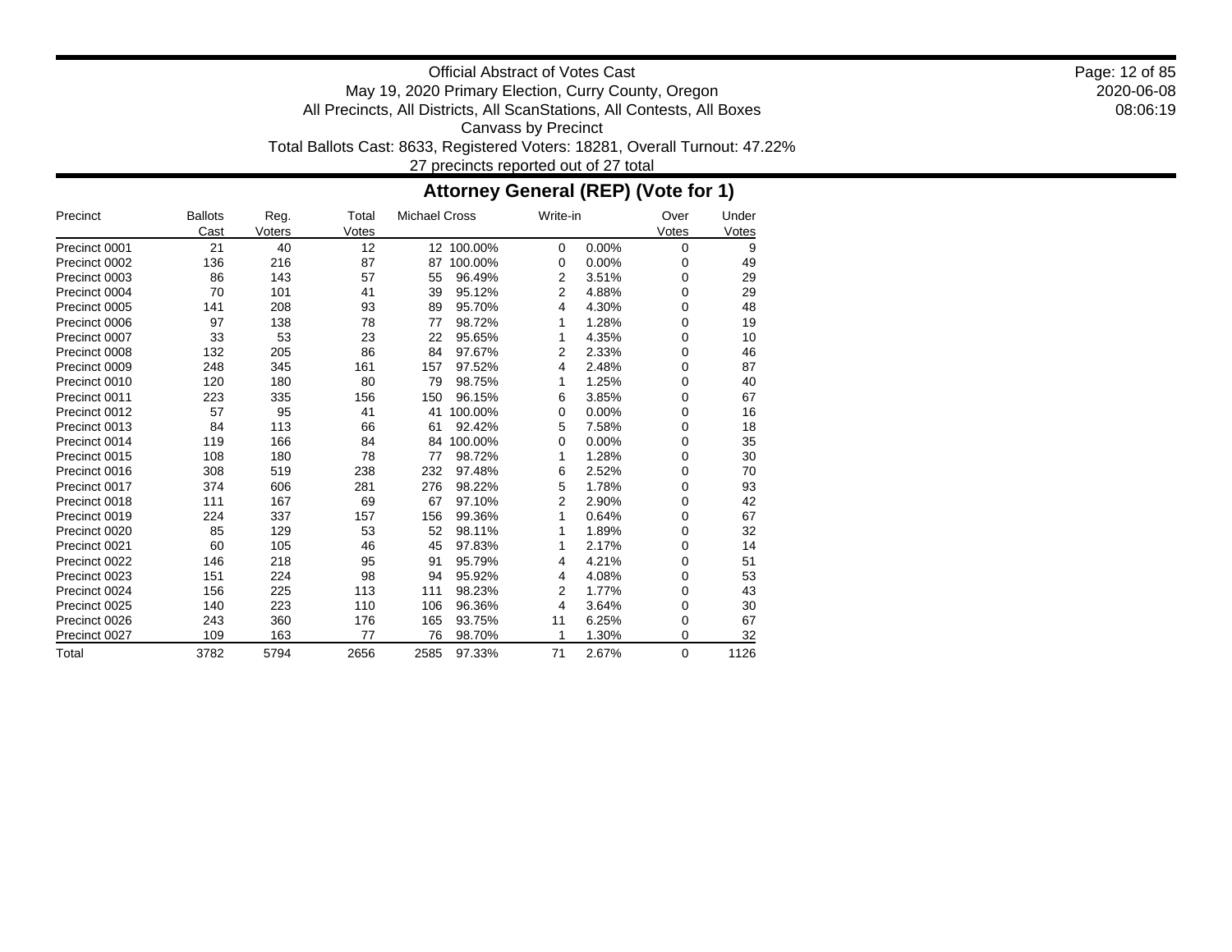2020-06-08 08:06:19 Page: 12 of 85

Official Abstract of Votes Cast May 19, 2020 Primary Election, Curry County, Oregon

All Precincts, All Districts, All ScanStations, All Contests, All Boxes

Canvass by Precinct

Total Ballots Cast: 8633, Registered Voters: 18281, Overall Turnout: 47.22%

27 precincts reported out of 27 total

### **Attorney General (REP) (Vote for 1)**

| Precinct      | <b>Ballots</b><br>Cast | Reg.<br>Voters | Total<br>Votes | <b>Michael Cross</b> |            | Write-in |       | Over<br>Votes | Under<br>Votes |
|---------------|------------------------|----------------|----------------|----------------------|------------|----------|-------|---------------|----------------|
| Precinct 0001 | 21                     | 40             | 12             |                      | 12 100.00% | 0        | 0.00% | $\Omega$      | 9              |
| Precinct 0002 | 136                    | 216            | 87             | 87                   | 100.00%    | 0        | 0.00% | 0             | 49             |
| Precinct 0003 | 86                     | 143            | 57             | 55                   | 96.49%     | 2        | 3.51% | 0             | 29             |
| Precinct 0004 | 70                     | 101            | 41             | 39                   | 95.12%     | 2        | 4.88% | 0             | 29             |
| Precinct 0005 | 141                    | 208            | 93             | 89                   | 95.70%     | 4        | 4.30% | $\Omega$      | 48             |
| Precinct 0006 | 97                     | 138            | 78             | 77                   | 98.72%     | 1        | 1.28% | 0             | 19             |
| Precinct 0007 | 33                     | 53             | 23             | 22                   | 95.65%     | 1        | 4.35% | 0             | 10             |
| Precinct 0008 | 132                    | 205            | 86             | 84                   | 97.67%     | 2        | 2.33% | 0             | 46             |
| Precinct 0009 | 248                    | 345            | 161            | 157                  | 97.52%     | 4        | 2.48% | 0             | 87             |
| Precinct 0010 | 120                    | 180            | 80             | 79                   | 98.75%     | 1        | 1.25% | 0             | 40             |
| Precinct 0011 | 223                    | 335            | 156            | 150                  | 96.15%     | 6        | 3.85% | 0             | 67             |
| Precinct 0012 | 57                     | 95             | 41             | 41                   | 100.00%    | 0        | 0.00% | 0             | 16             |
| Precinct 0013 | 84                     | 113            | 66             | 61                   | 92.42%     | 5        | 7.58% | 0             | 18             |
| Precinct 0014 | 119                    | 166            | 84             | 84                   | 100.00%    | 0        | 0.00% | 0             | 35             |
| Precinct 0015 | 108                    | 180            | 78             | 77                   | 98.72%     | 1        | 1.28% | 0             | 30             |
| Precinct 0016 | 308                    | 519            | 238            | 232                  | 97.48%     | 6        | 2.52% | 0             | 70             |
| Precinct 0017 | 374                    | 606            | 281            | 276                  | 98.22%     | 5        | 1.78% | 0             | 93             |
| Precinct 0018 | 111                    | 167            | 69             | 67                   | 97.10%     | 2        | 2.90% | 0             | 42             |
| Precinct 0019 | 224                    | 337            | 157            | 156                  | 99.36%     | 1        | 0.64% | 0             | 67             |
| Precinct 0020 | 85                     | 129            | 53             | 52                   | 98.11%     | 1        | 1.89% | 0             | 32             |
| Precinct 0021 | 60                     | 105            | 46             | 45                   | 97.83%     | 1        | 2.17% | 0             | 14             |
| Precinct 0022 | 146                    | 218            | 95             | 91                   | 95.79%     | 4        | 4.21% | 0             | 51             |
| Precinct 0023 | 151                    | 224            | 98             | 94                   | 95.92%     | 4        | 4.08% | 0             | 53             |
| Precinct 0024 | 156                    | 225            | 113            | 111                  | 98.23%     | 2        | 1.77% | 0             | 43             |
| Precinct 0025 | 140                    | 223            | 110            | 106                  | 96.36%     | 4        | 3.64% | 0             | 30             |
| Precinct 0026 | 243                    | 360            | 176            | 165                  | 93.75%     | 11       | 6.25% | 0             | 67             |
| Precinct 0027 | 109                    | 163            | 77             | 76                   | 98.70%     | 1        | 1.30% | 0             | 32             |
| Total         | 3782                   | 5794           | 2656           | 2585                 | 97.33%     | 71       | 2.67% | $\Omega$      | 1126           |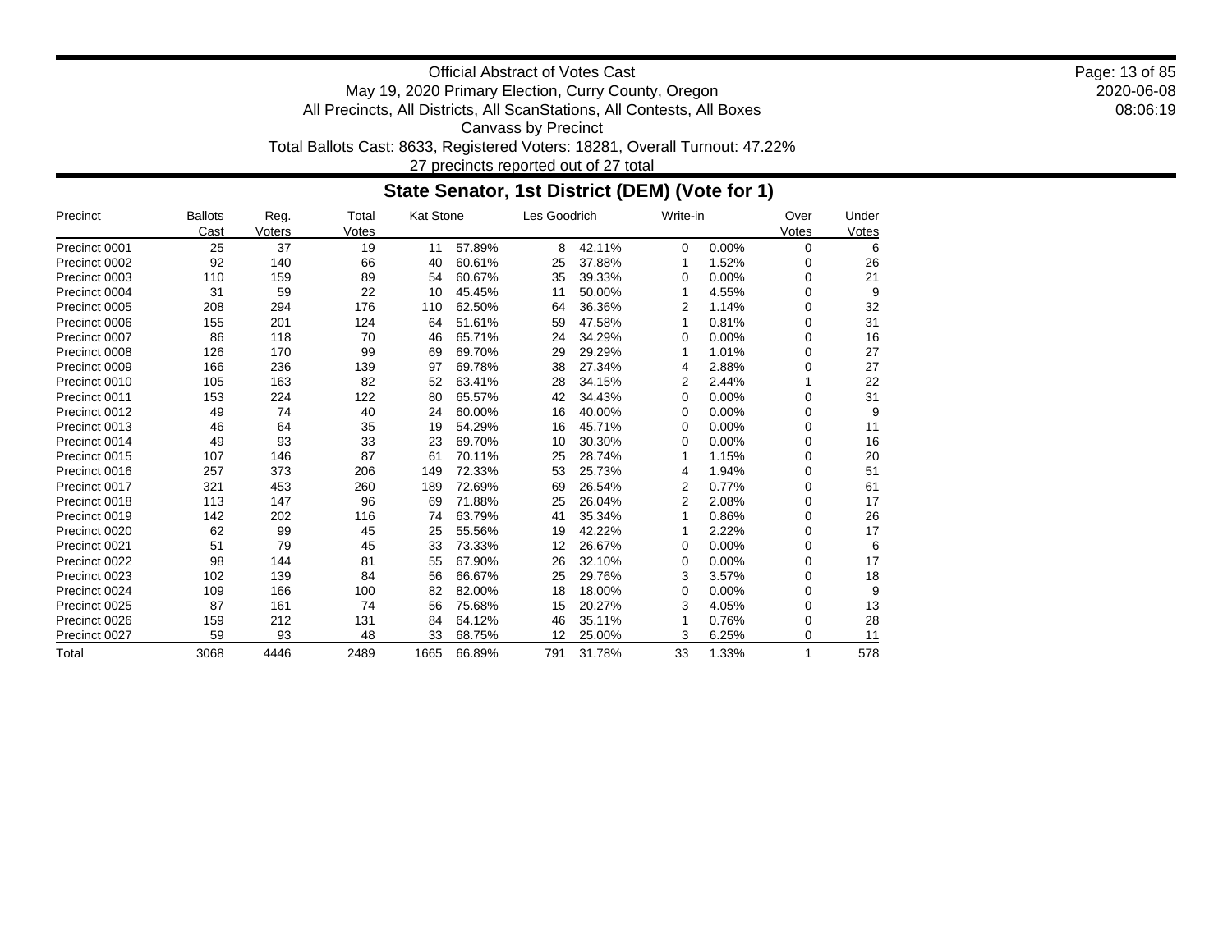2020-06-08 08:06:19 Page: 13 of 85

Official Abstract of Votes Cast May 19, 2020 Primary Election, Curry County, Oregon

All Precincts, All Districts, All ScanStations, All Contests, All Boxes

Canvass by Precinct

Total Ballots Cast: 8633, Registered Voters: 18281, Overall Turnout: 47.22%

27 precincts reported out of 27 total

### **State Senator, 1st District (DEM) (Vote for 1)**

| Precinct      | <b>Ballots</b><br>Cast | Reg.<br>Voters | Total<br>Votes | <b>Kat Stone</b> |        | Les Goodrich |        | Write-in       |          | Over<br>Votes | Under<br>Votes |
|---------------|------------------------|----------------|----------------|------------------|--------|--------------|--------|----------------|----------|---------------|----------------|
| Precinct 0001 | 25                     | 37             | 19             | 11               | 57.89% | 8            | 42.11% | $\Omega$       | 0.00%    | $\Omega$      | 6              |
| Precinct 0002 | 92                     | 140            | 66             | 40               | 60.61% | 25           | 37.88% | 1              | 1.52%    | 0             | 26             |
| Precinct 0003 | 110                    | 159            | 89             | 54               | 60.67% | 35           | 39.33% | 0              | $0.00\%$ | 0             | 21             |
| Precinct 0004 | 31                     | 59             | 22             | 10               | 45.45% | 11           | 50.00% |                | 4.55%    | $\Omega$      | 9              |
| Precinct 0005 | 208                    | 294            | 176            | 110              | 62.50% | 64           | 36.36% | $\overline{2}$ | 1.14%    | $\Omega$      | 32             |
| Precinct 0006 | 155                    | 201            | 124            | 64               | 51.61% | 59           | 47.58% | 1              | 0.81%    | 0             | 31             |
| Precinct 0007 | 86                     | 118            | 70             | 46               | 65.71% | 24           | 34.29% | 0              | 0.00%    | 0             | 16             |
| Precinct 0008 | 126                    | 170            | 99             | 69               | 69.70% | 29           | 29.29% | 1              | 1.01%    | 0             | 27             |
| Precinct 0009 | 166                    | 236            | 139            | 97               | 69.78% | 38           | 27.34% | 4              | 2.88%    | 0             | 27             |
| Precinct 0010 | 105                    | 163            | 82             | 52               | 63.41% | 28           | 34.15% | $\overline{2}$ | 2.44%    |               | 22             |
| Precinct 0011 | 153                    | 224            | 122            | 80               | 65.57% | 42           | 34.43% | $\Omega$       | 0.00%    | $\Omega$      | 31             |
| Precinct 0012 | 49                     | 74             | 40             | 24               | 60.00% | 16           | 40.00% | 0              | 0.00%    | $\Omega$      | 9              |
| Precinct 0013 | 46                     | 64             | 35             | 19               | 54.29% | 16           | 45.71% | $\Omega$       | 0.00%    | $\Omega$      | 11             |
| Precinct 0014 | 49                     | 93             | 33             | 23               | 69.70% | 10           | 30.30% | 0              | 0.00%    | $\Omega$      | 16             |
| Precinct 0015 | 107                    | 146            | 87             | 61               | 70.11% | 25           | 28.74% | 1              | 1.15%    | 0             | 20             |
| Precinct 0016 | 257                    | 373            | 206            | 149              | 72.33% | 53           | 25.73% | 4              | 1.94%    | $\Omega$      | 51             |
| Precinct 0017 | 321                    | 453            | 260            | 189              | 72.69% | 69           | 26.54% | $\overline{2}$ | 0.77%    | 0             | 61             |
| Precinct 0018 | 113                    | 147            | 96             | 69               | 71.88% | 25           | 26.04% | $\overline{2}$ | 2.08%    | $\Omega$      | 17             |
| Precinct 0019 | 142                    | 202            | 116            | 74               | 63.79% | 41           | 35.34% | 1              | 0.86%    | $\Omega$      | 26             |
| Precinct 0020 | 62                     | 99             | 45             | 25               | 55.56% | 19           | 42.22% | 1              | 2.22%    | 0             | 17             |
| Precinct 0021 | 51                     | 79             | 45             | 33               | 73.33% | 12           | 26.67% | 0              | 0.00%    | 0             | 6              |
| Precinct 0022 | 98                     | 144            | 81             | 55               | 67.90% | 26           | 32.10% | 0              | 0.00%    | 0             | 17             |
| Precinct 0023 | 102                    | 139            | 84             | 56               | 66.67% | 25           | 29.76% | 3              | 3.57%    | 0             | 18             |
| Precinct 0024 | 109                    | 166            | 100            | 82               | 82.00% | 18           | 18.00% | 0              | 0.00%    | 0             | 9              |
| Precinct 0025 | 87                     | 161            | 74             | 56               | 75.68% | 15           | 20.27% | 3              | 4.05%    | $\Omega$      | 13             |
| Precinct 0026 | 159                    | 212            | 131            | 84               | 64.12% | 46           | 35.11% |                | 0.76%    | 0             | 28             |
| Precinct 0027 | 59                     | 93             | 48             | 33               | 68.75% | 12           | 25.00% | 3              | 6.25%    | 0             | 11             |
| Total         | 3068                   | 4446           | 2489           | 1665             | 66.89% | 791          | 31.78% | 33             | 1.33%    | 1             | 578            |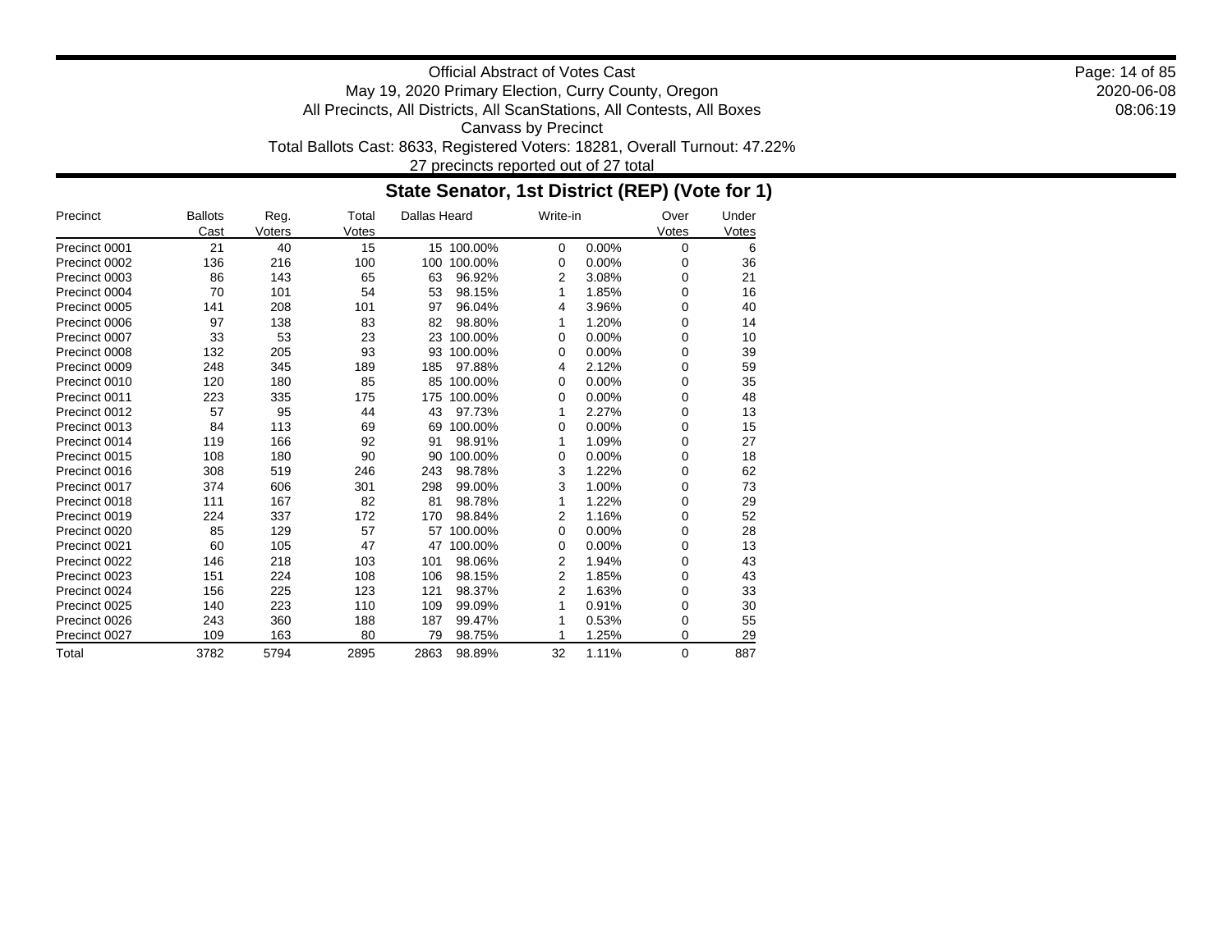2020-06-08 08:06:19 Page: 14 of 85

May 19, 2020 Primary Election, Curry County, Oregon All Precincts, All Districts, All ScanStations, All Contests, All Boxes Canvass by Precinct Total Ballots Cast: 8633, Registered Voters: 18281, Overall Turnout: 47.22% 27 precincts reported out of 27 total

Official Abstract of Votes Cast

### **State Senator, 1st District (REP) (Vote for 1)**

| Precinct      | <b>Ballots</b><br>Cast | Reg.<br>Voters | Total<br>Votes | Dallas Heard |            | Write-in       |       | Over<br>Votes | Under<br>Votes |
|---------------|------------------------|----------------|----------------|--------------|------------|----------------|-------|---------------|----------------|
| Precinct 0001 | 21                     | 40             | 15             |              | 15 100.00% | 0              | 0.00% | 0             | 6              |
| Precinct 0002 | 136                    | 216            | 100            | 100          | 100.00%    | 0              | 0.00% | 0             | 36             |
| Precinct 0003 | 86                     | 143            | 65             | 63           | 96.92%     | 2              | 3.08% | 0             | 21             |
| Precinct 0004 | 70                     | 101            | 54             | 53           | 98.15%     | 1              | 1.85% | 0             | 16             |
| Precinct 0005 | 141                    | 208            | 101            | 97           | 96.04%     | 4              | 3.96% | 0             | 40             |
| Precinct 0006 | 97                     | 138            | 83             | 82           | 98.80%     | 1              | 1.20% | 0             | 14             |
| Precinct 0007 | 33                     | 53             | 23             | 23           | 100.00%    | 0              | 0.00% | 0             | 10             |
| Precinct 0008 | 132                    | 205            | 93             | 93           | 100.00%    | 0              | 0.00% | 0             | 39             |
| Precinct 0009 | 248                    | 345            | 189            | 185          | 97.88%     | 4              | 2.12% | 0             | 59             |
| Precinct 0010 | 120                    | 180            | 85             | 85           | 100.00%    | 0              | 0.00% | 0             | 35             |
| Precinct 0011 | 223                    | 335            | 175            | 175          | 100.00%    | 0              | 0.00% | 0             | 48             |
| Precinct 0012 | 57                     | 95             | 44             | 43           | 97.73%     | 1              | 2.27% | 0             | 13             |
| Precinct 0013 | 84                     | 113            | 69             | 69           | 100.00%    | 0              | 0.00% | 0             | 15             |
| Precinct 0014 | 119                    | 166            | 92             | 91           | 98.91%     |                | 1.09% | 0             | 27             |
| Precinct 0015 | 108                    | 180            | 90             | 90           | 100.00%    | 0              | 0.00% | 0             | 18             |
| Precinct 0016 | 308                    | 519            | 246            | 243          | 98.78%     | 3              | 1.22% | 0             | 62             |
| Precinct 0017 | 374                    | 606            | 301            | 298          | 99.00%     | 3              | 1.00% | 0             | 73             |
| Precinct 0018 | 111                    | 167            | 82             | 81           | 98.78%     | 1              | 1.22% | 0             | 29             |
| Precinct 0019 | 224                    | 337            | 172            | 170          | 98.84%     | $\overline{2}$ | 1.16% | 0             | 52             |
| Precinct 0020 | 85                     | 129            | 57             | 57           | 100.00%    | $\Omega$       | 0.00% | $\Omega$      | 28             |
| Precinct 0021 | 60                     | 105            | 47             | 47           | 100.00%    | 0              | 0.00% | 0             | 13             |
| Precinct 0022 | 146                    | 218            | 103            | 101          | 98.06%     | 2              | 1.94% | 0             | 43             |
| Precinct 0023 | 151                    | 224            | 108            | 106          | 98.15%     | 2              | 1.85% | 0             | 43             |
| Precinct 0024 | 156                    | 225            | 123            | 121          | 98.37%     | 2              | 1.63% | 0             | 33             |
| Precinct 0025 | 140                    | 223            | 110            | 109          | 99.09%     | 1              | 0.91% | 0             | 30             |
| Precinct 0026 | 243                    | 360            | 188            | 187          | 99.47%     |                | 0.53% | 0             | 55             |
| Precinct 0027 | 109                    | 163            | 80             | 79           | 98.75%     |                | 1.25% | 0             | 29             |
| Total         | 3782                   | 5794           | 2895           | 2863         | 98.89%     | 32             | 1.11% | 0             | 887            |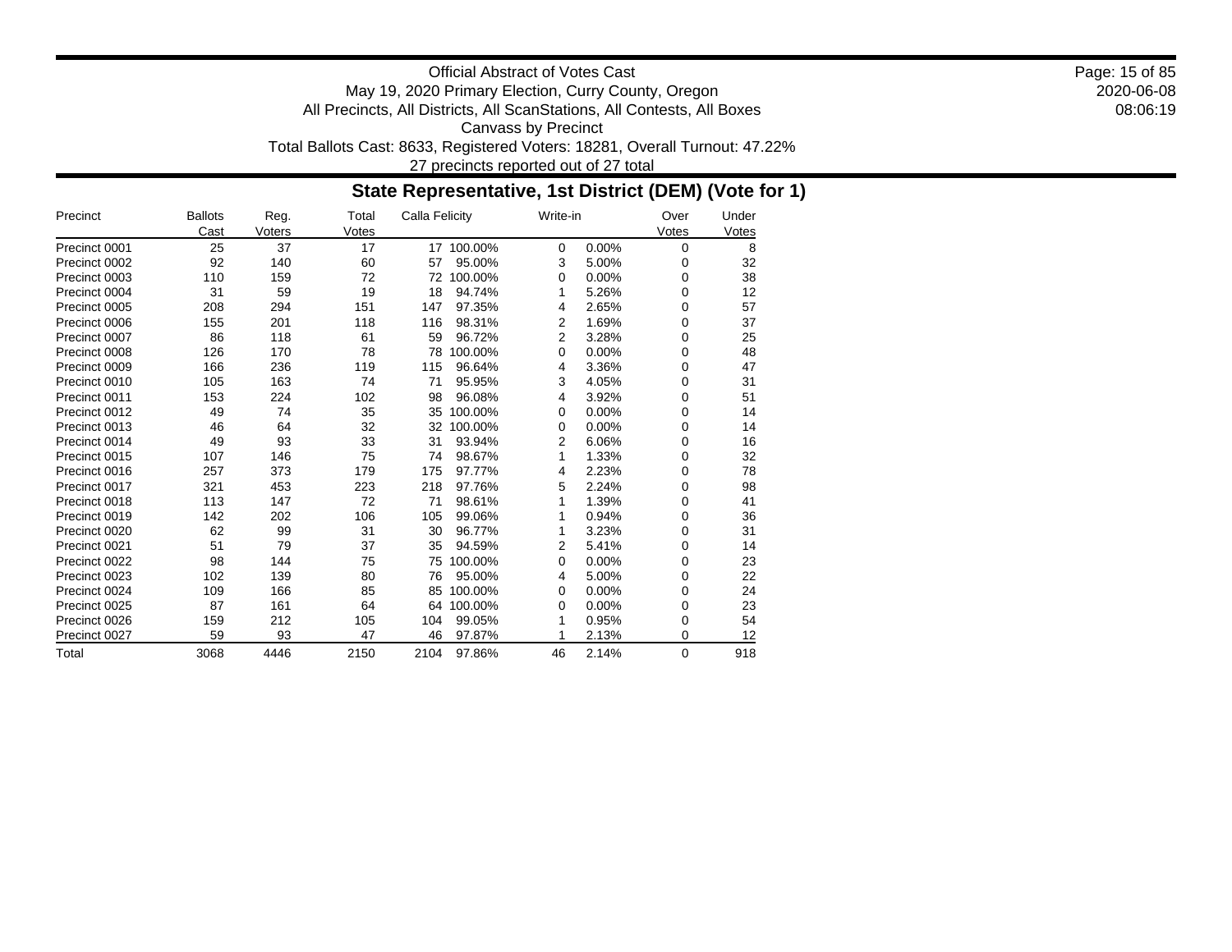2020-06-08 08:06:19 Page: 15 of 85

Official Abstract of Votes Cast May 19, 2020 Primary Election, Curry County, Oregon All Precincts, All Districts, All ScanStations, All Contests, All Boxes

Canvass by Precinct

Total Ballots Cast: 8633, Registered Voters: 18281, Overall Turnout: 47.22%

27 precincts reported out of 27 total

# **State Representative, 1st District (DEM) (Vote for 1)**

| Precinct      | <b>Ballots</b><br>Cast | Reg.<br>Voters | Total<br>Votes | Calla Felicity |         | Write-in |          | Over<br>Votes | Under<br>Votes |
|---------------|------------------------|----------------|----------------|----------------|---------|----------|----------|---------------|----------------|
| Precinct 0001 | 25                     | 37             | 17             | 17             | 100.00% | 0        | 0.00%    | 0             | 8              |
| Precinct 0002 | 92                     | 140            | 60             | 57             | 95.00%  | 3        | 5.00%    | 0             | 32             |
| Precinct 0003 | 110                    | 159            | 72             | 72             | 100.00% | 0        | 0.00%    | 0             | 38             |
| Precinct 0004 | 31                     | 59             | 19             | 18             | 94.74%  |          | 5.26%    | 0             | 12             |
| Precinct 0005 | 208                    | 294            | 151            | 147            | 97.35%  | 4        | 2.65%    | 0             | 57             |
| Precinct 0006 | 155                    | 201            | 118            | 116            | 98.31%  | 2        | 1.69%    | 0             | 37             |
| Precinct 0007 | 86                     | 118            | 61             | 59             | 96.72%  | 2        | 3.28%    | 0             | 25             |
| Precinct 0008 | 126                    | 170            | 78             | 78             | 100.00% | 0        | 0.00%    | 0             | 48             |
| Precinct 0009 | 166                    | 236            | 119            | 115            | 96.64%  | 4        | 3.36%    | 0             | 47             |
| Precinct 0010 | 105                    | 163            | 74             | 71             | 95.95%  | 3        | 4.05%    | 0             | 31             |
| Precinct 0011 | 153                    | 224            | 102            | 98             | 96.08%  | 4        | 3.92%    | 0             | 51             |
| Precinct 0012 | 49                     | 74             | 35             | 35             | 100.00% | 0        | 0.00%    | 0             | 14             |
| Precinct 0013 | 46                     | 64             | 32             | 32             | 100.00% | 0        | $0.00\%$ | 0             | 14             |
| Precinct 0014 | 49                     | 93             | 33             | 31             | 93.94%  | 2        | 6.06%    | 0             | 16             |
| Precinct 0015 | 107                    | 146            | 75             | 74             | 98.67%  |          | 1.33%    | 0             | 32             |
| Precinct 0016 | 257                    | 373            | 179            | 175            | 97.77%  | 4        | 2.23%    | 0             | 78             |
| Precinct 0017 | 321                    | 453            | 223            | 218            | 97.76%  | 5        | 2.24%    | 0             | 98             |
| Precinct 0018 | 113                    | 147            | 72             | 71             | 98.61%  |          | 1.39%    | 0             | 41             |
| Precinct 0019 | 142                    | 202            | 106            | 105            | 99.06%  |          | 0.94%    | 0             | 36             |
| Precinct 0020 | 62                     | 99             | 31             | 30             | 96.77%  |          | 3.23%    | 0             | 31             |
| Precinct 0021 | 51                     | 79             | 37             | 35             | 94.59%  | 2        | 5.41%    | 0             | 14             |
| Precinct 0022 | 98                     | 144            | 75             | 75             | 100.00% | 0        | 0.00%    | 0             | 23             |
| Precinct 0023 | 102                    | 139            | 80             | 76             | 95.00%  | 4        | 5.00%    | 0             | 22             |
| Precinct 0024 | 109                    | 166            | 85             | 85             | 100.00% | 0        | 0.00%    | 0             | 24             |
| Precinct 0025 | 87                     | 161            | 64             | 64             | 100.00% | 0        | $0.00\%$ | 0             | 23             |
| Precinct 0026 | 159                    | 212            | 105            | 104            | 99.05%  |          | 0.95%    | 0             | 54             |
| Precinct 0027 | 59                     | 93             | 47             | 46             | 97.87%  |          | 2.13%    | 0             | 12             |
| Total         | 3068                   | 4446           | 2150           | 2104           | 97.86%  | 46       | 2.14%    | $\mathbf{0}$  | 918            |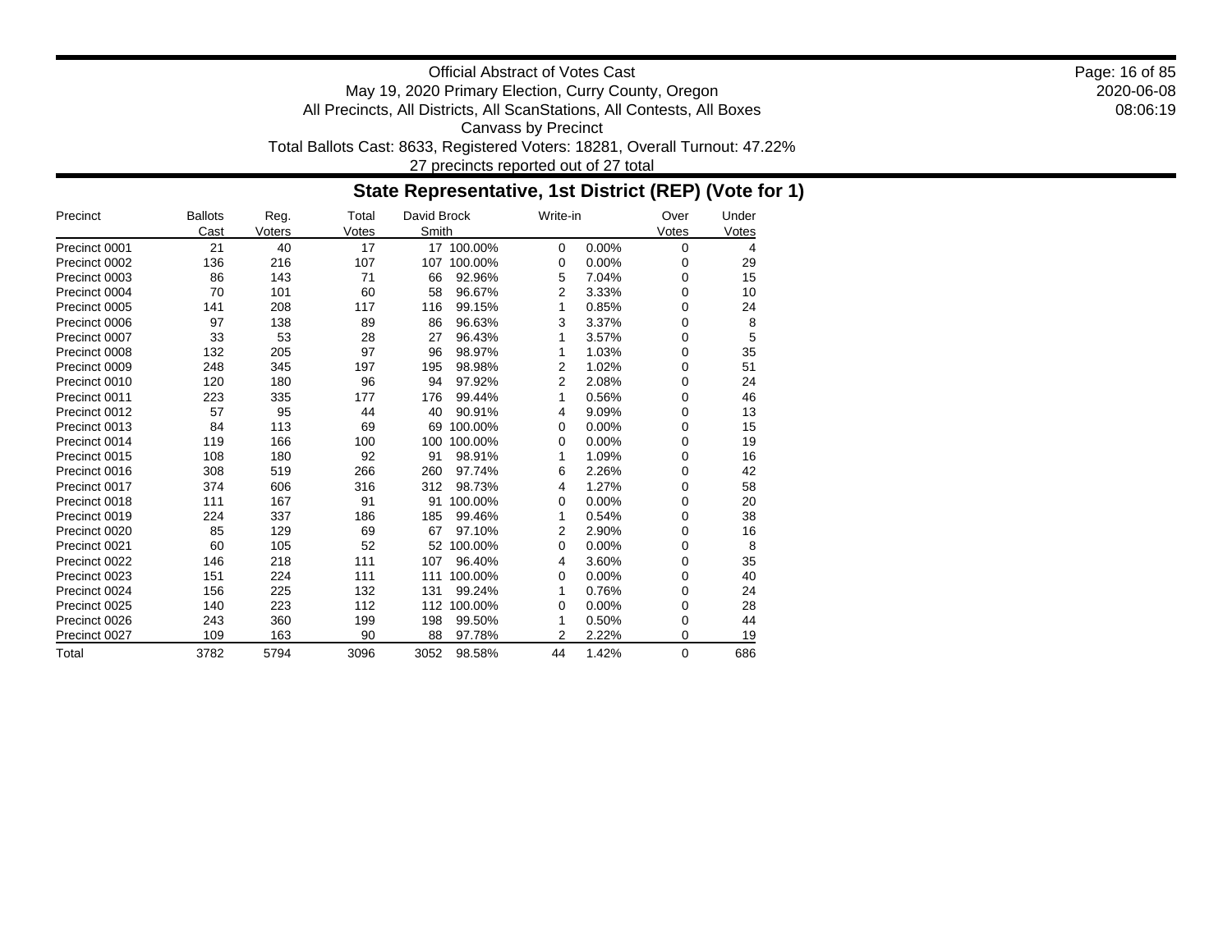2020-06-08 08:06:19 Page: 16 of 85

May 19, 2020 Primary Election, Curry County, Oregon All Precincts, All Districts, All ScanStations, All Contests, All Boxes Canvass by Precinct Total Ballots Cast: 8633, Registered Voters: 18281, Overall Turnout: 47.22% 27 precincts reported out of 27 total

Official Abstract of Votes Cast

### **State Representative, 1st District (REP) (Vote for 1)**

| Precinct      | <b>Ballots</b><br>Cast | Reg.<br>Voters | Total<br>Votes | David Brock<br>Smith |             | Write-in |       | Over<br>Votes | Under<br>Votes |
|---------------|------------------------|----------------|----------------|----------------------|-------------|----------|-------|---------------|----------------|
| Precinct 0001 | 21                     | 40             | 17             |                      | 17 100.00%  |          | 0.00% |               |                |
|               |                        |                |                |                      |             | $\Omega$ |       | 0             | 4              |
| Precinct 0002 | 136                    | 216            | 107            |                      | 107 100.00% | 0        | 0.00% | 0             | 29             |
| Precinct 0003 | 86                     | 143            | 71             | 66                   | 92.96%      | 5        | 7.04% | 0             | 15             |
| Precinct 0004 | 70                     | 101            | 60             | 58                   | 96.67%      | 2        | 3.33% | 0             | 10             |
| Precinct 0005 | 141                    | 208            | 117            | 116                  | 99.15%      | 1        | 0.85% | 0             | 24             |
| Precinct 0006 | 97                     | 138            | 89             | 86                   | 96.63%      | 3        | 3.37% | 0             | 8              |
| Precinct 0007 | 33                     | 53             | 28             | 27                   | 96.43%      | 1        | 3.57% | 0             | 5              |
| Precinct 0008 | 132                    | 205            | 97             | 96                   | 98.97%      | 1        | 1.03% | 0             | 35             |
| Precinct 0009 | 248                    | 345            | 197            | 195                  | 98.98%      | 2        | 1.02% | 0             | 51             |
| Precinct 0010 | 120                    | 180            | 96             | 94                   | 97.92%      | 2        | 2.08% | 0             | 24             |
| Precinct 0011 | 223                    | 335            | 177            | 176                  | 99.44%      | 1        | 0.56% | 0             | 46             |
| Precinct 0012 | 57                     | 95             | 44             | 40                   | 90.91%      | 4        | 9.09% | 0             | 13             |
| Precinct 0013 | 84                     | 113            | 69             | 69                   | 100.00%     | 0        | 0.00% | 0             | 15             |
| Precinct 0014 | 119                    | 166            | 100            | 100                  | 100.00%     | 0        | 0.00% | 0             | 19             |
| Precinct 0015 | 108                    | 180            | 92             | 91                   | 98.91%      | 1        | 1.09% | 0             | 16             |
| Precinct 0016 | 308                    | 519            | 266            | 260                  | 97.74%      | 6        | 2.26% | 0             | 42             |
| Precinct 0017 | 374                    | 606            | 316            | 312                  | 98.73%      | 4        | 1.27% | 0             | 58             |
| Precinct 0018 | 111                    | 167            | 91             | 91                   | 100.00%     | 0        | 0.00% | 0             | 20             |
| Precinct 0019 | 224                    | 337            | 186            | 185                  | 99.46%      | 1        | 0.54% | 0             | 38             |
| Precinct 0020 | 85                     | 129            | 69             | 67                   | 97.10%      | 2        | 2.90% | 0             | 16             |
| Precinct 0021 | 60                     | 105            | 52             | 52                   | 100.00%     | 0        | 0.00% | 0             | 8              |
| Precinct 0022 | 146                    | 218            | 111            | 107                  | 96.40%      | 4        | 3.60% | $\Omega$      | 35             |
| Precinct 0023 | 151                    | 224            | 111            | 111                  | 100.00%     | 0        | 0.00% | 0             | 40             |
| Precinct 0024 | 156                    | 225            | 132            | 131                  | 99.24%      | 1        | 0.76% | 0             | 24             |
| Precinct 0025 | 140                    | 223            | 112            | 112                  | 100.00%     | 0        | 0.00% | 0             | 28             |
| Precinct 0026 | 243                    | 360            | 199            | 198                  | 99.50%      | 1        | 0.50% | 0             | 44             |
| Precinct 0027 | 109                    | 163            | 90             | 88                   | 97.78%      | 2        | 2.22% | 0             | 19             |
| Total         | 3782                   | 5794           | 3096           | 3052                 | 98.58%      | 44       | 1.42% | 0             | 686            |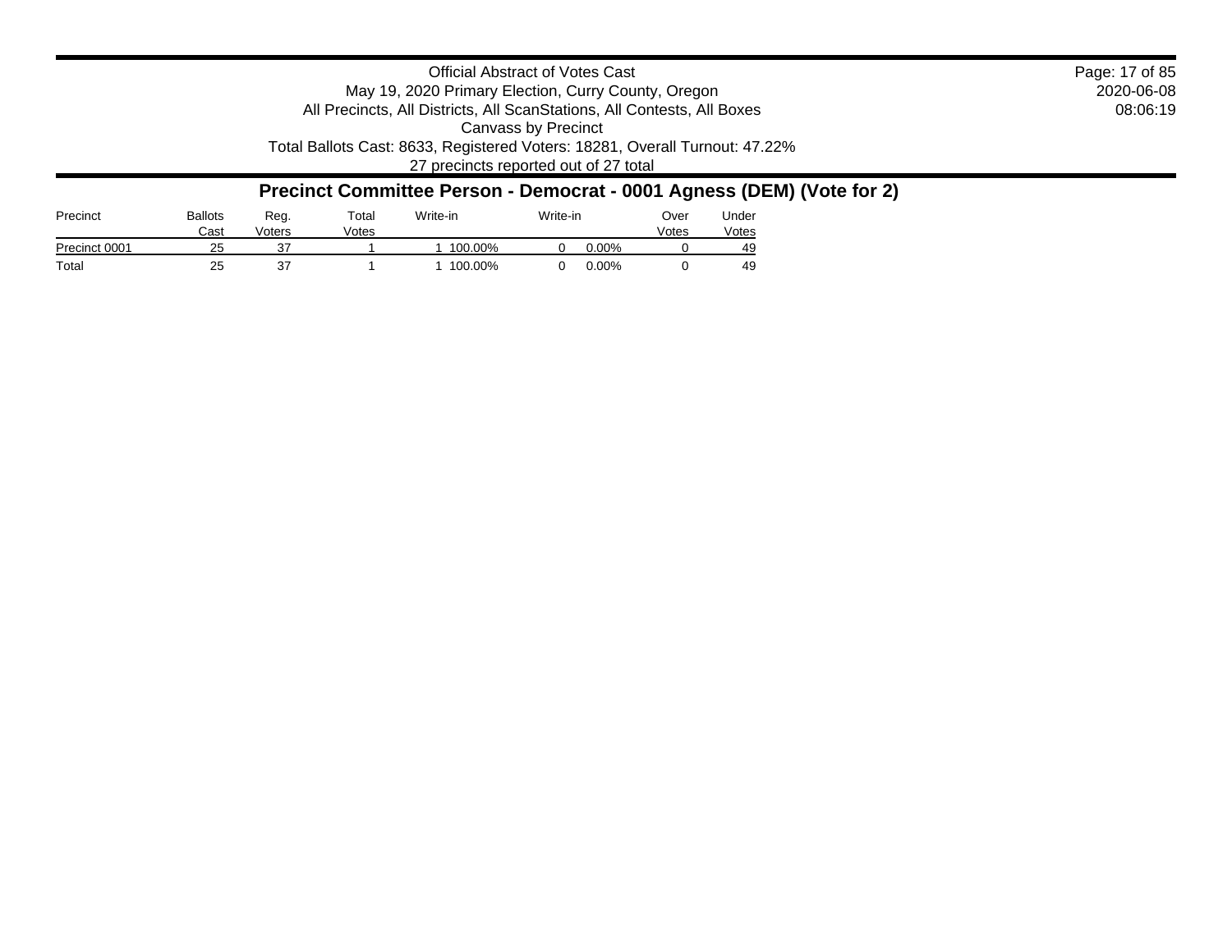2020-06-08 08:06:19 Page: 17 of 85

Official Abstract of Votes Cast May 19, 2020 Primary Election, Curry County, Oregon

All Precincts, All Districts, All ScanStations, All Contests, All Boxes

Canvass by Precinct

Total Ballots Cast: 8633, Registered Voters: 18281, Overall Turnout: 47.22%

27 precincts reported out of 27 total

#### **Precinct Committee Person - Democrat - 0001 Agness (DEM) (Vote for 2)**

| Precinct      | <b>Ballots</b><br>Cast | Reg.<br>/oters | Total<br>Votes | Write-in | Write-in |          | Over<br>Votes | Jnder<br>Votes |
|---------------|------------------------|----------------|----------------|----------|----------|----------|---------------|----------------|
| Precinct 0001 | 25                     | 37             |                | 100.00%  |          | 0.00%    |               | 49             |
| $\tau$ otal   | 25                     | 37             |                | 100.00%  |          | $0.00\%$ |               | 49             |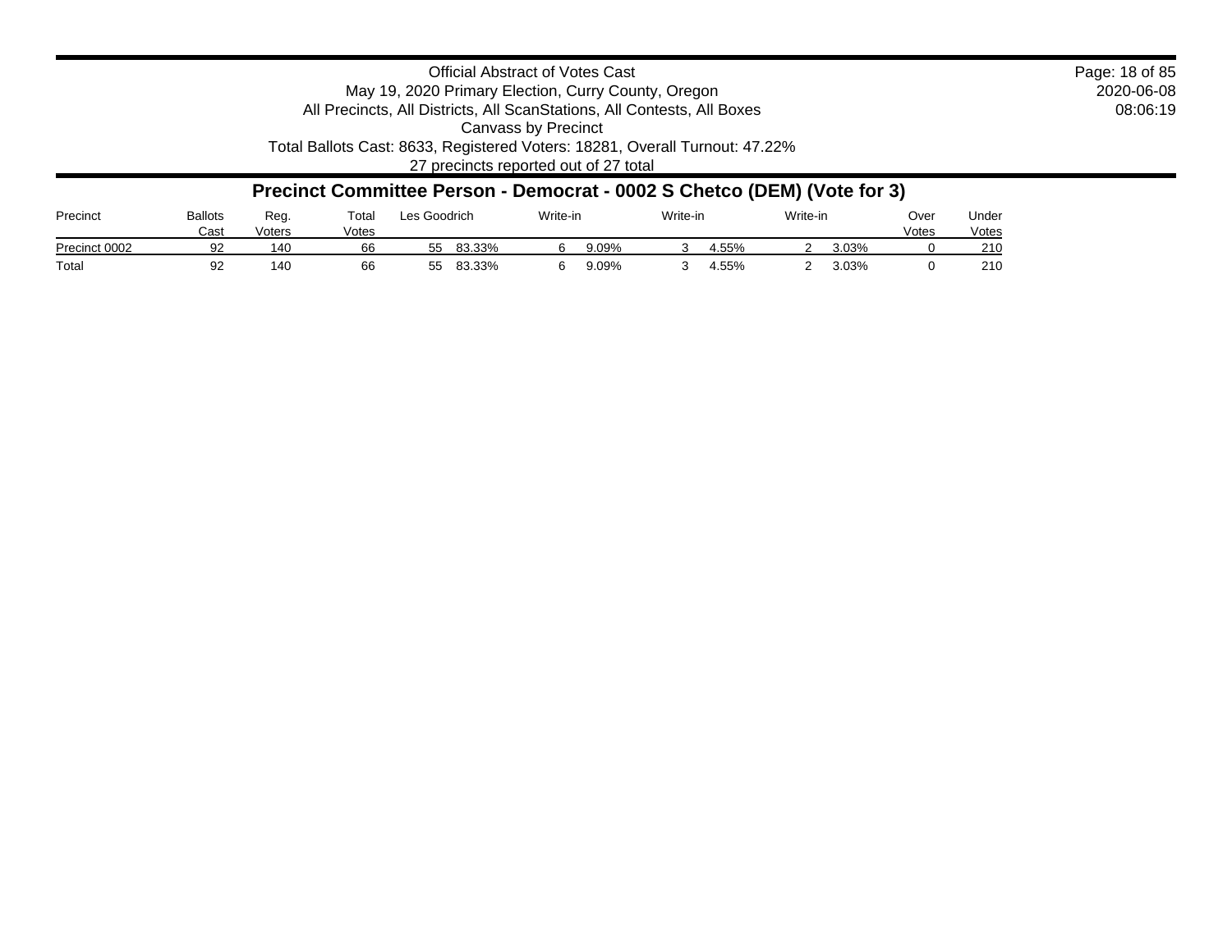2020-06-08 08:06:19 Page: 18 of 85

Official Abstract of Votes Cast May 19, 2020 Primary Election, Curry County, Oregon

All Precincts, All Districts, All ScanStations, All Contests, All Boxes

Canvass by Precinct

Total Ballots Cast: 8633, Registered Voters: 18281, Overall Turnout: 47.22%

27 precincts reported out of 27 total

#### **Precinct Committee Person - Democrat - 0002 S Chetco (DEM) (Vote for 3)**

| Precinct      | Ballots<br>Cast | Reg.<br>Voters | $\tau$ otai<br>Votes | Les Goodrich | Write-in | Write-in | Write-in | Over<br>Votes | Under<br>Votes |
|---------------|-----------------|----------------|----------------------|--------------|----------|----------|----------|---------------|----------------|
| Precinct 0002 | 92              | 140            | 66                   | 83.33%<br>55 | 9.09%    | 4.55%    | $3.03\%$ |               | 210            |
| Total         | 92              | 40 ا           | 66                   | 83.33%<br>55 | 9.09%    | 4.55%    | 3.03%    |               | 210            |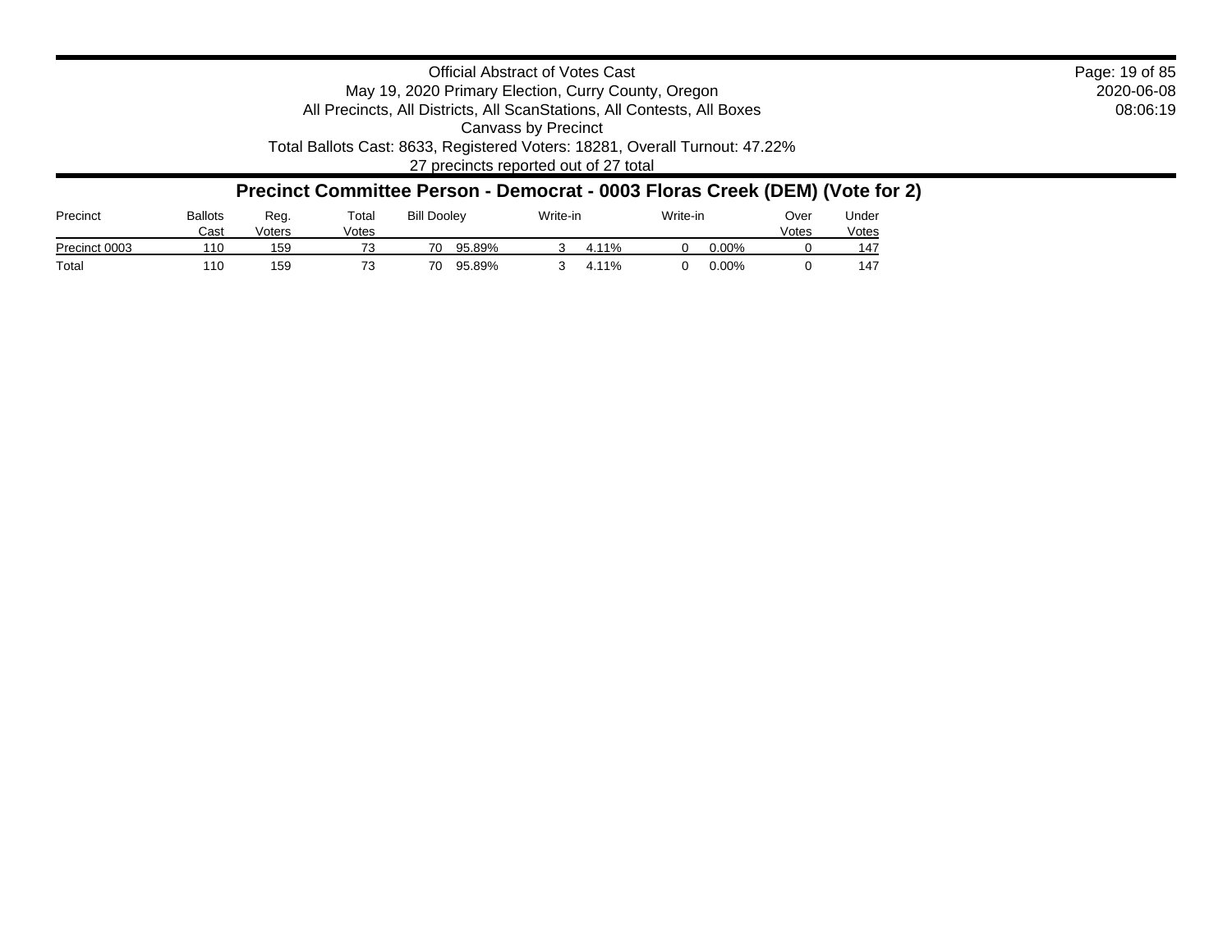2020-06-08 08:06:19 Page: 19 of 85

Official Abstract of Votes Cast May 19, 2020 Primary Election, Curry County, Oregon All Precincts, All Districts, All ScanStations, All Contests, All Boxes

Canvass by Precinct

Total Ballots Cast: 8633, Registered Voters: 18281, Overall Turnout: 47.22%

27 precincts reported out of 27 total

# **Precinct Committee Person - Democrat - 0003 Floras Creek (DEM) (Vote for 2)**

| Precinct      | <b>Ballots</b><br>Cast | Reg.<br>√oters | Total<br>Votes | <b>Bill Dooley</b> | Write-in | Write-in | Over<br>Votes | Under<br>Votes |
|---------------|------------------------|----------------|----------------|--------------------|----------|----------|---------------|----------------|
| Precinct 0003 | 11C                    | 159            |                | 70<br>95.89%       | $1\%$    | $0.00\%$ |               | $14^-$         |
| Total         | 110                    | 159            | 73             | 95.89%<br>70       | 11%      | $0.00\%$ |               | 147            |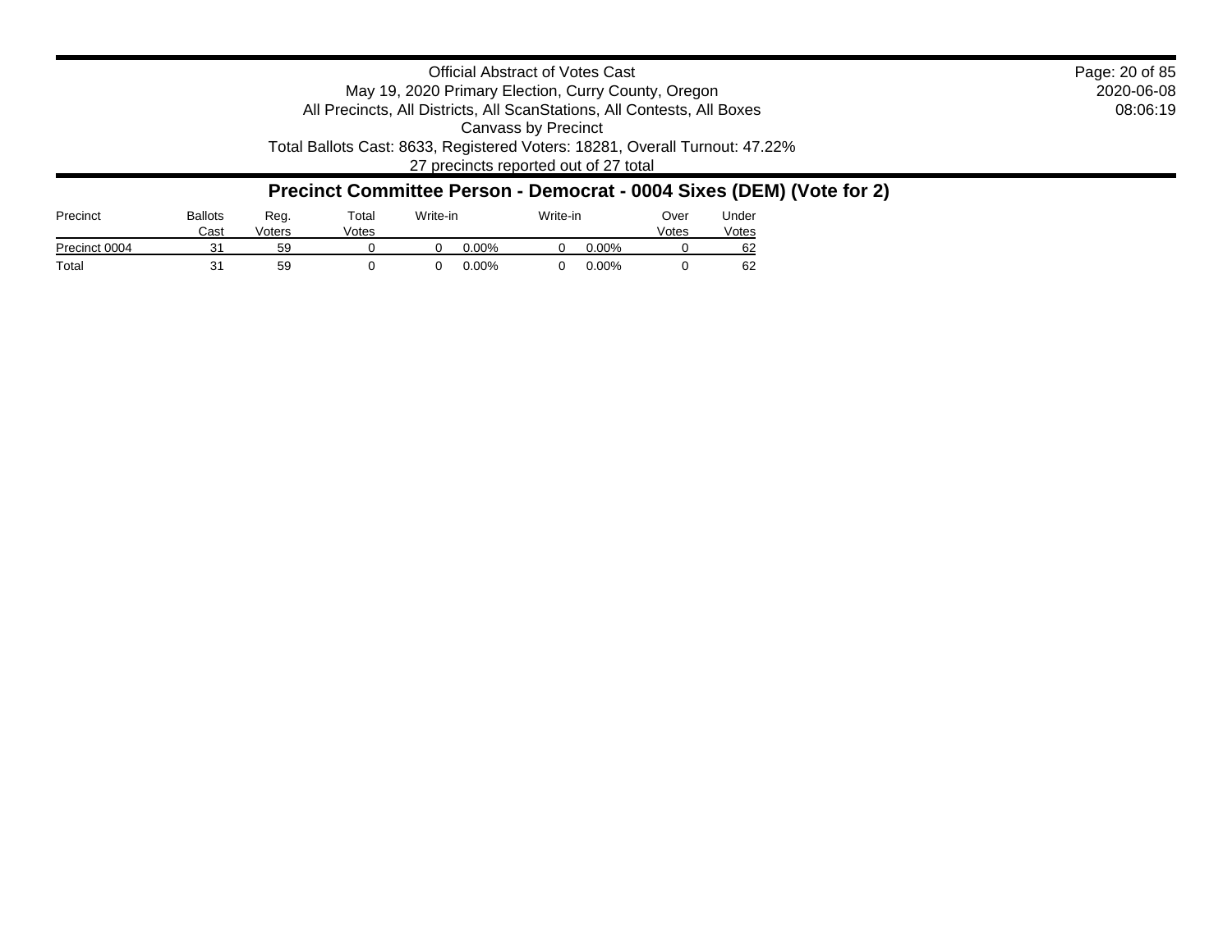2020-06-08 08:06:19 Page: 20 of 85

Official Abstract of Votes Cast May 19, 2020 Primary Election, Curry County, Oregon

All Precincts, All Districts, All ScanStations, All Contests, All Boxes

Canvass by Precinct

Total Ballots Cast: 8633, Registered Voters: 18281, Overall Turnout: 47.22%

27 precincts reported out of 27 total

#### **Precinct Committee Person - Democrat - 0004 Sixes (DEM) (Vote for 2)**

| Precinct      | <b>Ballots</b><br>Cast | Reg.<br><sup>'</sup> /oters | $\tau$ otal<br>Votes | Write-in |          | Write-in |       | Over<br>Votes | Jnder<br>Votes |
|---------------|------------------------|-----------------------------|----------------------|----------|----------|----------|-------|---------------|----------------|
| Precinct 0004 | 21                     | 59                          |                      |          | 0.00%    |          | 0.00% |               | 62             |
| Total         | 21                     | 59                          |                      |          | $0.00\%$ |          | 0.00% |               | 62             |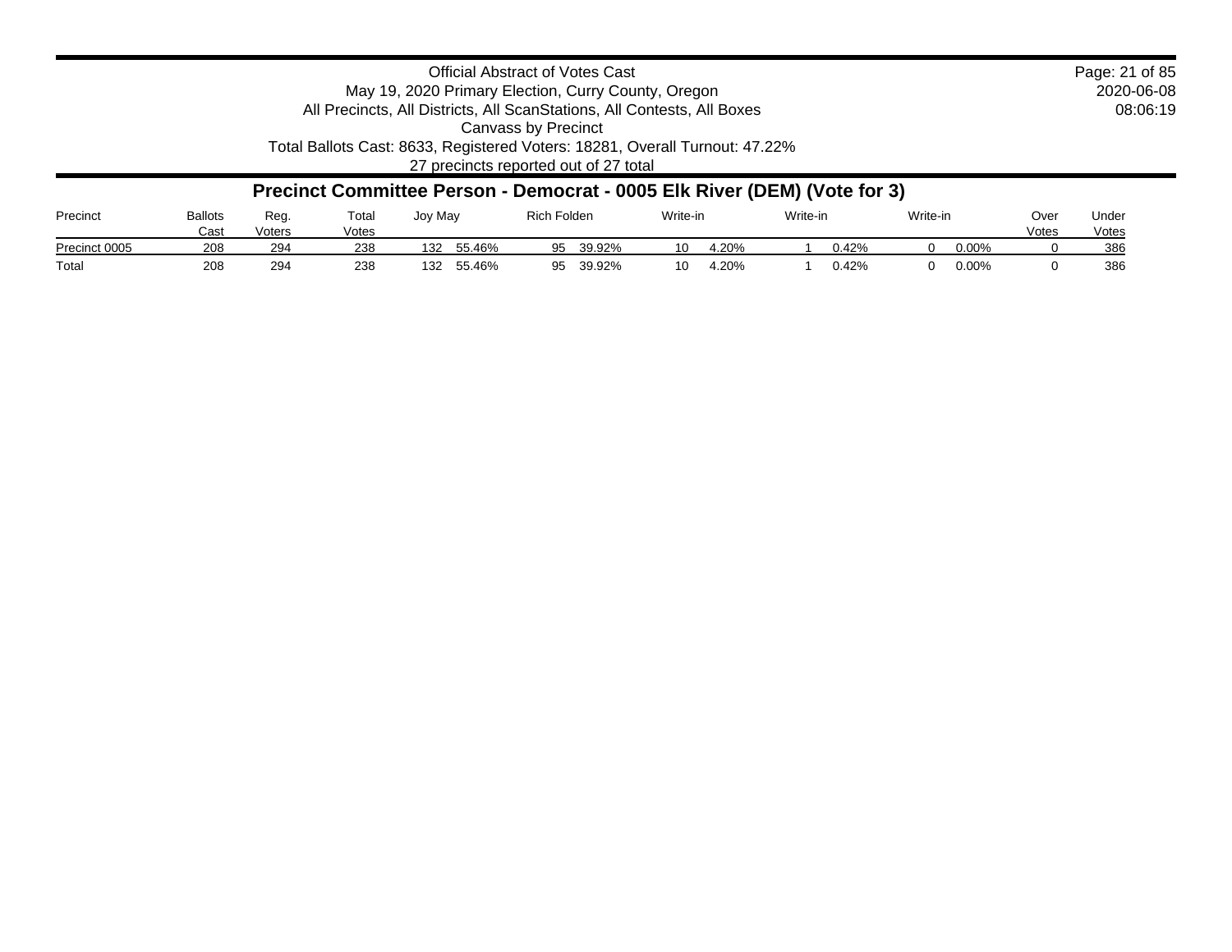2020-06-08 08:06:19 Page: 21 of 85

Official Abstract of Votes Cast May 19, 2020 Primary Election, Curry County, Oregon

All Precincts, All Districts, All ScanStations, All Contests, All Boxes

Canvass by Precinct

Total Ballots Cast: 8633, Registered Voters: 18281, Overall Turnout: 47.22%

27 precincts reported out of 27 total

#### **Precinct Committee Person - Democrat - 0005 Elk River (DEM) (Vote for 3)**

| Precinct      | <b>Ballots</b><br>Cast | Reg.<br>Voters | Total<br>Votes | Joy May       | <b>Rich Folden</b> | Write-in    | Write-in | Write-in | Oveı<br>Votes | Under<br>Votes |
|---------------|------------------------|----------------|----------------|---------------|--------------------|-------------|----------|----------|---------------|----------------|
| Precinct 0005 | 208                    | 294            | 238            | 132<br>55.46% | 39.92%<br>95       | 4.20%<br>10 | 0.42%    | $0.00\%$ |               | 386            |
| Total         | 208                    | 294            | 238            | 55.46%<br>132 | 39.92%<br>95       | 4.20%<br>10 | 0.42%    | $0.00\%$ |               | 386            |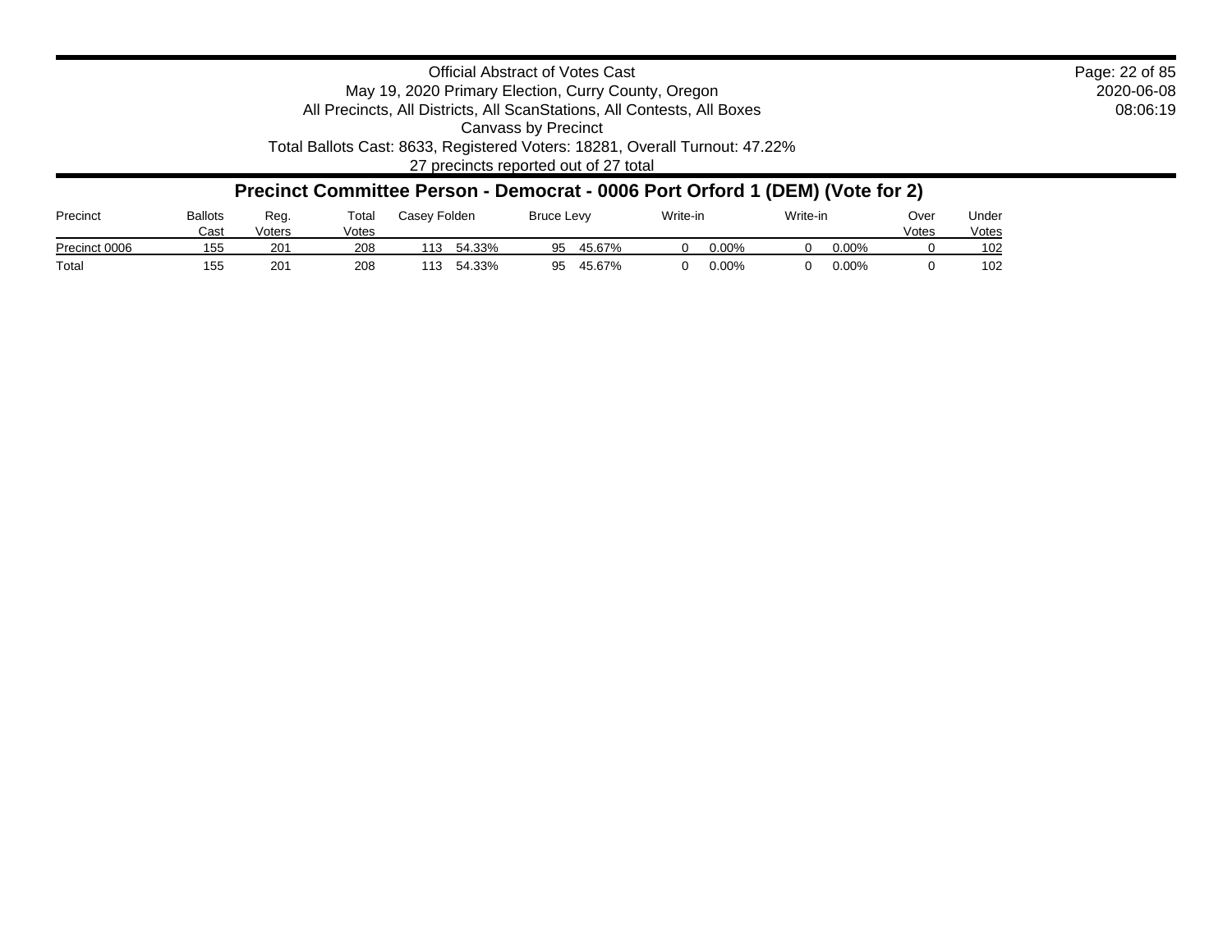2020-06-08 08:06:19 Page: 22 of 85

Official Abstract of Votes Cast May 19, 2020 Primary Election, Curry County, Oregon

All Precincts, All Districts, All ScanStations, All Contests, All Boxes

Canvass by Precinct

Total Ballots Cast: 8633, Registered Voters: 18281, Overall Turnout: 47.22%

27 precincts reported out of 27 total

# **Precinct Committee Person - Democrat - 0006 Port Orford 1 (DEM) (Vote for 2)**

| Precinct      | Ballots<br>Cast | Reg.<br>Voters | Total<br>Votes | Folden<br>' asevٽ | <b>Bruce Levy</b> | Write-in | Write-ir | Over<br>Votes | Under<br>Votes |
|---------------|-----------------|----------------|----------------|-------------------|-------------------|----------|----------|---------------|----------------|
| Precinct 0006 | 155             | 20٬            | 208            | 54.33%<br>113     | 95<br>45.67%      | $0.00\%$ | 0.00%    |               | 102            |
| Total         | 155             | 20٬            | 208            | 54.33%<br>113     | 95<br>45.67%      | $0.00\%$ | $0.00\%$ |               | 102            |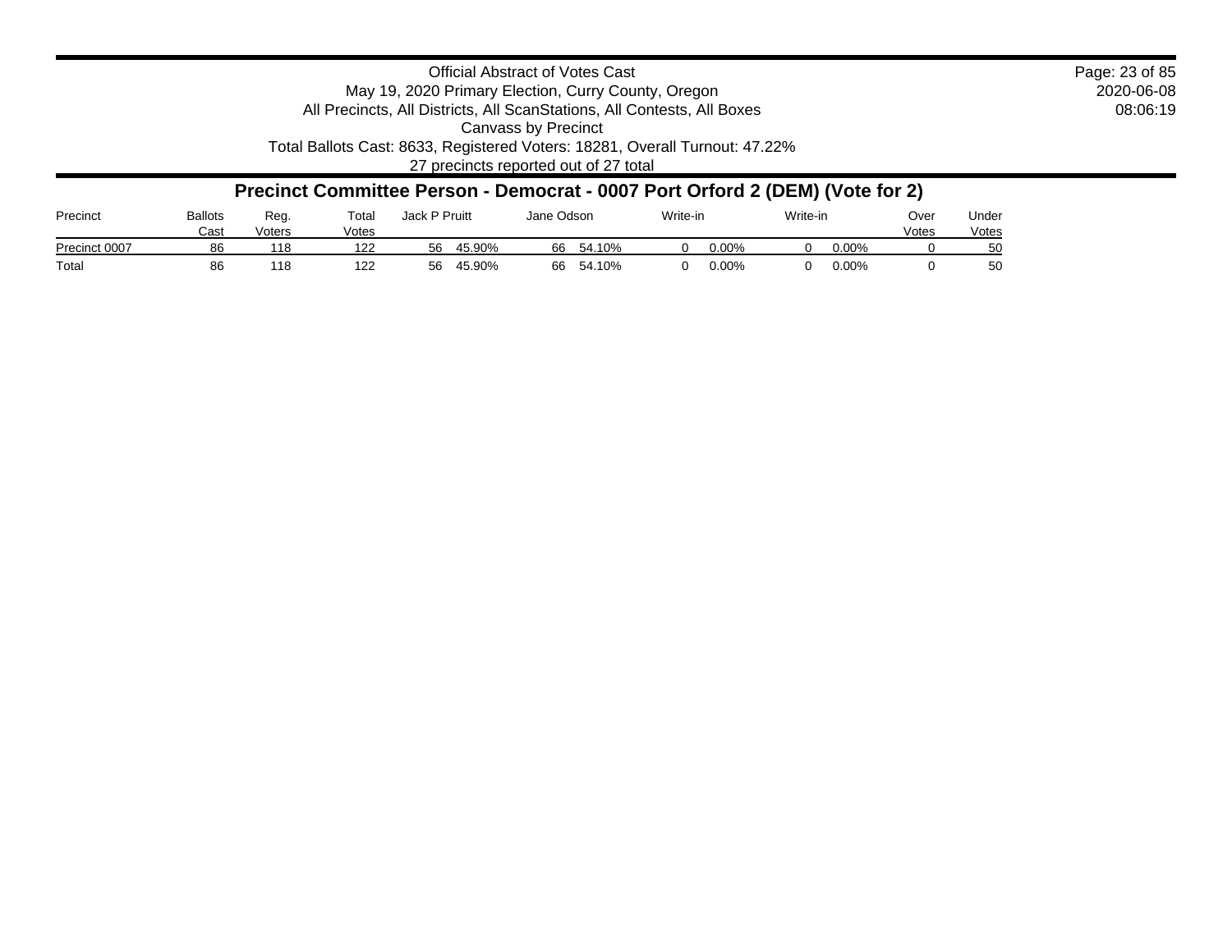2020-06-08 08:06:19 Page: 23 of 85

Official Abstract of Votes Cast May 19, 2020 Primary Election, Curry County, Oregon

All Precincts, All Districts, All ScanStations, All Contests, All Boxes

Canvass by Precinct

Total Ballots Cast: 8633, Registered Voters: 18281, Overall Turnout: 47.22%

27 precincts reported out of 27 total

# **Precinct Committee Person - Democrat - 0007 Port Orford 2 (DEM) (Vote for 2)**

| Precinct      | Ballots<br>Cast | Reg.<br>Voters | $\tau$ otal<br>Votes | Jack P Pruitt | Jane Odson   | Write-in | Write-in | Over<br>Votes | Jnder<br>Votes |
|---------------|-----------------|----------------|----------------------|---------------|--------------|----------|----------|---------------|----------------|
| Precinct 0007 | 86              | 18             | 122                  | 45.90%<br>56  | 66<br>54.10% | $0.00\%$ | 00%.د    |               | 50             |
| Total         | 86              | 18             | 122                  | 45.90%<br>56  | 54.10%<br>66 | $0.00\%$ | $0.00\%$ |               | 50             |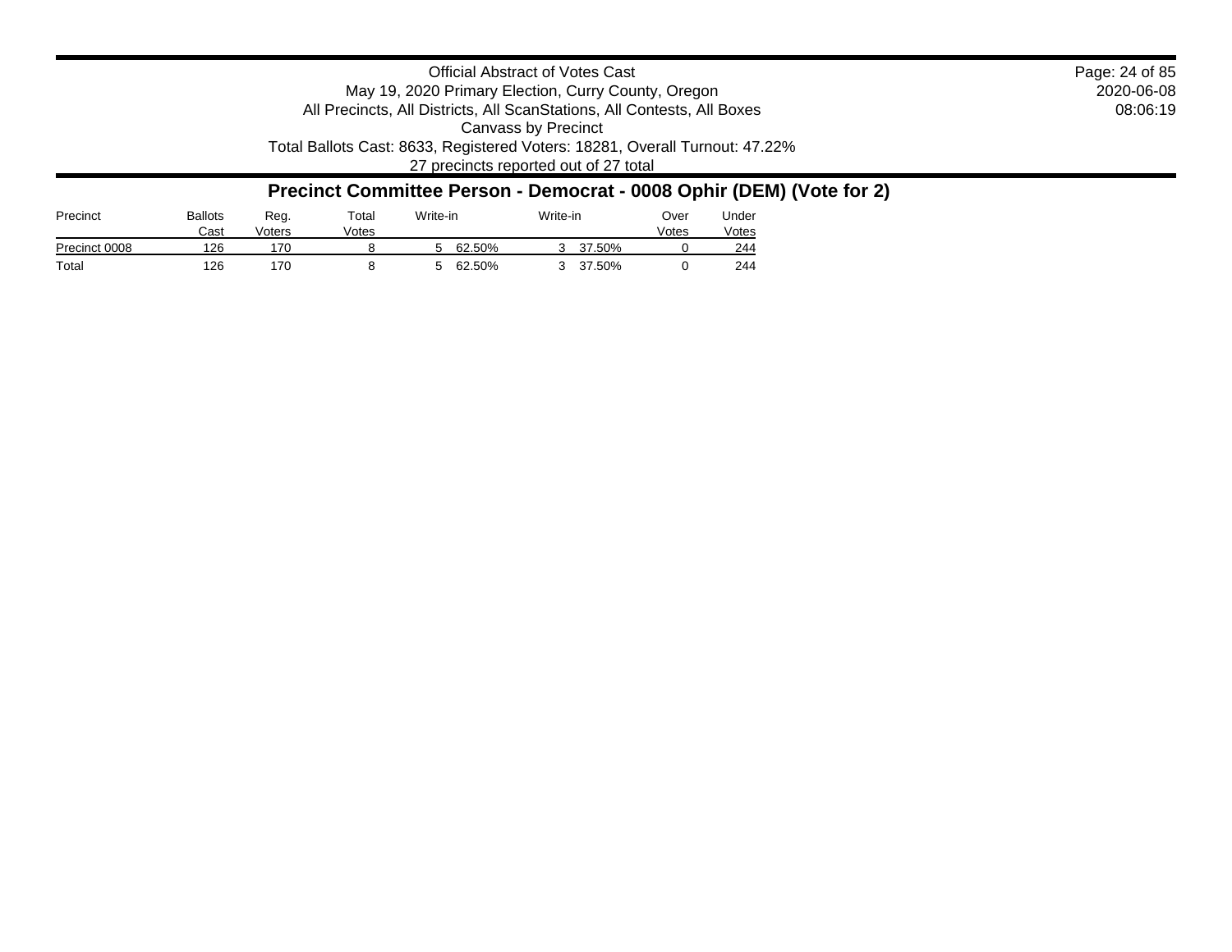2020-06-08 08:06:19 Page: 24 of 85

Official Abstract of Votes Cast May 19, 2020 Primary Election, Curry County, Oregon

All Precincts, All Districts, All ScanStations, All Contests, All Boxes

Canvass by Precinct

Total Ballots Cast: 8633, Registered Voters: 18281, Overall Turnout: 47.22%

27 precincts reported out of 27 total

#### **Precinct Committee Person - Democrat - 0008 Ophir (DEM) (Vote for 2)**

| Precinct      | <b>Ballots</b><br>Cast | Reg.<br>/oters | $\tau$ otal<br>√otes | Write-in | Write-in | Over<br>Votes | Jnder<br>Votes |
|---------------|------------------------|----------------|----------------------|----------|----------|---------------|----------------|
| Precinct 0008 | 126                    | 170            |                      | 62.50%   | 37.50%   |               | 244            |
| Total         | 126                    | 170            |                      | 62.50%   | 37.50%   |               | 244            |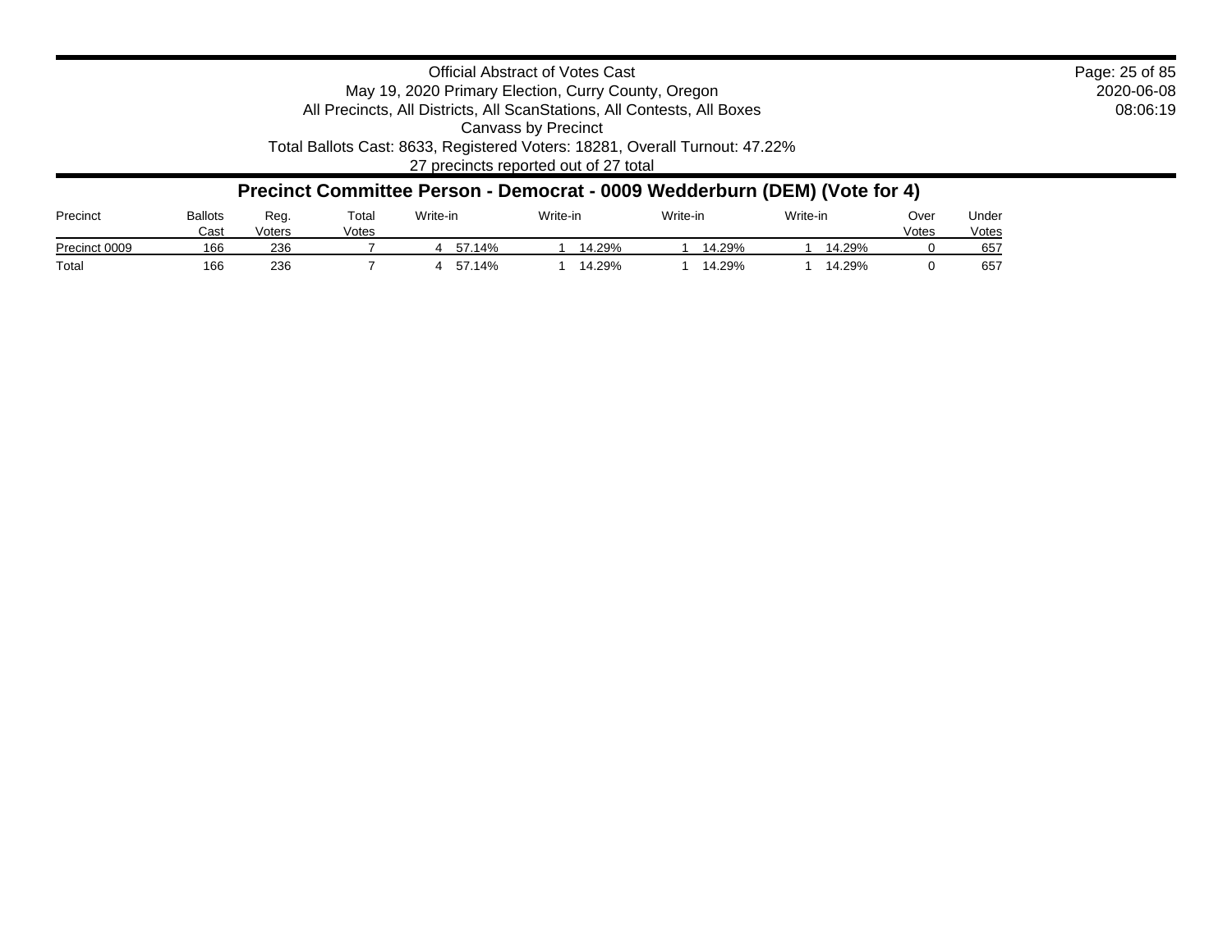2020-06-08 08:06:19 Page: 25 of 85

Official Abstract of Votes Cast May 19, 2020 Primary Election, Curry County, Oregon

All Precincts, All Districts, All ScanStations, All Contests, All Boxes

Canvass by Precinct

Total Ballots Cast: 8633, Registered Voters: 18281, Overall Turnout: 47.22%

27 precincts reported out of 27 total

#### **Precinct Committee Person - Democrat - 0009 Wedderburn (DEM) (Vote for 4)**

| Precinct      | Ballots<br>Cast | Reg.<br>Voters | Total<br>Votes | Write-in    | Write-in | Write-in     |        | Over<br>Votes | Under<br>Votes |
|---------------|-----------------|----------------|----------------|-------------|----------|--------------|--------|---------------|----------------|
| Precinct 0009 | 166             | 236            |                | 14%<br>51.  | 14.29%   | $+29%$<br>14 | 14.29% |               | 657            |
| Total         | 166             | 236            |                | 57.<br>.14% | 14.29%   | 14.29%       | 14.29% |               | 657            |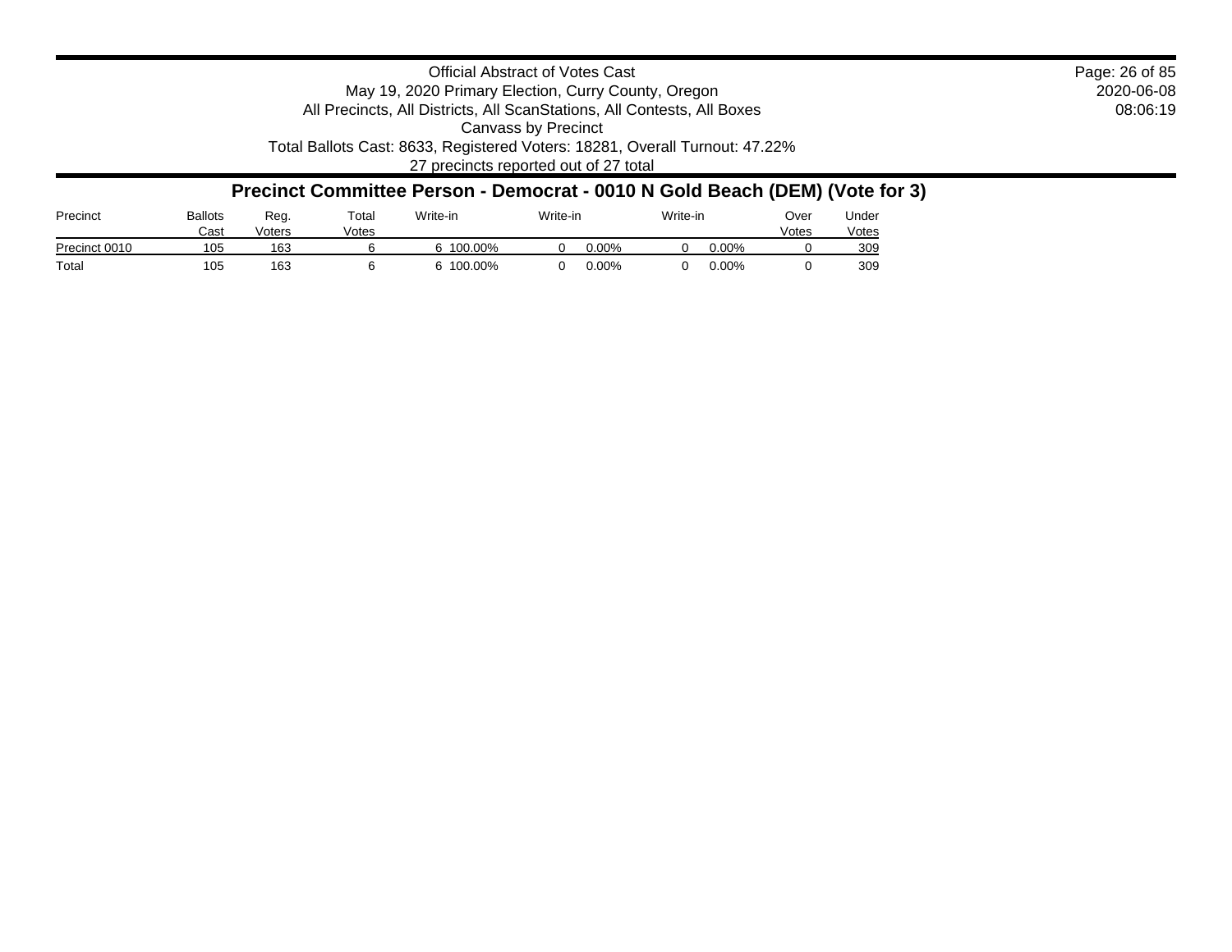2020-06-08 08:06:19 Page: 26 of 85

Official Abstract of Votes Cast May 19, 2020 Primary Election, Curry County, Oregon

All Precincts, All Districts, All ScanStations, All Contests, All Boxes

Canvass by Precinct

Total Ballots Cast: 8633, Registered Voters: 18281, Overall Turnout: 47.22%

27 precincts reported out of 27 total

## **Precinct Committee Person - Democrat - 0010 N Gold Beach (DEM) (Vote for 3)**

| Precinct      | <b>Ballots</b><br>Cast | Reg.<br>Voters | Total<br>Votes | Write-in | Write-in | Write-in | Over<br>Votes | Under<br>Votes |
|---------------|------------------------|----------------|----------------|----------|----------|----------|---------------|----------------|
| Precinct 0010 | 105                    | 163            |                | 100.00%  | $0.00\%$ | $0.00\%$ |               | 309            |
| Total         | 105                    | 163            |                | 100.00%  | $0.00\%$ | $0.00\%$ |               | 309            |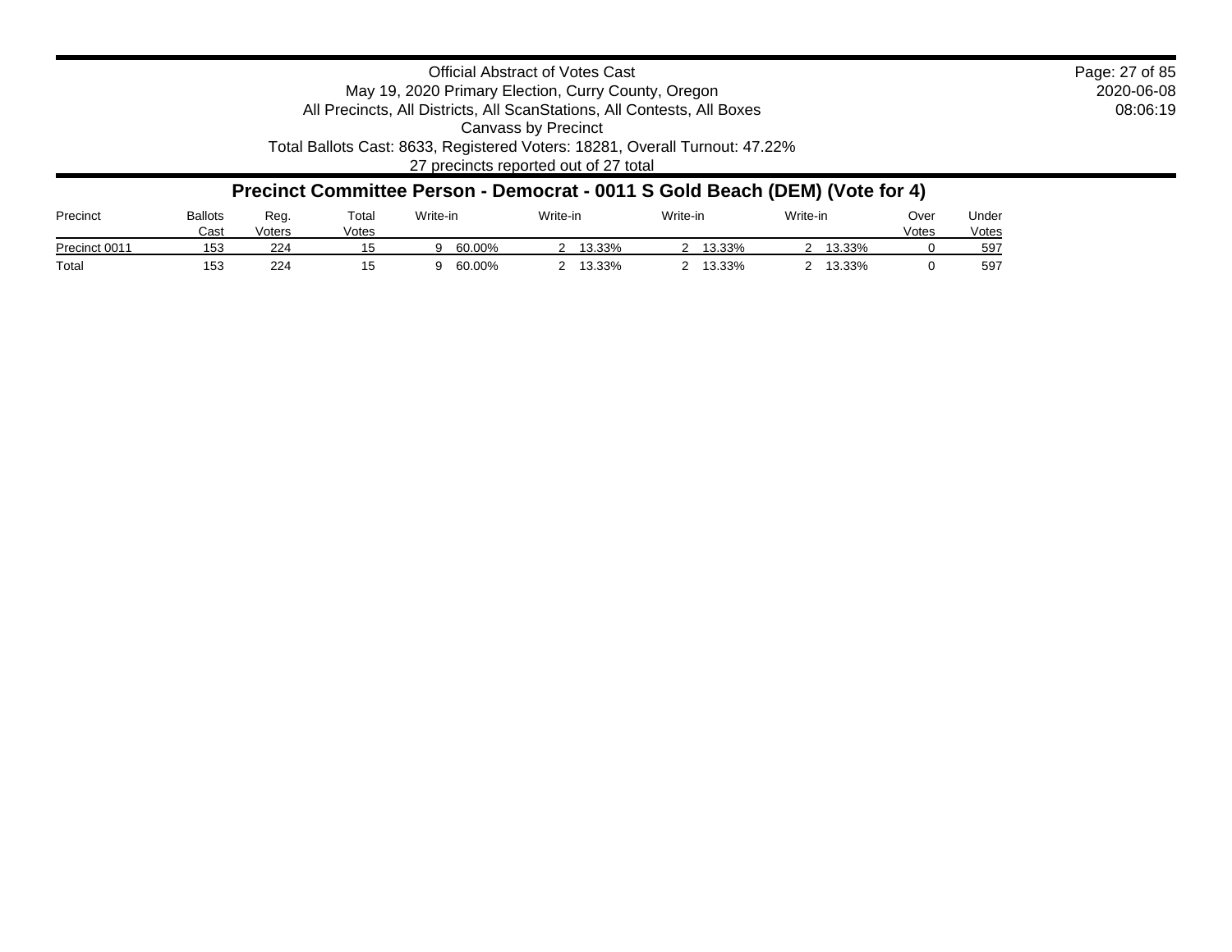2020-06-08 08:06:19 Page: 27 of 85

Official Abstract of Votes Cast May 19, 2020 Primary Election, Curry County, Oregon

All Precincts, All Districts, All ScanStations, All Contests, All Boxes

Canvass by Precinct

Total Ballots Cast: 8633, Registered Voters: 18281, Overall Turnout: 47.22%

27 precincts reported out of 27 total

#### **Precinct Committee Person - Democrat - 0011 S Gold Beach (DEM) (Vote for 4)**

| Precinct      | <b>Ballots</b><br>Cast | Reg.<br>Voters | Total<br>Votes | Write-in | Write-in | Write-in |        | Over<br>Votes | Jnder<br>Votes |
|---------------|------------------------|----------------|----------------|----------|----------|----------|--------|---------------|----------------|
| Precinct 0011 | 153                    | 224            |                | 60.00%   | 3.33%    | 13.33%   | 13.33% |               | 597            |
| Total         | 153                    | 224            | שו             | 60.00%   | '3.33%   | 13.33%   | 13.33% |               | 597            |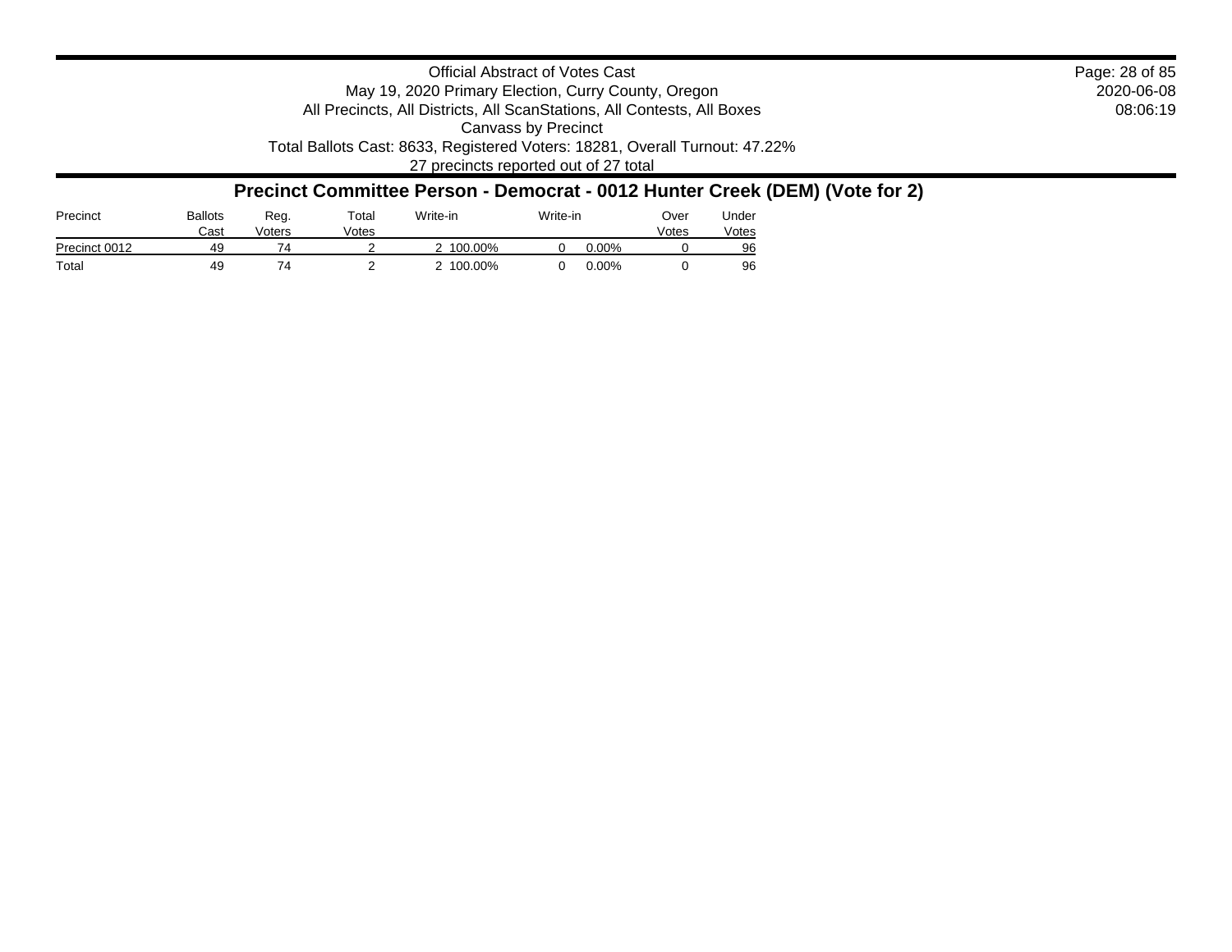2020-06-08 08:06:19 Page: 28 of 85

Official Abstract of Votes Cast May 19, 2020 Primary Election, Curry County, Oregon

All Precincts, All Districts, All ScanStations, All Contests, All Boxes

Canvass by Precinct

Total Ballots Cast: 8633, Registered Voters: 18281, Overall Turnout: 47.22%

27 precincts reported out of 27 total

# **Precinct Committee Person - Democrat - 0012 Hunter Creek (DEM) (Vote for 2)**

| Precinct      | <b>Ballots</b><br>Cast | Reg.<br>/oters | Total<br>Votes | Write-in | Write-in |  | Jnder<br>Votes |
|---------------|------------------------|----------------|----------------|----------|----------|--|----------------|
| Precinct 0012 | 49                     | 74             |                | 100.00%  | 0.00%    |  | 96             |
| Total         | 49                     | 74             |                | 100.00%  | $0.00\%$ |  | 96             |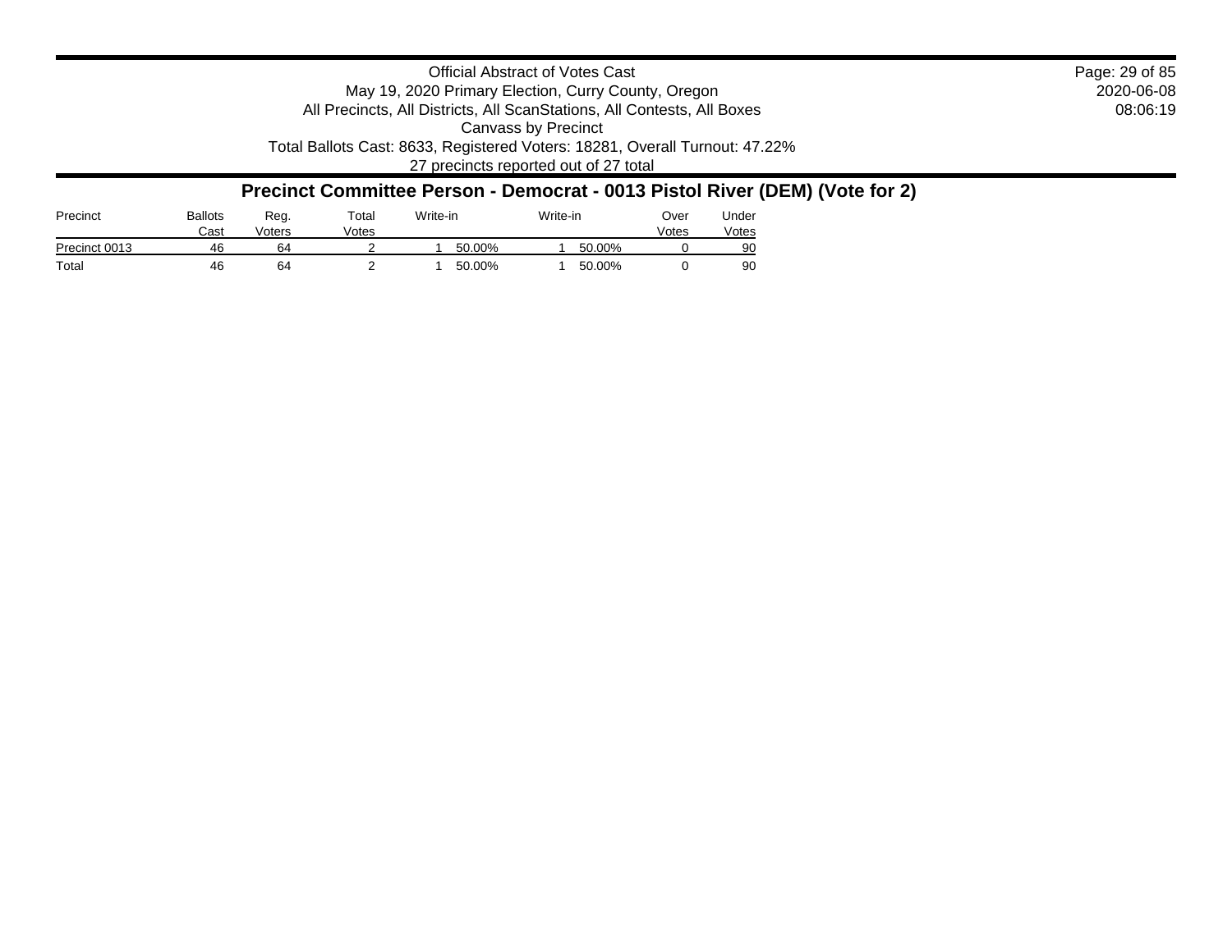2020-06-08 08:06:19 Page: 29 of 85

Official Abstract of Votes Cast May 19, 2020 Primary Election, Curry County, Oregon

All Precincts, All Districts, All ScanStations, All Contests, All Boxes

Canvass by Precinct

Total Ballots Cast: 8633, Registered Voters: 18281, Overall Turnout: 47.22%

27 precincts reported out of 27 total

#### **Precinct Committee Person - Democrat - 0013 Pistol River (DEM) (Vote for 2)**

| Precinct      | <b>Ballots</b><br>Cast | Reg.<br>/oters | Total<br>Votes | Write-in |  | Write-in | Over<br>Votes | Jnder<br>Votes |
|---------------|------------------------|----------------|----------------|----------|--|----------|---------------|----------------|
| Precinct 0013 | 46                     | 64             |                | 50.00%   |  | 50.00%   |               | 90             |
| $\tau$ otal   | 46                     | 64             |                | 50.00%   |  | 50.00%   |               | 90             |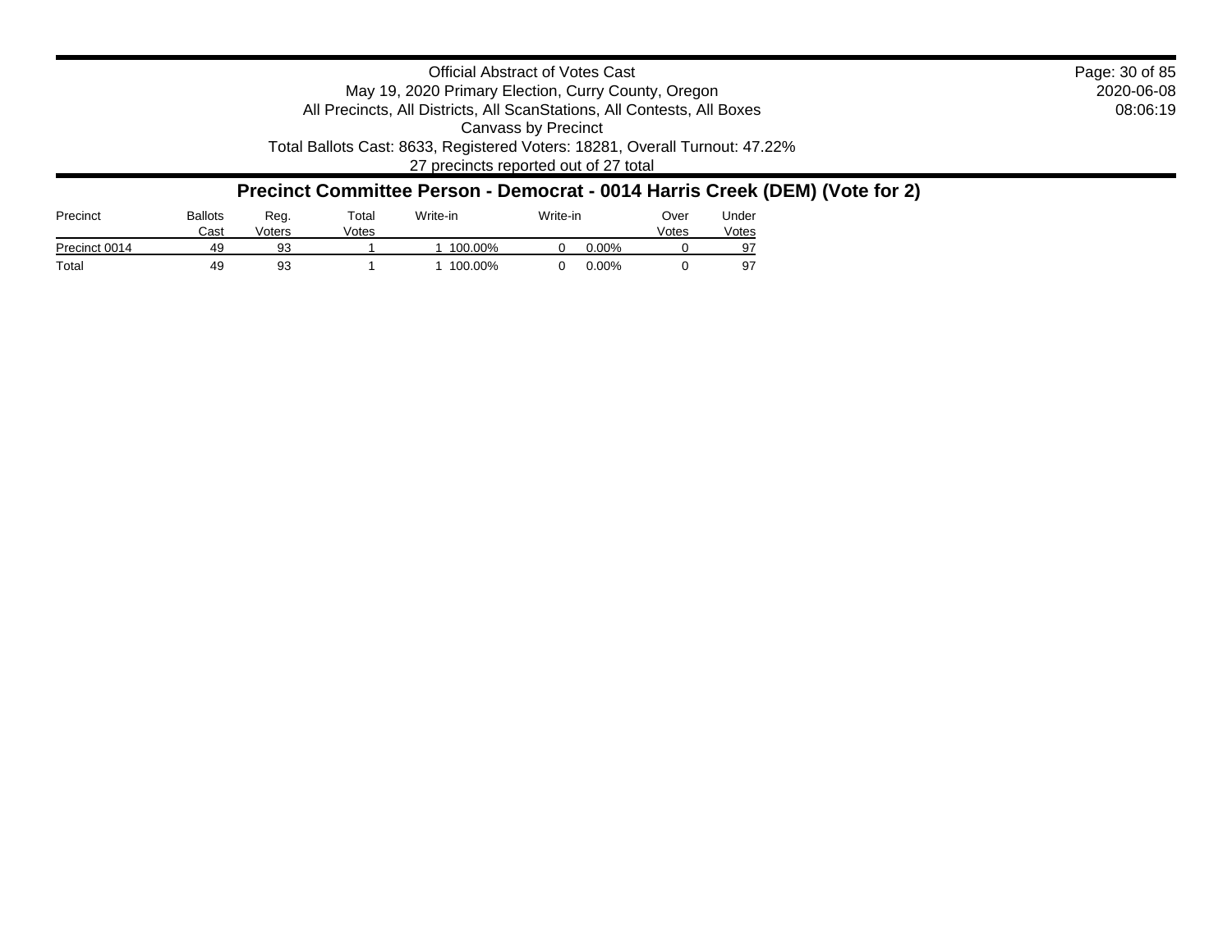2020-06-08 08:06:19 Page: 30 of 85

Official Abstract of Votes Cast May 19, 2020 Primary Election, Curry County, Oregon

All Precincts, All Districts, All ScanStations, All Contests, All Boxes

Canvass by Precinct

Total Ballots Cast: 8633, Registered Voters: 18281, Overall Turnout: 47.22%

27 precincts reported out of 27 total

## **Precinct Committee Person - Democrat - 0014 Harris Creek (DEM) (Vote for 2)**

| Precinct      | <b>Ballots</b><br>Cast | Reg.<br>/oters | $\tau$ otal<br>Votes | Write-in | Write-in |          | Over<br>Votes | Jnder<br>Votes |
|---------------|------------------------|----------------|----------------------|----------|----------|----------|---------------|----------------|
| Precinct 0014 | 49                     | 93             |                      | 100.00%  |          | 0.00%    |               | 97             |
| $\tau$ otal   | 49                     | 93             |                      | 100.00%  |          | $0.00\%$ |               | 97             |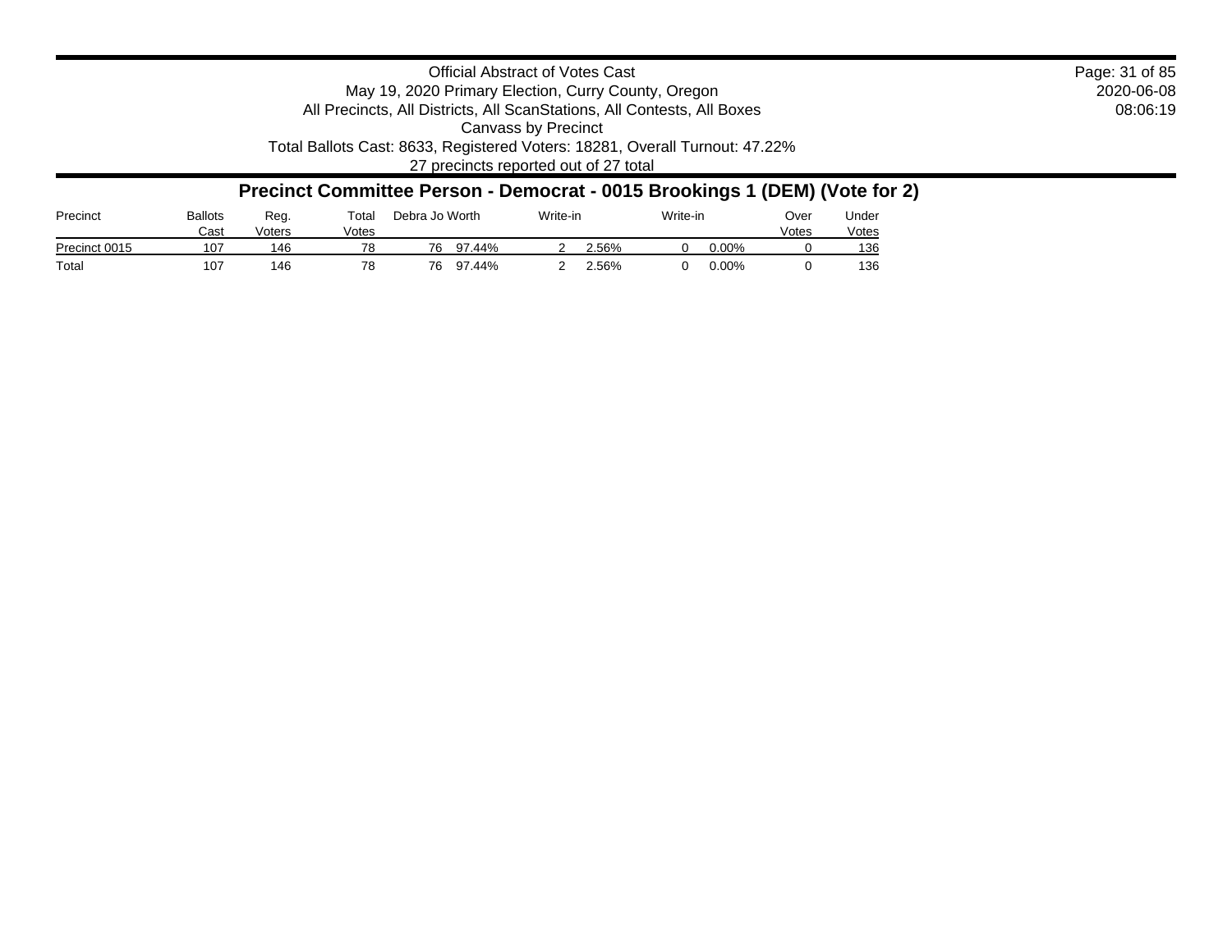2020-06-08 08:06:19 Page: 31 of 85

Official Abstract of Votes Cast May 19, 2020 Primary Election, Curry County, Oregon

All Precincts, All Districts, All ScanStations, All Contests, All Boxes

Canvass by Precinct

Total Ballots Cast: 8633, Registered Voters: 18281, Overall Turnout: 47.22%

27 precincts reported out of 27 total

# **Precinct Committee Person - Democrat - 0015 Brookings 1 (DEM) (Vote for 2)**

| Precinct      | Ballots<br>Cast | Reg.<br>Voters | $\tau$ otal<br>Votes | Debra Jo Worth    | Write-in | Write-in | Over<br>Votes | Under<br>Votes |
|---------------|-----------------|----------------|----------------------|-------------------|----------|----------|---------------|----------------|
| Precinct 0015 | 10 <sup>7</sup> | 146            | 78                   | 76<br>.44%<br>97  | 2.56%    | 0.00%    |               | 136            |
| Total         | 107             | 146            | 78                   | 76<br>44%.'<br>97 | 2.56%    | 0.00%    |               | 136            |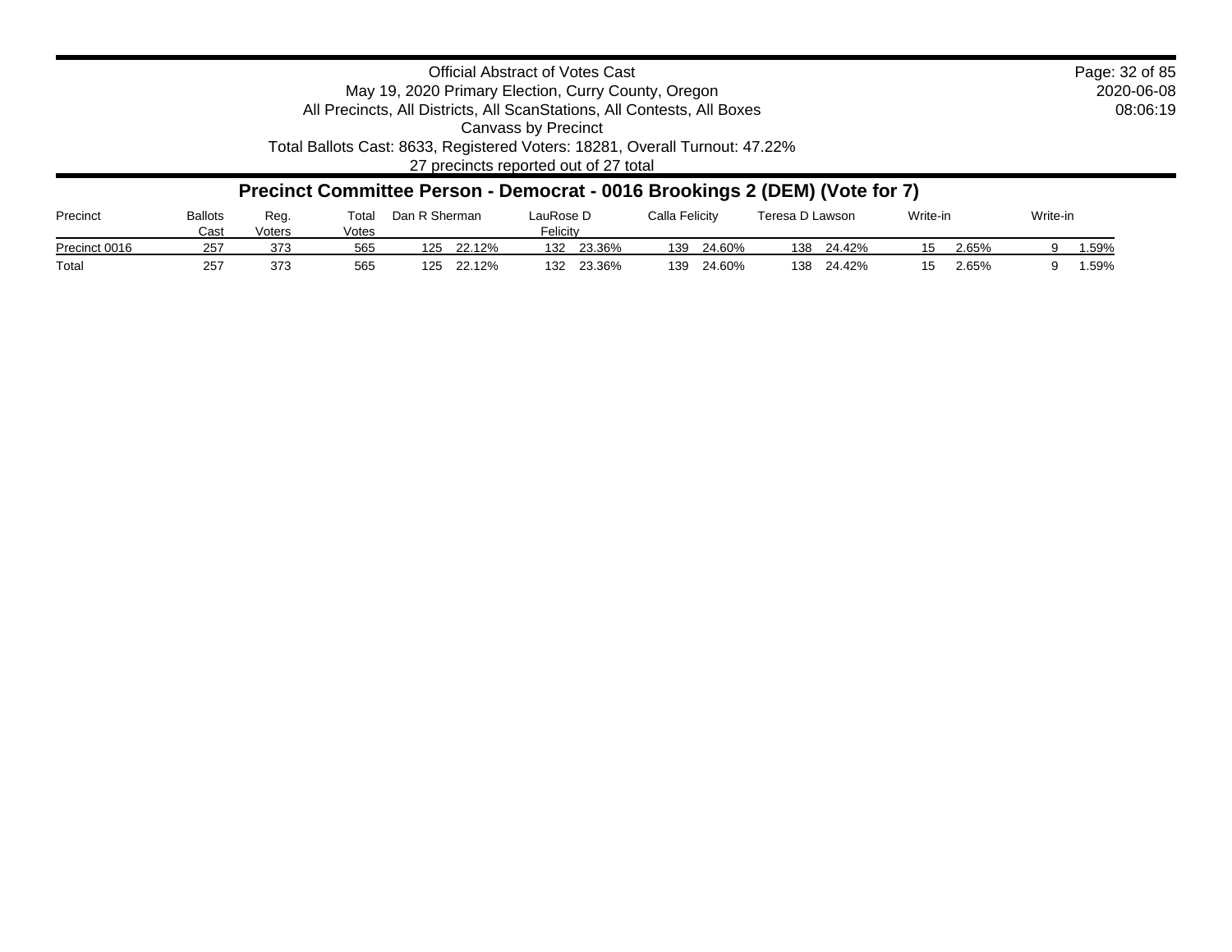2020-06-08 08:06:19 Page: 32 of 85

Official Abstract of Votes Cast May 19, 2020 Primary Election, Curry County, Oregon

All Precincts, All Districts, All ScanStations, All Contests, All Boxes

Canvass by Precinct

Total Ballots Cast: 8633, Registered Voters: 18281, Overall Turnout: 47.22%

27 precincts reported out of 27 total

### **Precinct Committee Person - Democrat - 0016 Brookings 2 (DEM) (Vote for 7)**

| Precinct      | <b>Ballots</b><br>Cast | Reg<br>`/oters | Total<br>Votes | Dan R Sherman | auRose D.<br>$=$ elicity | Calla Felicitv | Teresa D Lawson | Write-in | Write-in  |
|---------------|------------------------|----------------|----------------|---------------|--------------------------|----------------|-----------------|----------|-----------|
| Precinct 0016 | 257                    | 373            | 565            | 125<br>22.12% | 132<br>23.36%            | 24.60%<br>139  | 138<br>24.42%   | 2.65%    | .59%<br>ი |
| Total         | 257                    | 373            | 565            | 125<br>22.12% | 132<br>23.36%            | 139<br>24.60%  | 138<br>24.42%   | 2.65%    | .59%<br>C |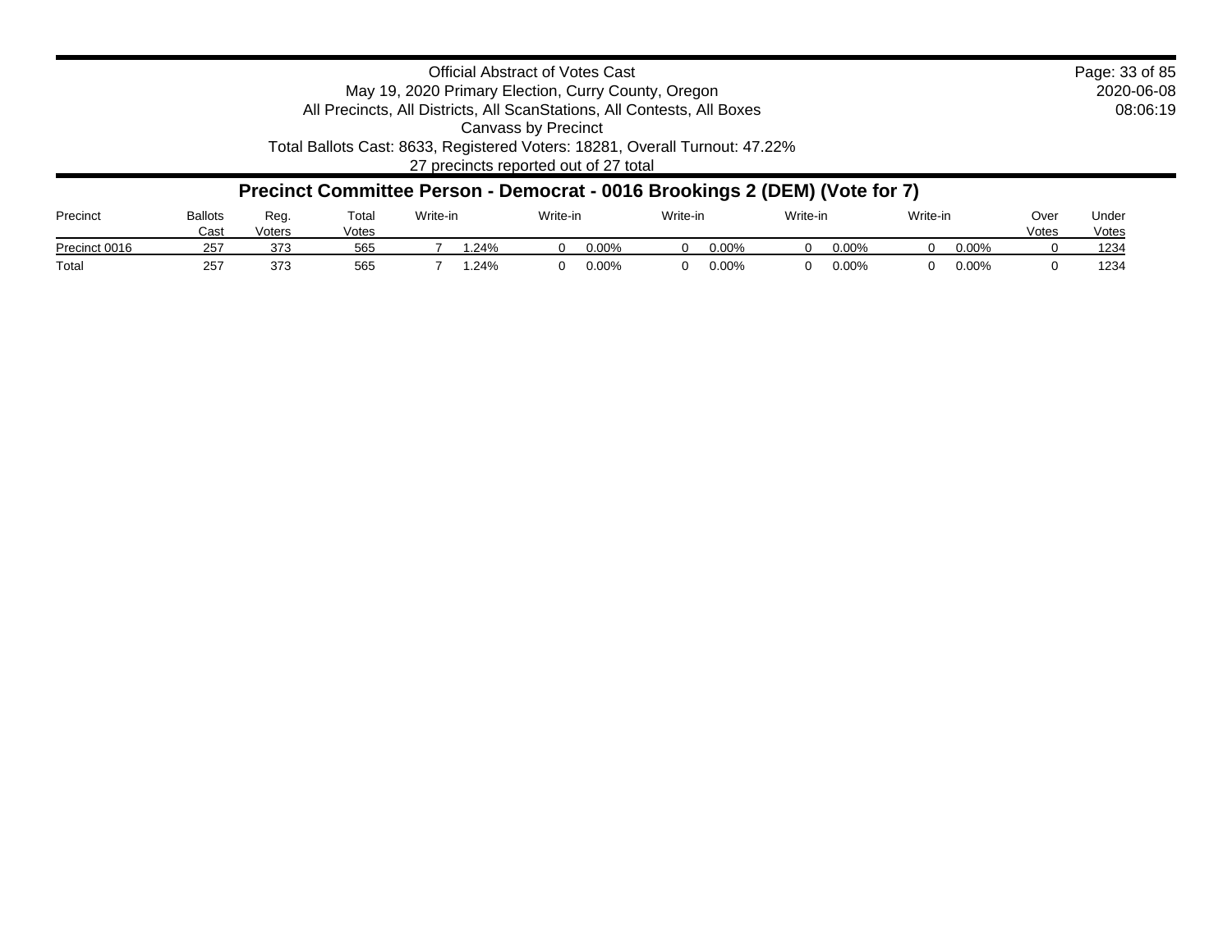2020-06-08 08:06:19 Page: 33 of 85

Official Abstract of Votes Cast May 19, 2020 Primary Election, Curry County, Oregon

All Precincts, All Districts, All ScanStations, All Contests, All Boxes

Canvass by Precinct

Total Ballots Cast: 8633, Registered Voters: 18281, Overall Turnout: 47.22%

27 precincts reported out of 27 total

## **Precinct Committee Person - Democrat - 0016 Brookings 2 (DEM) (Vote for 7)**

| Precinct      | <b>Ballots</b><br>Cast | Reg.<br>Voters | Totai<br>Votes | Write-in |      | Write-in |          | Write-in |          | Write-in |          | Write-in |          | Oveı<br>Votes | Under<br>Votes |
|---------------|------------------------|----------------|----------------|----------|------|----------|----------|----------|----------|----------|----------|----------|----------|---------------|----------------|
| Precinct 0016 | 257                    | 373            | 565            |          | .24% |          | $0.00\%$ |          | $0.00\%$ |          | $0.00\%$ |          | $0.00\%$ |               | 1234           |
| Total         | 257                    | 373            | 565            |          | .24% |          | 0.00%    |          | $0.00\%$ |          | $0.00\%$ |          | 0.00%    |               | 1234           |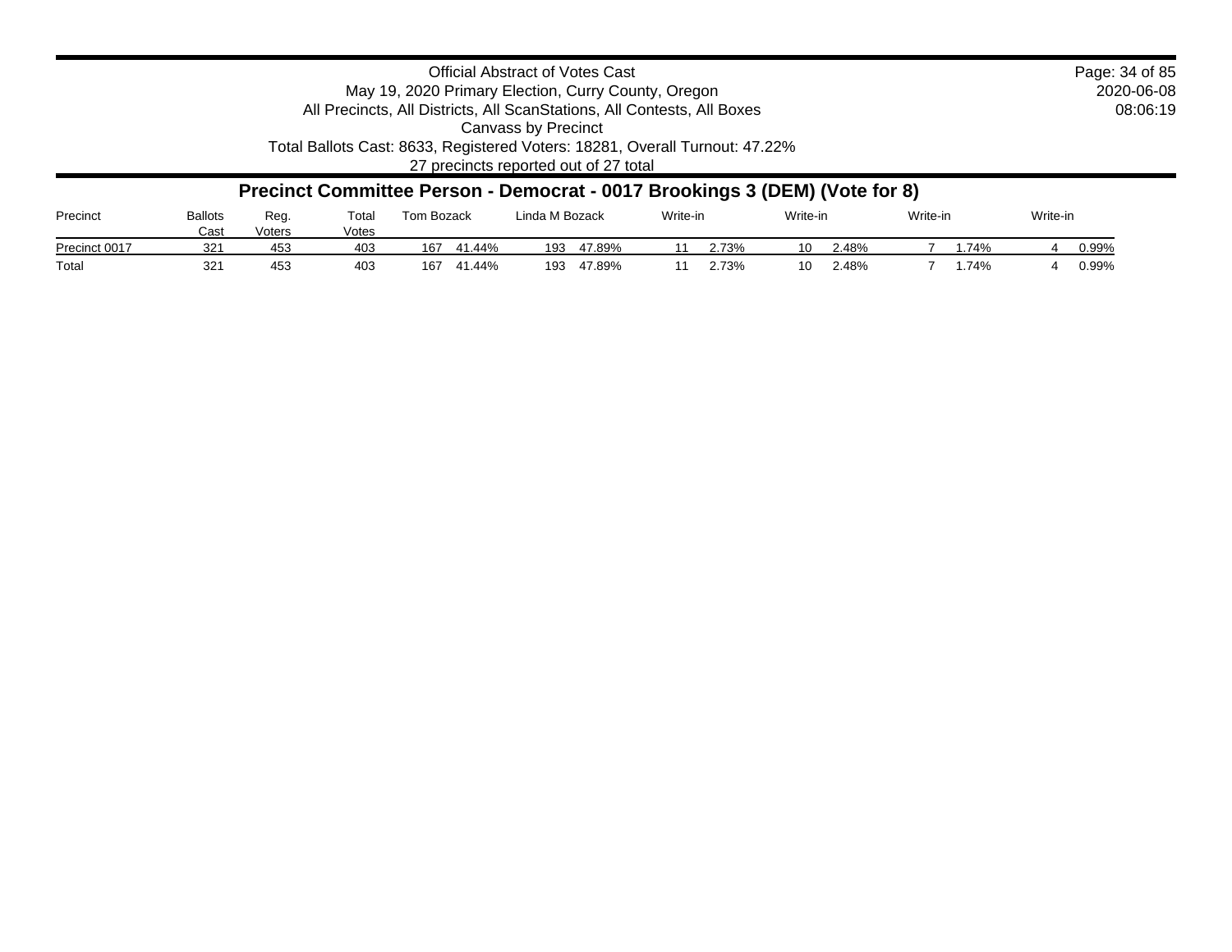2020-06-08 08:06:19 Page: 34 of 85

Official Abstract of Votes Cast May 19, 2020 Primary Election, Curry County, Oregon

All Precincts, All Districts, All ScanStations, All Contests, All Boxes

Canvass by Precinct

Total Ballots Cast: 8633, Registered Voters: 18281, Overall Turnout: 47.22%

27 precincts reported out of 27 total

# **Precinct Committee Person - Democrat - 0017 Brookings 3 (DEM) (Vote for 8)**

| Precinct      | <b>Ballots</b><br>Cast | Reg.<br>Voters | Total<br>Votes | Tom Bozack    | Linda M Bozack | Write-in | Write-in | Write-in | Write-in |
|---------------|------------------------|----------------|----------------|---------------|----------------|----------|----------|----------|----------|
| Precinct 0017 | 321                    | 453            | 403            | 167<br>41.44% | 47.89%<br>193  | 2.73%    | 4.48%    | .74%     | 0.99%    |
| Total         | 321                    | 453            | 403            | 167<br>41.44% | 47.89%<br>193  | 2.73%    | 2.48%    | .74%     | $0.99\%$ |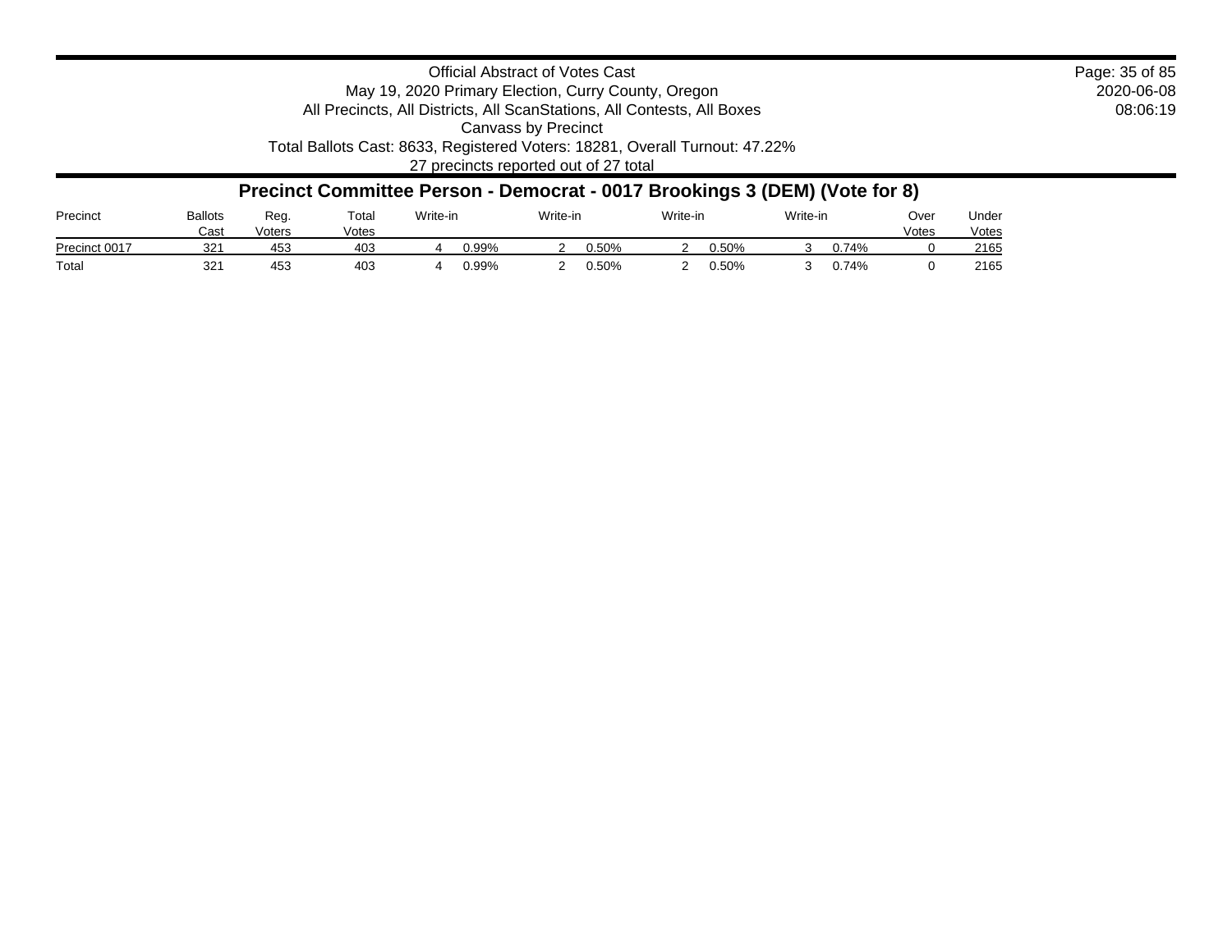2020-06-08 08:06:19 Page: 35 of 85

Official Abstract of Votes Cast May 19, 2020 Primary Election, Curry County, Oregon

All Precincts, All Districts, All ScanStations, All Contests, All Boxes

Canvass by Precinct

Total Ballots Cast: 8633, Registered Voters: 18281, Overall Turnout: 47.22%

27 precincts reported out of 27 total

# **Precinct Committee Person - Democrat - 0017 Brookings 3 (DEM) (Vote for 8)**

| Precinct      | Ballots<br>Cast | Reg.<br>Voters | Total<br>Votes | Write-in |      | Write-in |       | Write-in |          | Write-in |       | Over<br>Votes | Under<br>Votes |
|---------------|-----------------|----------------|----------------|----------|------|----------|-------|----------|----------|----------|-------|---------------|----------------|
| Precinct 0017 | 321             | 453            | 403            |          | .99% |          | 0.50% |          | $0.50\%$ |          | 0.74% |               | 2165           |
| Total         | 321             | 453            | 403            |          | .99% |          | 0.50% |          | 0.50%    |          | 0.74% |               | 2165           |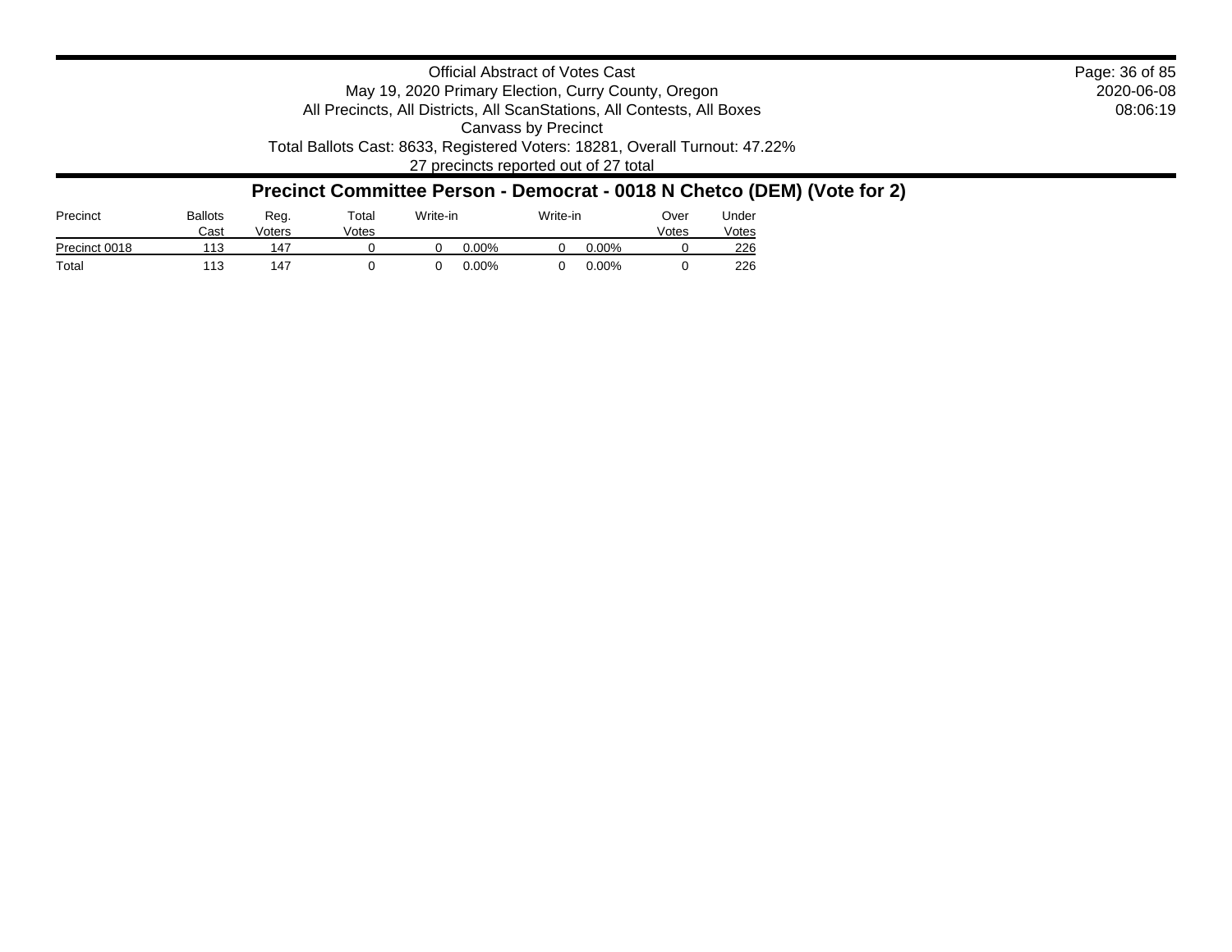2020-06-08 08:06:19 Page: 36 of 85

Official Abstract of Votes Cast May 19, 2020 Primary Election, Curry County, Oregon

All Precincts, All Districts, All ScanStations, All Contests, All Boxes

Canvass by Precinct

Total Ballots Cast: 8633, Registered Voters: 18281, Overall Turnout: 47.22%

27 precincts reported out of 27 total

#### **Precinct Committee Person - Democrat - 0018 N Chetco (DEM) (Vote for 2)**

| Precinct      | <b>Ballots</b><br>Cast | Reg.<br>/oters | Total<br>Votes | Write-in |  | Write-in |  | Jnder<br>Votes |
|---------------|------------------------|----------------|----------------|----------|--|----------|--|----------------|
| Precinct 0018 |                        | 47ء            |                | .00%     |  | 0.00%.   |  | 226            |
| Total         | 113                    | ،47            |                | .00%     |  | 0.00%    |  | 226            |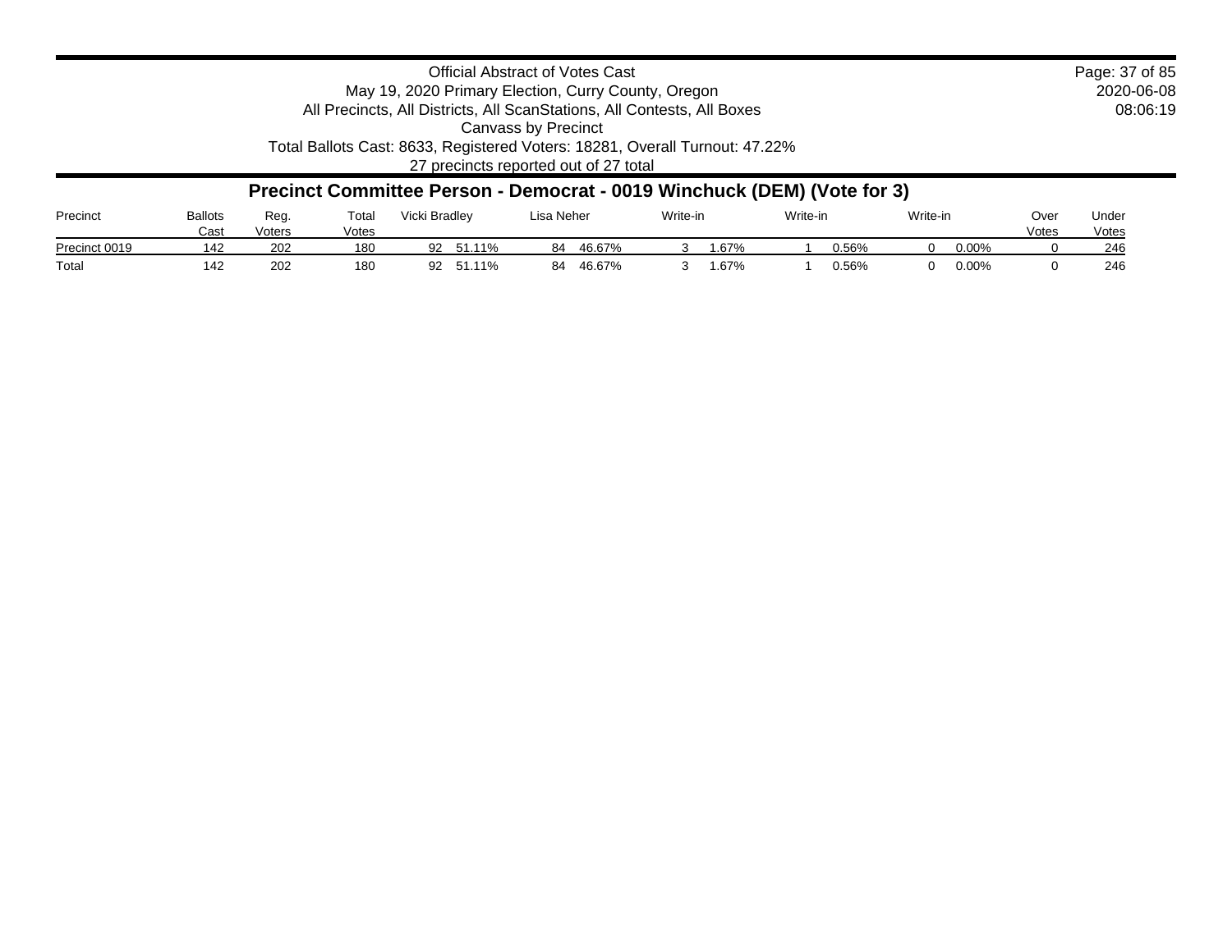2020-06-08 08:06:19 Page: 37 of 85

Official Abstract of Votes Cast May 19, 2020 Primary Election, Curry County, Oregon

All Precincts, All Districts, All ScanStations, All Contests, All Boxes

Canvass by Precinct

Total Ballots Cast: 8633, Registered Voters: 18281, Overall Turnout: 47.22%

27 precincts reported out of 27 total

#### **Precinct Committee Person - Democrat - 0019 Winchuck (DEM) (Vote for 3)**

| Precinct      | <b>Ballots</b><br>Cast | Reg.<br>Voters | Total<br>Votes | Vicki Bradlev     | Lisa Neher   | Write-in | Write-in | Write-in | Over<br>Votes | Jnder<br>Votes |
|---------------|------------------------|----------------|----------------|-------------------|--------------|----------|----------|----------|---------------|----------------|
| Precinct 0019 | 142                    | 202            | 180            | 11%<br>92<br>-51. | 46.67%<br>84 | .67%     | ).56%    | $0.00\%$ |               | 246            |
| Total         | 142                    | 202            | 180            | 92<br>51.11%      | 46.67%<br>84 | .67%     | 0.56%    | 0.00%    |               | 246            |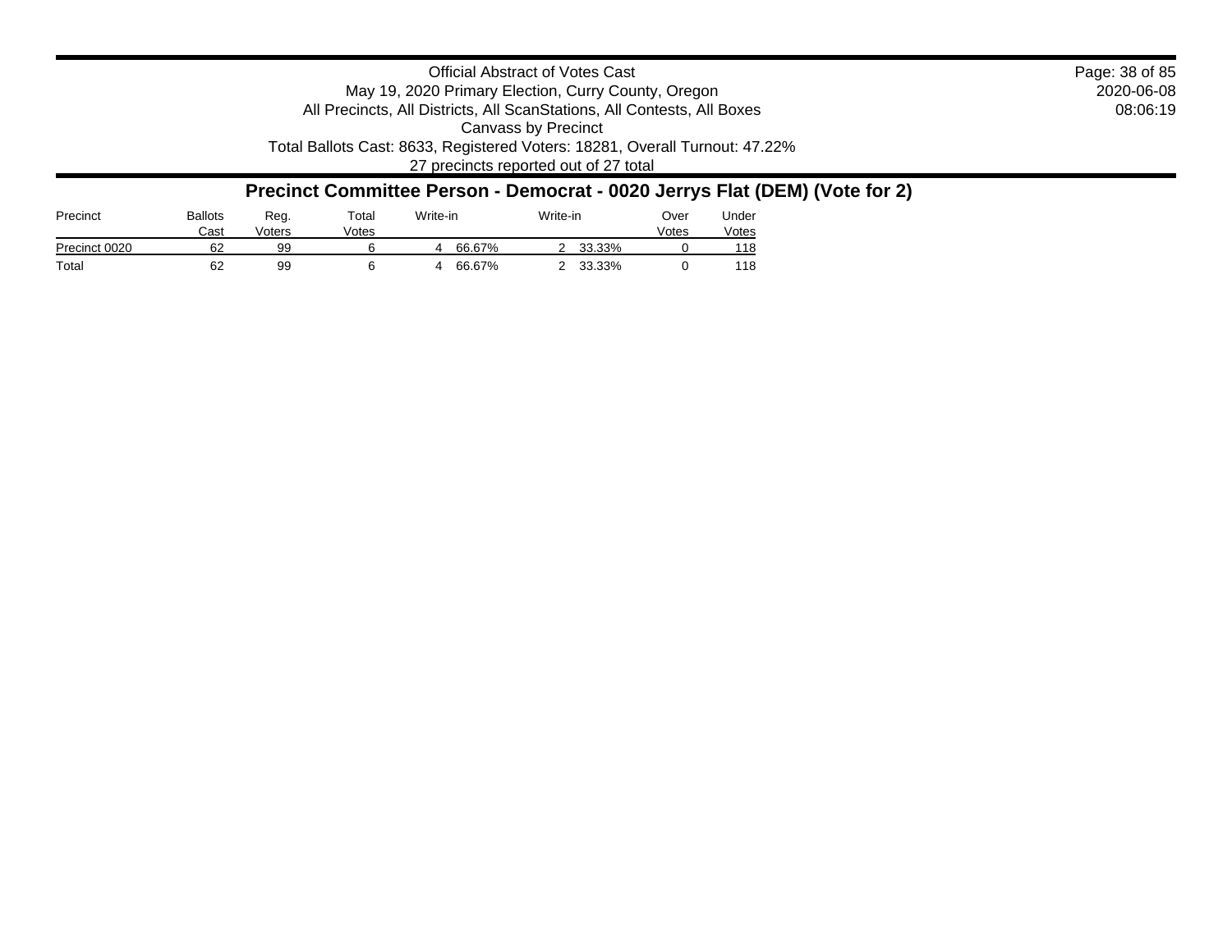2020-06-08 08:06:19 Page: 38 of 85

Official Abstract of Votes Cast May 19, 2020 Primary Election, Curry County, Oregon

All Precincts, All Districts, All ScanStations, All Contests, All Boxes

Canvass by Precinct

Total Ballots Cast: 8633, Registered Voters: 18281, Overall Turnout: 47.22%

27 precincts reported out of 27 total

#### **Precinct Committee Person - Democrat - 0020 Jerrys Flat (DEM) (Vote for 2)**

| Precinct      | <b>Ballots</b><br>Cast | Reg.<br>/oters | Total<br>Votes | Write-in |        | Write-in |        | Over<br>Votes | Jnder<br>Votes |
|---------------|------------------------|----------------|----------------|----------|--------|----------|--------|---------------|----------------|
| Precinct 0020 | 62                     | 99             |                |          | 66.67% |          | 33.33% |               | 118            |
| Total         | 62                     | 99             |                |          | 66.67% |          | 33.33% |               | 118            |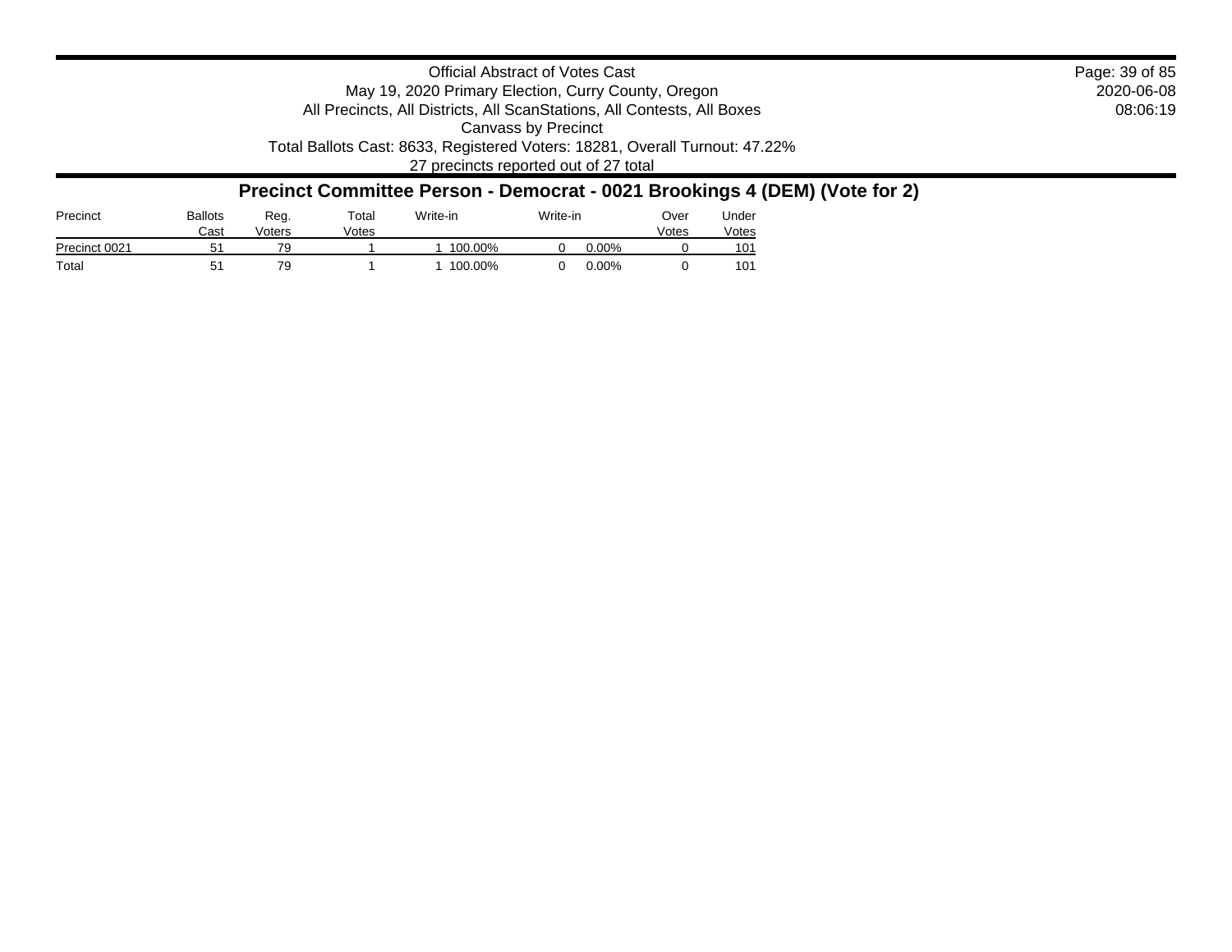2020-06-08 08:06:19 Page: 39 of 85

Official Abstract of Votes Cast May 19, 2020 Primary Election, Curry County, Oregon

All Precincts, All Districts, All ScanStations, All Contests, All Boxes

Canvass by Precinct

Total Ballots Cast: 8633, Registered Voters: 18281, Overall Turnout: 47.22%

27 precincts reported out of 27 total

# **Precinct Committee Person - Democrat - 0021 Brookings 4 (DEM) (Vote for 2)**

| Precinct      | Ballots<br>Cast | Reg.<br>/oters | Total<br>Votes | Write-in | Write-in |       | Over<br>Votes | Jnder<br>Votes |
|---------------|-----------------|----------------|----------------|----------|----------|-------|---------------|----------------|
| Precinct 0021 |                 | 79             |                | 100.00%  |          | 0.00% |               | 101            |
| Total         |                 | 79             |                | 100.00%  |          | 0.00% |               | 101            |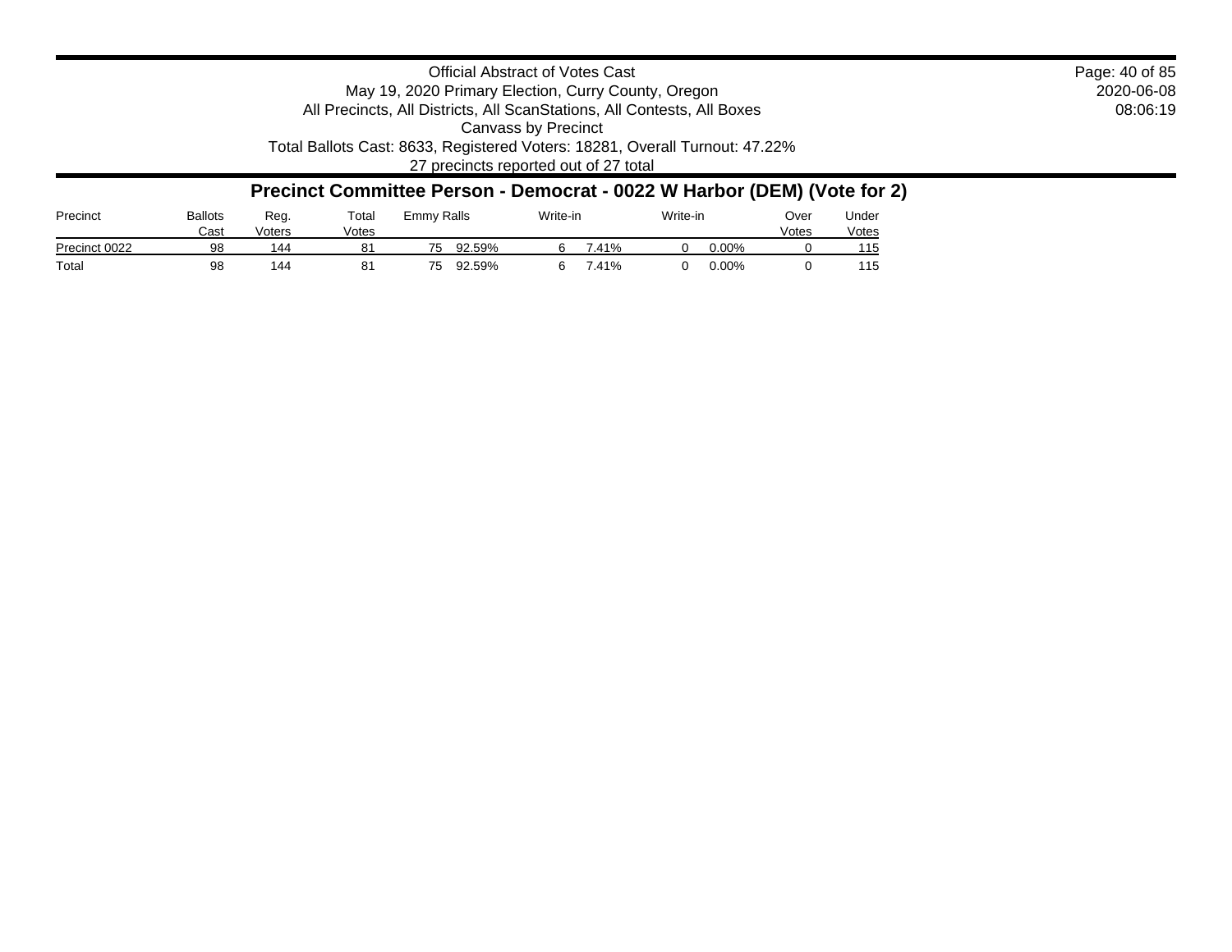2020-06-08 08:06:19 Page: 40 of 85

Official Abstract of Votes Cast May 19, 2020 Primary Election, Curry County, Oregon

All Precincts, All Districts, All ScanStations, All Contests, All Boxes

Canvass by Precinct

Total Ballots Cast: 8633, Registered Voters: 18281, Overall Turnout: 47.22%

27 precincts reported out of 27 total

#### **Precinct Committee Person - Democrat - 0022 W Harbor (DEM) (Vote for 2)**

| Precinct      | <b>Ballots</b><br>Cast | Reg.<br>√oters | Total<br>Votes | Emmy Ralls   | Write-in | Write-in | Over<br>Votes | Under<br>Votes |
|---------------|------------------------|----------------|----------------|--------------|----------|----------|---------------|----------------|
| Precinct 0022 | 98                     | 144            | 81             | 92.59%<br>75 | .41%     | $0.00\%$ |               | 115            |
| Total         | 98                     | 144            | 81             | 92.59%<br>75 | .41%     | 0.00%    |               | 115<br>⊣ ບ     |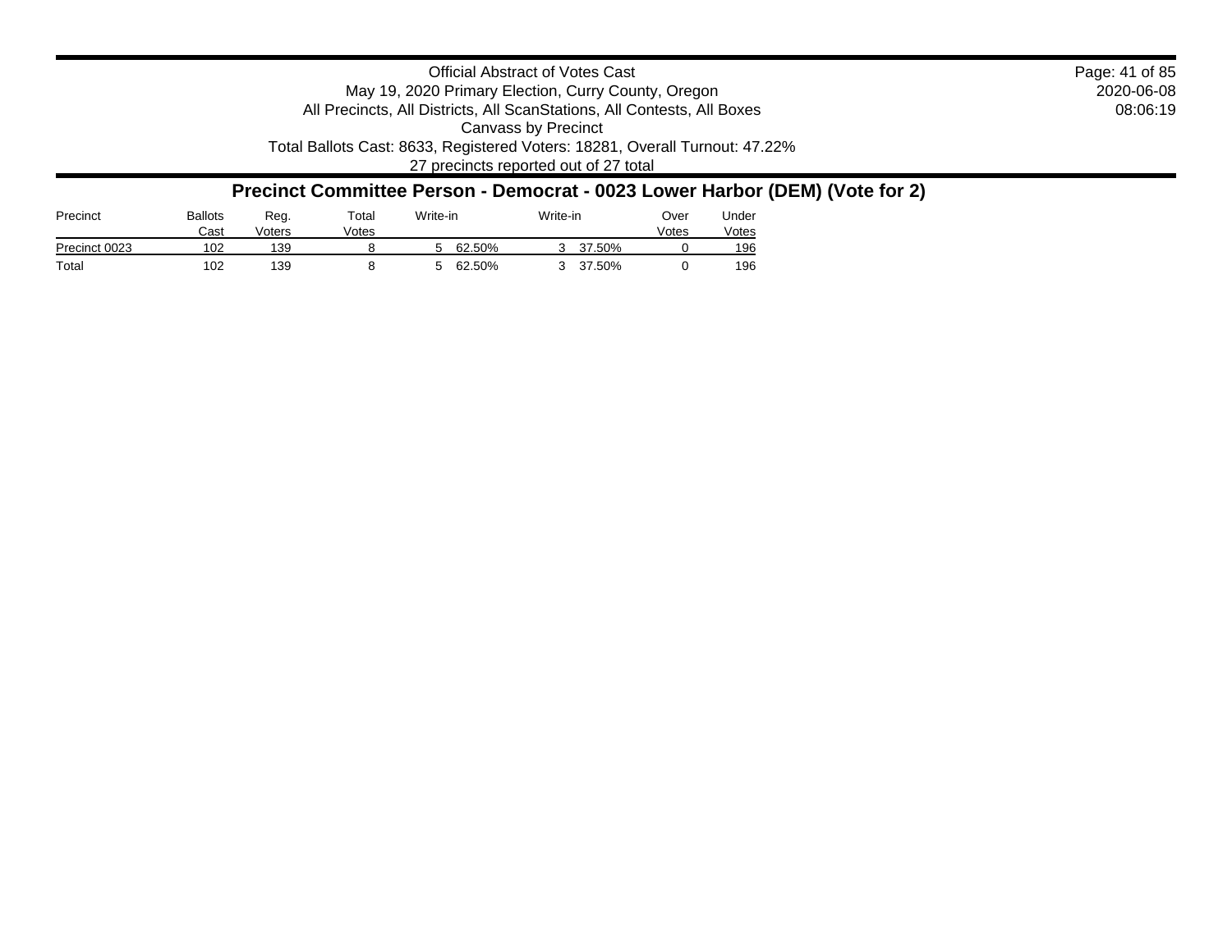2020-06-08 08:06:19 Page: 41 of 85

Official Abstract of Votes Cast May 19, 2020 Primary Election, Curry County, Oregon

All Precincts, All Districts, All ScanStations, All Contests, All Boxes

Canvass by Precinct

Total Ballots Cast: 8633, Registered Voters: 18281, Overall Turnout: 47.22%

27 precincts reported out of 27 total

#### **Precinct Committee Person - Democrat - 0023 Lower Harbor (DEM) (Vote for 2)**

| Precinct      | Ballots<br>Cast | Reg.<br>√oters | Total<br>Votes | Write-in |        | Write-in |        | Jver<br>Votes | Under<br>√otes |
|---------------|-----------------|----------------|----------------|----------|--------|----------|--------|---------------|----------------|
| Precinct 0023 | 102             | 139            |                |          | 62.50% |          | 37.50% |               | 196            |
| Total         | 102             | 139            |                |          | 62.50% |          | 37.50% |               | 196            |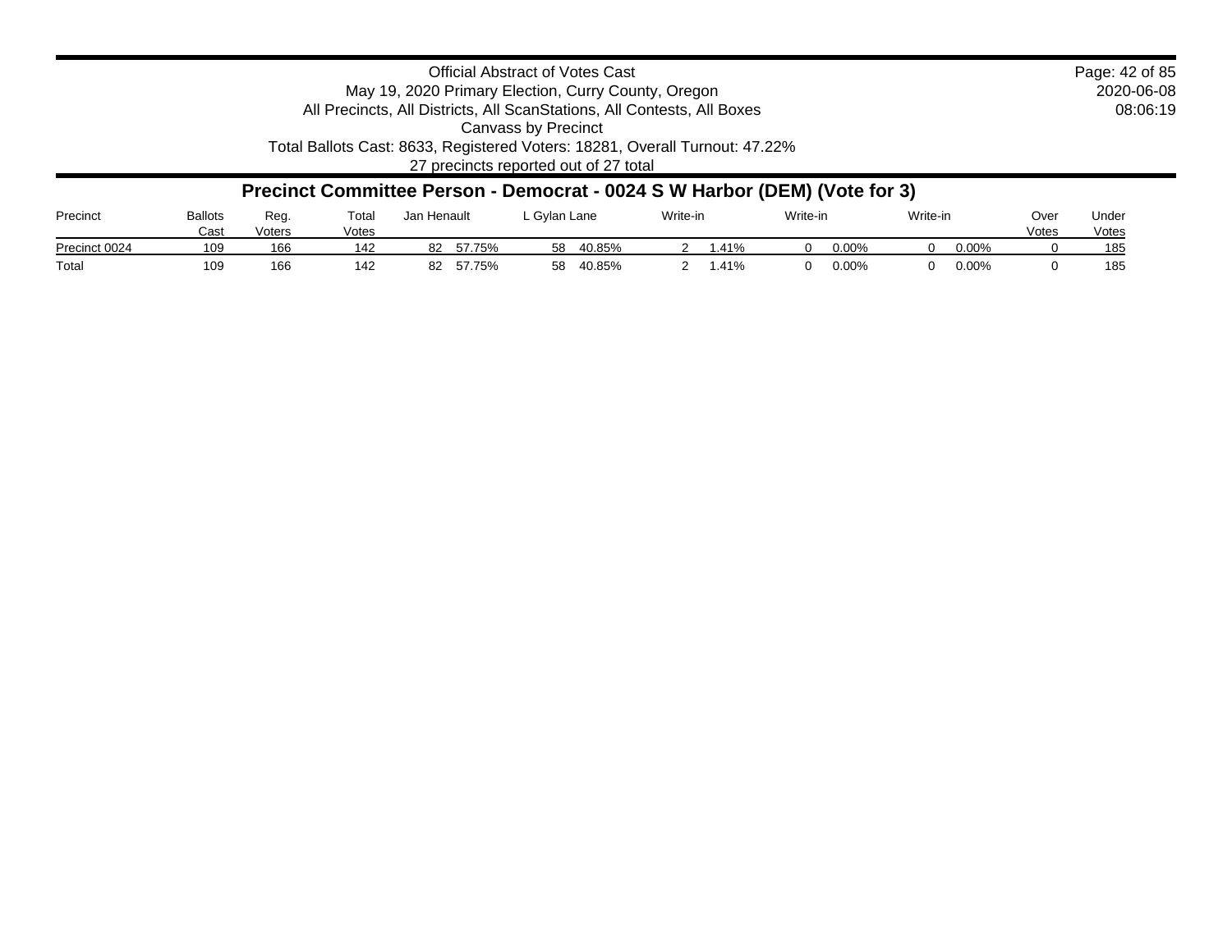2020-06-08 08:06:19 Page: 42 of 85

Official Abstract of Votes Cast May 19, 2020 Primary Election, Curry County, Oregon

All Precincts, All Districts, All ScanStations, All Contests, All Boxes

Canvass by Precinct

Total Ballots Cast: 8633, Registered Voters: 18281, Overall Turnout: 47.22%

27 precincts reported out of 27 total

# **Precinct Committee Person - Democrat - 0024 S W Harbor (DEM) (Vote for 3)**

| Precinct      | <b>Ballots</b><br>Cast | Reg.<br>Voters | Total<br>Votes | Jan Henault            | Gvlan Lane   | Write-in | Write-in | Write-in | Over<br>Votes | Under<br>Votes |
|---------------|------------------------|----------------|----------------|------------------------|--------------|----------|----------|----------|---------------|----------------|
| Precinct 0024 | 109                    | 166            | 142            | 82<br>57.75%<br>$\sim$ | 40.85%<br>58 | $.41\%$  | $0.00\%$ | $0.00\%$ |               | 185            |
| Total         | 109                    | 166            | 142            | 57.75%<br>82<br>5/     | 40.85%<br>58 | .41%     | 0.00%    | $0.00\%$ |               | 185            |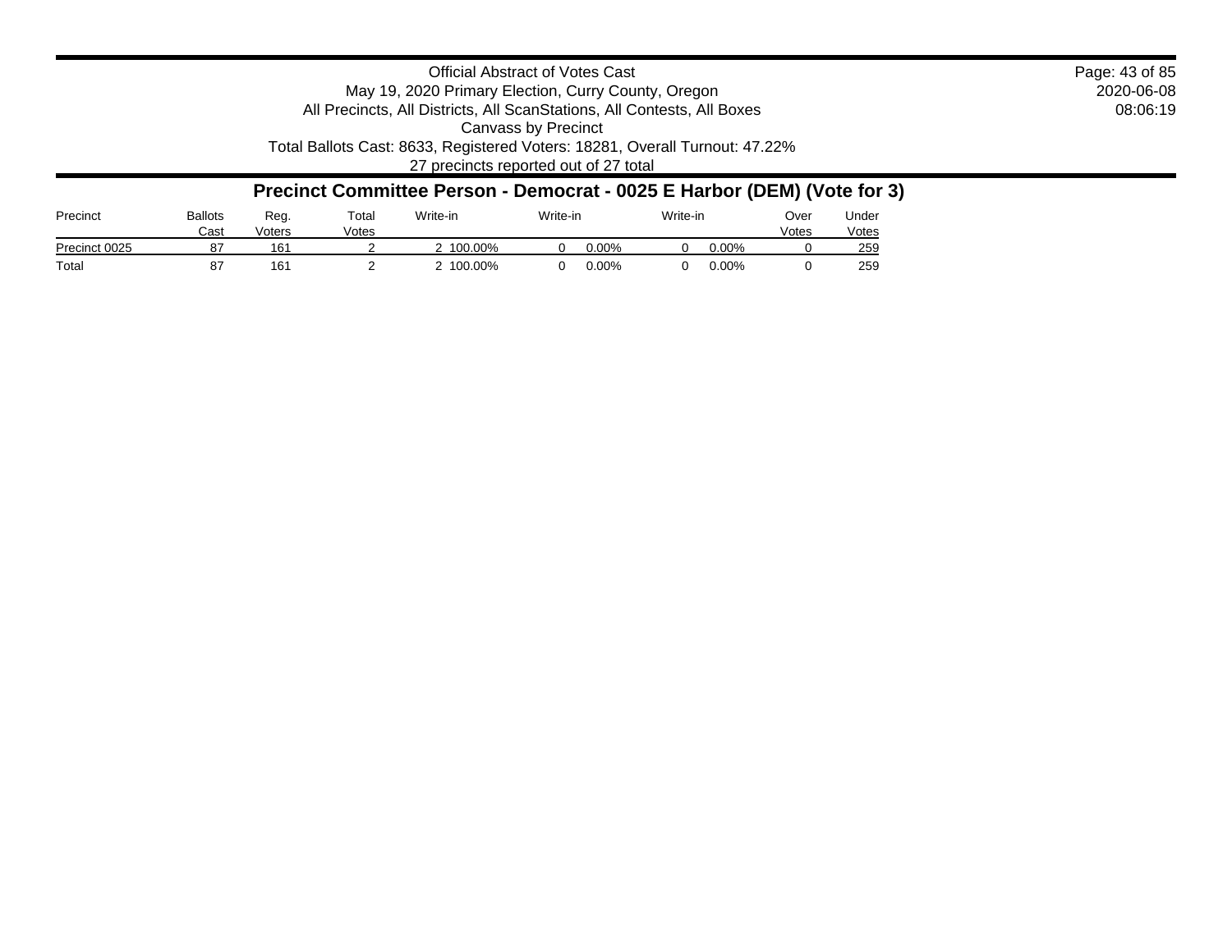2020-06-08 08:06:19 Page: 43 of 85

Official Abstract of Votes Cast May 19, 2020 Primary Election, Curry County, Oregon

All Precincts, All Districts, All ScanStations, All Contests, All Boxes

Canvass by Precinct

Total Ballots Cast: 8633, Registered Voters: 18281, Overall Turnout: 47.22%

27 precincts reported out of 27 total

#### **Precinct Committee Person - Democrat - 0025 E Harbor (DEM) (Vote for 3)**

| Precinct      | <b>Ballots</b><br>Cast | Reg.<br>Voters  | Total<br><b>Votes</b> | Write-in | Write-in | Write-in | Over<br>Votes | Under<br>Votes |
|---------------|------------------------|-----------------|-----------------------|----------|----------|----------|---------------|----------------|
| Precinct 0025 | 87                     | 161             |                       | 100.00%  | 0.00%    | $0.00\%$ |               | 259            |
| Total         | 87                     | 16 <sup>1</sup> |                       | 100.00%  | 0.00%    | $0.00\%$ |               | 259            |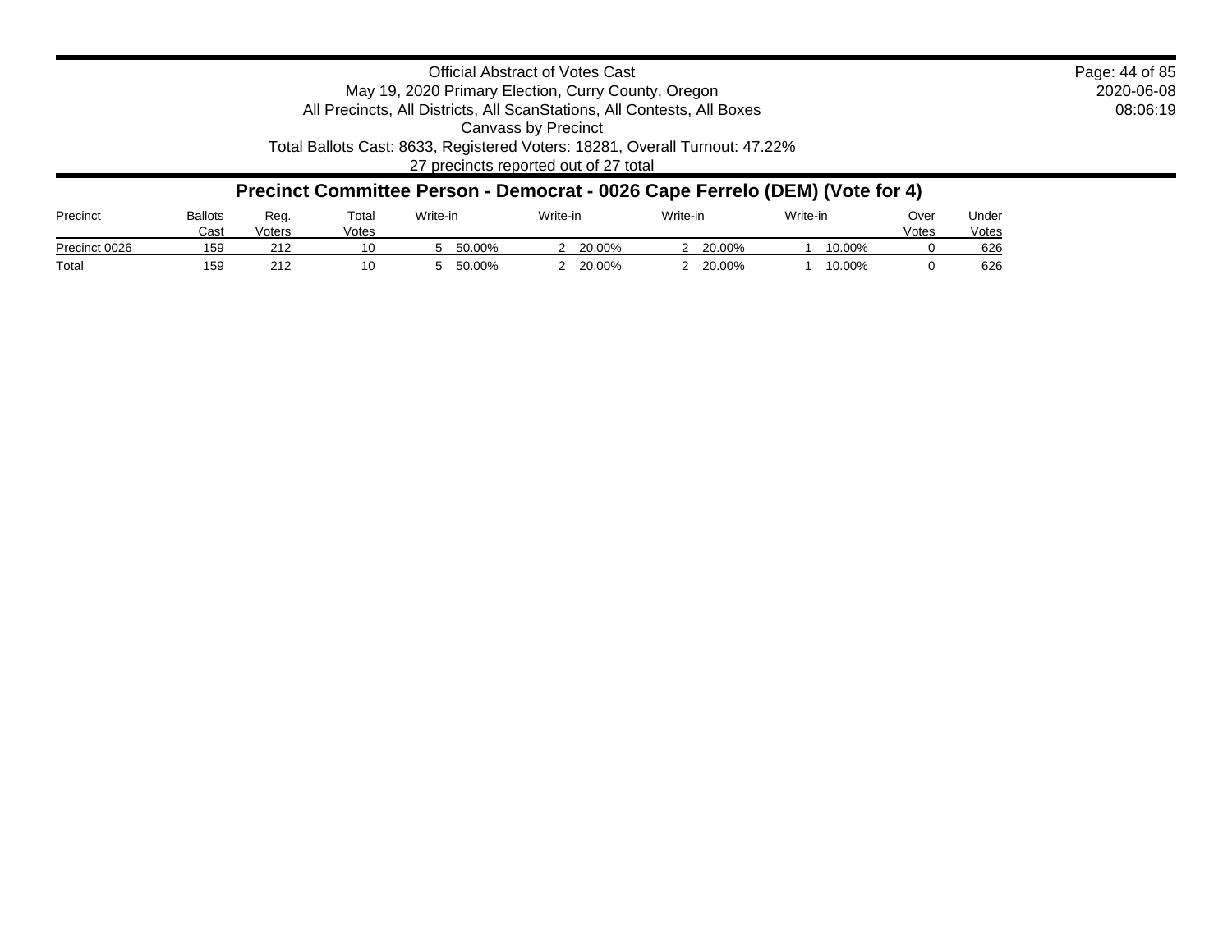2020-06-08 08:06:19 Page: 44 of 85

Official Abstract of Votes Cast May 19, 2020 Primary Election, Curry County, Oregon

All Precincts, All Districts, All ScanStations, All Contests, All Boxes

Canvass by Precinct

Total Ballots Cast: 8633, Registered Voters: 18281, Overall Turnout: 47.22%

27 precincts reported out of 27 total

# **Precinct Committee Person - Democrat - 0026 Cape Ferrelo (DEM) (Vote for 4)**

| Precinct      | Ballots<br>Cast | Reg.<br>Voters | Total<br>Votes | Write-in | Write-in | Write-in | Write-in | Over<br>Votes | Jnder<br>Votes |
|---------------|-----------------|----------------|----------------|----------|----------|----------|----------|---------------|----------------|
| Precinct 0026 | 159             | 212            |                | 50.00%   | 20.00%   | 20.00%   | 10.00%   |               | 626            |
| Total         | 159             | 212            |                | 50.00%   | 20.00%   | 20.00%   | 10.00%   |               | 626            |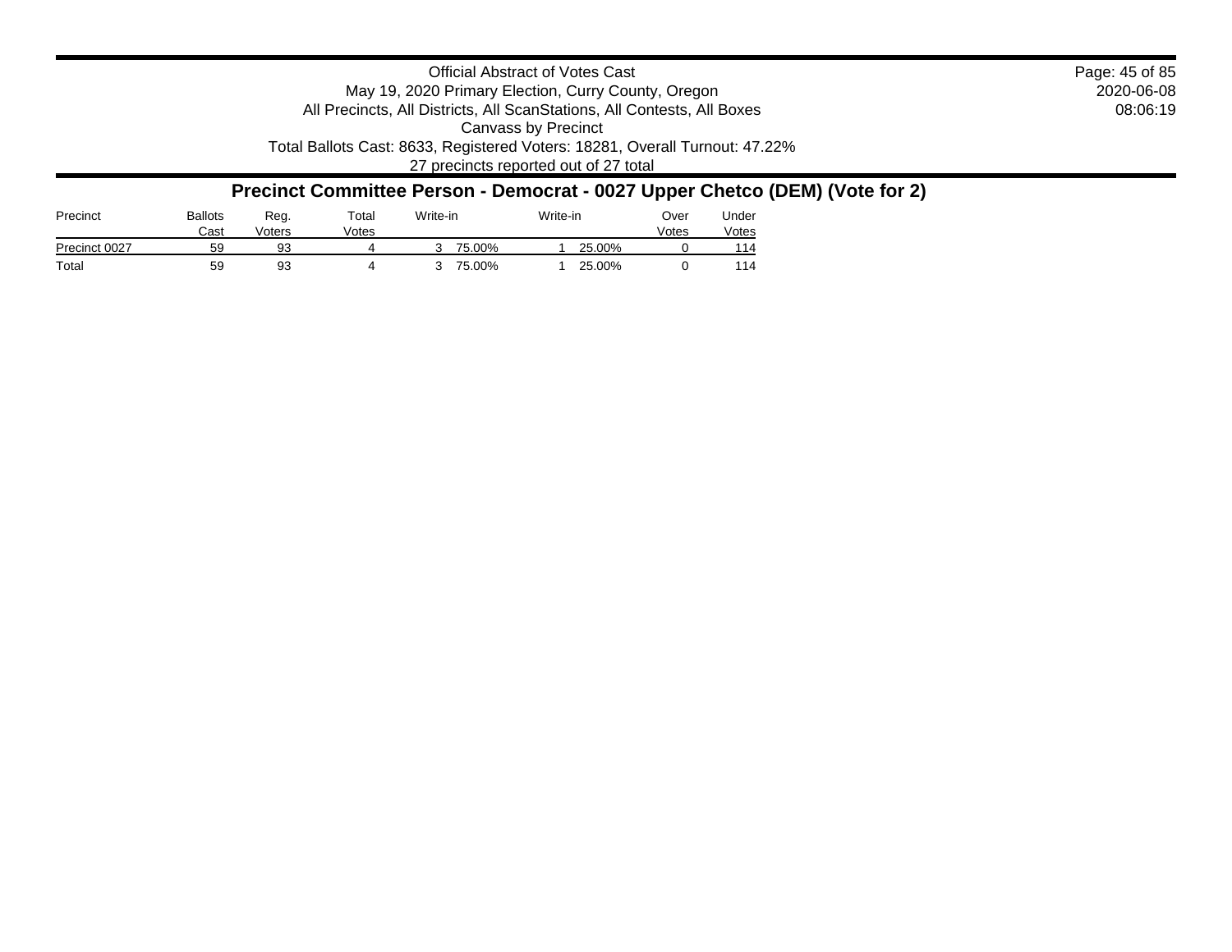2020-06-08 08:06:19 Page: 45 of 85

Official Abstract of Votes Cast May 19, 2020 Primary Election, Curry County, Oregon

All Precincts, All Districts, All ScanStations, All Contests, All Boxes

Canvass by Precinct

Total Ballots Cast: 8633, Registered Voters: 18281, Overall Turnout: 47.22%

27 precincts reported out of 27 total

#### **Precinct Committee Person - Democrat - 0027 Upper Chetco (DEM) (Vote for 2)**

| Precinct      | <b>Ballots</b><br>Cast | Reg.<br>/oters | Total<br>Votes | Write-in |        | Write-in |        | Over<br>Votes | Jnder<br>Votes |
|---------------|------------------------|----------------|----------------|----------|--------|----------|--------|---------------|----------------|
| Precinct 0027 | 59                     | 93             |                |          | 75.00% |          | 25.00% |               | 114            |
| Total         | 59                     | 93             |                |          | 75.00% |          | 25.00% |               | 114            |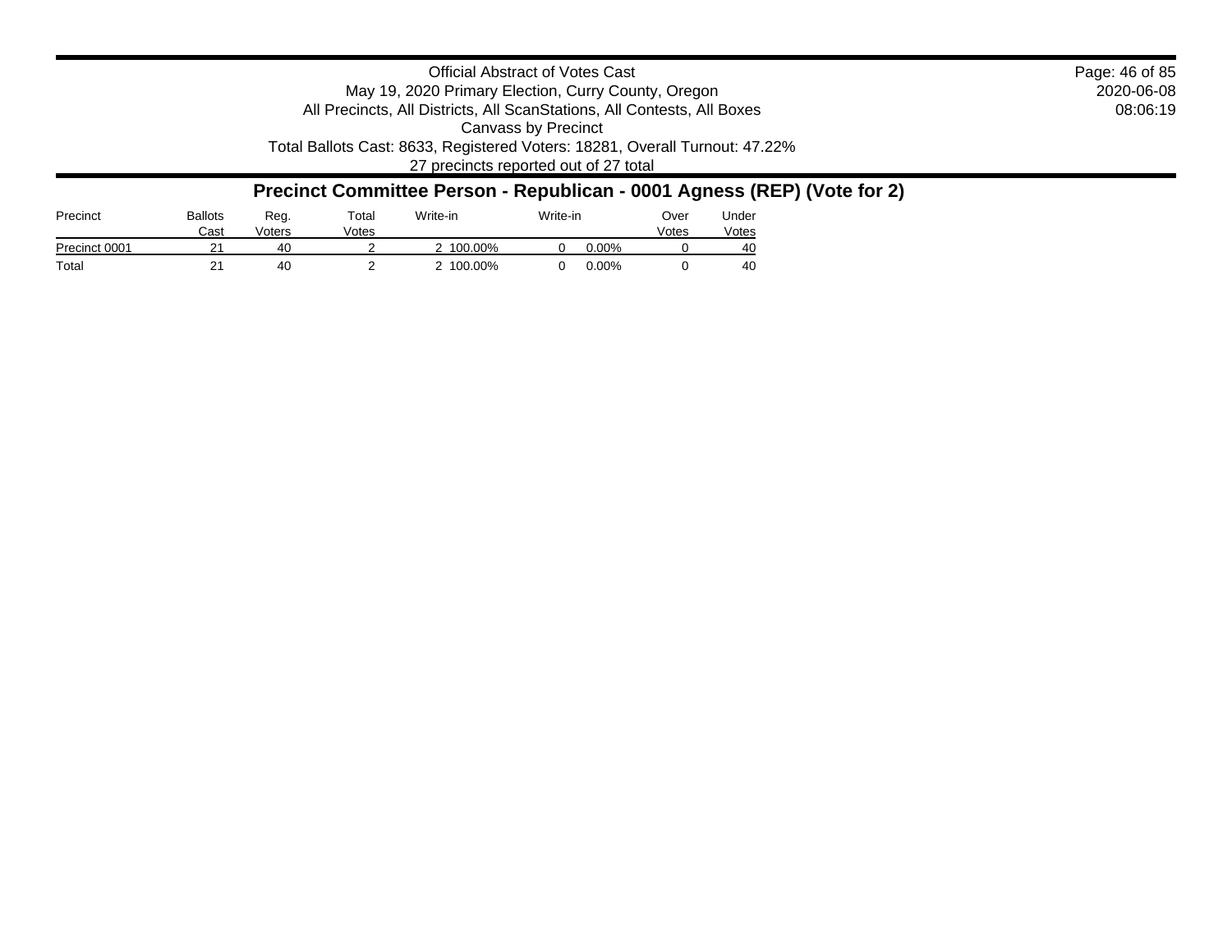2020-06-08 08:06:19 Page: 46 of 85

Official Abstract of Votes Cast May 19, 2020 Primary Election, Curry County, Oregon

All Precincts, All Districts, All ScanStations, All Contests, All Boxes

Canvass by Precinct

Total Ballots Cast: 8633, Registered Voters: 18281, Overall Turnout: 47.22%

27 precincts reported out of 27 total

#### **Precinct Committee Person - Republican - 0001 Agness (REP) (Vote for 2)**

| Precinct      | <b>Ballots</b><br>Cast | Reg.<br>/oters | $\tau$ otal<br>Votes | Write-in | Write-in |          | Over<br>Votes | Jnder<br>Votes |
|---------------|------------------------|----------------|----------------------|----------|----------|----------|---------------|----------------|
| Precinct 0001 |                        | 40             |                      | 100.00%  |          | 0.00%    |               | 40             |
| $\tau$ otal   |                        | 40             |                      | 100.00%  |          | $0.00\%$ |               | 40             |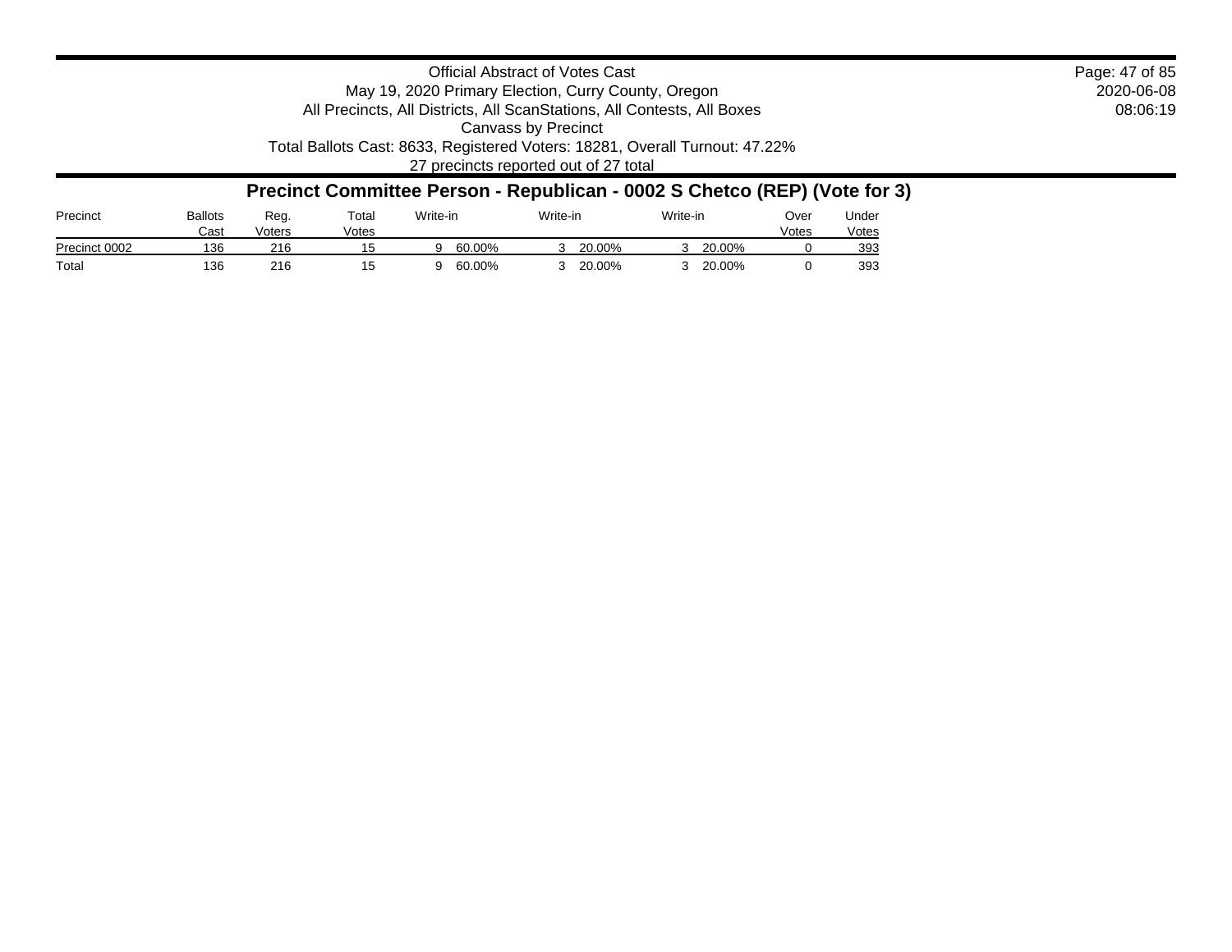2020-06-08 08:06:19 Page: 47 of 85

Official Abstract of Votes Cast May 19, 2020 Primary Election, Curry County, Oregon

All Precincts, All Districts, All ScanStations, All Contests, All Boxes

Canvass by Precinct

Total Ballots Cast: 8633, Registered Voters: 18281, Overall Turnout: 47.22%

27 precincts reported out of 27 total

# **Precinct Committee Person - Republican - 0002 S Chetco (REP) (Vote for 3)**

| Precinct      | <b>Ballots</b><br>Cast | Reg.<br>√oters | Total<br>Votes | Write-in | Write-in | Write-in | Over<br>Votes | Under<br>Votes |
|---------------|------------------------|----------------|----------------|----------|----------|----------|---------------|----------------|
| Precinct 0002 | 136                    | 216            |                | 60.00%   | 20.00%   | 20.00%   |               | 393            |
| Total         | 136                    | 216            | 15             | 60.00%   | 20.00%   | 20.00%   |               | 393            |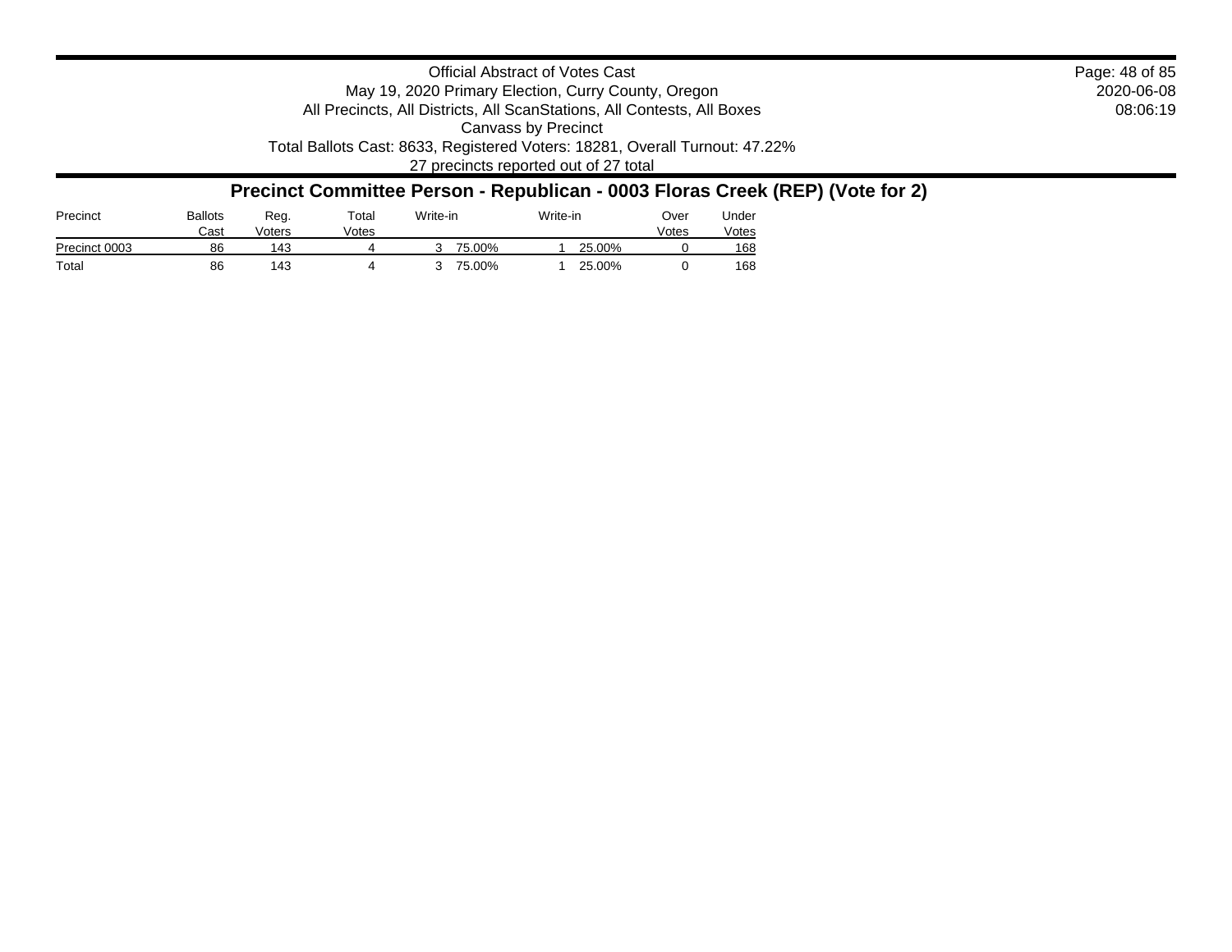2020-06-08 08:06:19 Page: 48 of 85

Official Abstract of Votes Cast May 19, 2020 Primary Election, Curry County, Oregon

All Precincts, All Districts, All ScanStations, All Contests, All Boxes

Canvass by Precinct

Total Ballots Cast: 8633, Registered Voters: 18281, Overall Turnout: 47.22%

27 precincts reported out of 27 total

# **Precinct Committee Person - Republican - 0003 Floras Creek (REP) (Vote for 2)**

| Precinct      | <b>Ballots</b><br>Cast | Reg.<br>/oters | $\tau$ otal<br>Votes | Write-in |        | Write-in |        | Over<br>Votes | Jnder<br>Votes |
|---------------|------------------------|----------------|----------------------|----------|--------|----------|--------|---------------|----------------|
| Precinct 0003 | 86                     | 143            |                      |          | 75.00% |          | 25.00% |               | 168            |
| Total         | 86                     | 143            |                      |          | 75.00% |          | 25.00% |               | 168            |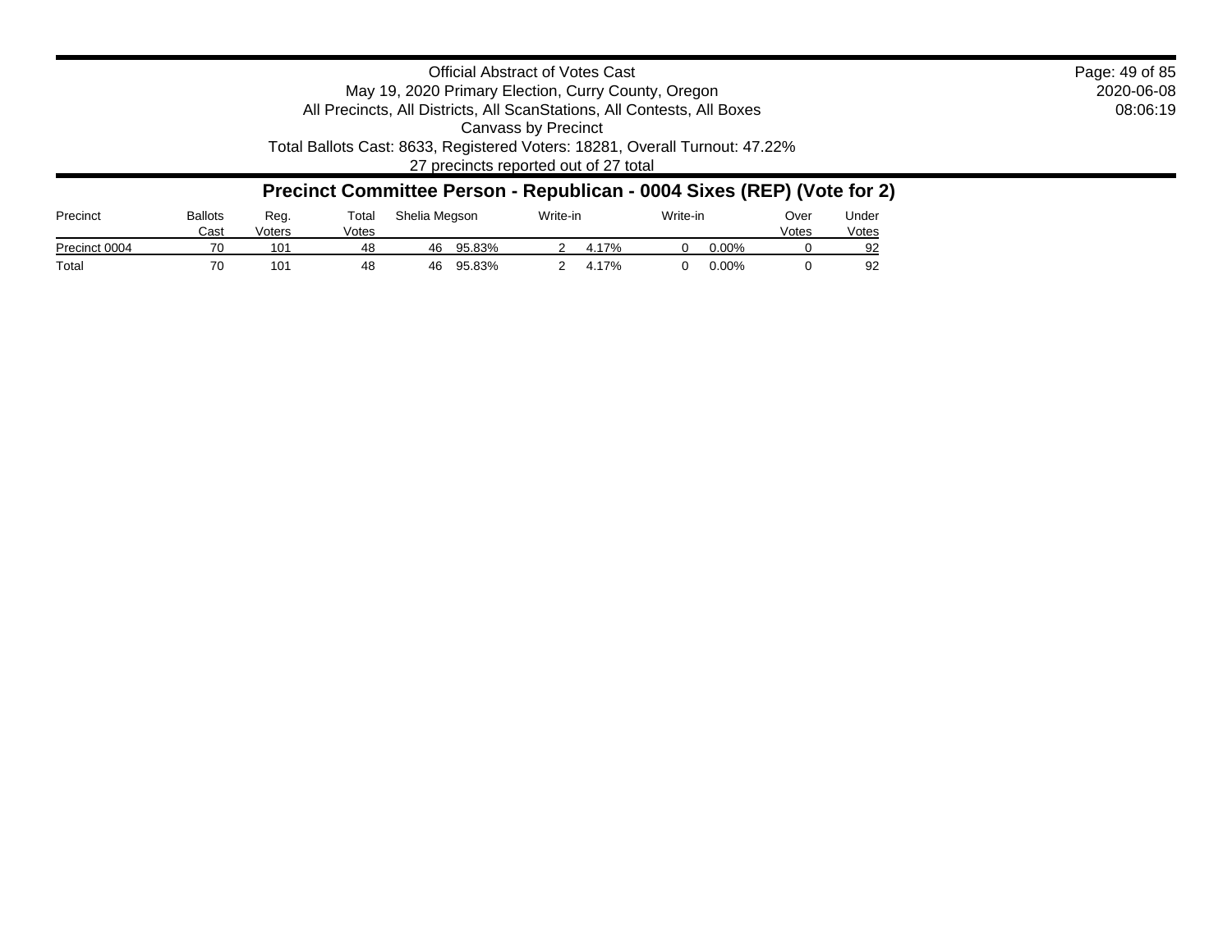2020-06-08 08:06:19 Page: 49 of 85

Official Abstract of Votes Cast May 19, 2020 Primary Election, Curry County, Oregon

All Precincts, All Districts, All ScanStations, All Contests, All Boxes

Canvass by Precinct

Total Ballots Cast: 8633, Registered Voters: 18281, Overall Turnout: 47.22%

27 precincts reported out of 27 total

### **Precinct Committee Person - Republican - 0004 Sixes (REP) (Vote for 2)**

| Precinct      | Ballots<br>Cast | Reg.<br>Voters | Total<br>Votes | Shelia Megson | Write-in | Write-in | Over<br>Votes | Under<br>Votes |
|---------------|-----------------|----------------|----------------|---------------|----------|----------|---------------|----------------|
| Precinct 0004 | 70              | 10٬            | 48             | 95.83%<br>46  | 4.17%    | 0.00%    |               | 92             |
| Total         | 70              | 10٬            | 48             | 46<br>95.83%  | 4.17%    | $0.00\%$ |               | 92             |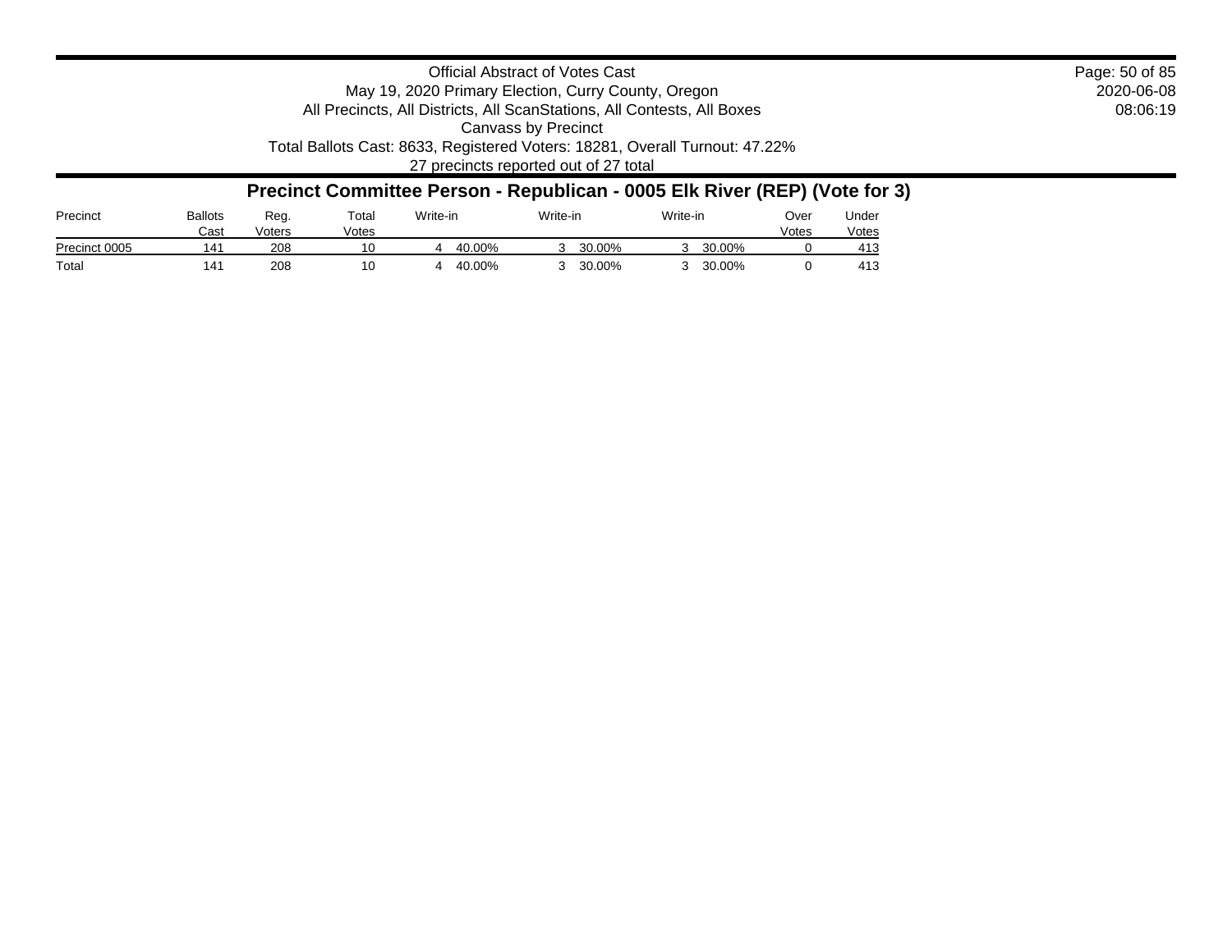2020-06-08 08:06:19 Page: 50 of 85

Official Abstract of Votes Cast May 19, 2020 Primary Election, Curry County, Oregon

All Precincts, All Districts, All ScanStations, All Contests, All Boxes

Canvass by Precinct

Total Ballots Cast: 8633, Registered Voters: 18281, Overall Turnout: 47.22%

27 precincts reported out of 27 total

# **Precinct Committee Person - Republican - 0005 Elk River (REP) (Vote for 3)**

| Precinct      | <b>Ballots</b><br>Cast | Reg.<br>Voters | $\tau$ otal<br>Votes | Write-in | Write-in | Write-in | Over<br>Votes | Under<br>Votes |
|---------------|------------------------|----------------|----------------------|----------|----------|----------|---------------|----------------|
| Precinct 0005 | 141                    | 208            | 1 <sup>c</sup>       | 40.00%   | 30.00%   | 30.00%   |               | 413            |
| Total         | 141                    | 208            | 10                   | 40.00%   | 30.00%   | 30.00%   |               | 413            |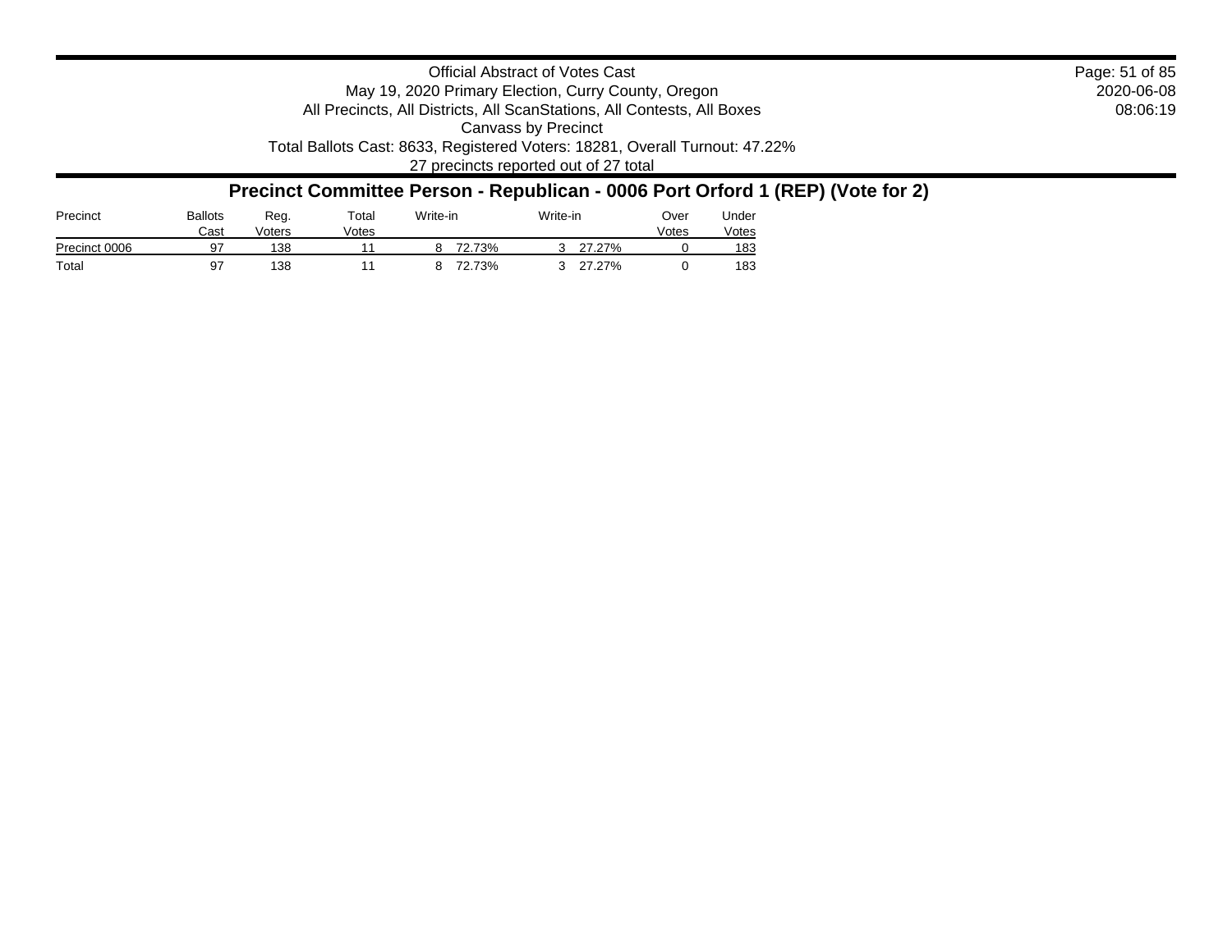2020-06-08 08:06:19 Page: 51 of 85

Official Abstract of Votes Cast May 19, 2020 Primary Election, Curry County, Oregon

All Precincts, All Districts, All ScanStations, All Contests, All Boxes

Canvass by Precinct

Total Ballots Cast: 8633, Registered Voters: 18281, Overall Turnout: 47.22%

27 precincts reported out of 27 total

## **Precinct Committee Person - Republican - 0006 Port Orford 1 (REP) (Vote for 2)**

| Precinct      | Ballots<br>Cast | Reg.<br>/oters | $\tau$ otal<br>Votes | Write-in |        | Write-in |        | Dver<br>Votes | Under<br>√otes |
|---------------|-----------------|----------------|----------------------|----------|--------|----------|--------|---------------|----------------|
| Precinct 0006 | 97              | 138            |                      |          | 72.73% |          | 27.27% |               | 183            |
| Total         | 97              | 138            | ◢ ◢                  |          | 72.73% |          | 27.27% |               | 183            |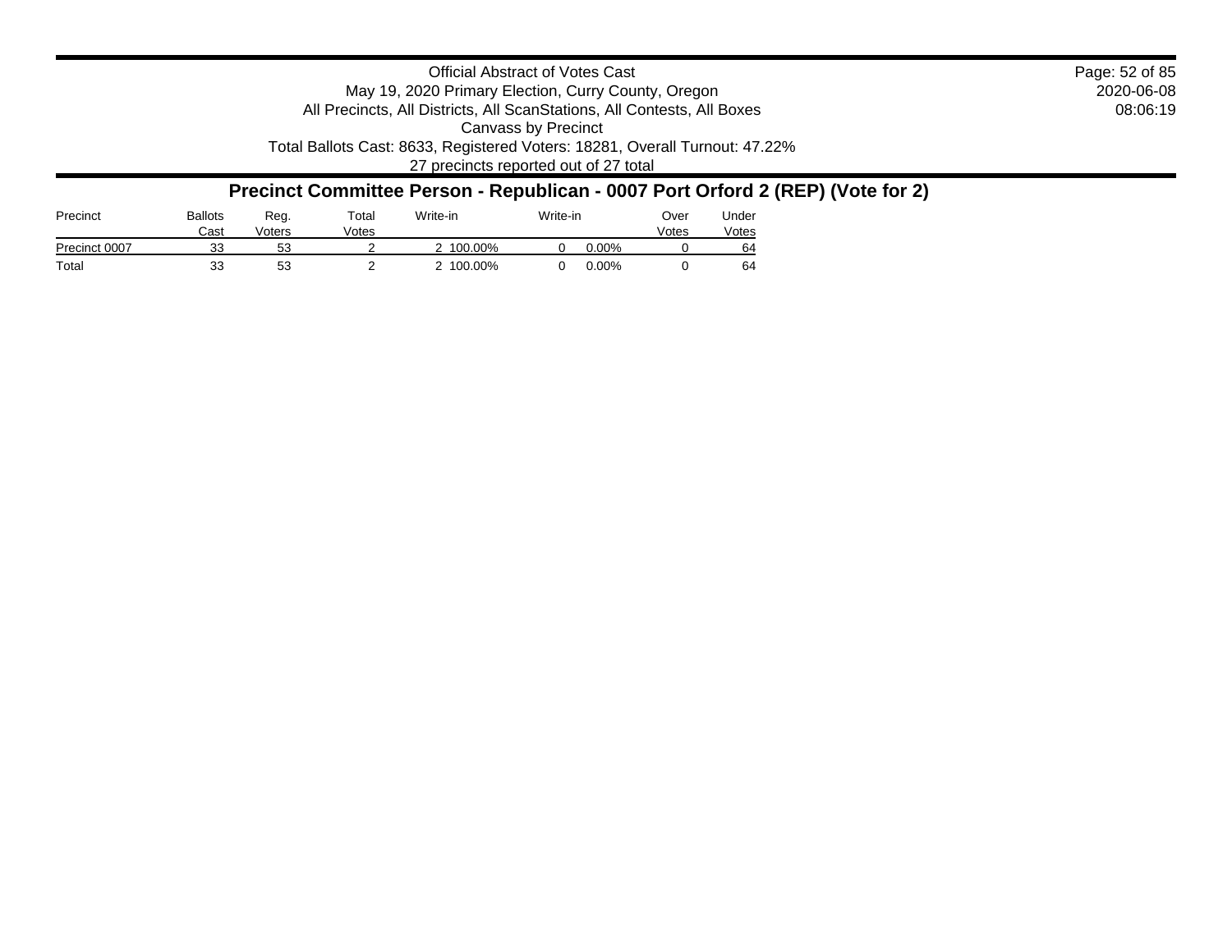2020-06-08 08:06:19 Page: 52 of 85

Official Abstract of Votes Cast May 19, 2020 Primary Election, Curry County, Oregon

All Precincts, All Districts, All ScanStations, All Contests, All Boxes

Canvass by Precinct

Total Ballots Cast: 8633, Registered Voters: 18281, Overall Turnout: 47.22%

27 precincts reported out of 27 total

## **Precinct Committee Person - Republican - 0007 Port Orford 2 (REP) (Vote for 2)**

| Precinct      | <b>Ballots</b><br>Cast | Reg.<br>/oters | $\tau$ otal<br>Votes | Write-in | Write-in |       | Over<br>Votes | Jnder<br>Votes |
|---------------|------------------------|----------------|----------------------|----------|----------|-------|---------------|----------------|
| Precinct 0007 | 33                     | 53             |                      | 100.00%  |          | 0.00% |               | 64             |
| Total         | 33                     | 53             |                      | 100.00%  |          | 0.00% |               | 64             |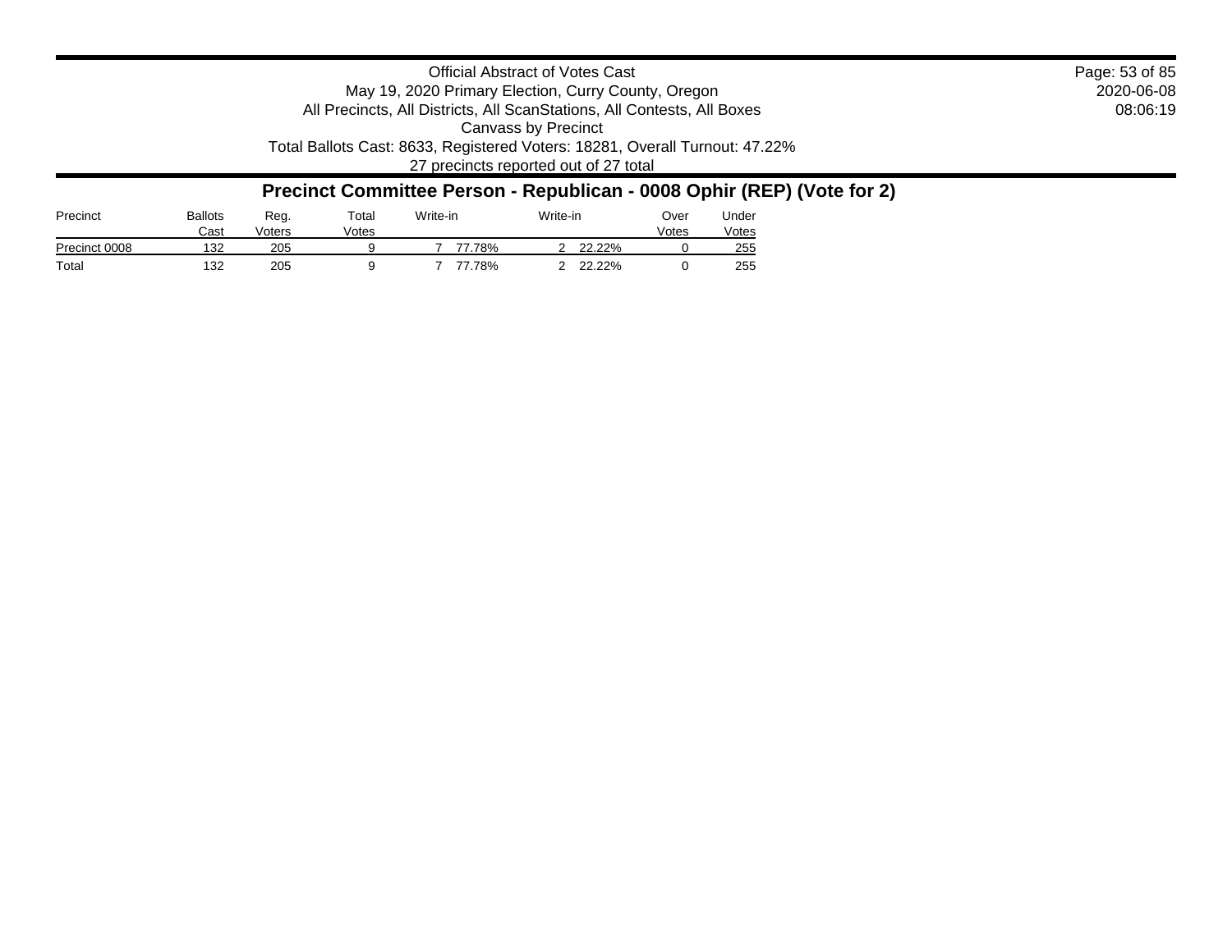2020-06-08 08:06:19 Page: 53 of 85

Official Abstract of Votes Cast May 19, 2020 Primary Election, Curry County, Oregon

All Precincts, All Districts, All ScanStations, All Contests, All Boxes

Canvass by Precinct

Total Ballots Cast: 8633, Registered Voters: 18281, Overall Turnout: 47.22%

27 precincts reported out of 27 total

# **Precinct Committee Person - Republican - 0008 Ophir (REP) (Vote for 2)**

| Precinct      | <b>Ballots</b><br>Cast | Reg.<br>/oters | Total<br>Votes | Write-in | Write-in | ⊃ver<br>Votes | Jnder<br>Votes |
|---------------|------------------------|----------------|----------------|----------|----------|---------------|----------------|
| Precinct 0008 | 132                    | 205            |                | 78%      | 22%      |               | 255            |
| Total         | 132                    | 205            |                | 78%      | 22.22%   |               | 255            |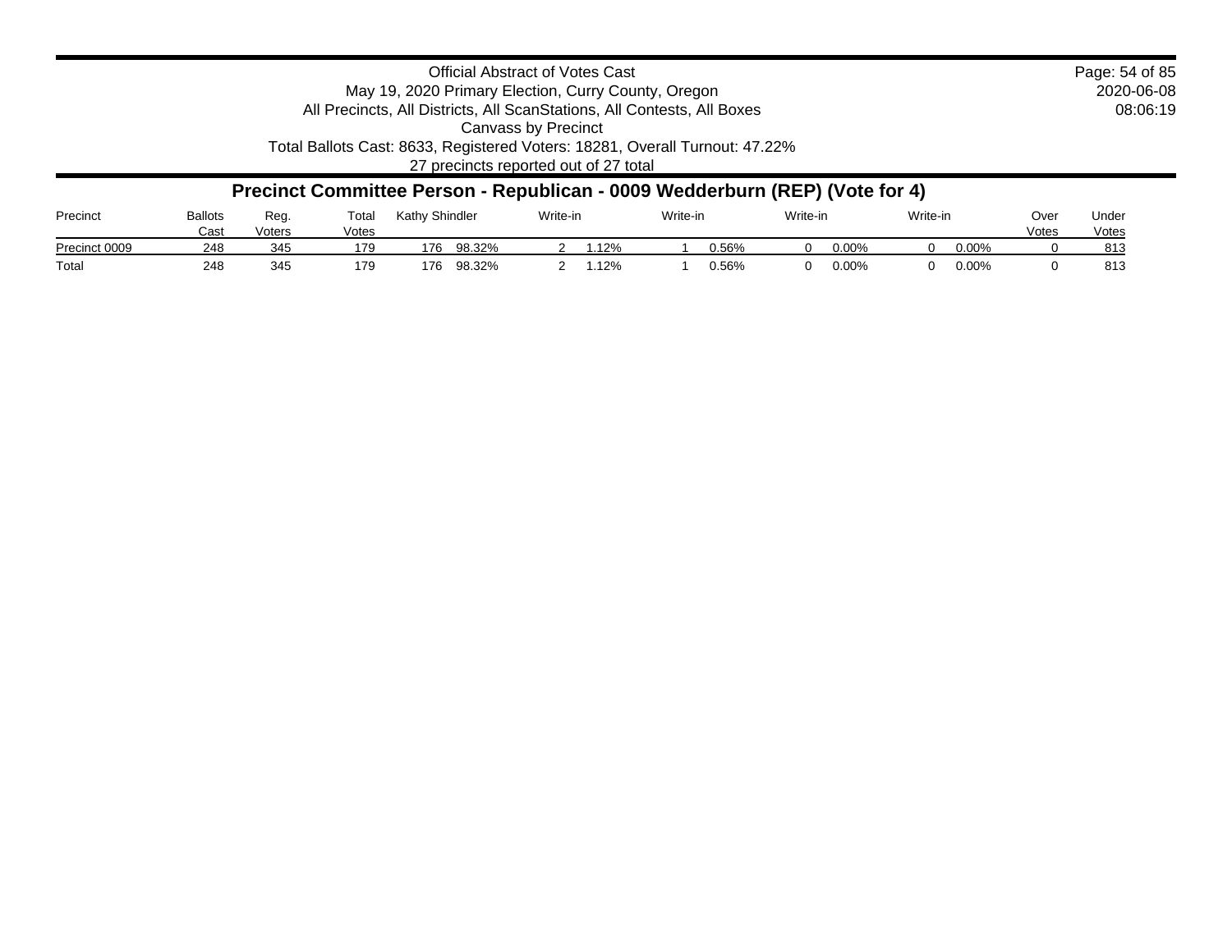2020-06-08 08:06:19 Page: 54 of 85

Official Abstract of Votes Cast May 19, 2020 Primary Election, Curry County, Oregon

All Precincts, All Districts, All ScanStations, All Contests, All Boxes

Canvass by Precinct

Total Ballots Cast: 8633, Registered Voters: 18281, Overall Turnout: 47.22%

27 precincts reported out of 27 total

### **Precinct Committee Person - Republican - 0009 Wedderburn (REP) (Vote for 4)**

| Precinct      | <b>Ballots</b><br>Cast | Reg.<br>Voters | Total<br>Votes | Kathy Shindler | Write-in | Write-in | Write-in      | Write-in | Over<br>Votes | Jnder<br>Votes |
|---------------|------------------------|----------------|----------------|----------------|----------|----------|---------------|----------|---------------|----------------|
| Precinct 0009 | 248                    | 345            | 17Q            | 98.32%<br>176  | 12%      | J.56%    | $0.00\%$      | $0.00\%$ |               | 813            |
| Total         | 248                    | 345            | 179            | 176<br>98.32%  | 12%      | ).56%    | $0.00\%$<br>0 | 0.00%    |               | 813            |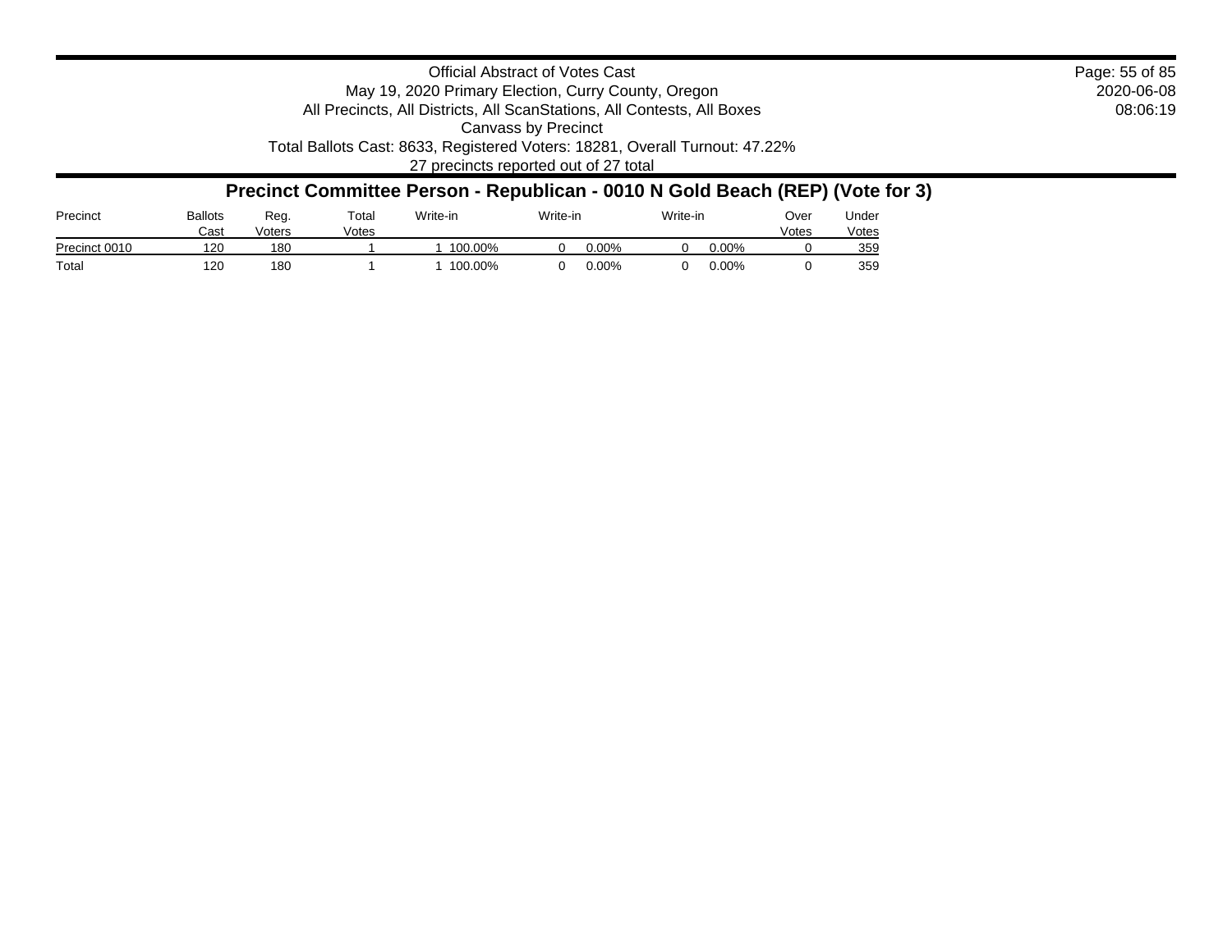2020-06-08 08:06:19 Page: 55 of 85

Official Abstract of Votes Cast May 19, 2020 Primary Election, Curry County, Oregon

All Precincts, All Districts, All ScanStations, All Contests, All Boxes

Canvass by Precinct

Total Ballots Cast: 8633, Registered Voters: 18281, Overall Turnout: 47.22%

27 precincts reported out of 27 total

# **Precinct Committee Person - Republican - 0010 N Gold Beach (REP) (Vote for 3)**

| Precinct      | <b>Ballots</b><br>Cast | Reg.<br>/oters | Total<br>Votes | Write-in | Write-in |          | Write-in |          | Over<br>Votes | Jnder<br>Votes |
|---------------|------------------------|----------------|----------------|----------|----------|----------|----------|----------|---------------|----------------|
| Precinct 0010 | 120                    | 18C            |                | 100.00%  |          | 0.00%    |          | $0.00\%$ |               | 359            |
| Total         | 120                    | 18C            |                | 100.00%  |          | $0.00\%$ |          | $0.00\%$ |               | 359            |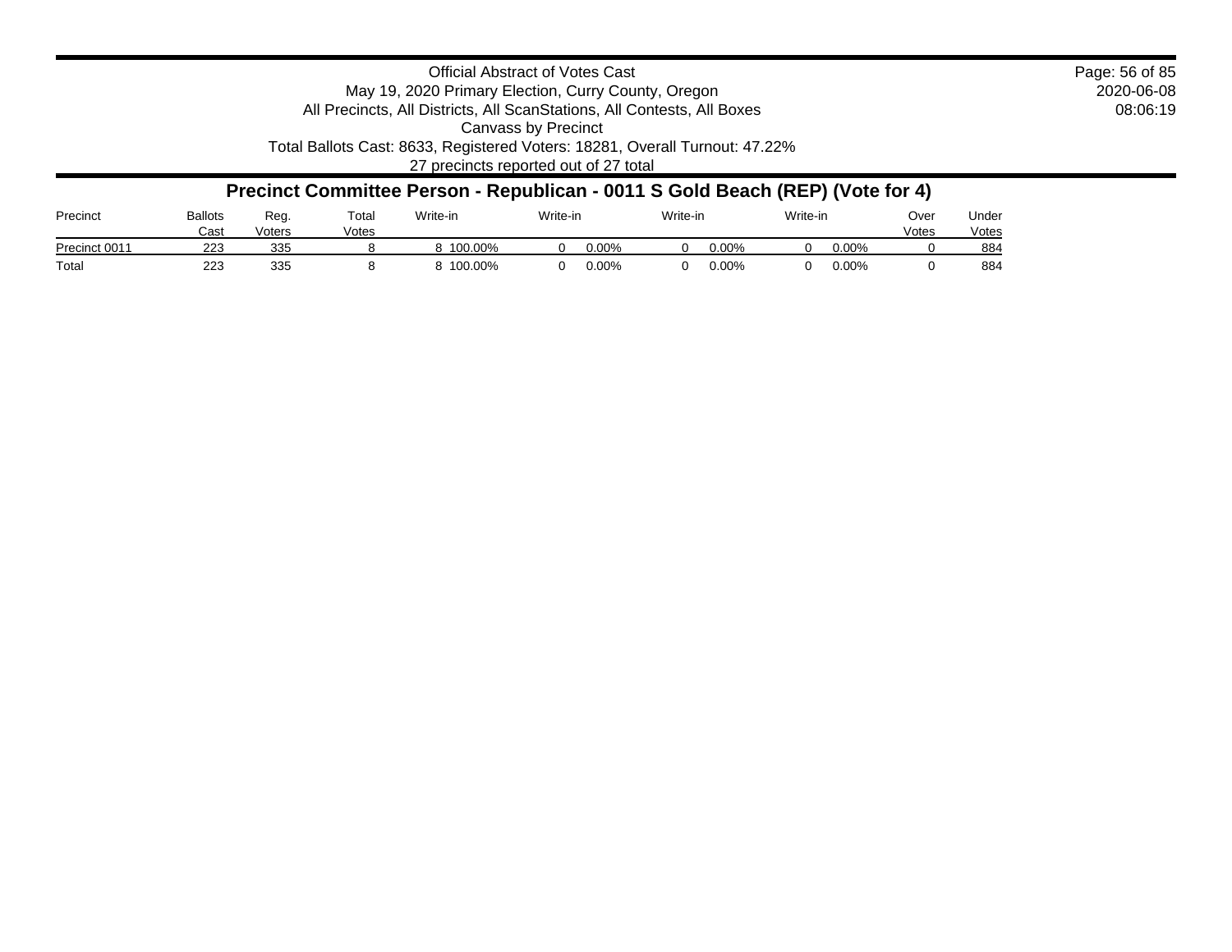2020-06-08 08:06:19 Page: 56 of 85

Official Abstract of Votes Cast May 19, 2020 Primary Election, Curry County, Oregon

All Precincts, All Districts, All ScanStations, All Contests, All Boxes

Canvass by Precinct

Total Ballots Cast: 8633, Registered Voters: 18281, Overall Turnout: 47.22%

27 precincts reported out of 27 total

## **Precinct Committee Person - Republican - 0011 S Gold Beach (REP) (Vote for 4)**

| Precinct      | Ballots<br>Cast | Reg.<br>Voters | Total<br>Votes | Write-in        | Write-in | Write-in | Write-in | Over<br>Votes | Under<br>Votes |
|---------------|-----------------|----------------|----------------|-----------------|----------|----------|----------|---------------|----------------|
| Precinct 0011 | 223             | 335            |                | $.00\%$         | 0.00%    | $0.00\%$ | $0.00\%$ |               | 884            |
| Total         | 223             | 335            |                | $0.00\%$<br>100 | $0.00\%$ | $0.00\%$ | 0.00%    |               | 884            |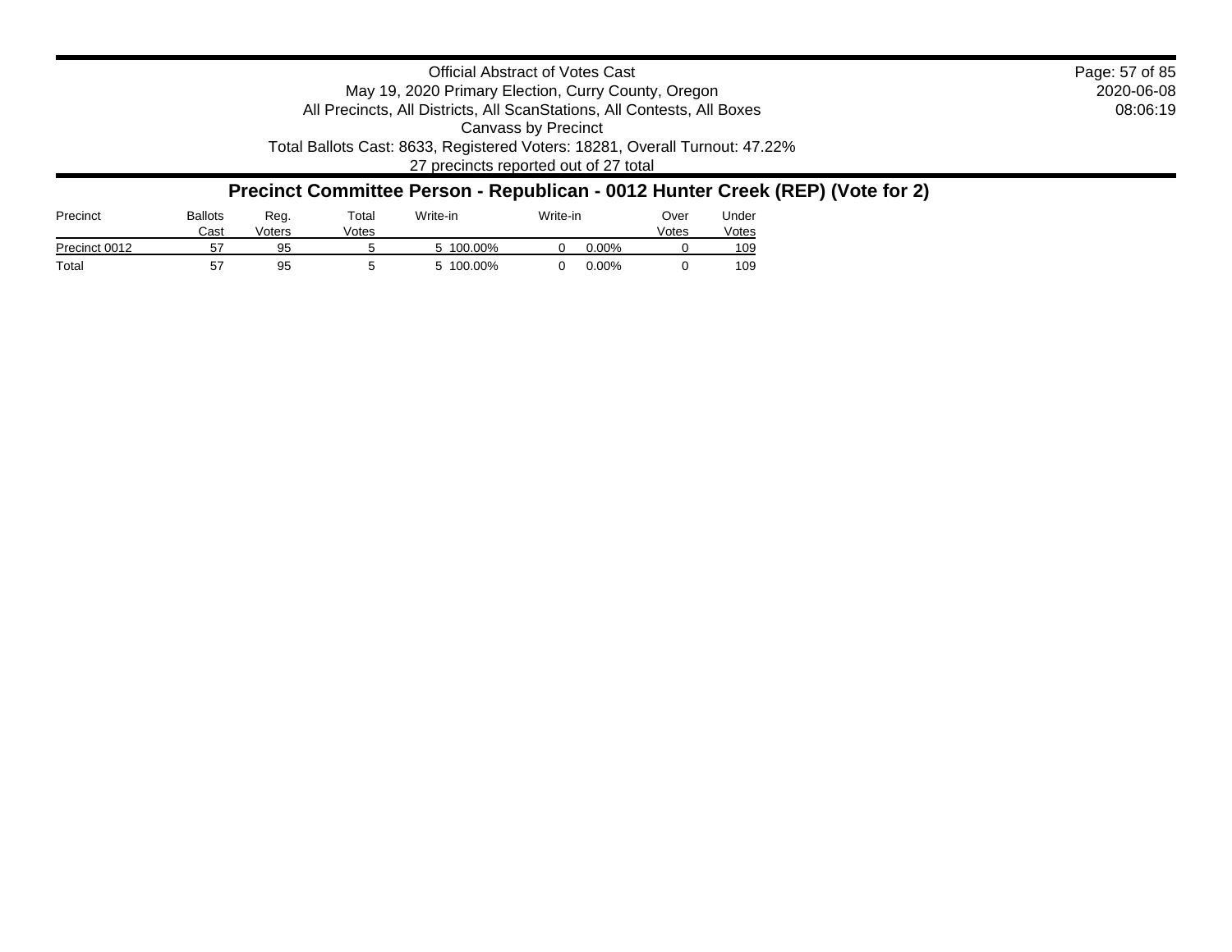2020-06-08 08:06:19 Page: 57 of 85

Official Abstract of Votes Cast May 19, 2020 Primary Election, Curry County, Oregon

All Precincts, All Districts, All ScanStations, All Contests, All Boxes

Canvass by Precinct

Total Ballots Cast: 8633, Registered Voters: 18281, Overall Turnout: 47.22%

27 precincts reported out of 27 total

### **Precinct Committee Person - Republican - 0012 Hunter Creek (REP) (Vote for 2)**

| Precinct      | Ballots<br>Cast | Reg.<br>/oters | $\tau$ otal<br>Votes | Write-in | Write-in |       | ⊃ver<br>Votes | Under<br>√otes |
|---------------|-----------------|----------------|----------------------|----------|----------|-------|---------------|----------------|
| Precinct 0012 | 5/              | 95             |                      | 100.00%  |          | 0.00% |               | 109            |
| $\tau$ otal   | 57              | 95             |                      | 100.00%  |          | 0.00% |               | 109            |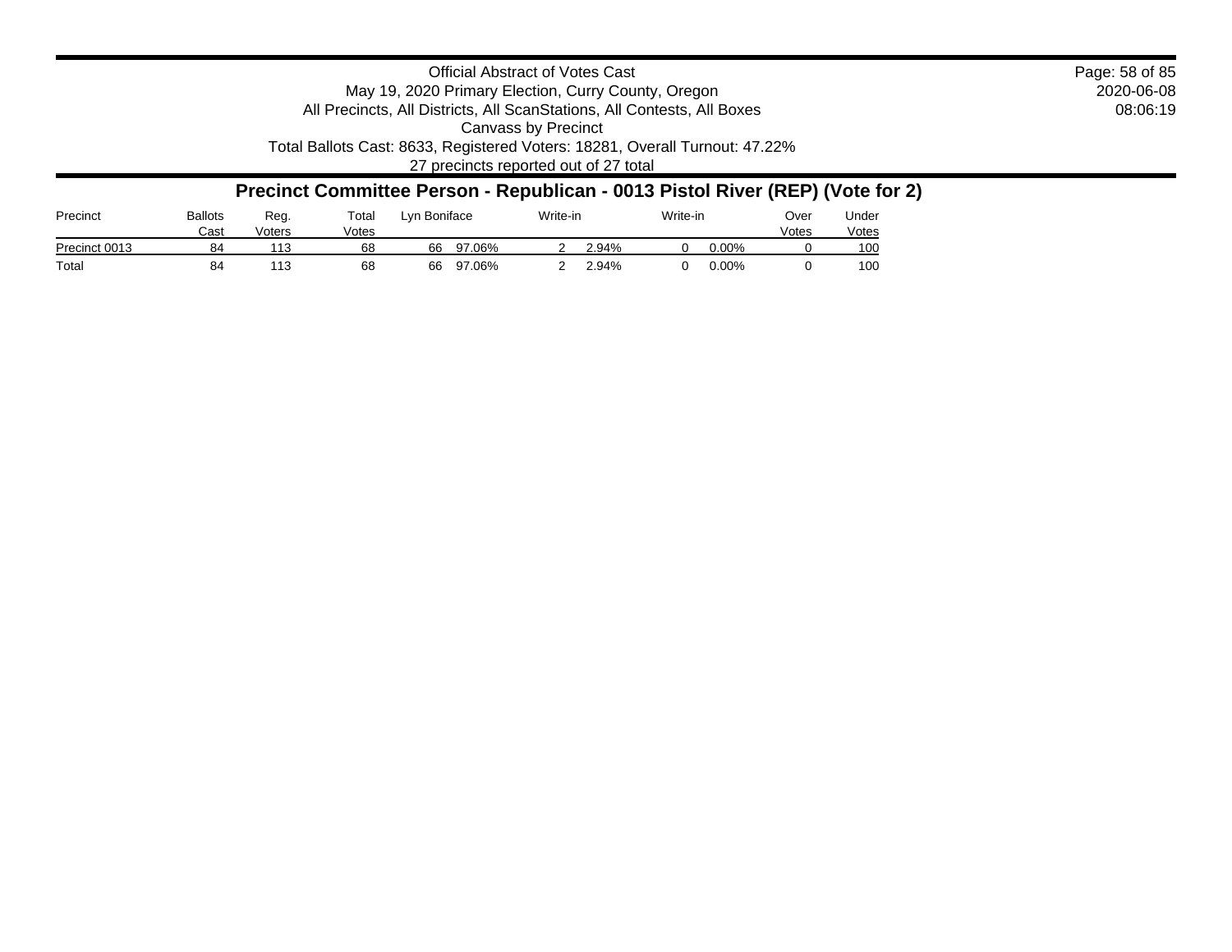2020-06-08 08:06:19 Page: 58 of 85

Official Abstract of Votes Cast May 19, 2020 Primary Election, Curry County, Oregon All Precincts, All Districts, All ScanStations, All Contests, All Boxes

Canvass by Precinct

Total Ballots Cast: 8633, Registered Voters: 18281, Overall Turnout: 47.22%

27 precincts reported out of 27 total

# **Precinct Committee Person - Republican - 0013 Pistol River (REP) (Vote for 2)**

| Precinct      | <b>Ballots</b><br>Cast | Reg.<br>√oters | Total<br>Votes | Lvn Boniface         | Write-in | Write-in | Over<br>Votes | Under<br>Votes |
|---------------|------------------------|----------------|----------------|----------------------|----------|----------|---------------|----------------|
| Precinct 0013 | 84                     | 142            | 68             | $.06\%$<br>66<br>.97 | 2.94%    | $0.00\%$ |               | 100            |
| Total         | 84                     | 140            | 68             | 66<br>$06\%$<br>97   | .94%     | $0.00\%$ |               | 100            |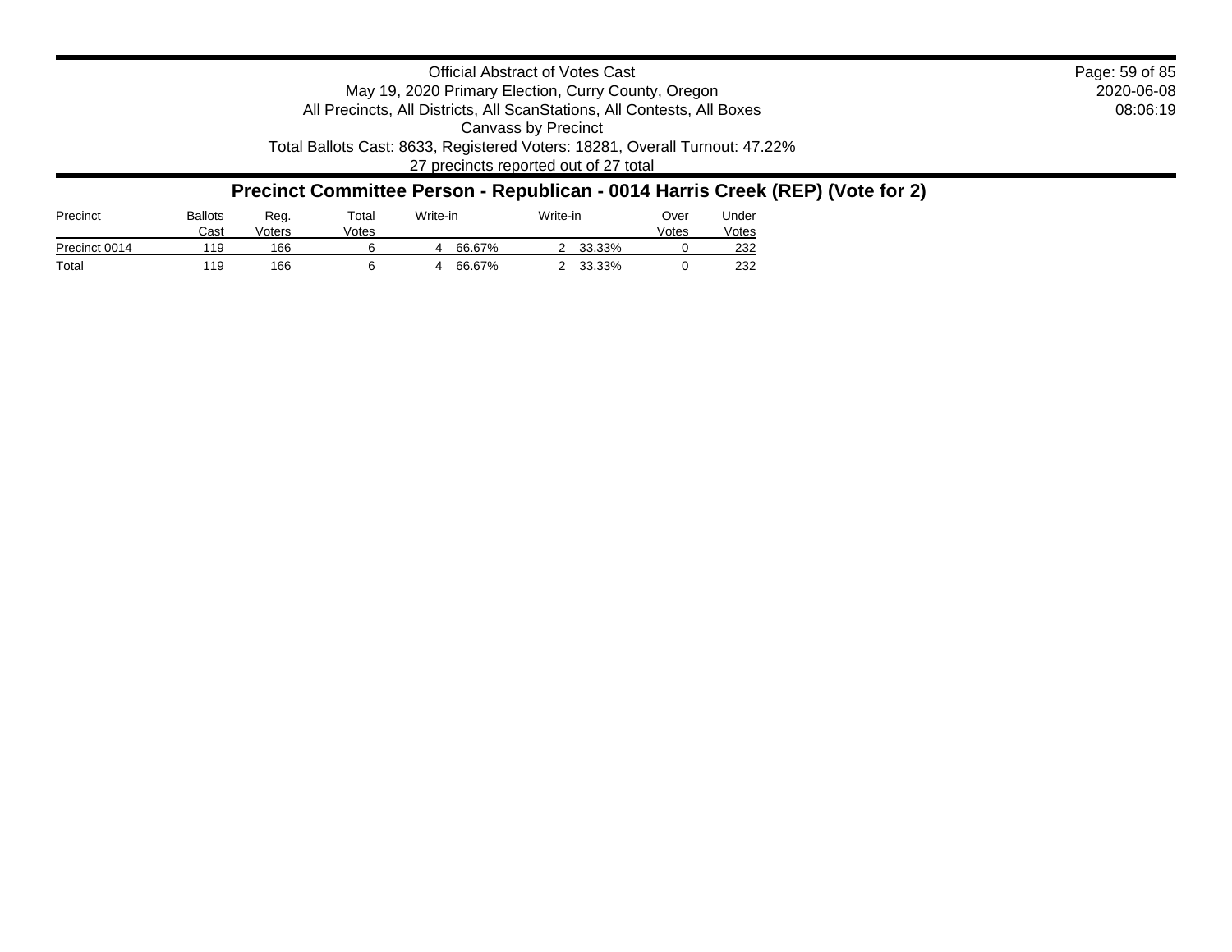2020-06-08 08:06:19 Page: 59 of 85

Official Abstract of Votes Cast May 19, 2020 Primary Election, Curry County, Oregon

All Precincts, All Districts, All ScanStations, All Contests, All Boxes

Canvass by Precinct

Total Ballots Cast: 8633, Registered Voters: 18281, Overall Turnout: 47.22%

27 precincts reported out of 27 total

### **Precinct Committee Person - Republican - 0014 Harris Creek (REP) (Vote for 2)**

| Precinct      | <b>Ballots</b><br>Cast | Reg.<br>/oters | Total<br>Votes | Write-in | Write-in | Over<br>Votes | Jnder<br>Votes |
|---------------|------------------------|----------------|----------------|----------|----------|---------------|----------------|
| Precinct 0014 | 119                    | 166            |                | 66.67%   | 33.33%   |               | 232            |
| Total         | 119                    | 166            |                | 66.67%   | 33.33%   |               | 232            |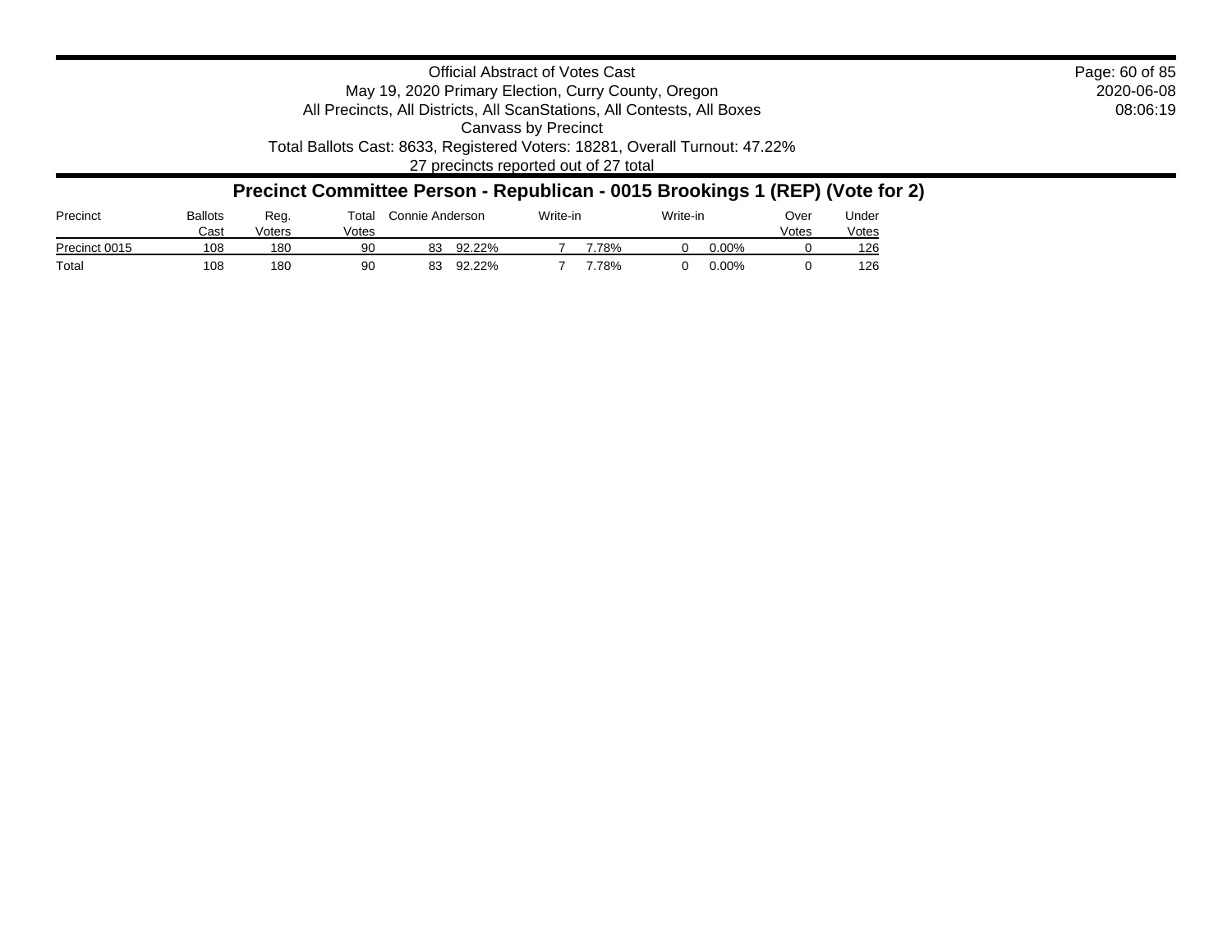2020-06-08 08:06:19 Page: 60 of 85

Official Abstract of Votes Cast May 19, 2020 Primary Election, Curry County, Oregon

All Precincts, All Districts, All ScanStations, All Contests, All Boxes

Canvass by Precinct

Total Ballots Cast: 8633, Registered Voters: 18281, Overall Turnout: 47.22%

27 precincts reported out of 27 total

# **Precinct Committee Person - Republican - 0015 Brookings 1 (REP) (Vote for 2)**

| Precinct      | <b>Ballots</b><br>Cast | Reg.<br>Voters | Total<br>Votes | Connie Anderson | Write-in | Write-in | Over<br>Votes | Under<br>Votes |
|---------------|------------------------|----------------|----------------|-----------------|----------|----------|---------------|----------------|
| Precinct 0015 | 108                    | 180            | 90             | 92.22%<br>83    | .78%     | 0.00%    |               | 126            |
| Total         | 108                    | 180            | 90             | 83<br>92.22%    | .78%     | $0.00\%$ |               | 126            |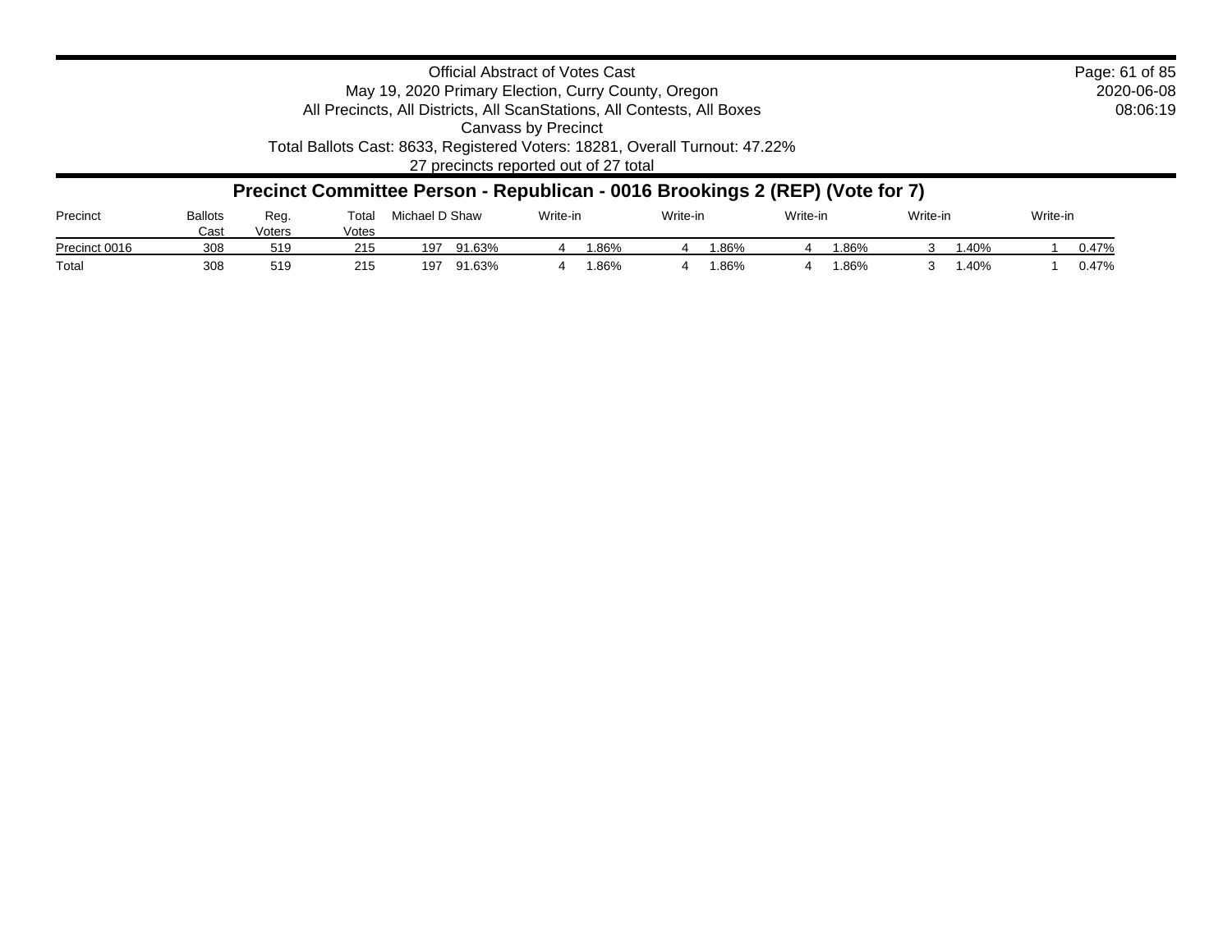2020-06-08 08:06:19 Page: 61 of 85

Official Abstract of Votes Cast May 19, 2020 Primary Election, Curry County, Oregon

All Precincts, All Districts, All ScanStations, All Contests, All Boxes

Canvass by Precinct

Total Ballots Cast: 8633, Registered Voters: 18281, Overall Turnout: 47.22%

27 precincts reported out of 27 total

# **Precinct Committee Person - Republican - 0016 Brookings 2 (REP) (Vote for 7)**

| Precinct      | <b>Ballots</b><br>Cast | Reg.<br>Voters | Total<br>Votes | Michael D Shaw | Write-in | Write-in | Write-in | Write-in | Write-in |
|---------------|------------------------|----------------|----------------|----------------|----------|----------|----------|----------|----------|
| Precinct 0016 | 308                    | 519            | 215            | 91.63%<br>197  | .86%     | .86%     | .86%     | .40%     | 0.47%    |
| Total         | 308                    | 519            | 215            | 197<br>91.63%  | .86%     | .86%     | .86%     | .40%     | 0.47%    |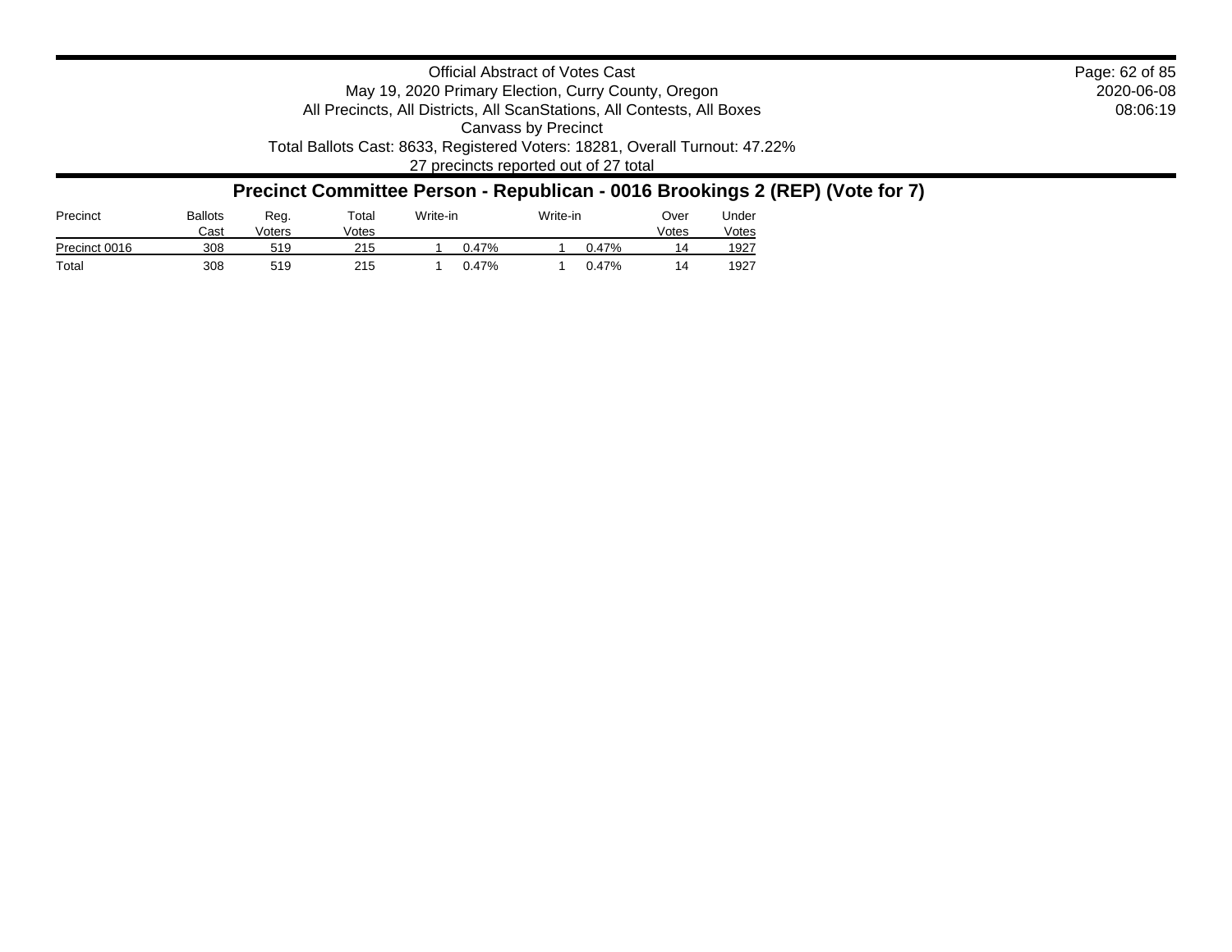2020-06-08 08:06:19 Page: 62 of 85

Official Abstract of Votes Cast May 19, 2020 Primary Election, Curry County, Oregon

All Precincts, All Districts, All ScanStations, All Contests, All Boxes

Canvass by Precinct

Total Ballots Cast: 8633, Registered Voters: 18281, Overall Turnout: 47.22%

27 precincts reported out of 27 total

# **Precinct Committee Person - Republican - 0016 Brookings 2 (REP) (Vote for 7)**

| Precinct      | <b>Ballots</b><br>Cast | Reg.<br>/oters | Total<br>Votes | Write-in |       | Write-in |          | Over<br>Votes | Jnder<br>Votes |
|---------------|------------------------|----------------|----------------|----------|-------|----------|----------|---------------|----------------|
| Precinct 0016 | 308                    | 519            | 215            |          | ` 47% |          | .47%     | 14            | 1927           |
| Total         | 308                    | 519            | 215            |          | ገ.47% |          | $0.47\%$ | 14            | 1927           |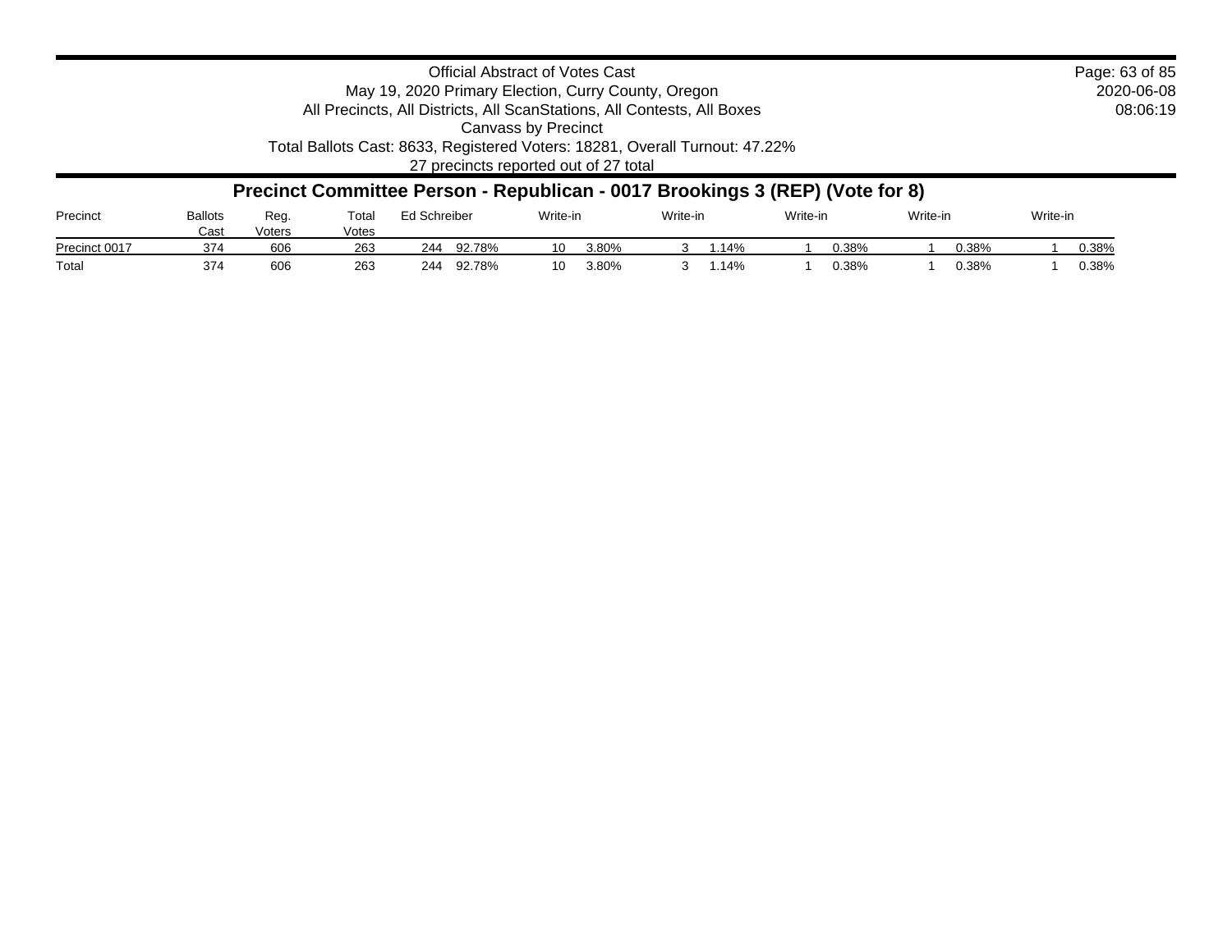2020-06-08 08:06:19 Page: 63 of 85

Official Abstract of Votes Cast May 19, 2020 Primary Election, Curry County, Oregon

All Precincts, All Districts, All ScanStations, All Contests, All Boxes

Canvass by Precinct

Total Ballots Cast: 8633, Registered Voters: 18281, Overall Turnout: 47.22%

27 precincts reported out of 27 total

## **Precinct Committee Person - Republican - 0017 Brookings 3 (REP) (Vote for 8)**

| Precinct      | <b>Ballots</b><br>Cast | Rea<br>Voters | $\tau$ otal<br>Votes | Ed Schreiber  | Write-in    | Write-in | Write-in | Write-in | Write-in |
|---------------|------------------------|---------------|----------------------|---------------|-------------|----------|----------|----------|----------|
| Precinct 0017 | 374                    | 606           | 263                  | 92.78%<br>244 | 3.80%<br>10 | .14%     | J.38%    | .38%     | $0.38\%$ |
| Total         | 374                    | 606           | 263                  | 92.78%<br>244 | 3.80%<br>10 | .14%     | $0.38\%$ | $0.38\%$ | $0.38\%$ |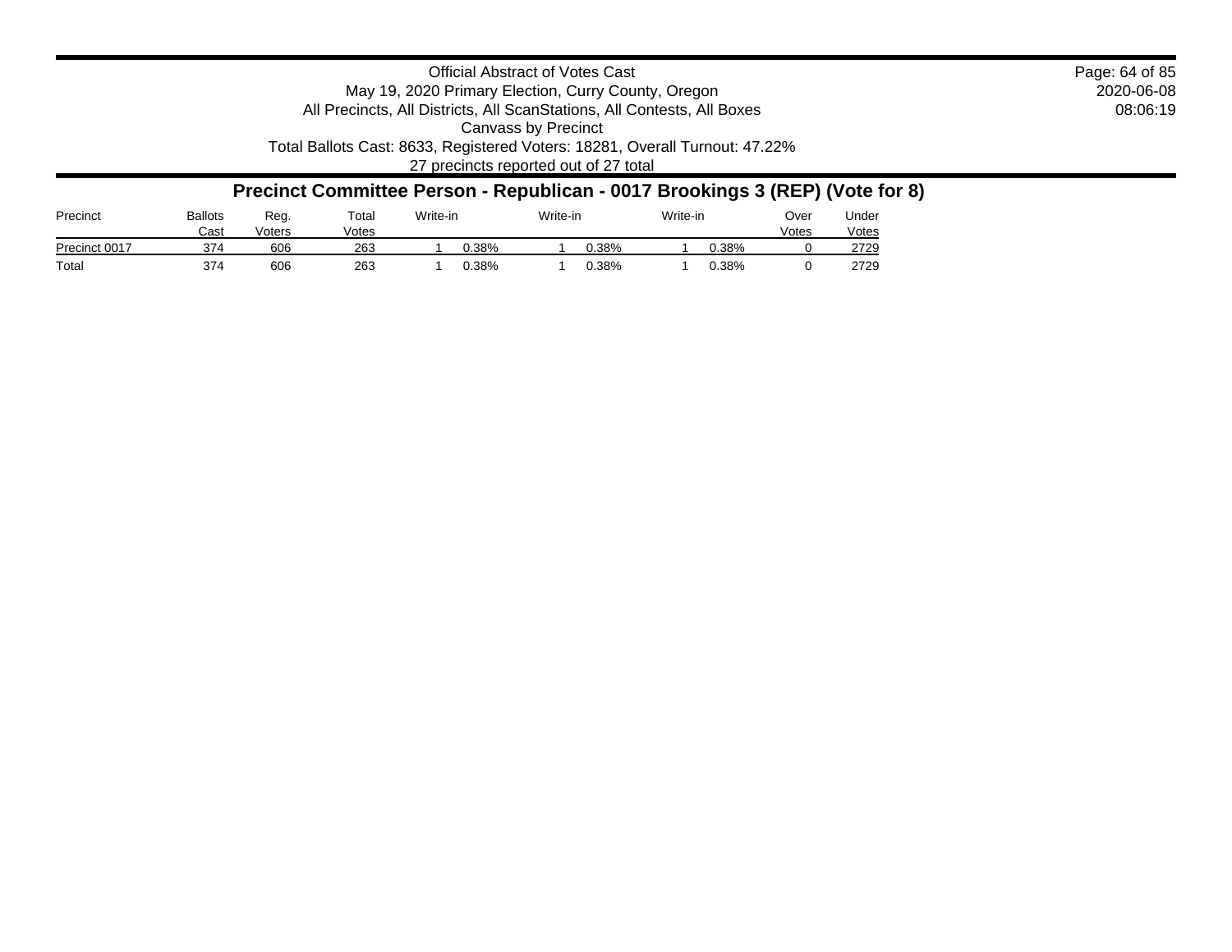2020-06-08 08:06:19 Page: 64 of 85

Official Abstract of Votes Cast May 19, 2020 Primary Election, Curry County, Oregon

All Precincts, All Districts, All ScanStations, All Contests, All Boxes

Canvass by Precinct

Total Ballots Cast: 8633, Registered Voters: 18281, Overall Turnout: 47.22%

27 precincts reported out of 27 total

# **Precinct Committee Person - Republican - 0017 Brookings 3 (REP) (Vote for 8)**

| Precinct      | <b>Ballots</b><br>Cast | Reg.<br>/oters | Total<br>Votes | Write-in | Write-in | Write-in | Over<br>Votes | Under<br>Votes |
|---------------|------------------------|----------------|----------------|----------|----------|----------|---------------|----------------|
| Precinct 0017 | 374                    | 606            | 263            | .38%     | $0.38\%$ | J.38%    |               | 2729           |
| Total         | 374                    | 606            | 263            | J.38%    | $0.38\%$ | J.38%    |               | 2729           |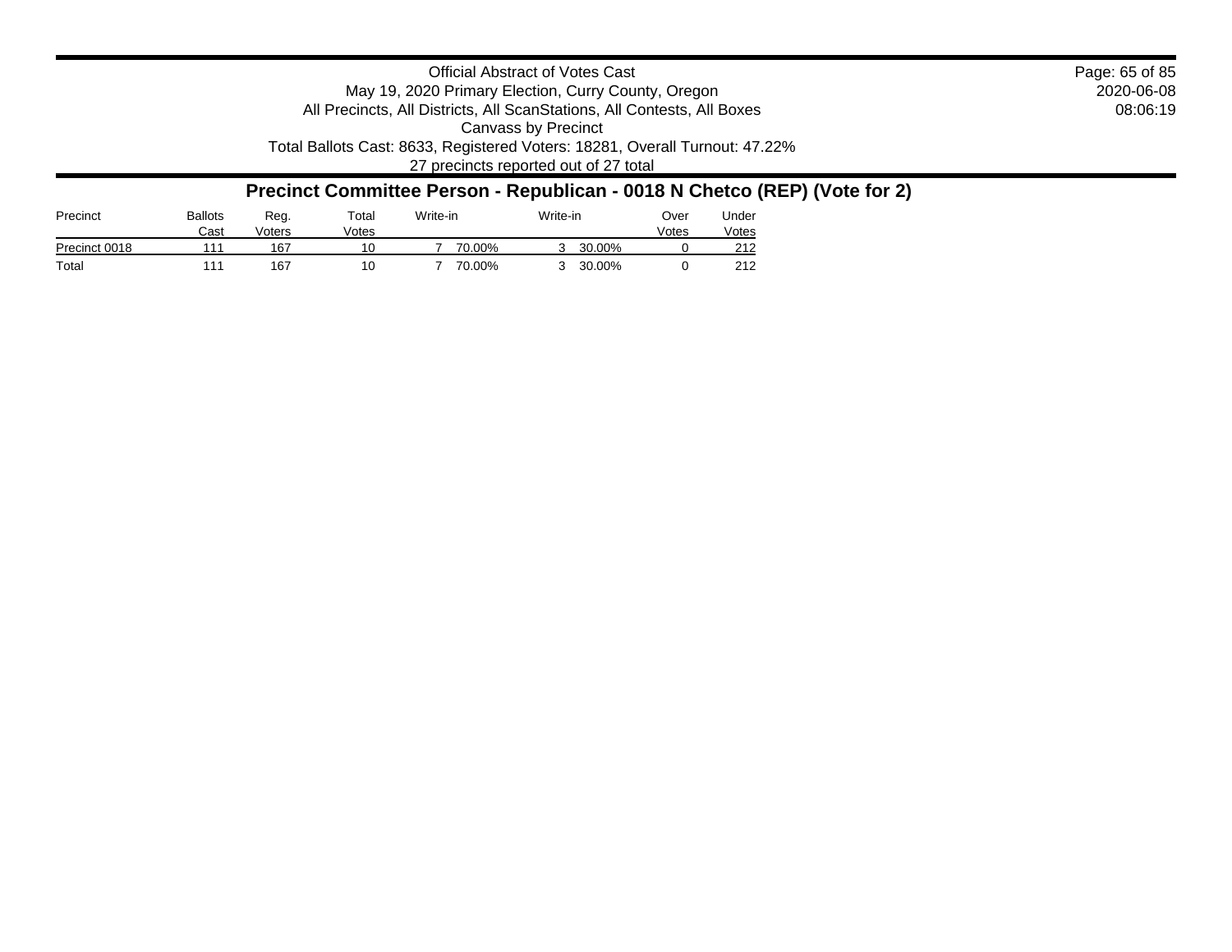2020-06-08 08:06:19 Page: 65 of 85

Official Abstract of Votes Cast May 19, 2020 Primary Election, Curry County, Oregon

All Precincts, All Districts, All ScanStations, All Contests, All Boxes

Canvass by Precinct

Total Ballots Cast: 8633, Registered Voters: 18281, Overall Turnout: 47.22%

27 precincts reported out of 27 total

# **Precinct Committee Person - Republican - 0018 N Chetco (REP) (Vote for 2)**

| Precinct      | <b>Ballots</b><br>Cast | Reg.<br>/oters | $\tau$ otal<br>Votes | Write-in |        | Write-in | Over<br>Votes | Jnder<br>Votes |
|---------------|------------------------|----------------|----------------------|----------|--------|----------|---------------|----------------|
| Precinct 0018 |                        | 167            | 10                   |          | 70.00% | 30.00%   |               | 212            |
| Total         | 111                    | 167            | 10                   |          | 70.00% | 30.00%   |               | 212            |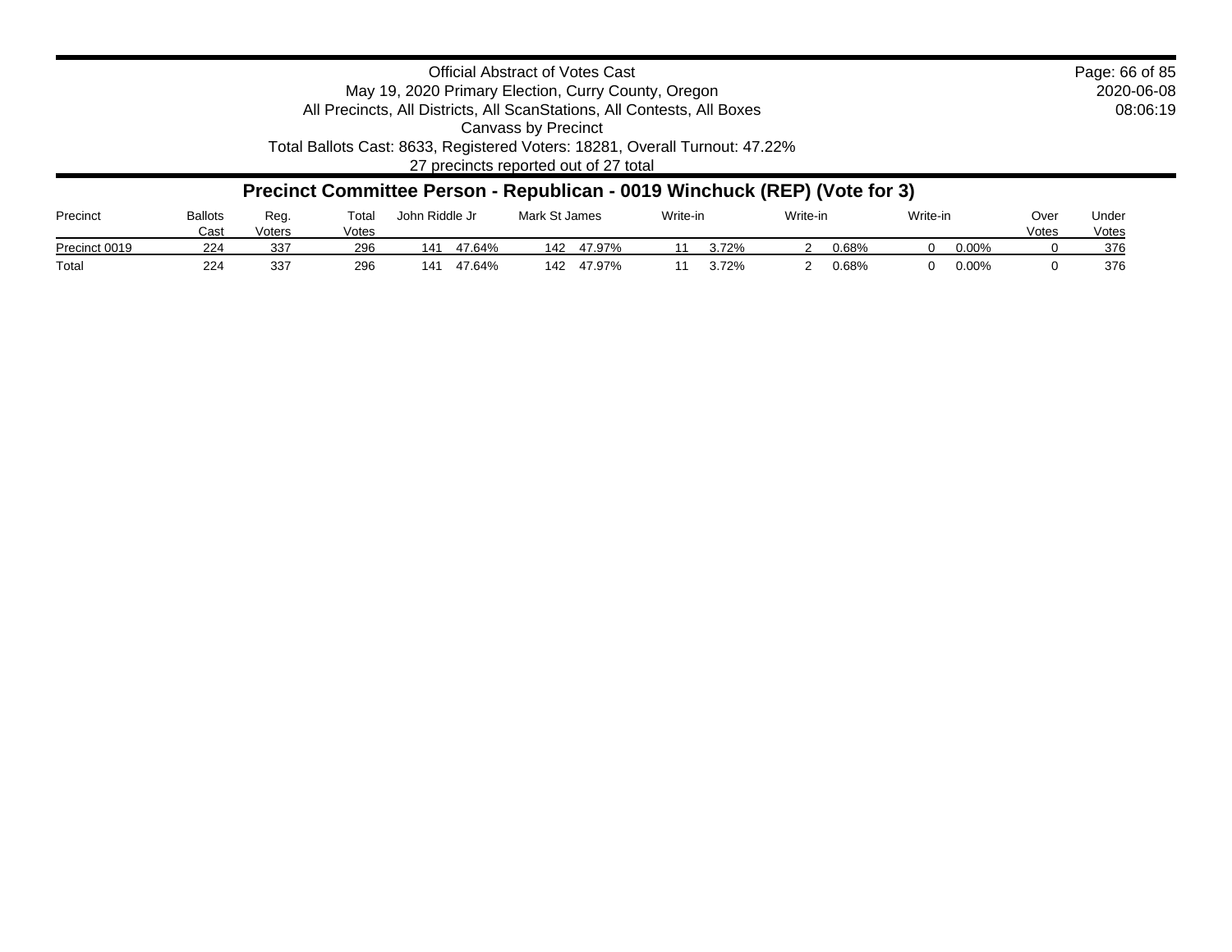2020-06-08 08:06:19 Page: 66 of 85

Official Abstract of Votes Cast May 19, 2020 Primary Election, Curry County, Oregon

All Precincts, All Districts, All ScanStations, All Contests, All Boxes

Canvass by Precinct

Total Ballots Cast: 8633, Registered Voters: 18281, Overall Turnout: 47.22%

27 precincts reported out of 27 total

### **Precinct Committee Person - Republican - 0019 Winchuck (REP) (Vote for 3)**

| Precinct      | <b>Ballots</b><br>Cast | Reg.<br>√oters | Total<br>Votes | John Riddle Jr | Mark St James | Write-in | Write-in | Write-in | Over<br>Votes | Under<br>Votes |
|---------------|------------------------|----------------|----------------|----------------|---------------|----------|----------|----------|---------------|----------------|
| Precinct 0019 | 224                    | 337            | 296            | 47.64%<br>141  | 47.97%<br>142 | 3.72%    | 0.68%    | $0.00\%$ |               | 376            |
| Total         | 224                    | 337            | 296            | 141<br>47.64%  | 47.97%<br>142 | 3.72%    | $0.68\%$ | $0.00\%$ |               | 376            |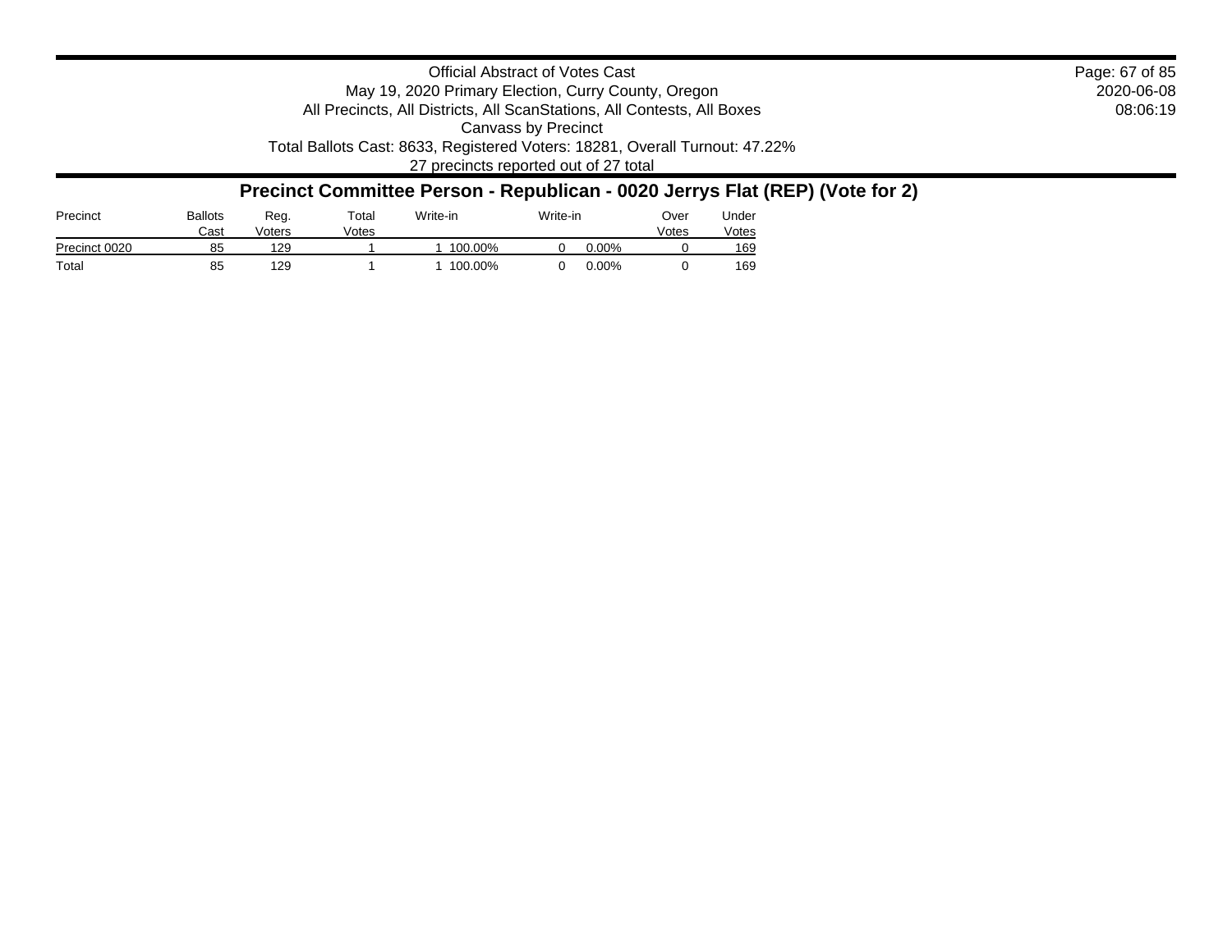2020-06-08 08:06:19 Page: 67 of 85

Official Abstract of Votes Cast May 19, 2020 Primary Election, Curry County, Oregon

All Precincts, All Districts, All ScanStations, All Contests, All Boxes

Canvass by Precinct

Total Ballots Cast: 8633, Registered Voters: 18281, Overall Turnout: 47.22%

27 precincts reported out of 27 total

# **Precinct Committee Person - Republican - 0020 Jerrys Flat (REP) (Vote for 2)**

| Precinct      | Ballots<br>Cast | Reg.<br>/oters | Total<br>Votes | Write-in | Write-in |       | ⊃ver<br>Votes | Under<br>√otes |
|---------------|-----------------|----------------|----------------|----------|----------|-------|---------------|----------------|
| Precinct 0020 | 85              | 29 ا           |                | 100.00%  |          | 0.00% |               | 169            |
| Total         | 85              | 129            |                | 100.00%  |          | 0.00% |               | 169            |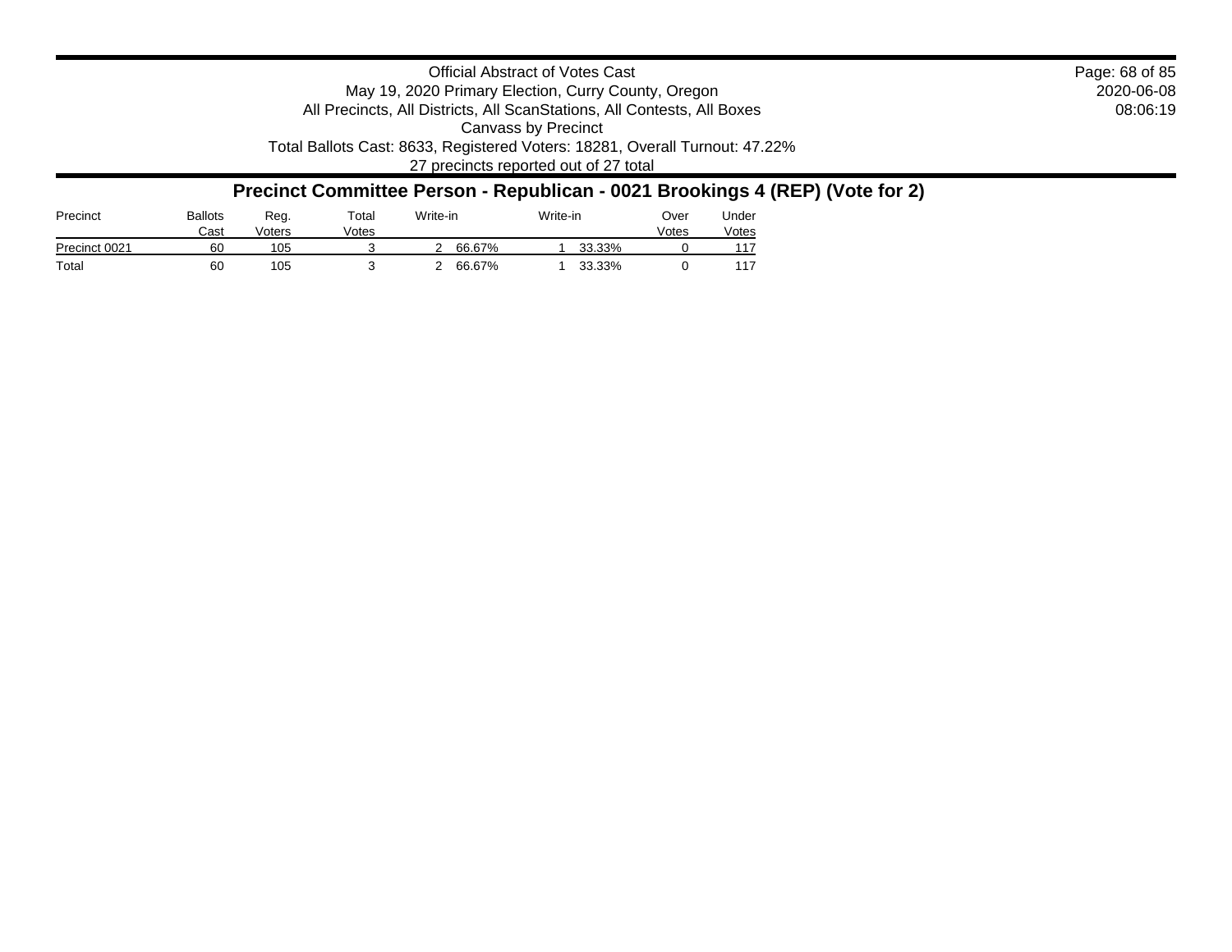2020-06-08 08:06:19 Page: 68 of 85

Official Abstract of Votes Cast May 19, 2020 Primary Election, Curry County, Oregon

All Precincts, All Districts, All ScanStations, All Contests, All Boxes

Canvass by Precinct

Total Ballots Cast: 8633, Registered Voters: 18281, Overall Turnout: 47.22%

27 precincts reported out of 27 total

# **Precinct Committee Person - Republican - 0021 Brookings 4 (REP) (Vote for 2)**

| Precinct      | <b>Ballots</b><br>Cast | Reg.<br>/oters | Total<br>Votes | Write-in |        | Write-in |        | Over<br>Votes | Jnder<br>Votes |
|---------------|------------------------|----------------|----------------|----------|--------|----------|--------|---------------|----------------|
| Precinct 0021 | 60                     | 105            |                |          | 66.67% |          | 33.33% |               | 447            |
| Total         | 60                     | 105            |                |          | 66.67% |          | 33.33% |               |                |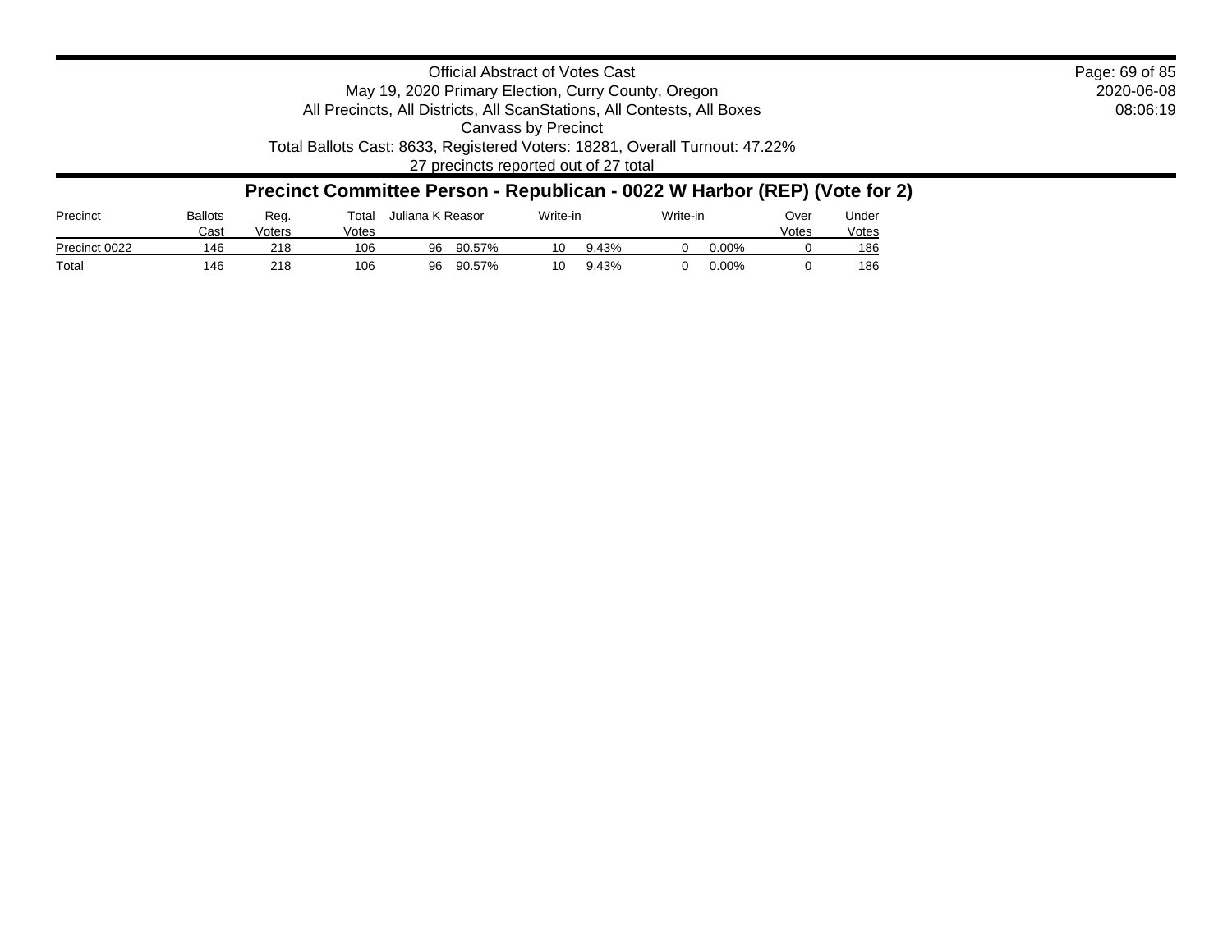2020-06-08 08:06:19 Page: 69 of 85

Official Abstract of Votes Cast May 19, 2020 Primary Election, Curry County, Oregon

All Precincts, All Districts, All ScanStations, All Contests, All Boxes

Canvass by Precinct

Total Ballots Cast: 8633, Registered Voters: 18281, Overall Turnout: 47.22%

27 precincts reported out of 27 total

# **Precinct Committee Person - Republican - 0022 W Harbor (REP) (Vote for 2)**

| Precinct      | Ballots<br>Cast | Reg.<br>Voters | $\tau$ otal<br>Votes | Juliana K Reasor | Write-in   | Write-in | Over<br>Votes | Under<br>Votes |
|---------------|-----------------|----------------|----------------------|------------------|------------|----------|---------------|----------------|
| Precinct 0022 | 146             | 218            | 106                  | 96<br>90.57%     | 9.43%      | ა.00%    |               | 186            |
| Total         | 146             | 218            | 106                  | 96<br>90.57%     | 9.43%<br>ັ | 0.00%    |               | 186            |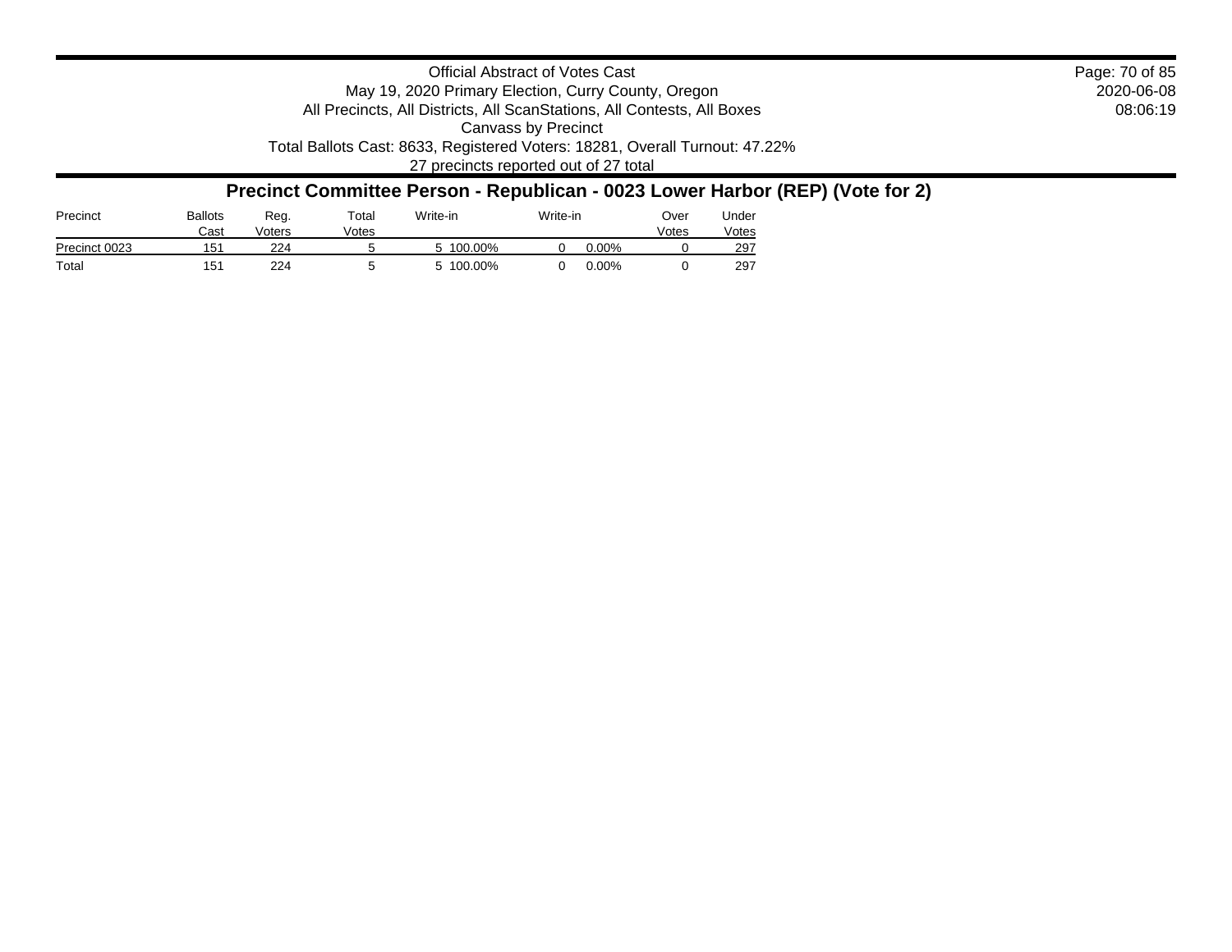2020-06-08 08:06:19 Page: 70 of 85

Official Abstract of Votes Cast May 19, 2020 Primary Election, Curry County, Oregon

All Precincts, All Districts, All ScanStations, All Contests, All Boxes

Canvass by Precinct

Total Ballots Cast: 8633, Registered Voters: 18281, Overall Turnout: 47.22%

27 precincts reported out of 27 total

### **Precinct Committee Person - Republican - 0023 Lower Harbor (REP) (Vote for 2)**

| Precinct      | Ballots<br>Cast | Reg.<br>/oters | Total<br>Votes | Write-in | Write-in |       | Over<br>Votes | Jnder<br>Votes |
|---------------|-----------------|----------------|----------------|----------|----------|-------|---------------|----------------|
| Precinct 0023 | 151             | 224            |                | 100.00%  |          | 0.00% |               | 297            |
| Total         | 151             | 224            |                | 100.00%  |          | 0.00% |               | 297            |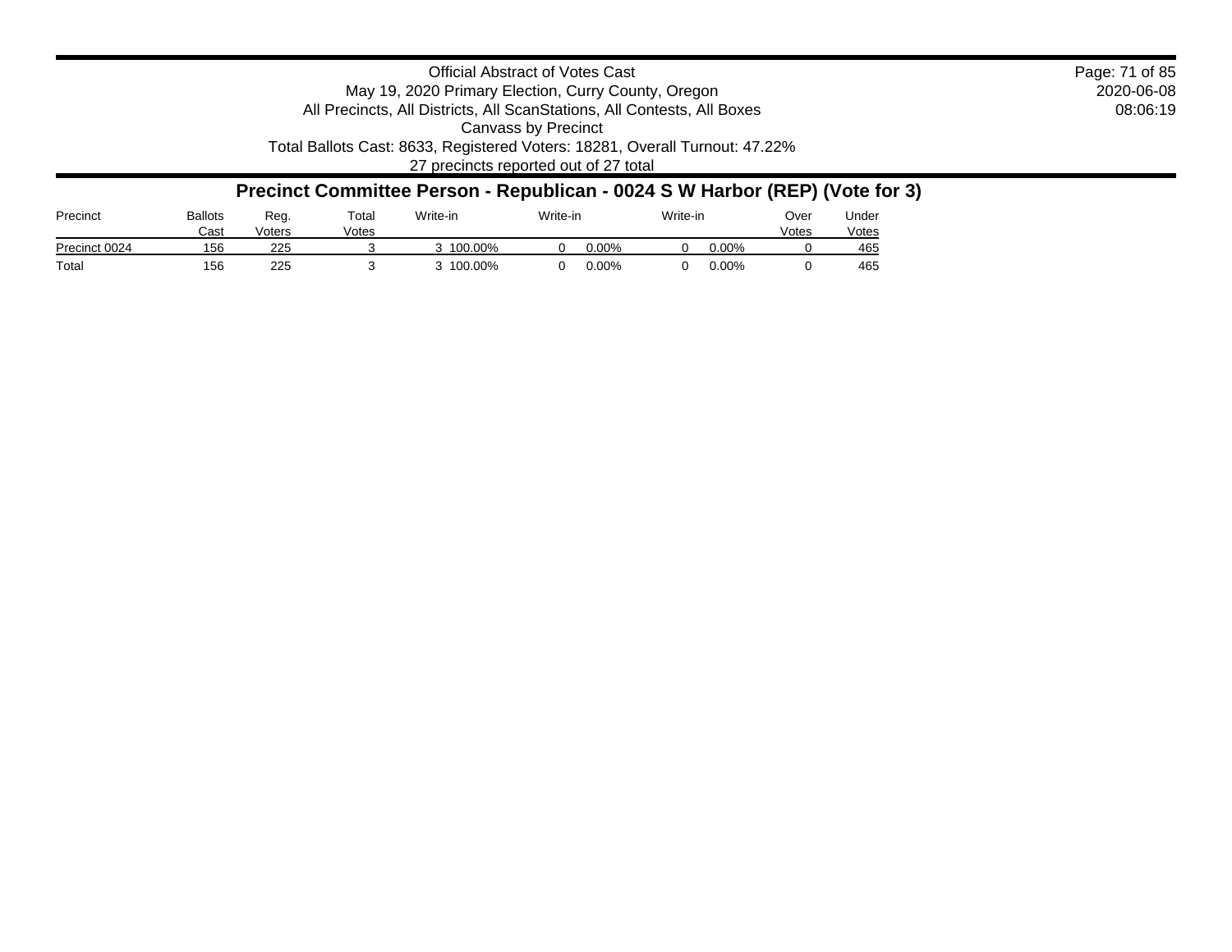2020-06-08 08:06:19 Page: 71 of 85

Official Abstract of Votes Cast May 19, 2020 Primary Election, Curry County, Oregon

All Precincts, All Districts, All ScanStations, All Contests, All Boxes

Canvass by Precinct

Total Ballots Cast: 8633, Registered Voters: 18281, Overall Turnout: 47.22%

27 precincts reported out of 27 total

# **Precinct Committee Person - Republican - 0024 S W Harbor (REP) (Vote for 3)**

| Precinct      | <b>Ballots</b><br>Cast | Reg.<br>Voters | Total<br><b>Votes</b> | Write-in | Write-in | Write-in | Over<br>Votes | Under<br>Votes |
|---------------|------------------------|----------------|-----------------------|----------|----------|----------|---------------|----------------|
| Precinct 0024 | 156                    | 225            |                       | 100.00%  | 0.00%    | $0.00\%$ |               | 465            |
| Total         | 156                    | 225            |                       | 100.00%  | 0.00%    | $0.00\%$ |               | 465            |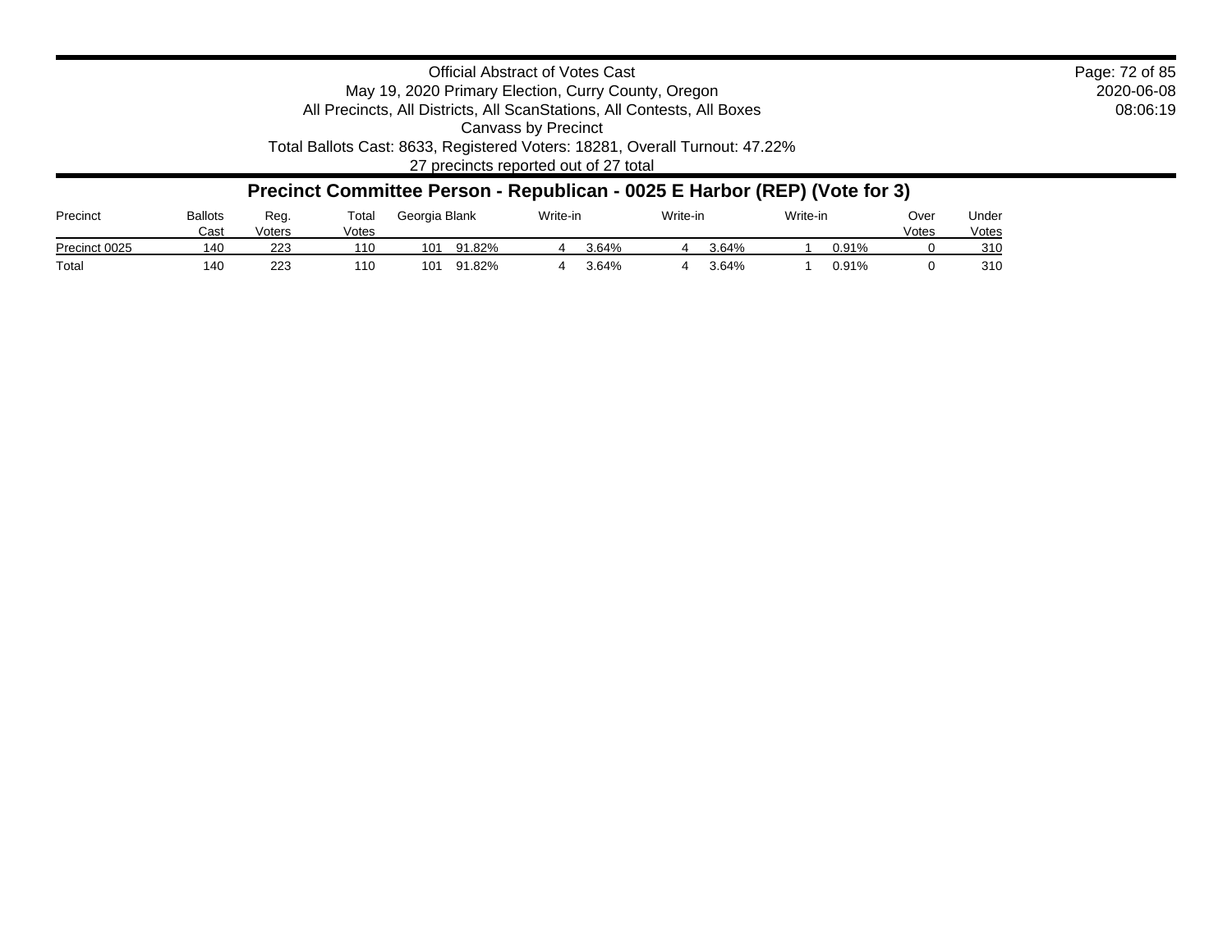2020-06-08 08:06:19 Page: 72 of 85

Official Abstract of Votes Cast May 19, 2020 Primary Election, Curry County, Oregon

All Precincts, All Districts, All ScanStations, All Contests, All Boxes

Canvass by Precinct

Total Ballots Cast: 8633, Registered Voters: 18281, Overall Turnout: 47.22%

27 precincts reported out of 27 total

#### **Precinct Committee Person - Republican - 0025 E Harbor (REP) (Vote for 3)**

| Precinct      | Ballots<br>Cast | Reg.<br>Voters | $\mathsf{Total}$<br>Votes | Georgia Blank          | Write-in | Write-in | Write-in | Over<br>Votes | Under<br>Votes |
|---------------|-----------------|----------------|---------------------------|------------------------|----------|----------|----------|---------------|----------------|
| Precinct 0025 | 140             | 223            | 110                       | 91.82%<br>$10^{\circ}$ | 3.64%    | 3.64%    | 0.91%    |               | 310            |
| Total         | 140             | 223            | 110                       | 91.82%<br>10           | 3.64%    | 3.64%    | 0.91%    |               | 310            |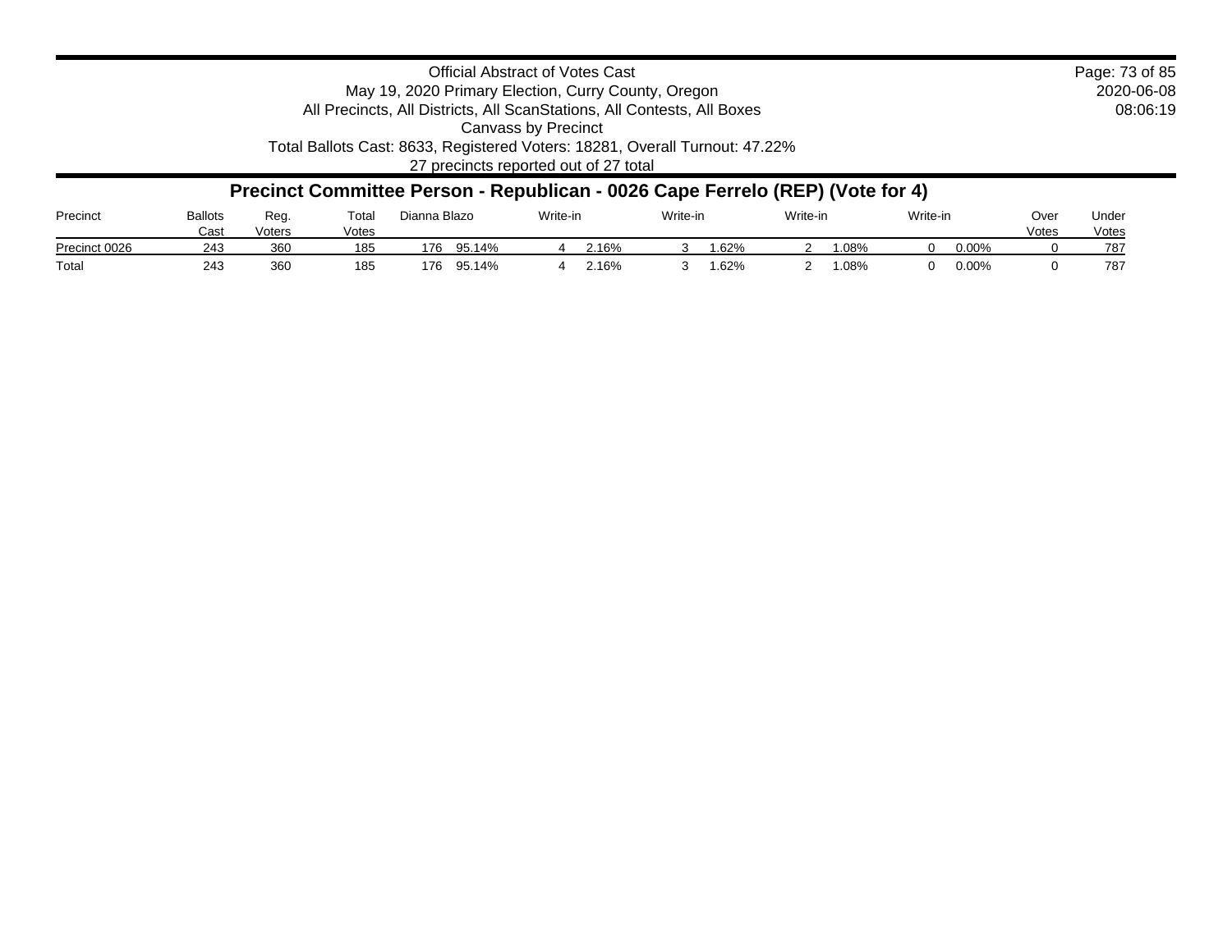2020-06-08 08:06:19 Page: 73 of 85

Official Abstract of Votes Cast May 19, 2020 Primary Election, Curry County, Oregon

All Precincts, All Districts, All ScanStations, All Contests, All Boxes

Canvass by Precinct

Total Ballots Cast: 8633, Registered Voters: 18281, Overall Turnout: 47.22%

27 precincts reported out of 27 total

## **Precinct Committee Person - Republican - 0026 Cape Ferrelo (REP) (Vote for 4)**

| Precinct      | <b>Ballots</b><br>Cast | Reg.<br>Voters | $\tau$ otal<br>Votes | Dianna Blazo  | Write-in | Write-in | Write-in | Write-in | Over<br>Votes | Jnder<br>Votes |
|---------------|------------------------|----------------|----------------------|---------------|----------|----------|----------|----------|---------------|----------------|
| Precinct 0026 | 243                    | 360            | 185                  | 95.14%<br>176 | 2.16%    | .62%     | $.08\%$  | $0.00\%$ |               | 787            |
| Total         | 243                    | 360            | 185                  | 176<br>95.14% | 2.16%    | .62%     | .08%     | $0.00\%$ |               | 787            |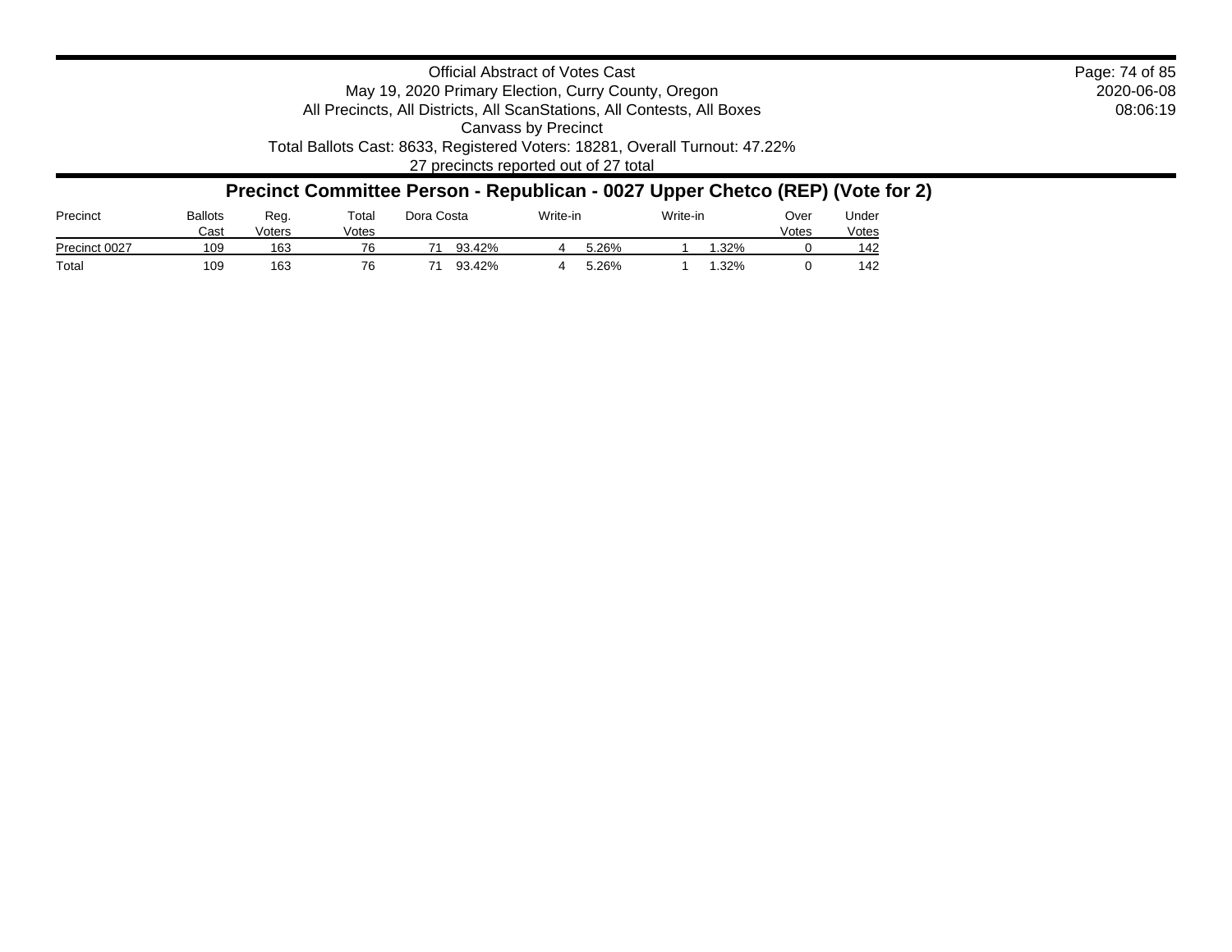2020-06-08 08:06:19 Page: 74 of 85

Official Abstract of Votes Cast May 19, 2020 Primary Election, Curry County, Oregon

All Precincts, All Districts, All ScanStations, All Contests, All Boxes

Canvass by Precinct

Total Ballots Cast: 8633, Registered Voters: 18281, Overall Turnout: 47.22%

27 precincts reported out of 27 total

# **Precinct Committee Person - Republican - 0027 Upper Chetco (REP) (Vote for 2)**

| Precinct      | <b>Ballots</b><br>Cast | Reg.<br>√oters | Total<br>Votes | Dora Costa  | Write-in | Write-in | Over<br>Votes | Under<br>Votes |
|---------------|------------------------|----------------|----------------|-------------|----------|----------|---------------|----------------|
| Precinct 0027 | 109                    | 163            | 76             | ،42%،<br>۵٩ | ა.26%    | .32%     |               | 142            |
| Total         | 109                    | 163            | 76             | 93.42%      | $.26\%$  | .32%     |               | 142            |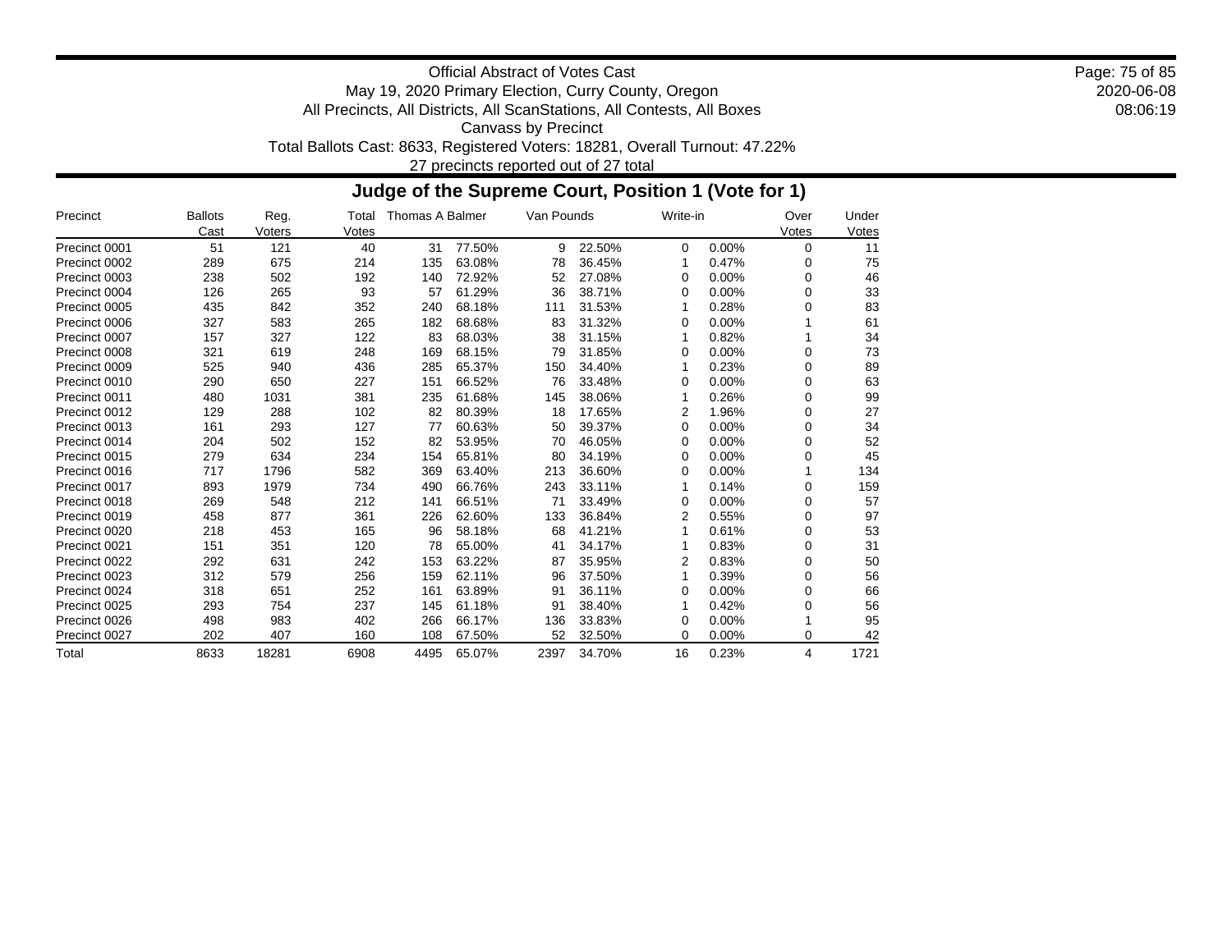2020-06-08 08:06:19 Page: 75 of 85

Official Abstract of Votes Cast May 19, 2020 Primary Election, Curry County, Oregon All Precincts, All Districts, All ScanStations, All Contests, All Boxes Canvass by Precinct

Total Ballots Cast: 8633, Registered Voters: 18281, Overall Turnout: 47.22%

27 precincts reported out of 27 total

#### **Judge of the Supreme Court, Position 1 (Vote for 1)**

| Precinct      | <b>Ballots</b><br>Cast | Reg.<br>Voters | Total<br>Votes | Thomas A Balmer |        | Van Pounds |        | Write-in       |          | Over<br>Votes  | Under<br>Votes |
|---------------|------------------------|----------------|----------------|-----------------|--------|------------|--------|----------------|----------|----------------|----------------|
| Precinct 0001 | 51                     | 121            | 40             | 31              | 77.50% | 9          | 22.50% | $\Omega$       | $0.00\%$ | $\Omega$       | 11             |
| Precinct 0002 | 289                    | 675            | 214            | 135             | 63.08% | 78         | 36.45% |                | 0.47%    | 0              | 75             |
| Precinct 0003 | 238                    | 502            | 192            | 140             | 72.92% | 52         | 27.08% | 0              | 0.00%    | $\Omega$       | 46             |
| Precinct 0004 | 126                    | 265            | 93             | 57              | 61.29% | 36         | 38.71% | 0              | 0.00%    | $\Omega$       | 33             |
| Precinct 0005 | 435                    | 842            | 352            | 240             | 68.18% | 111        | 31.53% |                | 0.28%    | 0              | 83             |
| Precinct 0006 | 327                    | 583            | 265            | 182             | 68.68% | 83         | 31.32% | 0              | $0.00\%$ |                | 61             |
| Precinct 0007 | 157                    | 327            | 122            | 83              | 68.03% | 38         | 31.15% |                | 0.82%    |                | 34             |
| Precinct 0008 | 321                    | 619            | 248            | 169             | 68.15% | 79         | 31.85% | 0              | $0.00\%$ | $\Omega$       | 73             |
| Precinct 0009 | 525                    | 940            | 436            | 285             | 65.37% | 150        | 34.40% | 1              | 0.23%    | $\Omega$       | 89             |
| Precinct 0010 | 290                    | 650            | 227            | 151             | 66.52% | 76         | 33.48% | 0              | 0.00%    | $\Omega$       | 63             |
| Precinct 0011 | 480                    | 1031           | 381            | 235             | 61.68% | 145        | 38.06% |                | 0.26%    | 0              | 99             |
| Precinct 0012 | 129                    | 288            | 102            | 82              | 80.39% | 18         | 17.65% | 2              | 1.96%    | $\Omega$       | 27             |
| Precinct 0013 | 161                    | 293            | 127            | 77              | 60.63% | 50         | 39.37% | $\Omega$       | $0.00\%$ | 0              | 34             |
| Precinct 0014 | 204                    | 502            | 152            | 82              | 53.95% | 70         | 46.05% | 0              | 0.00%    | 0              | 52             |
| Precinct 0015 | 279                    | 634            | 234            | 154             | 65.81% | 80         | 34.19% | 0              | 0.00%    | 0              | 45             |
| Precinct 0016 | 717                    | 1796           | 582            | 369             | 63.40% | 213        | 36.60% | 0              | 0.00%    |                | 134            |
| Precinct 0017 | 893                    | 1979           | 734            | 490             | 66.76% | 243        | 33.11% |                | 0.14%    | 0              | 159            |
| Precinct 0018 | 269                    | 548            | 212            | 141             | 66.51% | 71         | 33.49% | 0              | 0.00%    | 0              | 57             |
| Precinct 0019 | 458                    | 877            | 361            | 226             | 62.60% | 133        | 36.84% | $\overline{2}$ | 0.55%    | $\Omega$       | 97             |
| Precinct 0020 | 218                    | 453            | 165            | 96              | 58.18% | 68         | 41.21% |                | 0.61%    | $\Omega$       | 53             |
| Precinct 0021 | 151                    | 351            | 120            | 78              | 65.00% | 41         | 34.17% |                | 0.83%    | $\Omega$       | 31             |
| Precinct 0022 | 292                    | 631            | 242            | 153             | 63.22% | 87         | 35.95% | 2              | 0.83%    | $\Omega$       | 50             |
| Precinct 0023 | 312                    | 579            | 256            | 159             | 62.11% | 96         | 37.50% |                | 0.39%    | 0              | 56             |
| Precinct 0024 | 318                    | 651            | 252            | 161             | 63.89% | 91         | 36.11% | 0              | 0.00%    | 0              | 66             |
| Precinct 0025 | 293                    | 754            | 237            | 145             | 61.18% | 91         | 38.40% |                | 0.42%    | $\Omega$       | 56             |
| Precinct 0026 | 498                    | 983            | 402            | 266             | 66.17% | 136        | 33.83% | 0              | 0.00%    |                | 95             |
| Precinct 0027 | 202                    | 407            | 160            | 108             | 67.50% | 52         | 32.50% | 0              | 0.00%    | 0              | 42             |
| Total         | 8633                   | 18281          | 6908           | 4495            | 65.07% | 2397       | 34.70% | 16             | 0.23%    | $\overline{4}$ | 1721           |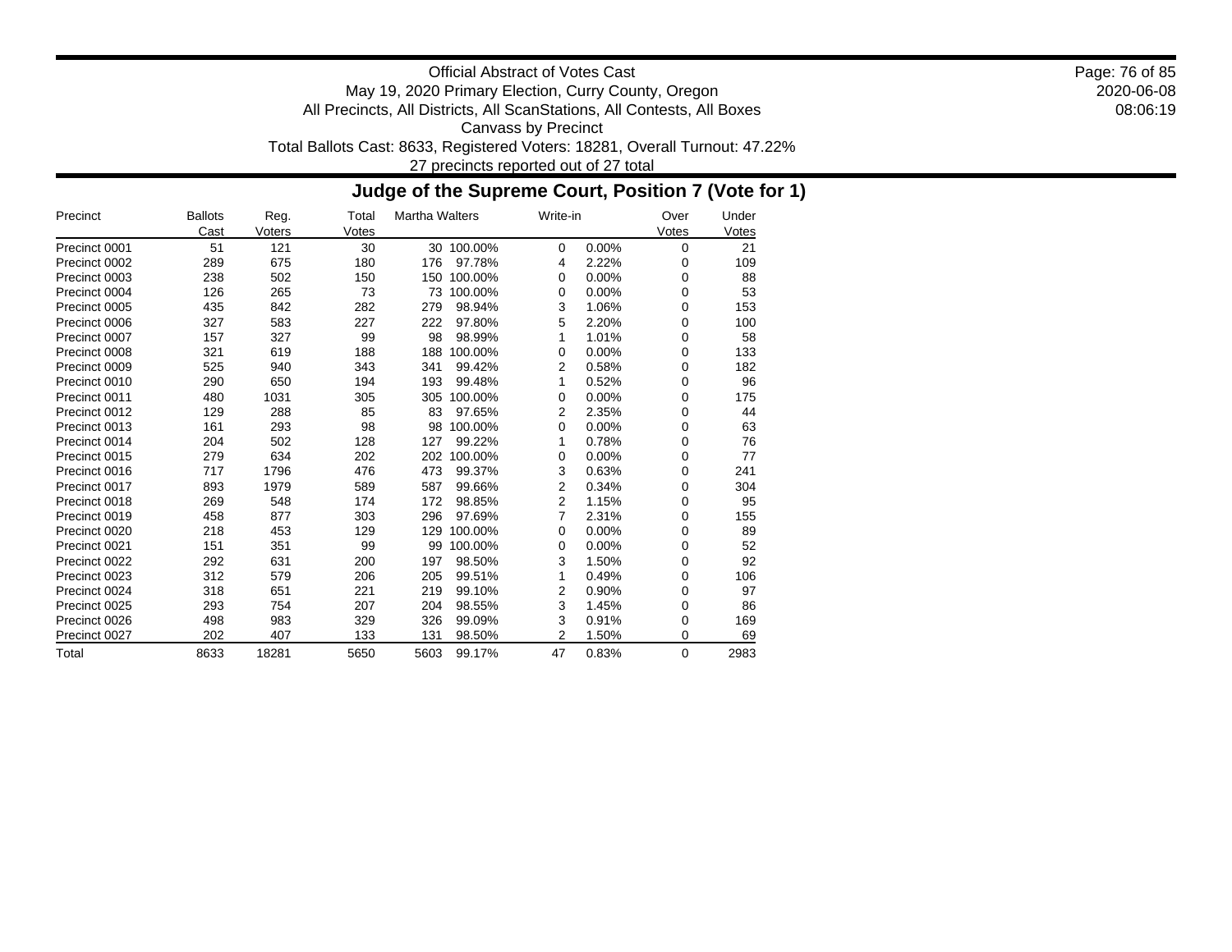2020-06-08 08:06:19 Page: 76 of 85

Official Abstract of Votes Cast May 19, 2020 Primary Election, Curry County, Oregon All Precincts, All Districts, All ScanStations, All Contests, All Boxes

Canvass by Precinct

Total Ballots Cast: 8633, Registered Voters: 18281, Overall Turnout: 47.22%

27 precincts reported out of 27 total

### **Judge of the Supreme Court, Position 7 (Vote for 1)**

| Precinct      | <b>Ballots</b><br>Cast | Reg.<br>Voters | Total<br>Votes | <b>Martha Walters</b> |            |                | Write-in |   | Under<br>Votes |
|---------------|------------------------|----------------|----------------|-----------------------|------------|----------------|----------|---|----------------|
| Precinct 0001 | 51                     | 121            | 30             |                       | 30 100.00% | $\Omega$       | 0.00%    | 0 | 21             |
| Precinct 0002 | 289                    | 675            | 180            | 176                   | 97.78%     | 4              | 2.22%    | 0 | 109            |
| Precinct 0003 | 238                    | 502            | 150            | 150                   | 100.00%    | 0              | 0.00%    | 0 | 88             |
| Precinct 0004 | 126                    | 265            | 73             | 73                    | 100.00%    | 0              | 0.00%    | 0 | 53             |
| Precinct 0005 | 435                    | 842            | 282            | 279                   | 98.94%     | 3              | 1.06%    | 0 | 153            |
| Precinct 0006 | 327                    | 583            | 227            | 222                   | 97.80%     | 5              | 2.20%    | 0 | 100            |
| Precinct 0007 | 157                    | 327            | 99             | 98                    | 98.99%     | 1              | 1.01%    | 0 | 58             |
| Precinct 0008 | 321                    | 619            | 188            | 188                   | 100.00%    | 0              | 0.00%    | 0 | 133            |
| Precinct 0009 | 525                    | 940            | 343            | 341                   | 99.42%     | 2              | 0.58%    | 0 | 182            |
| Precinct 0010 | 290                    | 650            | 194            | 193                   | 99.48%     | 1              | 0.52%    | 0 | 96             |
| Precinct 0011 | 480                    | 1031           | 305            | 305                   | 100.00%    | 0              | 0.00%    | 0 | 175            |
| Precinct 0012 | 129                    | 288            | 85             | 83                    | 97.65%     | $\overline{2}$ | 2.35%    | 0 | 44             |
| Precinct 0013 | 161                    | 293            | 98             | 98                    | 100.00%    | 0              | 0.00%    | 0 | 63             |
| Precinct 0014 | 204                    | 502            | 128            | 127                   | 99.22%     | 1              | 0.78%    | 0 | 76             |
| Precinct 0015 | 279                    | 634            | 202            | 202                   | 100.00%    | 0              | 0.00%    | 0 | 77             |
| Precinct 0016 | 717                    | 1796           | 476            | 473                   | 99.37%     | 3              | 0.63%    | 0 | 241            |
| Precinct 0017 | 893                    | 1979           | 589            | 587                   | 99.66%     | 2              | 0.34%    | 0 | 304            |
| Precinct 0018 | 269                    | 548            | 174            | 172                   | 98.85%     | 2              | 1.15%    | 0 | 95             |
| Precinct 0019 | 458                    | 877            | 303            | 296                   | 97.69%     | 7              | 2.31%    | 0 | 155            |
| Precinct 0020 | 218                    | 453            | 129            | 129                   | 100.00%    | 0              | 0.00%    | 0 | 89             |
| Precinct 0021 | 151                    | 351            | 99             | 99                    | 100.00%    | 0              | 0.00%    | 0 | 52             |
| Precinct 0022 | 292                    | 631            | 200            | 197                   | 98.50%     | 3              | 1.50%    | 0 | 92             |
| Precinct 0023 | 312                    | 579            | 206            | 205                   | 99.51%     | 1              | 0.49%    | 0 | 106            |
| Precinct 0024 | 318                    | 651            | 221            | 219                   | 99.10%     | 2              | 0.90%    | 0 | 97             |
| Precinct 0025 | 293                    | 754            | 207            | 204                   | 98.55%     | 3              | 1.45%    | 0 | 86             |
| Precinct 0026 | 498                    | 983            | 329            | 326                   | 99.09%     | 3              | 0.91%    | 0 | 169            |
| Precinct 0027 | 202                    | 407            | 133            | 131                   | 98.50%     | 2              | 1.50%    | 0 | 69             |
| Total         | 8633                   | 18281          | 5650           | 5603                  | 99.17%     | 47             | 0.83%    | 0 | 2983           |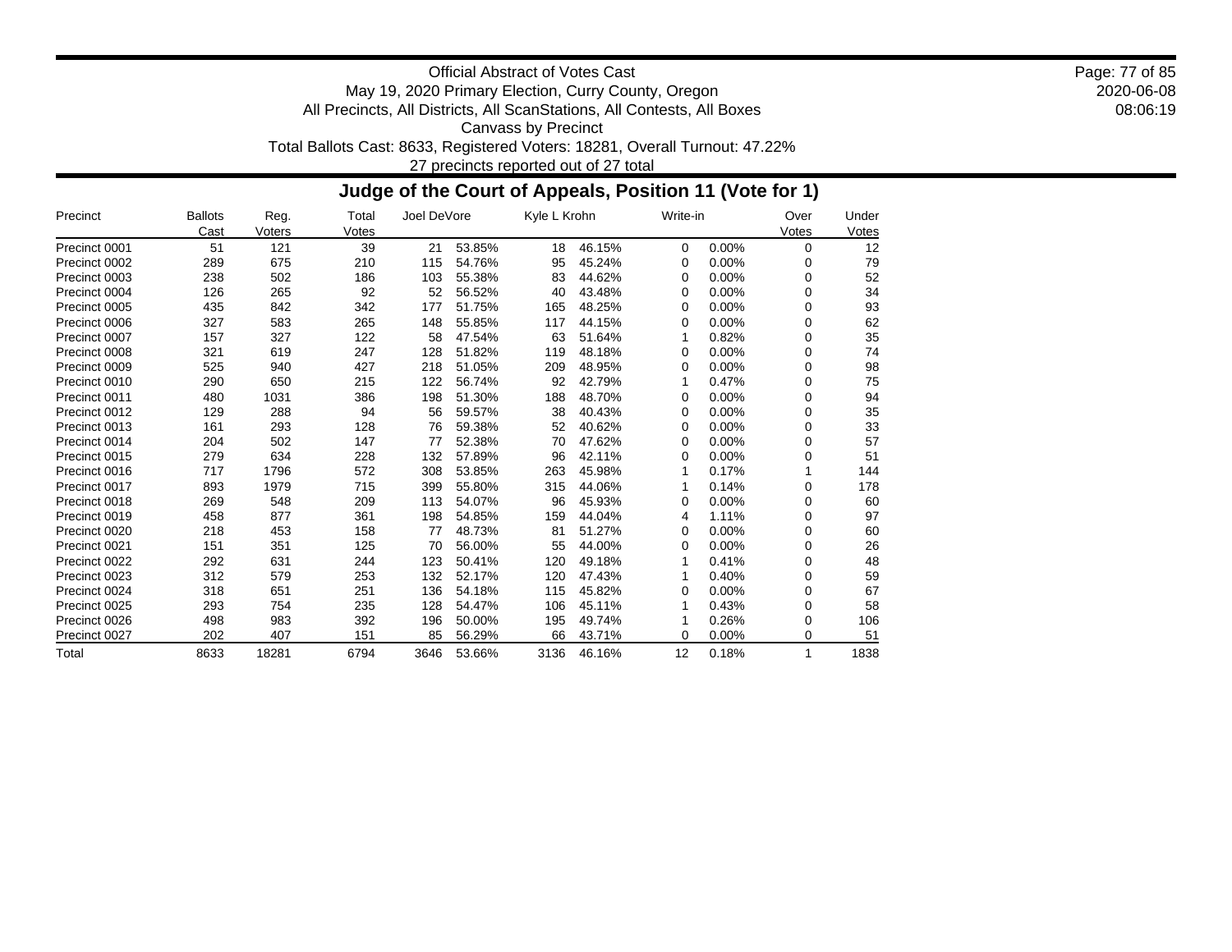2020-06-08 08:06:19 Page: 77 of 85

Official Abstract of Votes Cast May 19, 2020 Primary Election, Curry County, Oregon All Precincts, All Districts, All ScanStations, All Contests, All Boxes

Canvass by Precinct

Total Ballots Cast: 8633, Registered Voters: 18281, Overall Turnout: 47.22%

27 precincts reported out of 27 total

#### **Judge of the Court of Appeals, Position 11 (Vote for 1)**

| Precinct      | <b>Ballots</b><br>Cast | Reg.<br>Voters | Total<br>Votes | Joel DeVore |        | Kyle L Krohn |        | Write-in |          | Over<br>Votes | Under<br>Votes |
|---------------|------------------------|----------------|----------------|-------------|--------|--------------|--------|----------|----------|---------------|----------------|
| Precinct 0001 | 51                     | 121            | 39             | 21          | 53.85% | 18           | 46.15% | $\Omega$ | 0.00%    | 0             | 12             |
| Precinct 0002 | 289                    | 675            | 210            | 115         | 54.76% | 95           | 45.24% | 0        | 0.00%    | 0             | 79             |
| Precinct 0003 | 238                    | 502            | 186            | 103         | 55.38% | 83           | 44.62% | 0        | 0.00%    | $\Omega$      | 52             |
| Precinct 0004 | 126                    | 265            | 92             | 52          | 56.52% | 40           | 43.48% | 0        | 0.00%    | 0             | 34             |
| Precinct 0005 | 435                    | 842            | 342            | 177         | 51.75% | 165          | 48.25% | 0        | 0.00%    | $\Omega$      | 93             |
| Precinct 0006 | 327                    | 583            | 265            | 148         | 55.85% | 117          | 44.15% | 0        | $0.00\%$ | 0             | 62             |
| Precinct 0007 | 157                    | 327            | 122            | 58          | 47.54% | 63           | 51.64% |          | 0.82%    | 0             | 35             |
| Precinct 0008 | 321                    | 619            | 247            | 128         | 51.82% | 119          | 48.18% | $\Omega$ | $0.00\%$ | 0             | 74             |
| Precinct 0009 | 525                    | 940            | 427            | 218         | 51.05% | 209          | 48.95% | 0        | 0.00%    | 0             | 98             |
| Precinct 0010 | 290                    | 650            | 215            | 122         | 56.74% | 92           | 42.79% |          | 0.47%    | 0             | 75             |
| Precinct 0011 | 480                    | 1031           | 386            | 198         | 51.30% | 188          | 48.70% | 0        | $0.00\%$ | 0             | 94             |
| Precinct 0012 | 129                    | 288            | 94             | 56          | 59.57% | 38           | 40.43% | 0        | 0.00%    | 0             | 35             |
| Precinct 0013 | 161                    | 293            | 128            | 76          | 59.38% | 52           | 40.62% | $\Omega$ | 0.00%    | 0             | 33             |
| Precinct 0014 | 204                    | 502            | 147            | 77          | 52.38% | 70           | 47.62% | 0        | 0.00%    | $\Omega$      | 57             |
| Precinct 0015 | 279                    | 634            | 228            | 132         | 57.89% | 96           | 42.11% | 0        | 0.00%    | 0             | 51             |
| Precinct 0016 | 717                    | 1796           | 572            | 308         | 53.85% | 263          | 45.98% |          | 0.17%    |               | 144            |
| Precinct 0017 | 893                    | 1979           | 715            | 399         | 55.80% | 315          | 44.06% |          | 0.14%    | $\Omega$      | 178            |
| Precinct 0018 | 269                    | 548            | 209            | 113         | 54.07% | 96           | 45.93% | 0        | 0.00%    | 0             | 60             |
| Precinct 0019 | 458                    | 877            | 361            | 198         | 54.85% | 159          | 44.04% | 4        | 1.11%    | 0             | 97             |
| Precinct 0020 | 218                    | 453            | 158            | 77          | 48.73% | 81           | 51.27% | 0        | $0.00\%$ | 0             | 60             |
| Precinct 0021 | 151                    | 351            | 125            | 70          | 56.00% | 55           | 44.00% | 0        | 0.00%    | 0             | 26             |
| Precinct 0022 | 292                    | 631            | 244            | 123         | 50.41% | 120          | 49.18% |          | 0.41%    | 0             | 48             |
| Precinct 0023 | 312                    | 579            | 253            | 132         | 52.17% | 120          | 47.43% |          | 0.40%    | 0             | 59             |
| Precinct 0024 | 318                    | 651            | 251            | 136         | 54.18% | 115          | 45.82% | 0        | 0.00%    | 0             | 67             |
| Precinct 0025 | 293                    | 754            | 235            | 128         | 54.47% | 106          | 45.11% |          | 0.43%    | 0             | 58             |
| Precinct 0026 | 498                    | 983            | 392            | 196         | 50.00% | 195          | 49.74% |          | 0.26%    | 0             | 106            |
| Precinct 0027 | 202                    | 407            | 151            | 85          | 56.29% | 66           | 43.71% | 0        | 0.00%    | 0             | 51             |
| Total         | 8633                   | 18281          | 6794           | 3646        | 53.66% | 3136         | 46.16% | 12       | 0.18%    | 1             | 1838           |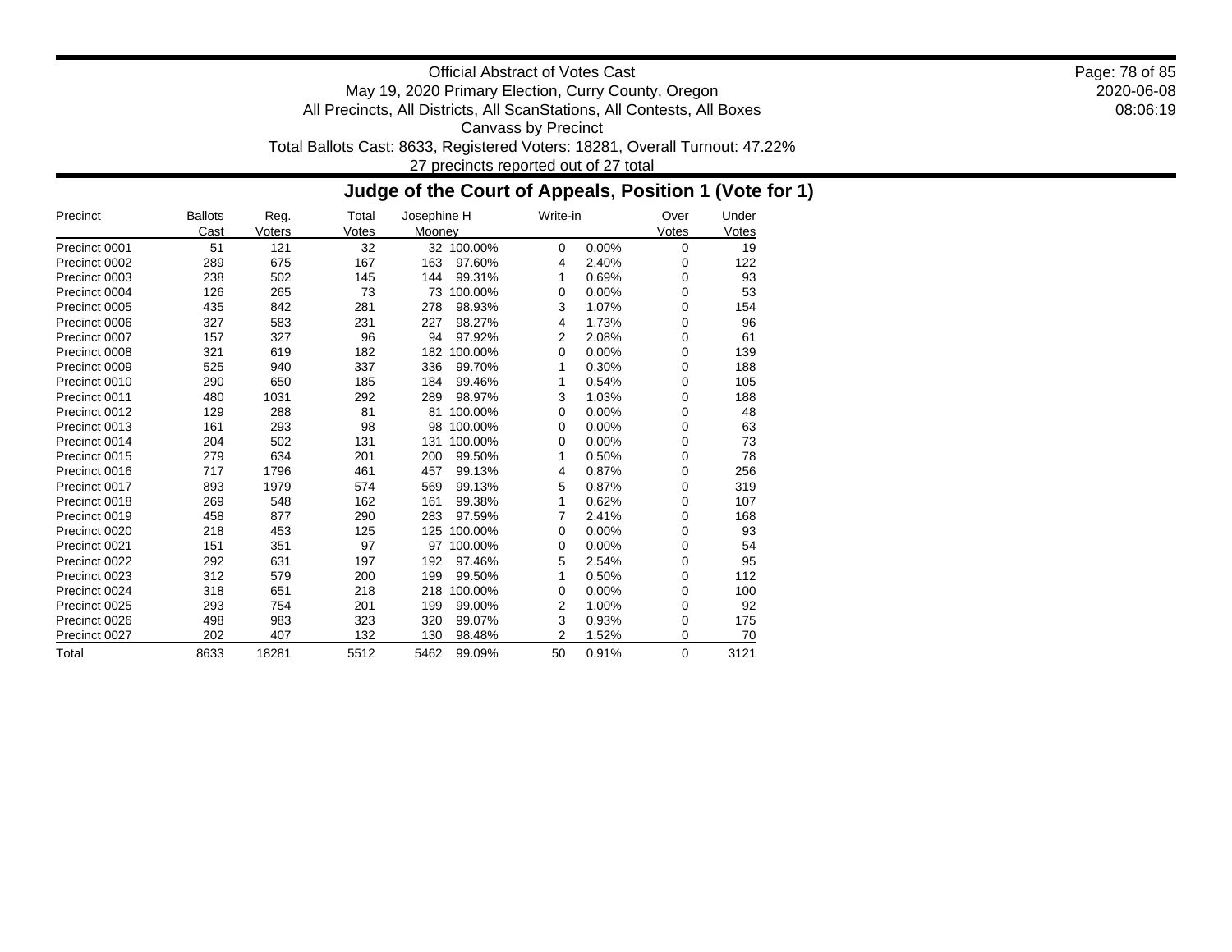2020-06-08 08:06:19 Page: 78 of 85

Official Abstract of Votes Cast May 19, 2020 Primary Election, Curry County, Oregon All Precincts, All Districts, All ScanStations, All Contests, All Boxes

Canvass by Precinct

Total Ballots Cast: 8633, Registered Voters: 18281, Overall Turnout: 47.22%

27 precincts reported out of 27 total

### **Judge of the Court of Appeals, Position 1 (Vote for 1)**

| Precinct      | <b>Ballots</b><br>Cast | Reg.<br>Voters | Total<br>Votes | Josephine H<br>Mooney |            | Write-in |          | Over<br>Votes | Under<br>Votes |
|---------------|------------------------|----------------|----------------|-----------------------|------------|----------|----------|---------------|----------------|
| Precinct 0001 | 51                     | 121            | 32             |                       | 32 100.00% | 0        | 0.00%    | 0             | 19             |
| Precinct 0002 | 289                    | 675            | 167            | 163                   | 97.60%     | 4        | 2.40%    | 0             | 122            |
| Precinct 0003 | 238                    | 502            | 145            | 144                   | 99.31%     | 1        | 0.69%    | 0             | 93             |
| Precinct 0004 | 126                    | 265            | 73             | 73                    | 100.00%    | 0        | 0.00%    | 0             | 53             |
| Precinct 0005 | 435                    | 842            | 281            | 278                   | 98.93%     | 3        | 1.07%    | 0             | 154            |
| Precinct 0006 | 327                    | 583            | 231            | 227                   | 98.27%     | 4        | 1.73%    | 0             | 96             |
| Precinct 0007 | 157                    | 327            | 96             | 94                    | 97.92%     | 2        | 2.08%    | 0             | 61             |
| Precinct 0008 | 321                    | 619            | 182            | 182                   | 100.00%    | 0        | $0.00\%$ | 0             | 139            |
| Precinct 0009 | 525                    | 940            | 337            | 336                   | 99.70%     |          | 0.30%    | 0             | 188            |
| Precinct 0010 | 290                    | 650            | 185            | 184                   | 99.46%     | 1        | 0.54%    | 0             | 105            |
| Precinct 0011 | 480                    | 1031           | 292            | 289                   | 98.97%     | 3        | 1.03%    | 0             | 188            |
| Precinct 0012 | 129                    | 288            | 81             | 81                    | 100.00%    | $\Omega$ | 0.00%    | 0             | 48             |
| Precinct 0013 | 161                    | 293            | 98             | 98                    | 100.00%    |          | 0.00%    |               | 63             |
|               | 204                    | 502            | 131            |                       | 100.00%    | 0        | 0.00%    | 0             | 73             |
| Precinct 0014 |                        |                |                | 131                   |            | 0        |          | 0             |                |
| Precinct 0015 | 279                    | 634            | 201            | 200                   | 99.50%     | 1        | 0.50%    | 0             | 78             |
| Precinct 0016 | 717                    | 1796           | 461            | 457                   | 99.13%     | 4        | 0.87%    | 0             | 256            |
| Precinct 0017 | 893                    | 1979           | 574            | 569                   | 99.13%     | 5        | 0.87%    | 0             | 319            |
| Precinct 0018 | 269                    | 548            | 162            | 161                   | 99.38%     |          | 0.62%    | 0             | 107            |
| Precinct 0019 | 458                    | 877            | 290            | 283                   | 97.59%     | 7        | 2.41%    | 0             | 168            |
| Precinct 0020 | 218                    | 453            | 125            | 125                   | 100.00%    | 0        | $0.00\%$ | 0             | 93             |
| Precinct 0021 | 151                    | 351            | 97             | 97                    | 100.00%    | 0        | 0.00%    | 0             | 54             |
| Precinct 0022 | 292                    | 631            | 197            | 192                   | 97.46%     | 5        | 2.54%    | 0             | 95             |
| Precinct 0023 | 312                    | 579            | 200            | 199                   | 99.50%     |          | 0.50%    | 0             | 112            |
| Precinct 0024 | 318                    | 651            | 218            | 218                   | 100.00%    | 0        | 0.00%    | 0             | 100            |
| Precinct 0025 | 293                    | 754            | 201            | 199                   | 99.00%     | 2        | 1.00%    | 0             | 92             |
| Precinct 0026 | 498                    | 983            | 323            | 320                   | 99.07%     | 3        | 0.93%    | 0             | 175            |
| Precinct 0027 | 202                    | 407            | 132            | 130                   | 98.48%     | 2        | 1.52%    | 0             | 70             |
| Total         | 8633                   | 18281          | 5512           | 5462                  | 99.09%     | 50       | 0.91%    | 0             | 3121           |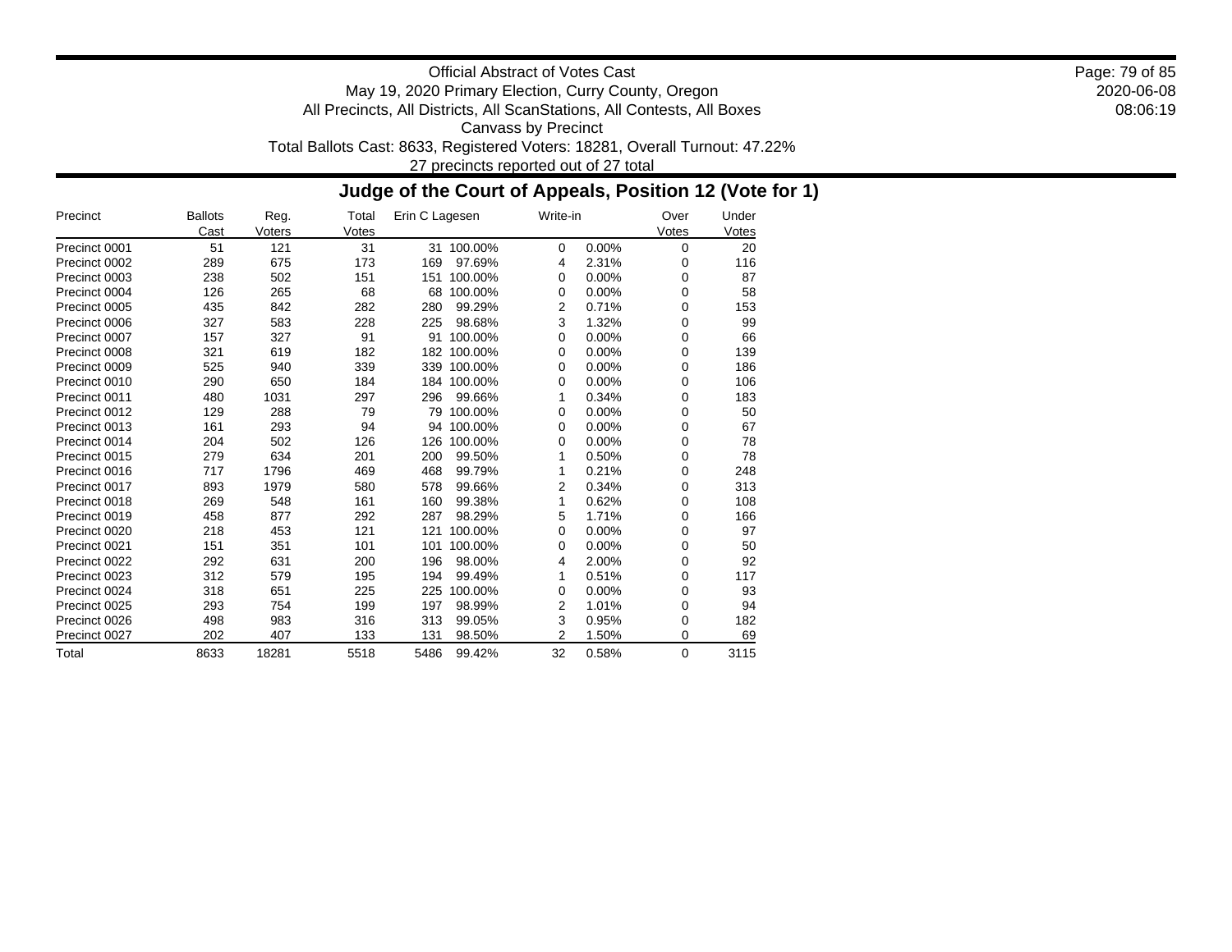2020-06-08 08:06:19 Page: 79 of 85

Official Abstract of Votes Cast May 19, 2020 Primary Election, Curry County, Oregon

All Precincts, All Districts, All ScanStations, All Contests, All Boxes

Canvass by Precinct

Total Ballots Cast: 8633, Registered Voters: 18281, Overall Turnout: 47.22%

27 precincts reported out of 27 total

#### **Judge of the Court of Appeals, Position 12 (Vote for 1)**

| Precinct      | <b>Ballots</b><br>Cast | Reg.<br>Voters | Total<br>Votes | Erin C Lagesen |             | Write-in       |          | Over<br>Votes | Under<br>Votes |
|---------------|------------------------|----------------|----------------|----------------|-------------|----------------|----------|---------------|----------------|
| Precinct 0001 | 51                     | 121            | 31             | 31             | 100.00%     | $\Omega$       | 0.00%    | 0             | 20             |
| Precinct 0002 | 289                    | 675            | 173            | 169            | 97.69%      | 4              | 2.31%    | 0             | 116            |
| Precinct 0003 | 238                    | 502            | 151            | 151            | 100.00%     | 0              | 0.00%    | 0             | 87             |
| Precinct 0004 | 126                    | 265            | 68             | 68             | 100.00%     | 0              | 0.00%    | 0             | 58             |
| Precinct 0005 | 435                    | 842            | 282            | 280            | 99.29%      | 2              | 0.71%    | 0             | 153            |
| Precinct 0006 | 327                    | 583            | 228            | 225            | 98.68%      | 3              | 1.32%    | 0             | 99             |
| Precinct 0007 | 157                    | 327            | 91             | 91             | 100.00%     | 0              | 0.00%    | 0             | 66             |
| Precinct 0008 | 321                    | 619            | 182            | 182            | 100.00%     | 0              | 0.00%    | 0             | 139            |
| Precinct 0009 | 525                    | 940            | 339            | 339            | 100.00%     | 0              | 0.00%    | 0             | 186            |
| Precinct 0010 | 290                    | 650            | 184            |                | 184 100.00% | 0              | $0.00\%$ | 0             | 106            |
| Precinct 0011 | 480                    | 1031           | 297            | 296            | 99.66%      | 1              | 0.34%    | 0             | 183            |
| Precinct 0012 | 129                    | 288            | 79             | 79             | 100.00%     | 0              | 0.00%    | 0             | 50             |
| Precinct 0013 | 161                    | 293            | 94             | 94             | 100.00%     | 0              | 0.00%    | 0             | 67             |
| Precinct 0014 | 204                    | 502            | 126            | 126            | 100.00%     | 0              | 0.00%    | 0             | 78             |
| Precinct 0015 | 279                    | 634            | 201            | 200            | 99.50%      |                | 0.50%    | 0             | 78             |
| Precinct 0016 | 717                    | 1796           | 469            | 468            | 99.79%      |                | 0.21%    | 0             | 248            |
| Precinct 0017 | 893                    | 1979           | 580            | 578            | 99.66%      | 2              | 0.34%    | 0             | 313            |
| Precinct 0018 | 269                    | 548            | 161            | 160            | 99.38%      | 1              | 0.62%    | 0             | 108            |
| Precinct 0019 | 458                    | 877            | 292            | 287            | 98.29%      | 5              | 1.71%    | 0             | 166            |
| Precinct 0020 | 218                    | 453            | 121            | 121            | 100.00%     | 0              | 0.00%    | 0             | 97             |
| Precinct 0021 | 151                    | 351            | 101            | 101            | 100.00%     | 0              | 0.00%    | 0             | 50             |
| Precinct 0022 | 292                    | 631            | 200            | 196            | 98.00%      | 4              | 2.00%    | 0             | 92             |
| Precinct 0023 | 312                    | 579            | 195            | 194            | 99.49%      |                | 0.51%    | 0             | 117            |
| Precinct 0024 | 318                    | 651            | 225            | 225            | 100.00%     | 0              | $0.00\%$ | 0             | 93             |
| Precinct 0025 | 293                    | 754            | 199            | 197            | 98.99%      | 2              | 1.01%    | 0             | 94             |
| Precinct 0026 | 498                    | 983            | 316            | 313            | 99.05%      | 3              | 0.95%    | 0             | 182            |
| Precinct 0027 | 202                    | 407            | 133            | 131            | 98.50%      | $\overline{2}$ | 1.50%    | 0             | 69             |
| Total         | 8633                   | 18281          | 5518           | 5486           | 99.42%      | 32             | 0.58%    | 0             | 3115           |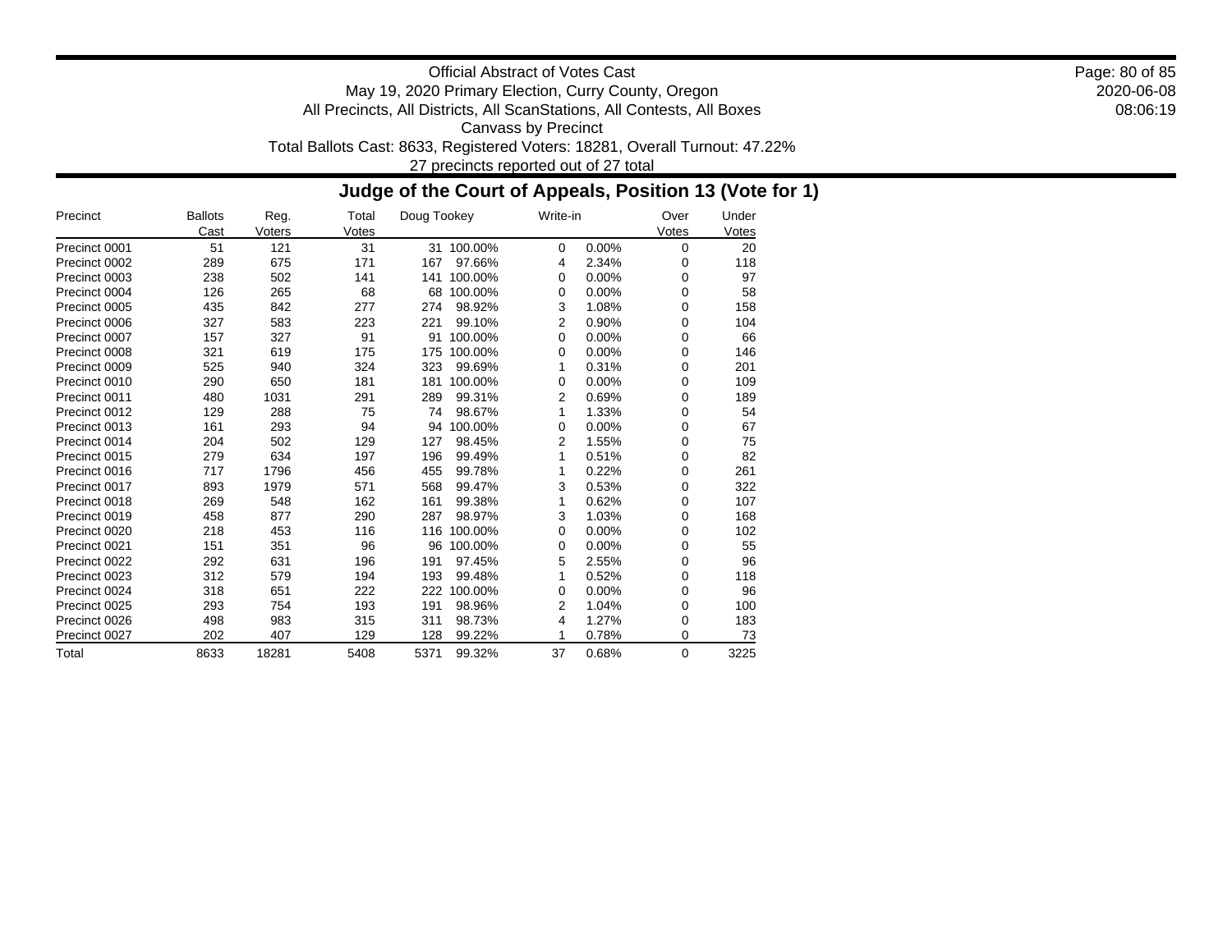2020-06-08 08:06:19 Page: 80 of 85

May 19, 2020 Primary Election, Curry County, Oregon All Precincts, All Districts, All ScanStations, All Contests, All Boxes Canvass by Precinct Total Ballots Cast: 8633, Registered Voters: 18281, Overall Turnout: 47.22%

Official Abstract of Votes Cast

27 precincts reported out of 27 total

### **Judge of the Court of Appeals, Position 13 (Vote for 1)**

| Precinct      | <b>Ballots</b><br>Cast | Reg.<br>Voters | Total<br>Votes | Doug Tookey |            | Write-in |       | Over<br>Votes | Under<br>Votes |
|---------------|------------------------|----------------|----------------|-------------|------------|----------|-------|---------------|----------------|
| Precinct 0001 | 51                     | 121            | 31             |             | 31 100.00% | $\Omega$ | 0.00% | 0             | 20             |
| Precinct 0002 | 289                    | 675            | 171            | 167         | 97.66%     | 4        | 2.34% | 0             | 118            |
| Precinct 0003 | 238                    | 502            | 141            | 141         | 100.00%    | 0        | 0.00% | 0             | 97             |
| Precinct 0004 | 126                    | 265            | 68             | 68          | 100.00%    | 0        | 0.00% | 0             | 58             |
| Precinct 0005 | 435                    | 842            | 277            | 274         | 98.92%     | 3        | 1.08% | 0             | 158            |
| Precinct 0006 | 327                    | 583            | 223            | 221         | 99.10%     | 2        | 0.90% | 0             | 104            |
| Precinct 0007 | 157                    | 327            | 91             | 91          | 100.00%    | 0        | 0.00% | 0             | 66             |
| Precinct 0008 | 321                    | 619            | 175            | 175         | 100.00%    | 0        | 0.00% | 0             | 146            |
| Precinct 0009 | 525                    | 940            | 324            | 323         | 99.69%     | 1        | 0.31% | 0             | 201            |
| Precinct 0010 | 290                    | 650            | 181            | 181         | 100.00%    | 0        | 0.00% | 0             | 109            |
| Precinct 0011 | 480                    | 1031           | 291            | 289         | 99.31%     | 2        | 0.69% | 0             | 189            |
| Precinct 0012 | 129                    | 288            | 75             | 74          | 98.67%     | 1        | 1.33% | 0             | 54             |
| Precinct 0013 | 161                    | 293            | 94             | 94          | 100.00%    | 0        | 0.00% | 0             | 67             |
| Precinct 0014 | 204                    | 502            | 129            | 127         | 98.45%     | 2        | 1.55% | 0             | 75             |
| Precinct 0015 | 279                    | 634            | 197            | 196         | 99.49%     | 1        | 0.51% | 0             | 82             |
| Precinct 0016 | 717                    | 1796           | 456            | 455         | 99.78%     | 1        | 0.22% | 0             | 261            |
| Precinct 0017 | 893                    | 1979           | 571            | 568         | 99.47%     | 3        | 0.53% | 0             | 322            |
| Precinct 0018 | 269                    | 548            | 162            | 161         | 99.38%     | 1        | 0.62% | 0             | 107            |
| Precinct 0019 | 458                    | 877            | 290            | 287         | 98.97%     | 3        | 1.03% | 0             | 168            |
| Precinct 0020 | 218                    | 453            | 116            | 116         | 100.00%    | 0        | 0.00% | 0             | 102            |
| Precinct 0021 | 151                    | 351            | 96             | 96          | 100.00%    | 0        | 0.00% | 0             | 55             |
| Precinct 0022 | 292                    | 631            | 196            | 191         | 97.45%     | 5        | 2.55% | 0             | 96             |
| Precinct 0023 | 312                    | 579            | 194            | 193         | 99.48%     | 1        | 0.52% | 0             | 118            |
| Precinct 0024 | 318                    | 651            | 222            | 222         | 100.00%    | 0        | 0.00% | 0             | 96             |
| Precinct 0025 | 293                    | 754            | 193            | 191         | 98.96%     | 2        | 1.04% | 0             | 100            |
| Precinct 0026 | 498                    | 983            | 315            | 311         | 98.73%     | 4        | 1.27% | 0             | 183            |
| Precinct 0027 | 202                    | 407            | 129            | 128         | 99.22%     |          | 0.78% | 0             | 73             |
| Total         | 8633                   | 18281          | 5408           | 5371        | 99.32%     | 37       | 0.68% | 0             | 3225           |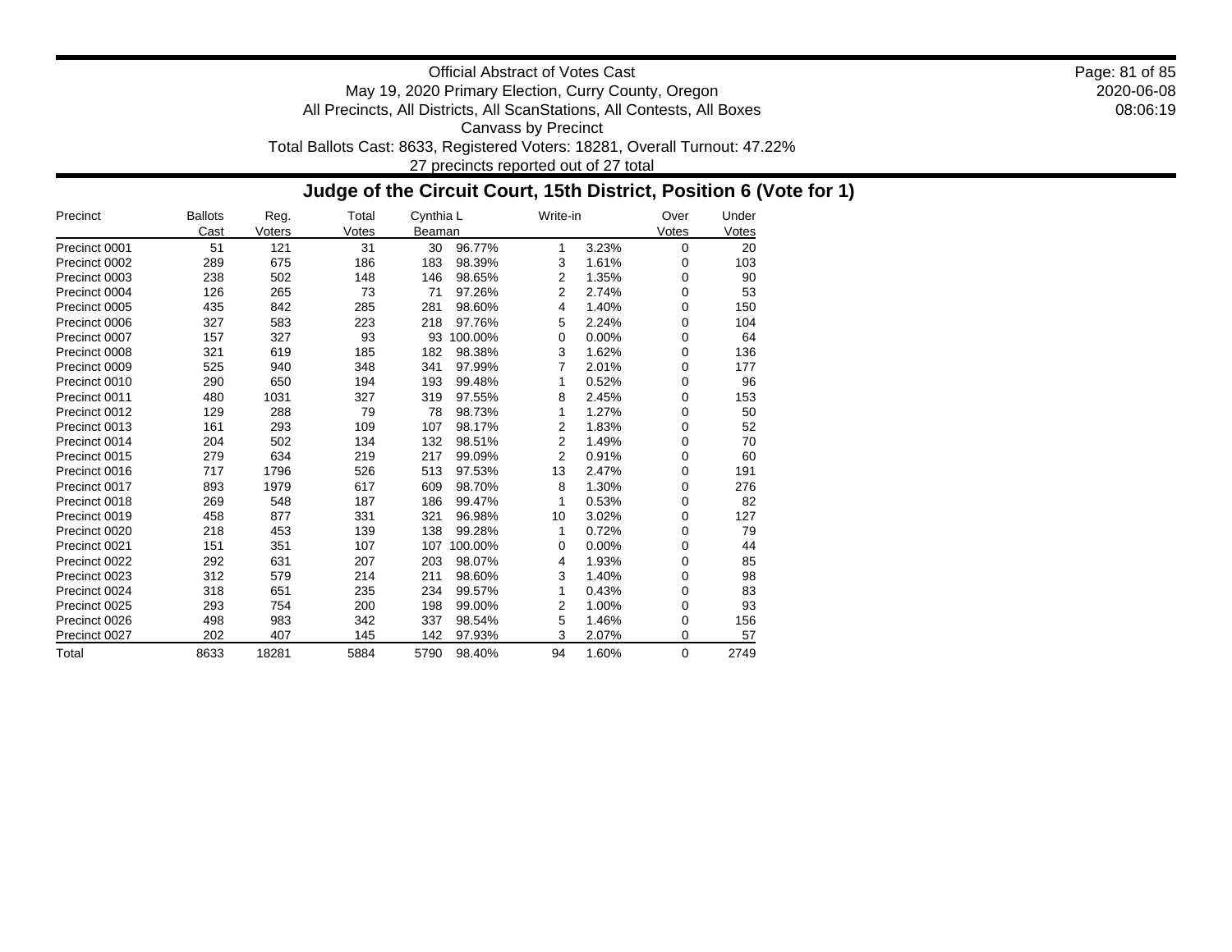2020-06-08 08:06:19 Page: 81 of 85

Official Abstract of Votes Cast May 19, 2020 Primary Election, Curry County, Oregon All Precincts, All Districts, All ScanStations, All Contests, All Boxes

Canvass by Precinct

Total Ballots Cast: 8633, Registered Voters: 18281, Overall Turnout: 47.22%

27 precincts reported out of 27 total

#### **Judge of the Circuit Court, 15th District, Position 6 (Vote for 1)**

| Precinct      | <b>Ballots</b><br>Cast | Reg.<br>Voters | Total<br>Votes | Cynthia L<br>Beaman |         | Write-in       |       | Over<br>Votes | Under<br>Votes |
|---------------|------------------------|----------------|----------------|---------------------|---------|----------------|-------|---------------|----------------|
| Precinct 0001 | 51                     | 121            | 31             | 30                  | 96.77%  | 1              | 3.23% | $\mathbf 0$   | 20             |
| Precinct 0002 | 289                    | 675            | 186            | 183                 | 98.39%  | 3              | 1.61% | 0             | 103            |
| Precinct 0003 | 238                    | 502            | 148            | 146                 | 98.65%  | 2              | 1.35% | $\Omega$      | 90             |
| Precinct 0004 | 126                    | 265            | 73             | 71                  | 97.26%  | 2              | 2.74% | $\mathbf 0$   | 53             |
|               |                        | 842            |                |                     |         |                | 1.40% |               |                |
| Precinct 0005 | 435                    |                | 285            | 281                 | 98.60%  | 4              |       | $\mathbf 0$   | 150            |
| Precinct 0006 | 327                    | 583            | 223            | 218                 | 97.76%  | 5              | 2.24% | $\mathbf 0$   | 104            |
| Precinct 0007 | 157                    | 327            | 93             | 93                  | 100.00% | 0              | 0.00% | 0             | 64             |
| Precinct 0008 | 321                    | 619            | 185            | 182                 | 98.38%  | 3              | 1.62% | $\mathbf 0$   | 136            |
| Precinct 0009 | 525                    | 940            | 348            | 341                 | 97.99%  | 7              | 2.01% | $\mathbf 0$   | 177            |
| Precinct 0010 | 290                    | 650            | 194            | 193                 | 99.48%  | 1              | 0.52% | $\mathbf 0$   | 96             |
| Precinct 0011 | 480                    | 1031           | 327            | 319                 | 97.55%  | 8              | 2.45% | 0             | 153            |
| Precinct 0012 | 129                    | 288            | 79             | 78                  | 98.73%  | 1              | 1.27% | $\mathbf 0$   | 50             |
| Precinct 0013 | 161                    | 293            | 109            | 107                 | 98.17%  | 2              | 1.83% | $\mathbf 0$   | 52             |
| Precinct 0014 | 204                    | 502            | 134            | 132                 | 98.51%  | $\overline{2}$ | 1.49% | $\mathbf 0$   | 70             |
| Precinct 0015 | 279                    | 634            | 219            | 217                 | 99.09%  | $\overline{2}$ | 0.91% | $\mathbf 0$   | 60             |
| Precinct 0016 | 717                    | 1796           | 526            | 513                 | 97.53%  | 13             | 2.47% | 0             | 191            |
| Precinct 0017 | 893                    | 1979           | 617            | 609                 | 98.70%  | 8              | 1.30% | $\mathbf 0$   | 276            |
| Precinct 0018 | 269                    | 548            | 187            | 186                 | 99.47%  | 1              | 0.53% | $\mathbf 0$   | 82             |
| Precinct 0019 | 458                    | 877            | 331            | 321                 | 96.98%  | 10             | 3.02% | $\mathbf 0$   | 127            |
| Precinct 0020 | 218                    | 453            | 139            | 138                 | 99.28%  | 1              | 0.72% | 0             | 79             |
| Precinct 0021 | 151                    | 351            | 107            | 107                 | 100.00% | 0              | 0.00% | $\mathbf 0$   | 44             |
| Precinct 0022 | 292                    | 631            | 207            | 203                 | 98.07%  | 4              | 1.93% | $\mathbf 0$   | 85             |
| Precinct 0023 | 312                    | 579            | 214            | 211                 | 98.60%  | 3              | 1.40% | $\mathbf 0$   | 98             |
| Precinct 0024 | 318                    | 651            | 235            | 234                 | 99.57%  |                | 0.43% | $\mathbf 0$   | 83             |
| Precinct 0025 | 293                    | 754            | 200            | 198                 | 99.00%  | 2              | 1.00% | 0             | 93             |
| Precinct 0026 | 498                    | 983            | 342            | 337                 | 98.54%  | 5              | 1.46% | $\mathbf 0$   | 156            |
| Precinct 0027 | 202                    | 407            | 145            | 142                 | 97.93%  | 3              | 2.07% | 0             | 57             |
| Total         | 8633                   | 18281          | 5884           | 5790                | 98.40%  | 94             | 1.60% | $\Omega$      | 2749           |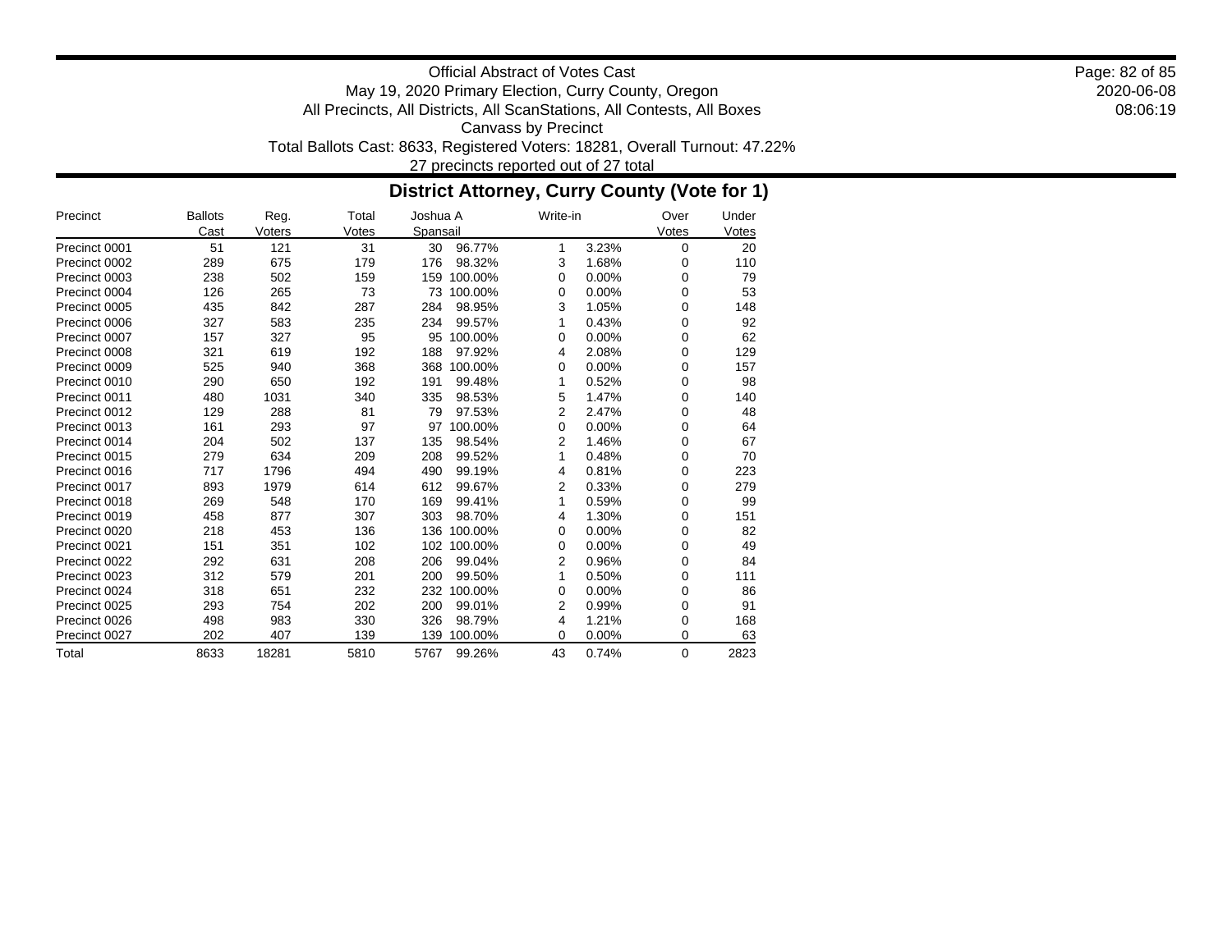2020-06-08 08:06:19 Page: 82 of 85

May 19, 2020 Primary Election, Curry County, Oregon All Precincts, All Districts, All ScanStations, All Contests, All Boxes Canvass by Precinct Total Ballots Cast: 8633, Registered Voters: 18281, Overall Turnout: 47.22%

Official Abstract of Votes Cast

27 precincts reported out of 27 total

### **District Attorney, Curry County (Vote for 1)**

| Precinct      | <b>Ballots</b> | Reg.   | Total | Joshua A       | Write-in |       | Over     | Under |
|---------------|----------------|--------|-------|----------------|----------|-------|----------|-------|
|               | Cast           | Voters | Votes | Spansail       |          |       | Votes    | Votes |
| Precinct 0001 | 51             | 121    | 31    | 30<br>96.77%   | 1        | 3.23% | 0        | 20    |
| Precinct 0002 | 289            | 675    | 179   | 176<br>98.32%  | 3        | 1.68% | 0        | 110   |
| Precinct 0003 | 238            | 502    | 159   | 159<br>100.00% | 0        | 0.00% | 0        | 79    |
| Precinct 0004 | 126            | 265    | 73    | 73<br>100.00%  | 0        | 0.00% | 0        | 53    |
| Precinct 0005 | 435            | 842    | 287   | 284<br>98.95%  | 3        | 1.05% | 0        | 148   |
| Precinct 0006 | 327            | 583    | 235   | 234<br>99.57%  | 1        | 0.43% | 0        | 92    |
| Precinct 0007 | 157            | 327    | 95    | 95<br>100.00%  | 0        | 0.00% | 0        | 62    |
| Precinct 0008 | 321            | 619    | 192   | 188<br>97.92%  | 4        | 2.08% | 0        | 129   |
| Precinct 0009 | 525            | 940    | 368   | 368<br>100.00% | 0        | 0.00% | 0        | 157   |
| Precinct 0010 | 290            | 650    | 192   | 191<br>99.48%  | 1        | 0.52% | $\Omega$ | 98    |
| Precinct 0011 | 480            | 1031   | 340   | 335<br>98.53%  | 5        | 1.47% | 0        | 140   |
| Precinct 0012 | 129            | 288    | 81    | 79<br>97.53%   | 2        | 2.47% | 0        | 48    |
| Precinct 0013 | 161            | 293    | 97    | 97<br>100.00%  | 0        | 0.00% | 0        | 64    |
| Precinct 0014 | 204            | 502    | 137   | 135<br>98.54%  | 2        | 1.46% | 0        | 67    |
| Precinct 0015 | 279            | 634    | 209   | 208<br>99.52%  | 1        | 0.48% | 0        | 70    |
| Precinct 0016 | 717            | 1796   | 494   | 99.19%<br>490  | 4        | 0.81% | 0        | 223   |
| Precinct 0017 | 893            | 1979   | 614   | 612<br>99.67%  | 2        | 0.33% | 0        | 279   |
| Precinct 0018 | 269            | 548    | 170   | 169<br>99.41%  | 1        | 0.59% | 0        | 99    |
| Precinct 0019 | 458            | 877    | 307   | 303<br>98.70%  | 4        | 1.30% | 0        | 151   |
| Precinct 0020 | 218            | 453    | 136   | 136<br>100.00% | $\Omega$ | 0.00% | 0        | 82    |
| Precinct 0021 | 151            | 351    | 102   | 102 100.00%    | 0        | 0.00% | 0        | 49    |
| Precinct 0022 | 292            | 631    | 208   | 206<br>99.04%  | 2        | 0.96% | $\Omega$ | 84    |
| Precinct 0023 | 312            | 579    | 201   | 200<br>99.50%  | 1        | 0.50% | 0        | 111   |
| Precinct 0024 | 318            | 651    | 232   | 232<br>100.00% | 0        | 0.00% | 0        | 86    |
| Precinct 0025 | 293            | 754    | 202   | 200<br>99.01%  | 2        | 0.99% | 0        | 91    |
| Precinct 0026 | 498            | 983    | 330   | 326<br>98.79%  | 4        | 1.21% | 0        | 168   |
| Precinct 0027 | 202            | 407    | 139   | 139<br>100.00% | 0        | 0.00% | 0        | 63    |
| Total         | 8633           | 18281  | 5810  | 5767<br>99.26% | 43       | 0.74% | 0        | 2823  |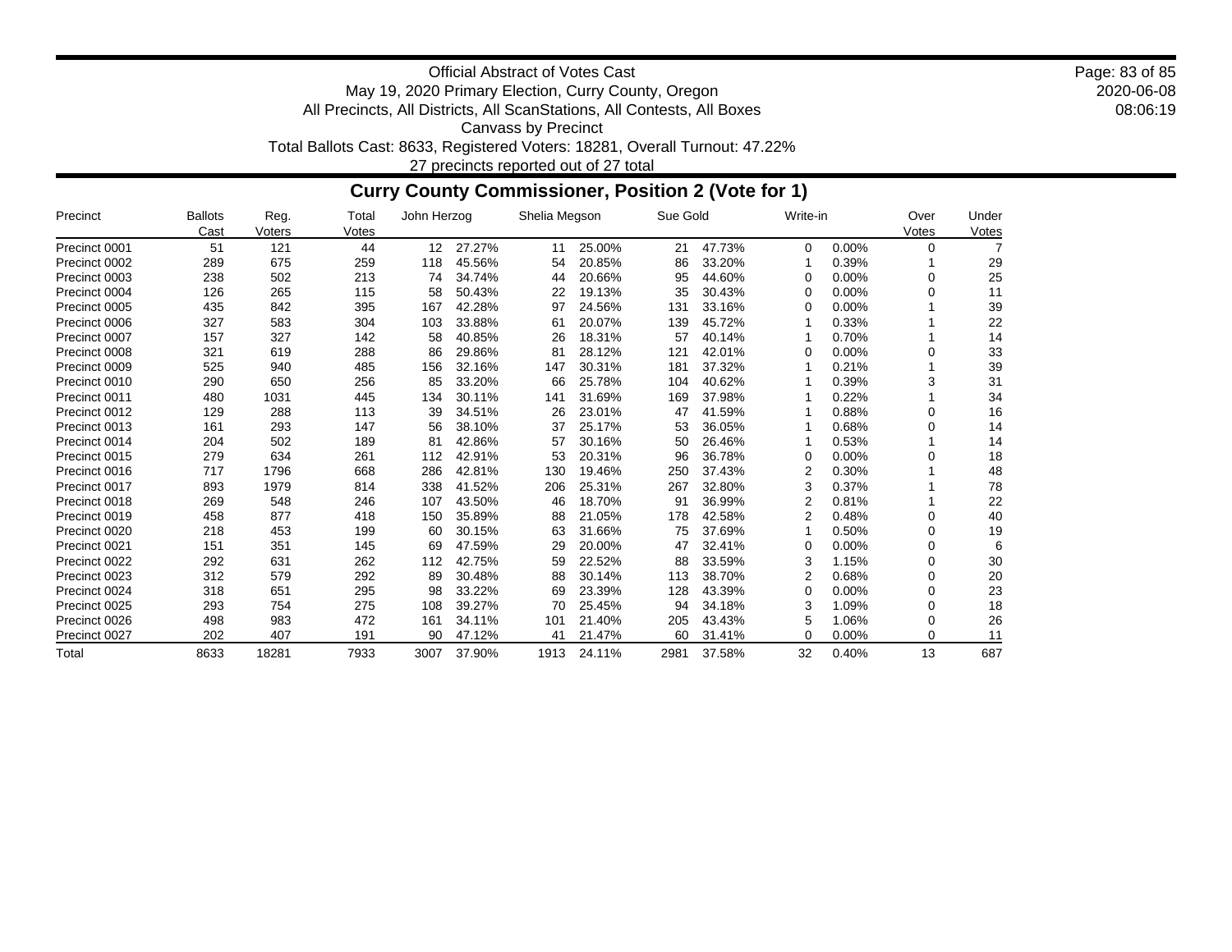2020-06-08 08:06:19 Page: 83 of 85

Official Abstract of Votes Cast May 19, 2020 Primary Election, Curry County, Oregon

All Precincts, All Districts, All ScanStations, All Contests, All Boxes

Canvass by Precinct

Total Ballots Cast: 8633, Registered Voters: 18281, Overall Turnout: 47.22%

27 precincts reported out of 27 total

## **Curry County Commissioner, Position 2 (Vote for 1)**

| Precinct      | <b>Ballots</b><br>Cast | Reg.<br>Voters | Total<br>Votes | John Herzog       |        | Shelia Megson |        | Sue Gold |        | Write-in       |          | Over<br>Votes | Under<br>Votes |
|---------------|------------------------|----------------|----------------|-------------------|--------|---------------|--------|----------|--------|----------------|----------|---------------|----------------|
| Precinct 0001 | 51                     | 121            | 44             | $12 \overline{ }$ | 27.27% | 11            | 25.00% | 21       | 47.73% | 0              | 0.00%    | $\Omega$      |                |
| Precinct 0002 | 289                    | 675            | 259            | 118               | 45.56% | 54            | 20.85% | 86       | 33.20% |                | 0.39%    |               | 29             |
| Precinct 0003 | 238                    | 502            | 213            | 74                | 34.74% | 44            | 20.66% | 95       | 44.60% | 0              | 0.00%    | 0             | 25             |
| Precinct 0004 | 126                    | 265            | 115            | 58                | 50.43% | 22            | 19.13% | 35       | 30.43% | 0              | $0.00\%$ | 0             | 11             |
| Precinct 0005 | 435                    | 842            | 395            | 167               | 42.28% | 97            | 24.56% | 131      | 33.16% | 0              | 0.00%    |               | 39             |
| Precinct 0006 | 327                    | 583            | 304            | 103               | 33.88% | 61            | 20.07% | 139      | 45.72% |                | 0.33%    |               | 22             |
| Precinct 0007 | 157                    | 327            | 142            | 58                | 40.85% | 26            | 18.31% | 57       | 40.14% |                | 0.70%    |               | 14             |
| Precinct 0008 | 321                    | 619            | 288            | 86                | 29.86% | 81            | 28.12% | 121      | 42.01% | 0              | 0.00%    | 0             | 33             |
| Precinct 0009 | 525                    | 940            | 485            | 156               | 32.16% | 147           | 30.31% | 181      | 37.32% |                | 0.21%    |               | 39             |
| Precinct 0010 | 290                    | 650            | 256            | 85                | 33.20% | 66            | 25.78% | 104      | 40.62% |                | 0.39%    | 3             | 31             |
| Precinct 0011 | 480                    | 1031           | 445            | 134               | 30.11% | 141           | 31.69% | 169      | 37.98% |                | 0.22%    |               | 34             |
| Precinct 0012 | 129                    | 288            | 113            | 39                | 34.51% | 26            | 23.01% | 47       | 41.59% |                | 0.88%    | 0             | 16             |
| Precinct 0013 | 161                    | 293            | 147            | 56                | 38.10% | 37            | 25.17% | 53       | 36.05% |                | 0.68%    | 0             | 14             |
| Precinct 0014 | 204                    | 502            | 189            | 81                | 42.86% | 57            | 30.16% | 50       | 26.46% |                | 0.53%    |               | 14             |
| Precinct 0015 | 279                    | 634            | 261            | 112               | 42.91% | 53            | 20.31% | 96       | 36.78% | 0              | 0.00%    | U             | 18             |
| Precinct 0016 | 717                    | 1796           | 668            | 286               | 42.81% | 130           | 19.46% | 250      | 37.43% | 2              | 0.30%    |               | 48             |
| Precinct 0017 | 893                    | 1979           | 814            | 338               | 41.52% | 206           | 25.31% | 267      | 32.80% | 3              | 0.37%    |               | 78             |
| Precinct 0018 | 269                    | 548            | 246            | 107               | 43.50% | 46            | 18.70% | 91       | 36.99% | 2              | 0.81%    |               | 22             |
| Precinct 0019 | 458                    | 877            | 418            | 150               | 35.89% | 88            | 21.05% | 178      | 42.58% | $\overline{2}$ | 0.48%    | 0             | 40             |
| Precinct 0020 | 218                    | 453            | 199            | 60                | 30.15% | 63            | 31.66% | 75       | 37.69% |                | 0.50%    | $\Omega$      | 19             |
| Precinct 0021 | 151                    | 351            | 145            | 69                | 47.59% | 29            | 20.00% | 47       | 32.41% | 0              | 0.00%    | 0             | 6              |
| Precinct 0022 | 292                    | 631            | 262            | 112               | 42.75% | 59            | 22.52% | 88       | 33.59% | 3              | 1.15%    | 0             | 30             |
| Precinct 0023 | 312                    | 579            | 292            | 89                | 30.48% | 88            | 30.14% | 113      | 38.70% | 2              | 0.68%    | 0             | 20             |
| Precinct 0024 | 318                    | 651            | 295            | 98                | 33.22% | 69            | 23.39% | 128      | 43.39% | 0              | $0.00\%$ | 0             | 23             |
| Precinct 0025 | 293                    | 754            | 275            | 108               | 39.27% | 70            | 25.45% | 94       | 34.18% | 3              | 1.09%    | 0             | 18             |
| Precinct 0026 | 498                    | 983            | 472            | 161               | 34.11% | 101           | 21.40% | 205      | 43.43% | 5              | 1.06%    | 0             | 26             |
| Precinct 0027 | 202                    | 407            | 191            | 90                | 47.12% | 41            | 21.47% | 60       | 31.41% | 0              | $0.00\%$ | 0             | 11             |
| Total         | 8633                   | 18281          | 7933           | 3007              | 37.90% | 1913          | 24.11% | 2981     | 37.58% | 32             | 0.40%    | 13            | 687            |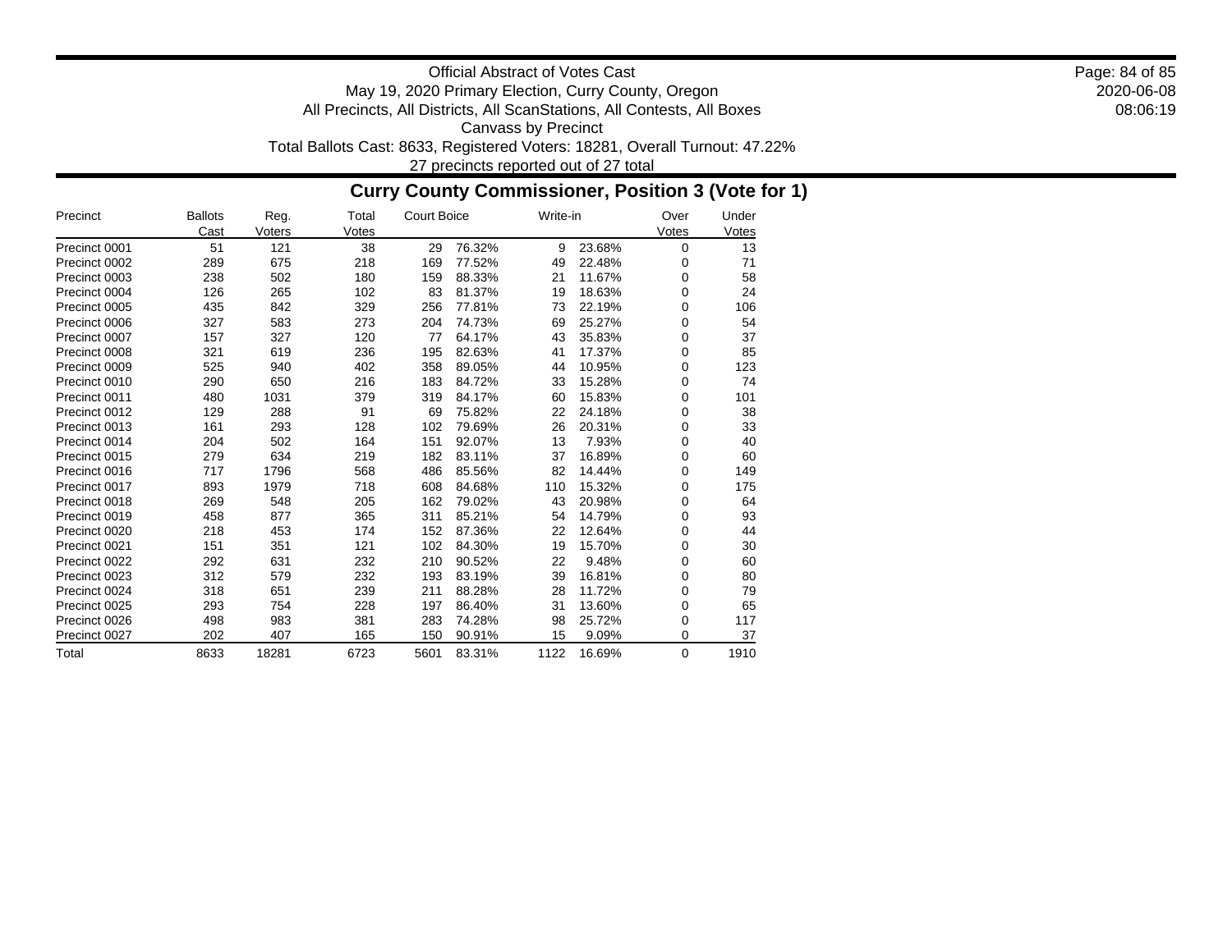2020-06-08 08:06:19 Page: 84 of 85

May 19, 2020 Primary Election, Curry County, Oregon All Precincts, All Districts, All ScanStations, All Contests, All Boxes Canvass by Precinct

Official Abstract of Votes Cast

Total Ballots Cast: 8633, Registered Voters: 18281, Overall Turnout: 47.22%

27 precincts reported out of 27 total

# **Curry County Commissioner, Position 3 (Vote for 1)**

| Precinct      | <b>Ballots</b><br>Cast | Reg.<br>Voters | Total<br>Votes | Court Boice |        |      | Write-in |          | Under<br>Votes |
|---------------|------------------------|----------------|----------------|-------------|--------|------|----------|----------|----------------|
| Precinct 0001 | 51                     | 121            | 38             | 29          | 76.32% | 9    | 23.68%   | 0        | 13             |
| Precinct 0002 | 289                    | 675            | 218            | 169         | 77.52% | 49   | 22.48%   | 0        | 71             |
| Precinct 0003 | 238                    | 502            | 180            | 159         | 88.33% | 21   | 11.67%   | 0        | 58             |
| Precinct 0004 | 126                    | 265            | 102            | 83          | 81.37% | 19   | 18.63%   | 0        | 24             |
| Precinct 0005 | 435                    | 842            | 329            | 256         | 77.81% | 73   | 22.19%   | 0        | 106            |
| Precinct 0006 | 327                    | 583            | 273            | 204         | 74.73% | 69   | 25.27%   | 0        | 54             |
| Precinct 0007 | 157                    | 327            | 120            | 77          | 64.17% | 43   | 35.83%   | 0        | 37             |
| Precinct 0008 | 321                    | 619            | 236            | 195         | 82.63% | 41   | 17.37%   | 0        | 85             |
| Precinct 0009 | 525                    | 940            | 402            | 358         | 89.05% | 44   | 10.95%   | 0        | 123            |
| Precinct 0010 | 290                    | 650            | 216            | 183         | 84.72% | 33   | 15.28%   | 0        | 74             |
| Precinct 0011 | 480                    | 1031           | 379            | 319         | 84.17% | 60   | 15.83%   | 0        | 101            |
| Precinct 0012 | 129                    | 288            | 91             | 69          | 75.82% | 22   | 24.18%   | 0        | 38             |
| Precinct 0013 | 161                    | 293            | 128            | 102         | 79.69% | 26   | 20.31%   | 0        | 33             |
| Precinct 0014 | 204                    | 502            | 164            | 151         | 92.07% | 13   | 7.93%    | 0        | 40             |
| Precinct 0015 | 279                    | 634            | 219            | 182         | 83.11% | 37   | 16.89%   | 0        | 60             |
| Precinct 0016 | 717                    | 1796           | 568            | 486         | 85.56% | 82   | 14.44%   | 0        | 149            |
| Precinct 0017 | 893                    | 1979           | 718            | 608         | 84.68% | 110  | 15.32%   | 0        | 175            |
| Precinct 0018 | 269                    | 548            | 205            | 162         | 79.02% | 43   | 20.98%   | 0        | 64             |
| Precinct 0019 | 458                    | 877            | 365            | 311         | 85.21% | 54   | 14.79%   | 0        | 93             |
| Precinct 0020 | 218                    | 453            | 174            | 152         | 87.36% | 22   | 12.64%   | 0        | 44             |
| Precinct 0021 | 151                    | 351            | 121            | 102         | 84.30% | 19   | 15.70%   | 0        | 30             |
| Precinct 0022 | 292                    | 631            | 232            | 210         | 90.52% | 22   | 9.48%    | 0        | 60             |
| Precinct 0023 | 312                    | 579            | 232            | 193         | 83.19% | 39   | 16.81%   | 0        | 80             |
| Precinct 0024 | 318                    | 651            | 239            | 211         | 88.28% | 28   | 11.72%   | 0        | 79             |
| Precinct 0025 | 293                    | 754            | 228            | 197         | 86.40% | 31   | 13.60%   | 0        | 65             |
| Precinct 0026 | 498                    | 983            | 381            | 283         | 74.28% | 98   | 25.72%   | 0        | 117            |
| Precinct 0027 | 202                    | 407            | 165            | 150         | 90.91% | 15   | 9.09%    | 0        | 37             |
| Total         | 8633                   | 18281          | 6723           | 5601        | 83.31% | 1122 | 16.69%   | $\Omega$ | 1910           |